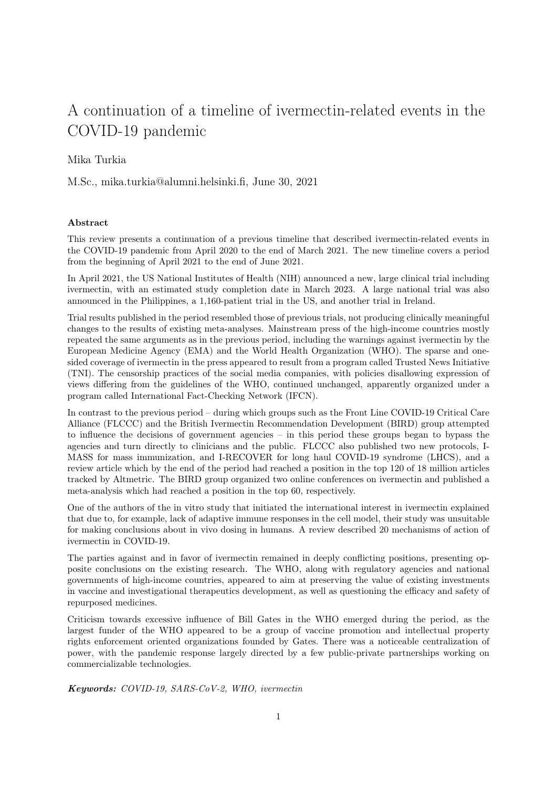# A continuation of a timeline of ivermectin-related events in the COVID-19 pandemic

## Mika Turkia

M.Sc., mika.turkia@alumni.helsinki.fi, June 30, 2021

#### Abstract

This review presents a continuation of a previous timeline that described ivermectin-related events in the COVID-19 pandemic from April 2020 to the end of March 2021. The new timeline covers a period from the beginning of April 2021 to the end of June 2021.

In April 2021, the US National Institutes of Health (NIH) announced a new, large clinical trial including ivermectin, with an estimated study completion date in March 2023. A large national trial was also announced in the Philippines, a 1,160-patient trial in the US, and another trial in Ireland.

Trial results published in the period resembled those of previous trials, not producing clinically meaningful changes to the results of existing meta-analyses. Mainstream press of the high-income countries mostly repeated the same arguments as in the previous period, including the warnings against ivermectin by the European Medicine Agency (EMA) and the World Health Organization (WHO). The sparse and onesided coverage of ivermectin in the press appeared to result from a program called Trusted News Initiative (TNI). The censorship practices of the social media companies, with policies disallowing expression of views differing from the guidelines of the WHO, continued unchanged, apparently organized under a program called International Fact-Checking Network (IFCN).

In contrast to the previous period – during which groups such as the Front Line COVID-19 Critical Care Alliance (FLCCC) and the British Ivermectin Recommendation Development (BIRD) group attempted to influence the decisions of government agencies – in this period these groups began to bypass the agencies and turn directly to clinicians and the public. FLCCC also published two new protocols, I-MASS for mass immunization, and I-RECOVER for long haul COVID-19 syndrome (LHCS), and a review article which by the end of the period had reached a position in the top 120 of 18 million articles tracked by Altmetric. The BIRD group organized two online conferences on ivermectin and published a meta-analysis which had reached a position in the top 60, respectively.

One of the authors of the in vitro study that initiated the international interest in ivermectin explained that due to, for example, lack of adaptive immune responses in the cell model, their study was unsuitable for making conclusions about in vivo dosing in humans. A review described 20 mechanisms of action of ivermectin in COVID-19.

The parties against and in favor of ivermectin remained in deeply conflicting positions, presenting opposite conclusions on the existing research. The WHO, along with regulatory agencies and national governments of high-income countries, appeared to aim at preserving the value of existing investments in vaccine and investigational therapeutics development, as well as questioning the efficacy and safety of repurposed medicines.

Criticism towards excessive influence of Bill Gates in the WHO emerged during the period, as the largest funder of the WHO appeared to be a group of vaccine promotion and intellectual property rights enforcement oriented organizations founded by Gates. There was a noticeable centralization of power, with the pandemic response largely directed by a few public-private partnerships working on commercializable technologies.

Keywords: COVID-19, SARS-CoV-2, WHO, ivermectin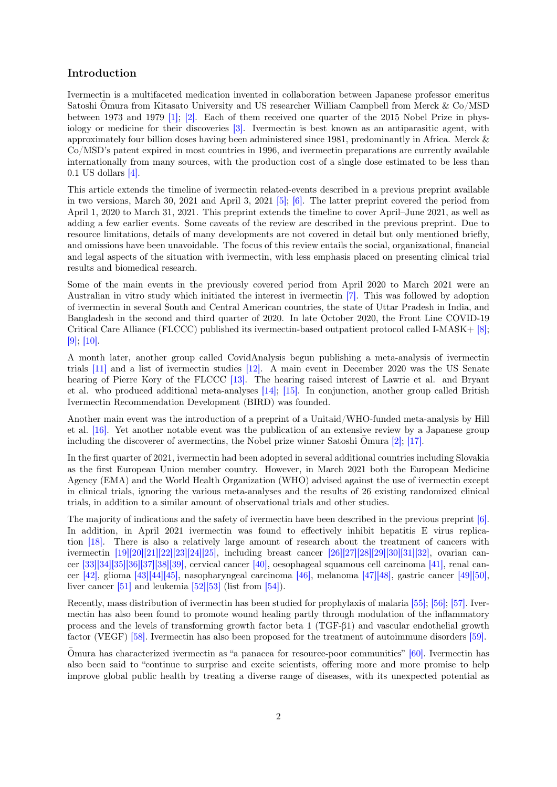# Introduction

Ivermectin is a multifaceted medication invented in collaboration between Japanese professor emeritus Satoshi Omura from Kitasato University and US researcher William Campbell from Merck &  $Co/MSD$ between 1973 and 1979 [\[1\];](#page-47-0) [\[2\].](#page-47-1) Each of them received one quarter of the 2015 Nobel Prize in physiology or medicine for their discoveries [\[3\].](#page-47-2) Ivermectin is best known as an antiparasitic agent, with approximately four billion doses having been administered since 1981, predominantly in Africa. Merck & Co/MSD's patent expired in most countries in 1996, and ivermectin preparations are currently available internationally from many sources, with the production cost of a single dose estimated to be less than 0.1 US dollars [\[4\].](#page-47-3)

This article extends the timeline of ivermectin related-events described in a previous preprint available in two versions, March 30, 2021 and April 3, 2021 [\[5\];](#page-47-4) [\[6\].](#page-47-5) The latter preprint covered the period from April 1, 2020 to March 31, 2021. This preprint extends the timeline to cover April–June 2021, as well as adding a few earlier events. Some caveats of the review are described in the previous preprint. Due to resource limitations, details of many developments are not covered in detail but only mentioned briefly, and omissions have been unavoidable. The focus of this review entails the social, organizational, financial and legal aspects of the situation with ivermectin, with less emphasis placed on presenting clinical trial results and biomedical research.

Some of the main events in the previously covered period from April 2020 to March 2021 were an Australian in vitro study which initiated the interest in ivermectin [\[7\].](#page-47-6) This was followed by adoption of ivermectin in several South and Central American countries, the state of Uttar Pradesh in India, and Bangladesh in the second and third quarter of 2020. In late October 2020, the Front Line COVID-19 Critical Care Alliance (FLCCC) published its ivermectin-based outpatient protocol called I-MASK+ [\[8\];](#page-47-7) [\[9\];](#page-47-8) [\[10\].](#page-47-9)

A month later, another group called CovidAnalysis begun publishing a meta-analysis of ivermectin trials [\[11\]](#page-47-10) and a list of ivermectin studies [\[12\].](#page-47-11) A main event in December 2020 was the US Senate hearing of Pierre Kory of the FLCCC [\[13\].](#page-47-12) The hearing raised interest of Lawrie et al. and Bryant et al. who produced additional meta-analyses [\[14\];](#page-47-13) [\[15\].](#page-47-14) In conjunction, another group called British Ivermectin Recommendation Development (BIRD) was founded.

Another main event was the introduction of a preprint of a Unitaid/WHO-funded meta-analysis by Hill et al. [\[16\].](#page-47-15) Yet another notable event was the publication of an extensive review by a Japanese group including the discoverer of avermectins, the Nobel prize winner Satoshi Omura  $[2]$ ;  $[17]$ .

In the first quarter of 2021, ivermectin had been adopted in several additional countries including Slovakia as the first European Union member country. However, in March 2021 both the European Medicine Agency (EMA) and the World Health Organization (WHO) advised against the use of ivermectin except in clinical trials, ignoring the various meta-analyses and the results of 26 existing randomized clinical trials, in addition to a similar amount of observational trials and other studies.

The majority of indications and the safety of ivermectin have been described in the previous preprint [\[6\].](#page-47-5) In addition, in April 2021 ivermectin was found to effectively inhibit hepatitis E virus replication [\[18\].](#page-48-0) There is also a relatively large amount of research about the treatment of cancers with ivermectin [\[19\]](#page-48-1)[\[20\]](#page-48-2)[\[21\]](#page-48-3)[\[22\]](#page-48-4)[\[23\]](#page-48-5)[\[24\]](#page-48-6)[\[25\],](#page-48-7) including breast cancer [\[26\]](#page-48-8)[\[27\]](#page-48-9)[\[28\]](#page-48-10)[\[29\]](#page-48-11)[\[30\]](#page-48-12)[\[31\]](#page-48-13)[\[32\],](#page-48-14) ovarian cancer [\[33\]](#page-49-0)[\[34\]](#page-49-1)[\[35\]](#page-49-2)[\[36\]](#page-49-3)[\[37\]](#page-49-4)[\[38\]](#page-49-5)[\[39\],](#page-49-6) cervical cancer [\[40\],](#page-49-7) oesophageal squamous cell carcinoma [\[41\],](#page-49-8) renal cancer [\[42\],](#page-49-9) glioma [\[43\]](#page-49-10)[\[44\]](#page-49-11)[\[45\],](#page-49-12) nasopharyngeal carcinoma [\[46\],](#page-49-13) melanoma [\[47\]](#page-49-14)[\[48\],](#page-50-0) gastric cancer [\[49\]](#page-50-1)[\[50\],](#page-50-2) liver cancer  $[51]$  and leukemia  $[52][53]$  $[52][53]$  (list from  $[54]$ ).

Recently, mass distribution of ivermectin has been studied for prophylaxis of malaria [\[55\];](#page-50-7) [\[56\];](#page-50-8) [\[57\].](#page-50-9) Ivermectin has also been found to promote wound healing partly through modulation of the inflammatory process and the levels of transforming growth factor beta 1 (TGF-β1) and vascular endothelial growth factor (VEGF) [\[58\].](#page-50-10) Ivermectin has also been proposed for the treatment of autoimmune disorders [\[59\].](#page-50-11)

Omura has characterized ivermectin as "a panacea for resource-poor communities"  $[60]$ . Ivermectin has also been said to "continue to surprise and excite scientists, offering more and more promise to help improve global public health by treating a diverse range of diseases, with its unexpected potential as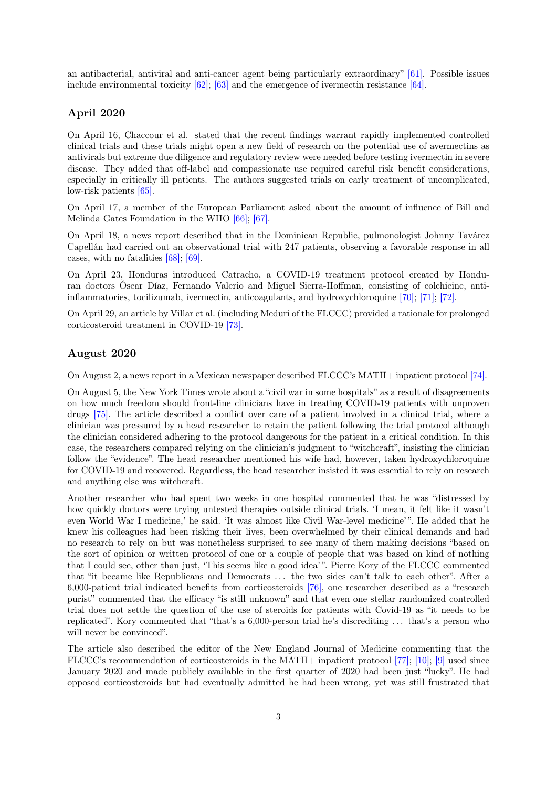an antibacterial, antiviral and anti-cancer agent being particularly extraordinary" [\[61\].](#page-50-13) Possible issues include environmental toxicity  $[62]$ ;  $[63]$  and the emergence of ivermectin resistance  $[64]$ .

#### April 2020

On April 16, Chaccour et al. stated that the recent findings warrant rapidly implemented controlled clinical trials and these trials might open a new field of research on the potential use of avermectins as antivirals but extreme due diligence and regulatory review were needed before testing ivermectin in severe disease. They added that off-label and compassionate use required careful risk–benefit considerations, especially in critically ill patients. The authors suggested trials on early treatment of uncomplicated, low-risk patients [\[65\].](#page-51-1)

On April 17, a member of the European Parliament asked about the amount of influence of Bill and Melinda Gates Foundation in the WHO [\[66\];](#page-51-2) [\[67\].](#page-51-3)

On April 18, a news report described that in the Dominican Republic, pulmonologist Johnny Tavárez Capellán had carried out an observational trial with 247 patients, observing a favorable response in all cases, with no fatalities [\[68\];](#page-51-4) [\[69\].](#page-51-5)

On April 23, Honduras introduced Catracho, a COVID-19 treatment protocol created by Honduran doctors Óscar Díaz, Fernando Valerio and Miguel Sierra-Hoffman, consisting of colchicine, antiinflammatories, tocilizumab, ivermectin, anticoagulants, and hydroxychloroquine [\[70\];](#page-51-6) [\[71\];](#page-51-7) [\[72\].](#page-51-8)

On April 29, an article by Villar et al. (including Meduri of the FLCCC) provided a rationale for prolonged corticosteroid treatment in COVID-19 [\[73\].](#page-51-9)

#### August 2020

On August 2, a news report in a Mexican newspaper described FLCCC's MATH+ inpatient protocol [\[74\].](#page-51-10)

On August 5, the New York Times wrote about a "civil war in some hospitals" as a result of disagreements on how much freedom should front-line clinicians have in treating COVID-19 patients with unproven drugs [\[75\].](#page-51-11) The article described a conflict over care of a patient involved in a clinical trial, where a clinician was pressured by a head researcher to retain the patient following the trial protocol although the clinician considered adhering to the protocol dangerous for the patient in a critical condition. In this case, the researchers compared relying on the clinician's judgment to "witchcraft", insisting the clinician follow the "evidence". The head researcher mentioned his wife had, however, taken hydroxychloroquine for COVID-19 and recovered. Regardless, the head researcher insisted it was essential to rely on research and anything else was witchcraft.

Another researcher who had spent two weeks in one hospital commented that he was "distressed by how quickly doctors were trying untested therapies outside clinical trials. 'I mean, it felt like it wasn't even World War I medicine,' he said. 'It was almost like Civil War-level medicine' ". He added that he knew his colleagues had been risking their lives, been overwhelmed by their clinical demands and had no research to rely on but was nonetheless surprised to see many of them making decisions "based on the sort of opinion or written protocol of one or a couple of people that was based on kind of nothing that I could see, other than just, 'This seems like a good idea' ". Pierre Kory of the FLCCC commented that "it became like Republicans and Democrats . . . the two sides can't talk to each other". After a 6,000-patient trial indicated benefits from corticosteroids [\[76\],](#page-51-12) one researcher described as a "research purist" commented that the efficacy "is still unknown" and that even one stellar randomized controlled trial does not settle the question of the use of steroids for patients with Covid-19 as "it needs to be replicated". Kory commented that "that's a 6,000-person trial he's discrediting . . . that's a person who will never be convinced".

The article also described the editor of the New England Journal of Medicine commenting that the FLCCC's recommendation of corticosteroids in the MATH+ inpatient protocol [\[77\];](#page-51-13) [\[10\];](#page-47-9) [\[9\]](#page-47-8) used since January 2020 and made publicly available in the first quarter of 2020 had been just "lucky". He had opposed corticosteroids but had eventually admitted he had been wrong, yet was still frustrated that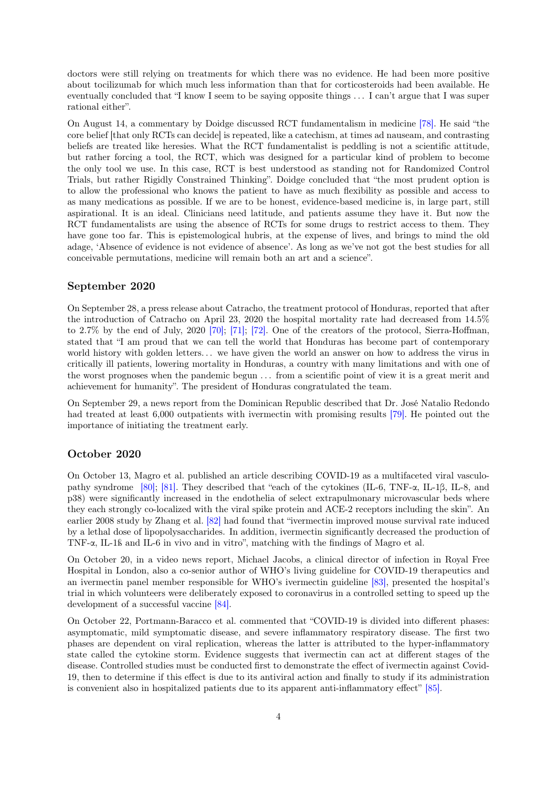doctors were still relying on treatments for which there was no evidence. He had been more positive about tocilizumab for which much less information than that for corticosteroids had been available. He eventually concluded that "I know I seem to be saying opposite things . . . I can't argue that I was super rational either".

On August 14, a commentary by Doidge discussed RCT fundamentalism in medicine [\[78\].](#page-51-14) He said "the core belief [that only RCTs can decide] is repeated, like a catechism, at times ad nauseam, and contrasting beliefs are treated like heresies. What the RCT fundamentalist is peddling is not a scientific attitude, but rather forcing a tool, the RCT, which was designed for a particular kind of problem to become the only tool we use. In this case, RCT is best understood as standing not for Randomized Control Trials, but rather Rigidly Constrained Thinking". Doidge concluded that "the most prudent option is to allow the professional who knows the patient to have as much flexibility as possible and access to as many medications as possible. If we are to be honest, evidence-based medicine is, in large part, still aspirational. It is an ideal. Clinicians need latitude, and patients assume they have it. But now the RCT fundamentalists are using the absence of RCTs for some drugs to restrict access to them. They have gone too far. This is epistemological hubris, at the expense of lives, and brings to mind the old adage, 'Absence of evidence is not evidence of absence'. As long as we've not got the best studies for all conceivable permutations, medicine will remain both an art and a science".

#### September 2020

On September 28, a press release about Catracho, the treatment protocol of Honduras, reported that after the introduction of Catracho on April 23, 2020 the hospital mortality rate had decreased from 14.5% to 2.7% by the end of July, 2020 [\[70\];](#page-51-6) [\[71\];](#page-51-7) [\[72\].](#page-51-8) One of the creators of the protocol, Sierra-Hoffman, stated that "I am proud that we can tell the world that Honduras has become part of contemporary world history with golden letters... we have given the world an answer on how to address the virus in critically ill patients, lowering mortality in Honduras, a country with many limitations and with one of the worst prognoses when the pandemic begun . . . from a scientific point of view it is a great merit and achievement for humanity". The president of Honduras congratulated the team.

On September 29, a news report from the Dominican Republic described that Dr. José Natalio Redondo had treated at least 6,000 outpatients with ivermectin with promising results [\[79\].](#page-51-15) He pointed out the importance of initiating the treatment early.

# October 2020

On October 13, Magro et al. published an article describing COVID-19 as a multifaceted viral vasculopathy syndrome [\[80\];](#page-52-0) [\[81\].](#page-52-1) They described that "each of the cytokines (IL-6, TNF-α, IL-1β, IL-8, and p38) were significantly increased in the endothelia of select extrapulmonary microvascular beds where they each strongly co-localized with the viral spike protein and ACE-2 receptors including the skin". An earlier 2008 study by Zhang et al. [\[82\]](#page-52-2) had found that "ivermectin improved mouse survival rate induced by a lethal dose of lipopolysaccharides. In addition, ivermectin significantly decreased the production of TNF-α, IL-1ß and IL-6 in vivo and in vitro", matching with the findings of Magro et al.

On October 20, in a video news report, Michael Jacobs, a clinical director of infection in Royal Free Hospital in London, also a co-senior author of WHO's living guideline for COVID-19 therapeutics and an ivermectin panel member responsible for WHO's ivermectin guideline [\[83\],](#page-52-3) presented the hospital's trial in which volunteers were deliberately exposed to coronavirus in a controlled setting to speed up the development of a successful vaccine [\[84\].](#page-52-4)

On October 22, Portmann-Baracco et al. commented that "COVID-19 is divided into different phases: asymptomatic, mild symptomatic disease, and severe inflammatory respiratory disease. The first two phases are dependent on viral replication, whereas the latter is attributed to the hyper-inflammatory state called the cytokine storm. Evidence suggests that ivermectin can act at different stages of the disease. Controlled studies must be conducted first to demonstrate the effect of ivermectin against Covid-19, then to determine if this effect is due to its antiviral action and finally to study if its administration is convenient also in hospitalized patients due to its apparent anti-inflammatory effect" [\[85\].](#page-52-5)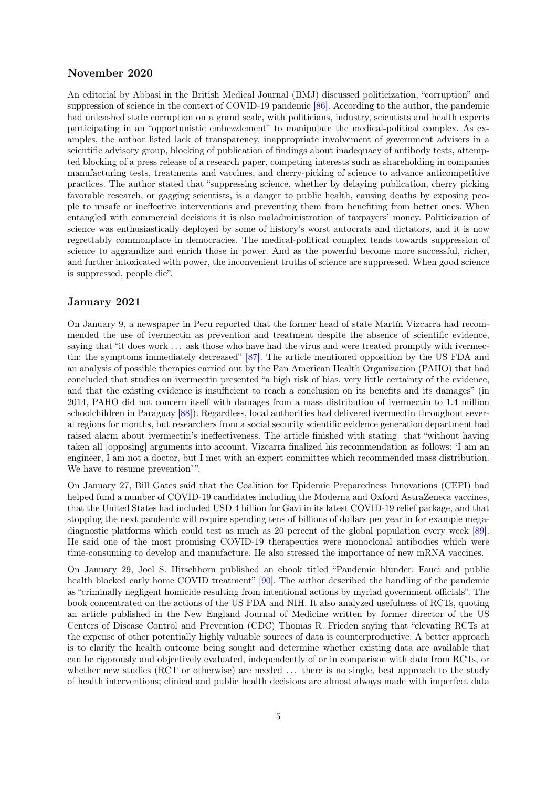## November 2020

An editorial by Abbasi in the British Medical Journal (BMJ) discussed politicization, "corruption" and suppression of science in the context of COVID-19 pandemic [\[86\].](#page-52-6) According to the author, the pandemic had unleashed state corruption on a grand scale, with politicians, industry, scientists and health experts participating in an "opportunistic embezzlement" to manipulate the medical-political complex. As examples, the author listed lack of transparency, inappropriate involvement of government advisers in a scientific advisory group, blocking of publication of findings about inadequacy of antibody tests, attempted blocking of a press release of a research paper, competing interests such as shareholding in companies manufacturing tests, treatments and vaccines, and cherry-picking of science to advance anticompetitive practices. The author stated that "suppressing science, whether by delaying publication, cherry picking favorable research, or gagging scientists, is a danger to public health, causing deaths by exposing people to unsafe or ineffective interventions and preventing them from benefiting from better ones. When entangled with commercial decisions it is also maladministration of taxpayers' money. Politicization of science was enthusiastically deployed by some of history's worst autocrats and dictators, and it is now regrettably commonplace in democracies. The medical-political complex tends towards suppression of science to aggrandize and enrich those in power. And as the powerful become more successful, richer, and further intoxicated with power, the inconvenient truths of science are suppressed. When good science is suppressed, people die".

#### January 2021

On January 9, a newspaper in Peru reported that the former head of state Martín Vizcarra had recommended the use of ivermectin as prevention and treatment despite the absence of scientific evidence, saying that "it does work ... ask those who have had the virus and were treated promptly with ivermectin: the symptoms immediately decreased" [\[87\].](#page-52-7) The article mentioned opposition by the US FDA and an analysis of possible therapies carried out by the Pan American Health Organization (PAHO) that had concluded that studies on ivermectin presented "a high risk of bias, very little certainty of the evidence, and that the existing evidence is insufficient to reach a conclusion on its benefits and its damages" (in 2014, PAHO did not concern itself with damages from a mass distribution of ivermectin to 1.4 million schoolchildren in Paraguay [\[88\]\)](#page-52-8). Regardless, local authorities had delivered ivermectin throughout several regions for months, but researchers from a social security scientific evidence generation department had raised alarm about ivermectin's ineffectiveness. The article finished with stating that "without having taken all [opposing] arguments into account, Vizcarra finalized his recommendation as follows: 'I am an engineer, I am not a doctor, but I met with an expert committee which recommended mass distribution. We have to resume prevention'".

On January 27, Bill Gates said that the Coalition for Epidemic Preparedness Innovations (CEPI) had helped fund a number of COVID-19 candidates including the Moderna and Oxford AstraZeneca vaccines, that the United States had included USD 4 billion for Gavi in its latest COVID-19 relief package, and that stopping the next pandemic will require spending tens of billions of dollars per year in for example megadiagnostic platforms which could test as much as 20 percent of the global population every week [\[89\].](#page-52-9) He said one of the most promising COVID-19 therapeutics were monoclonal antibodies which were time-consuming to develop and manufacture. He also stressed the importance of new mRNA vaccines.

On January 29, Joel S. Hirschhorn published an ebook titled "Pandemic blunder: Fauci and public health blocked early home COVID treatment" [\[90\].](#page-52-10) The author described the handling of the pandemic as "criminally negligent homicide resulting from intentional actions by myriad government officials". The book concentrated on the actions of the US FDA and NIH. It also analyzed usefulness of RCTs, quoting an article published in the New England Journal of Medicine written by former director of the US Centers of Disease Control and Prevention (CDC) Thomas R. Frieden saying that "elevating RCTs at the expense of other potentially highly valuable sources of data is counterproductive. A better approach is to clarify the health outcome being sought and determine whether existing data are available that can be rigorously and objectively evaluated, independently of or in comparison with data from RCTs, or whether new studies (RCT or otherwise) are needed ... there is no single, best approach to the study of health interventions; clinical and public health decisions are almost always made with imperfect data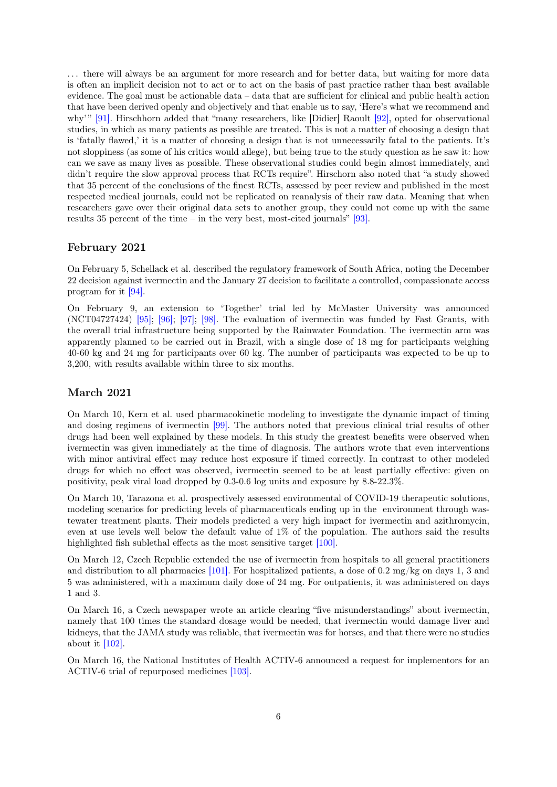. . . there will always be an argument for more research and for better data, but waiting for more data is often an implicit decision not to act or to act on the basis of past practice rather than best available evidence. The goal must be actionable data – data that are sufficient for clinical and public health action that have been derived openly and objectively and that enable us to say, 'Here's what we recommend and why'" [\[91\].](#page-52-11) Hirschhorn added that "many researchers, like [Didier] Raoult [\[92\],](#page-52-12) opted for observational studies, in which as many patients as possible are treated. This is not a matter of choosing a design that is 'fatally flawed,' it is a matter of choosing a design that is not unnecessarily fatal to the patients. It's not sloppiness (as some of his critics would allege), but being true to the study question as he saw it: how can we save as many lives as possible. These observational studies could begin almost immediately, and didn't require the slow approval process that RCTs require". Hirschorn also noted that "a study showed that 35 percent of the conclusions of the finest RCTs, assessed by peer review and published in the most respected medical journals, could not be replicated on reanalysis of their raw data. Meaning that when researchers gave over their original data sets to another group, they could not come up with the same results 35 percent of the time – in the very best, most-cited journals" [\[93\].](#page-52-13)

#### February 2021

On February 5, Schellack et al. described the regulatory framework of South Africa, noting the December 22 decision against ivermectin and the January 27 decision to facilitate a controlled, compassionate access program for it [\[94\].](#page-52-14)

On February 9, an extension to 'Together' trial led by McMaster University was announced (NCT04727424) [\[95\];](#page-52-15) [\[96\];](#page-53-0) [\[97\];](#page-53-1) [\[98\].](#page-53-2) The evaluation of ivermectin was funded by Fast Grants, with the overall trial infrastructure being supported by the Rainwater Foundation. The ivermectin arm was apparently planned to be carried out in Brazil, with a single dose of 18 mg for participants weighing 40-60 kg and 24 mg for participants over 60 kg. The number of participants was expected to be up to 3,200, with results available within three to six months.

#### March 2021

On March 10, Kern et al. used pharmacokinetic modeling to investigate the dynamic impact of timing and dosing regimens of ivermectin [\[99\].](#page-53-3) The authors noted that previous clinical trial results of other drugs had been well explained by these models. In this study the greatest benefits were observed when ivermectin was given immediately at the time of diagnosis. The authors wrote that even interventions with minor antiviral effect may reduce host exposure if timed correctly. In contrast to other modeled drugs for which no effect was observed, ivermectin seemed to be at least partially effective: given on positivity, peak viral load dropped by 0.3-0.6 log units and exposure by 8.8-22.3%.

On March 10, Tarazona et al. prospectively assessed environmental of COVID-19 therapeutic solutions, modeling scenarios for predicting levels of pharmaceuticals ending up in the environment through wastewater treatment plants. Their models predicted a very high impact for ivermectin and azithromycin, even at use levels well below the default value of 1% of the population. The authors said the results highlighted fish sublethal effects as the most sensitive target [\[100\].](#page-53-4)

On March 12, Czech Republic extended the use of ivermectin from hospitals to all general practitioners and distribution to all pharmacies  $[101]$ . For hospitalized patients, a dose of 0.2 mg/kg on days 1, 3 and 5 was administered, with a maximum daily dose of 24 mg. For outpatients, it was administered on days 1 and 3.

On March 16, a Czech newspaper wrote an article clearing "five misunderstandings" about ivermectin, namely that 100 times the standard dosage would be needed, that ivermectin would damage liver and kidneys, that the JAMA study was reliable, that ivermectin was for horses, and that there were no studies about it  $[102]$ .

On March 16, the National Institutes of Health ACTIV-6 announced a request for implementors for an ACTIV-6 trial of repurposed medicines [\[103\].](#page-53-7)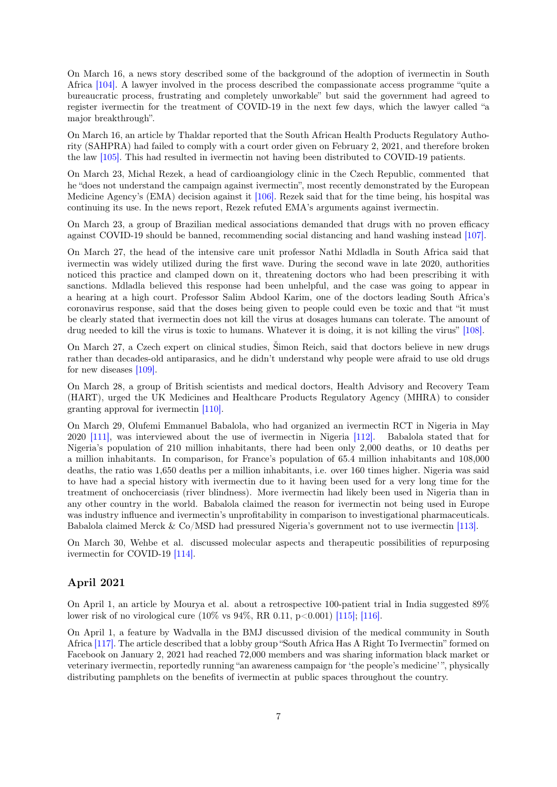On March 16, a news story described some of the background of the adoption of ivermectin in South Africa [\[104\].](#page-53-8) A lawyer involved in the process described the compassionate access programme "quite a bureaucratic process, frustrating and completely unworkable" but said the government had agreed to register ivermectin for the treatment of COVID-19 in the next few days, which the lawyer called "a major breakthrough".

On March 16, an article by Thaldar reported that the South African Health Products Regulatory Authority (SAHPRA) had failed to comply with a court order given on February 2, 2021, and therefore broken the law [\[105\].](#page-53-9) This had resulted in ivermectin not having been distributed to COVID-19 patients.

On March 23, Michal Rezek, a head of cardioangiology clinic in the Czech Republic, commented that he "does not understand the campaign against ivermectin", most recently demonstrated by the European Medicine Agency's (EMA) decision against it [\[106\].](#page-53-10) Rezek said that for the time being, his hospital was continuing its use. In the news report, Rezek refuted EMA's arguments against ivermectin.

On March 23, a group of Brazilian medical associations demanded that drugs with no proven efficacy against COVID-19 should be banned, recommending social distancing and hand washing instead [\[107\].](#page-53-11)

On March 27, the head of the intensive care unit professor Nathi Mdladla in South Africa said that ivermectin was widely utilized during the first wave. During the second wave in late 2020, authorities noticed this practice and clamped down on it, threatening doctors who had been prescribing it with sanctions. Mdladla believed this response had been unhelpful, and the case was going to appear in a hearing at a high court. Professor Salim Abdool Karim, one of the doctors leading South Africa's coronavirus response, said that the doses being given to people could even be toxic and that "it must be clearly stated that ivermectin does not kill the virus at dosages humans can tolerate. The amount of drug needed to kill the virus is toxic to humans. Whatever it is doing, it is not killing the virus" [\[108\].](#page-53-12)

On March 27, a Czech expert on clinical studies, Šimon Reich, said that doctors believe in new drugs rather than decades-old antiparasics, and he didn't understand why people were afraid to use old drugs for new diseases [\[109\].](#page-53-13)

On March 28, a group of British scientists and medical doctors, Health Advisory and Recovery Team (HART), urged the UK Medicines and Healthcare Products Regulatory Agency (MHRA) to consider granting approval for ivermectin [\[110\].](#page-53-14)

On March 29, Olufemi Emmanuel Babalola, who had organized an ivermectin RCT in Nigeria in May 2020 [\[111\],](#page-54-0) was interviewed about the use of ivermectin in Nigeria [\[112\].](#page-54-1) Babalola stated that for Nigeria's population of 210 million inhabitants, there had been only 2,000 deaths, or 10 deaths per a million inhabitants. In comparison, for France's population of 65.4 million inhabitants and 108,000 deaths, the ratio was 1,650 deaths per a million inhabitants, i.e. over 160 times higher. Nigeria was said to have had a special history with ivermectin due to it having been used for a very long time for the treatment of onchocerciasis (river blindness). More ivermectin had likely been used in Nigeria than in any other country in the world. Babalola claimed the reason for ivermectin not being used in Europe was industry influence and ivermectin's unprofitability in comparison to investigational pharmaceuticals. Babalola claimed Merck & Co/MSD had pressured Nigeria's government not to use ivermectin [\[113\].](#page-54-2)

On March 30, Wehbe et al. discussed molecular aspects and therapeutic possibilities of repurposing ivermectin for COVID-19 [\[114\].](#page-54-3)

## April 2021

On April 1, an article by Mourya et al. about a retrospective 100-patient trial in India suggested 89% lower risk of no virological cure (10% vs 94%, RR 0.11, p<0.001) [\[115\];](#page-54-4) [\[116\].](#page-54-5)

On April 1, a feature by Wadvalla in the BMJ discussed division of the medical community in South Africa [\[117\].](#page-54-6) The article described that a lobby group "South Africa Has A Right To Ivermectin" formed on Facebook on January 2, 2021 had reached 72,000 members and was sharing information black market or veterinary ivermectin, reportedly running "an awareness campaign for 'the people's medicine' ", physically distributing pamphlets on the benefits of ivermectin at public spaces throughout the country.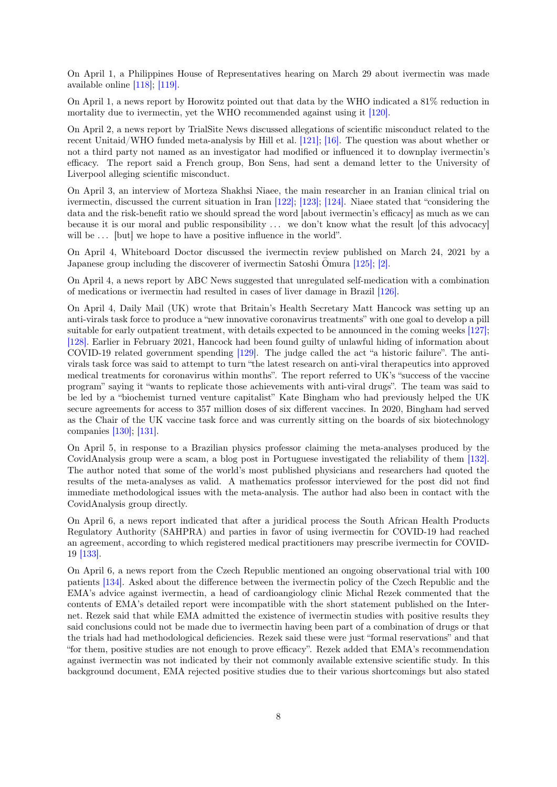On April 1, a Philippines House of Representatives hearing on March 29 about ivermectin was made available online [\[118\];](#page-54-7) [\[119\].](#page-54-8)

On April 1, a news report by Horowitz pointed out that data by the WHO indicated a 81% reduction in mortality due to ivermectin, yet the WHO recommended against using it [\[120\].](#page-54-9)

On April 2, a news report by TrialSite News discussed allegations of scientific misconduct related to the recent Unitaid/WHO funded meta-analysis by Hill et al. [\[121\];](#page-54-10) [\[16\].](#page-47-15) The question was about whether or not a third party not named as an investigator had modified or influenced it to downplay ivermectin's efficacy. The report said a French group, Bon Sens, had sent a demand letter to the University of Liverpool alleging scientific misconduct.

On April 3, an interview of Morteza Shakhsi Niaee, the main researcher in an Iranian clinical trial on ivermectin, discussed the current situation in Iran [\[122\];](#page-54-11) [\[123\];](#page-54-12) [\[124\].](#page-54-13) Niaee stated that "considering the data and the risk-benefit ratio we should spread the word [about ivermectin's efficacy] as much as we can because it is our moral and public responsibility . . . we don't know what the result [of this advocacy] will be ... [but] we hope to have a positive influence in the world".

On April 4, Whiteboard Doctor discussed the ivermectin review published on March 24, 2021 by a Japanese group including the discoverer of ivermectin Satoshi Omura  $[125]$ ;  $[2]$ .

On April 4, a news report by ABC News suggested that unregulated self-medication with a combination of medications or ivermectin had resulted in cases of liver damage in Brazil [\[126\].](#page-54-15)

On April 4, Daily Mail (UK) wrote that Britain's Health Secretary Matt Hancock was setting up an anti-virals task force to produce a "new innovative coronavirus treatments" with one goal to develop a pill suitable for early outpatient treatment, with details expected to be announced in the coming weeks [\[127\];](#page-55-0) [\[128\].](#page-55-1) Earlier in February 2021, Hancock had been found guilty of unlawful hiding of information about COVID-19 related government spending [\[129\].](#page-55-2) The judge called the act "a historic failure". The antivirals task force was said to attempt to turn "the latest research on anti-viral therapeutics into approved medical treatments for coronavirus within months". The report referred to UK's "success of the vaccine program" saying it "wants to replicate those achievements with anti-viral drugs". The team was said to be led by a "biochemist turned venture capitalist" Kate Bingham who had previously helped the UK secure agreements for access to 357 million doses of six different vaccines. In 2020, Bingham had served as the Chair of the UK vaccine task force and was currently sitting on the boards of six biotechnology companies [\[130\];](#page-55-3) [\[131\].](#page-55-4)

On April 5, in response to a Brazilian physics professor claiming the meta-analyses produced by the CovidAnalysis group were a scam, a blog post in Portuguese investigated the reliability of them [\[132\].](#page-55-5) The author noted that some of the world's most published physicians and researchers had quoted the results of the meta-analyses as valid. A mathematics professor interviewed for the post did not find immediate methodological issues with the meta-analysis. The author had also been in contact with the CovidAnalysis group directly.

On April 6, a news report indicated that after a juridical process the South African Health Products Regulatory Authority (SAHPRA) and parties in favor of using ivermectin for COVID-19 had reached an agreement, according to which registered medical practitioners may prescribe ivermectin for COVID-19 [\[133\].](#page-55-6)

On April 6, a news report from the Czech Republic mentioned an ongoing observational trial with 100 patients [\[134\].](#page-55-7) Asked about the difference between the ivermectin policy of the Czech Republic and the EMA's advice against ivermectin, a head of cardioangiology clinic Michal Rezek commented that the contents of EMA's detailed report were incompatible with the short statement published on the Internet. Rezek said that while EMA admitted the existence of ivermectin studies with positive results they said conclusions could not be made due to ivermectin having been part of a combination of drugs or that the trials had had methodological deficiencies. Rezek said these were just "formal reservations" and that "for them, positive studies are not enough to prove efficacy". Rezek added that EMA's recommendation against ivermectin was not indicated by their not commonly available extensive scientific study. In this background document, EMA rejected positive studies due to their various shortcomings but also stated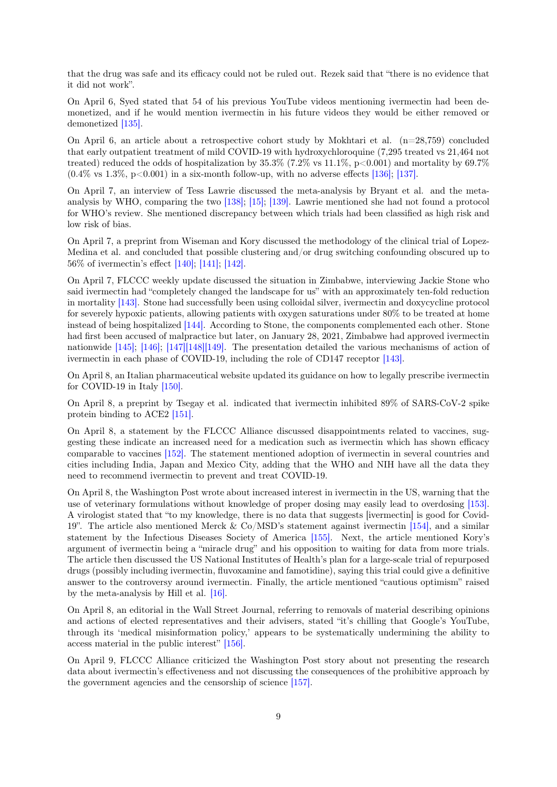that the drug was safe and its efficacy could not be ruled out. Rezek said that "there is no evidence that it did not work".

On April 6, Syed stated that 54 of his previous YouTube videos mentioning ivermectin had been demonetized, and if he would mention ivermectin in his future videos they would be either removed or demonetized [\[135\].](#page-55-8)

On April 6, an article about a retrospective cohort study by Mokhtari et al. (n=28,759) concluded that early outpatient treatment of mild COVID-19 with hydroxychloroquine (7,295 treated vs 21,464 not treated) reduced the odds of hospitalization by  $35.3\%$  (7.2% vs 11.1%, p<0.001) and mortality by  $69.7\%$  $(0.4\% \text{ vs } 1.3\%, \text{ p} < 0.001)$  in a six-month follow-up, with no adverse effects [\[136\];](#page-55-9) [\[137\].](#page-55-10)

On April 7, an interview of Tess Lawrie discussed the meta-analysis by Bryant et al. and the metaanalysis by WHO, comparing the two [\[138\];](#page-55-11) [\[15\];](#page-47-14) [\[139\].](#page-55-12) Lawrie mentioned she had not found a protocol for WHO's review. She mentioned discrepancy between which trials had been classified as high risk and low risk of bias.

On April 7, a preprint from Wiseman and Kory discussed the methodology of the clinical trial of Lopez-Medina et al. and concluded that possible clustering and/or drug switching confounding obscured up to 56% of ivermectin's effect [\[140\];](#page-55-13) [\[141\];](#page-55-14) [\[142\].](#page-55-15)

On April 7, FLCCC weekly update discussed the situation in Zimbabwe, interviewing Jackie Stone who said ivermectin had "completely changed the landscape for us" with an approximately ten-fold reduction in mortality [\[143\].](#page-55-16) Stone had successfully been using colloidal silver, ivermectin and doxycycline protocol for severely hypoxic patients, allowing patients with oxygen saturations under 80% to be treated at home instead of being hospitalized [\[144\].](#page-56-0) According to Stone, the components complemented each other. Stone had first been accused of malpractice but later, on January 28, 2021, Zimbabwe had approved ivermectin nationwide [\[145\];](#page-56-1) [\[146\];](#page-56-2) [\[147\]](#page-56-3)[\[148\]](#page-56-4)[\[149\].](#page-56-5) The presentation detailed the various mechanisms of action of ivermectin in each phase of COVID-19, including the role of CD147 receptor [\[143\].](#page-55-16)

On April 8, an Italian pharmaceutical website updated its guidance on how to legally prescribe ivermectin for COVID-19 in Italy [\[150\].](#page-56-6)

On April 8, a preprint by Tsegay et al. indicated that ivermectin inhibited 89% of SARS-CoV-2 spike protein binding to ACE2 [\[151\].](#page-56-7)

On April 8, a statement by the FLCCC Alliance discussed disappointments related to vaccines, suggesting these indicate an increased need for a medication such as ivermectin which has shown efficacy comparable to vaccines [\[152\].](#page-56-8) The statement mentioned adoption of ivermectin in several countries and cities including India, Japan and Mexico City, adding that the WHO and NIH have all the data they need to recommend ivermectin to prevent and treat COVID-19.

On April 8, the Washington Post wrote about increased interest in ivermectin in the US, warning that the use of veterinary formulations without knowledge of proper dosing may easily lead to overdosing [\[153\].](#page-56-9) A virologist stated that "to my knowledge, there is no data that suggests [ivermectin] is good for Covid-19". The article also mentioned Merck & Co/MSD's statement against ivermectin [\[154\],](#page-56-10) and a similar statement by the Infectious Diseases Society of America [\[155\].](#page-56-11) Next, the article mentioned Kory's argument of ivermectin being a "miracle drug" and his opposition to waiting for data from more trials. The article then discussed the US National Institutes of Health's plan for a large-scale trial of repurposed drugs (possibly including ivermectin, fluvoxamine and famotidine), saying this trial could give a definitive answer to the controversy around ivermectin. Finally, the article mentioned "cautious optimism" raised by the meta-analysis by Hill et al. [\[16\].](#page-47-15)

On April 8, an editorial in the Wall Street Journal, referring to removals of material describing opinions and actions of elected representatives and their advisers, stated "it's chilling that Google's YouTube, through its 'medical misinformation policy,' appears to be systematically undermining the ability to access material in the public interest" [\[156\].](#page-56-12)

On April 9, FLCCC Alliance criticized the Washington Post story about not presenting the research data about ivermectin's effectiveness and not discussing the consequences of the prohibitive approach by the government agencies and the censorship of science [\[157\].](#page-56-13)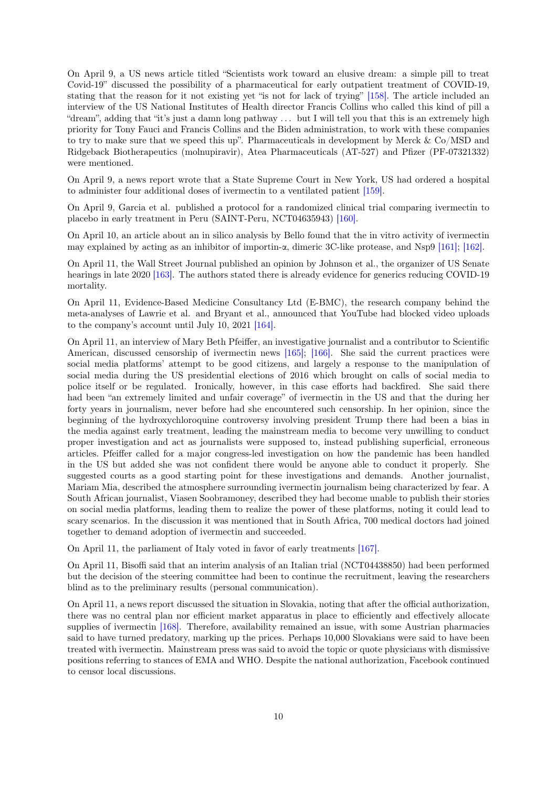On April 9, a US news article titled "Scientists work toward an elusive dream: a simple pill to treat Covid-19" discussed the possibility of a pharmaceutical for early outpatient treatment of COVID-19, stating that the reason for it not existing yet "is not for lack of trying" [\[158\].](#page-56-14) The article included an interview of the US National Institutes of Health director Francis Collins who called this kind of pill a "dream", adding that "it's just a damn long pathway . . . but I will tell you that this is an extremely high priority for Tony Fauci and Francis Collins and the Biden administration, to work with these companies to try to make sure that we speed this up". Pharmaceuticals in development by Merck & Co/MSD and Ridgeback Biotherapeutics (molnupiravir), Atea Pharmaceuticals (AT-527) and Pfizer (PF-07321332) were mentioned.

On April 9, a news report wrote that a State Supreme Court in New York, US had ordered a hospital to administer four additional doses of ivermectin to a ventilated patient [\[159\].](#page-56-15)

On April 9, Garcia et al. published a protocol for a randomized clinical trial comparing ivermectin to placebo in early treatment in Peru (SAINT-Peru, NCT04635943) [\[160\].](#page-57-0)

On April 10, an article about an in silico analysis by Bello found that the in vitro activity of ivermectin may explained by acting as an inhibitor of importin- $\alpha$ , dimeric 3C-like protease, and Nsp9 [\[161\];](#page-57-1) [\[162\].](#page-57-2)

On April 11, the Wall Street Journal published an opinion by Johnson et al., the organizer of US Senate hearings in late 2020 [\[163\].](#page-57-3) The authors stated there is already evidence for generics reducing COVID-19 mortality.

On April 11, Evidence-Based Medicine Consultancy Ltd (E-BMC), the research company behind the meta-analyses of Lawrie et al. and Bryant et al., announced that YouTube had blocked video uploads to the company's account until July 10, 2021 [\[164\].](#page-57-4)

On April 11, an interview of Mary Beth Pfeiffer, an investigative journalist and a contributor to Scientific American, discussed censorship of ivermectin news [\[165\];](#page-57-5) [\[166\].](#page-57-6) She said the current practices were social media platforms' attempt to be good citizens, and largely a response to the manipulation of social media during the US presidential elections of 2016 which brought on calls of social media to police itself or be regulated. Ironically, however, in this case efforts had backfired. She said there had been "an extremely limited and unfair coverage" of ivermectin in the US and that the during her forty years in journalism, never before had she encountered such censorship. In her opinion, since the beginning of the hydroxychloroquine controversy involving president Trump there had been a bias in the media against early treatment, leading the mainstream media to become very unwilling to conduct proper investigation and act as journalists were supposed to, instead publishing superficial, erroneous articles. Pfeiffer called for a major congress-led investigation on how the pandemic has been handled in the US but added she was not confident there would be anyone able to conduct it properly. She suggested courts as a good starting point for these investigations and demands. Another journalist, Mariam Mia, described the atmosphere surrounding ivermectin journalism being characterized by fear. A South African journalist, Viasen Soobramoney, described they had become unable to publish their stories on social media platforms, leading them to realize the power of these platforms, noting it could lead to scary scenarios. In the discussion it was mentioned that in South Africa, 700 medical doctors had joined together to demand adoption of ivermectin and succeeded.

On April 11, the parliament of Italy voted in favor of early treatments [\[167\].](#page-57-7)

On April 11, Bisoffi said that an interim analysis of an Italian trial (NCT04438850) had been performed but the decision of the steering committee had been to continue the recruitment, leaving the researchers blind as to the preliminary results (personal communication).

On April 11, a news report discussed the situation in Slovakia, noting that after the official authorization, there was no central plan nor efficient market apparatus in place to efficiently and effectively allocate supplies of ivermectin [\[168\].](#page-57-8) Therefore, availability remained an issue, with some Austrian pharmacies said to have turned predatory, marking up the prices. Perhaps 10,000 Slovakians were said to have been treated with ivermectin. Mainstream press was said to avoid the topic or quote physicians with dismissive positions referring to stances of EMA and WHO. Despite the national authorization, Facebook continued to censor local discussions.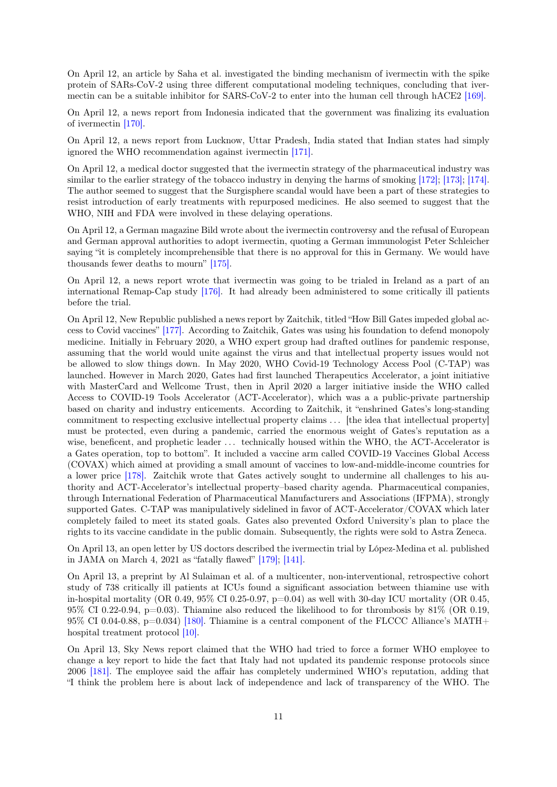On April 12, an article by Saha et al. investigated the binding mechanism of ivermectin with the spike protein of SARs-CoV-2 using three different computational modeling techniques, concluding that ivermectin can be a suitable inhibitor for SARS-CoV-2 to enter into the human cell through hACE2 [\[169\].](#page-57-9)

On April 12, a news report from Indonesia indicated that the government was finalizing its evaluation of ivermectin [\[170\].](#page-57-10)

On April 12, a news report from Lucknow, Uttar Pradesh, India stated that Indian states had simply ignored the WHO recommendation against ivermectin [\[171\].](#page-57-11)

On April 12, a medical doctor suggested that the ivermectin strategy of the pharmaceutical industry was similar to the earlier strategy of the tobacco industry in denying the harms of smoking [\[172\];](#page-57-12) [\[173\];](#page-57-13) [\[174\].](#page-57-14) The author seemed to suggest that the Surgisphere scandal would have been a part of these strategies to resist introduction of early treatments with repurposed medicines. He also seemed to suggest that the WHO, NIH and FDA were involved in these delaying operations.

On April 12, a German magazine Bild wrote about the ivermectin controversy and the refusal of European and German approval authorities to adopt ivermectin, quoting a German immunologist Peter Schleicher saying "it is completely incomprehensible that there is no approval for this in Germany. We would have thousands fewer deaths to mourn" [\[175\].](#page-58-0)

On April 12, a news report wrote that ivermectin was going to be trialed in Ireland as a part of an international Remap-Cap study [\[176\].](#page-58-1) It had already been administered to some critically ill patients before the trial.

On April 12, New Republic published a news report by Zaitchik, titled "How Bill Gates impeded global access to Covid vaccines" [\[177\].](#page-58-2) According to Zaitchik, Gates was using his foundation to defend monopoly medicine. Initially in February 2020, a WHO expert group had drafted outlines for pandemic response, assuming that the world would unite against the virus and that intellectual property issues would not be allowed to slow things down. In May 2020, WHO Covid-19 Technology Access Pool (C-TAP) was launched. However in March 2020, Gates had first launched Therapeutics Accelerator, a joint initiative with MasterCard and Wellcome Trust, then in April 2020 a larger initiative inside the WHO called Access to COVID-19 Tools Accelerator (ACT-Accelerator), which was a a public-private partnership based on charity and industry enticements. According to Zaitchik, it "enshrined Gates's long-standing commitment to respecting exclusive intellectual property claims . . . [the idea that intellectual property] must be protected, even during a pandemic, carried the enormous weight of Gates's reputation as a wise, beneficent, and prophetic leader ... technically housed within the WHO, the ACT-Accelerator is a Gates operation, top to bottom". It included a vaccine arm called COVID-19 Vaccines Global Access (COVAX) which aimed at providing a small amount of vaccines to low-and-middle-income countries for a lower price [\[178\].](#page-58-3) Zaitchik wrote that Gates actively sought to undermine all challenges to his authority and ACT-Accelerator's intellectual property–based charity agenda. Pharmaceutical companies, through International Federation of Pharmaceutical Manufacturers and Associations (IFPMA), strongly supported Gates. C-TAP was manipulatively sidelined in favor of ACT-Accelerator/COVAX which later completely failed to meet its stated goals. Gates also prevented Oxford University's plan to place the rights to its vaccine candidate in the public domain. Subsequently, the rights were sold to Astra Zeneca.

On April 13, an open letter by US doctors described the ivermectin trial by López-Medina et al. published in JAMA on March 4, 2021 as "fatally flawed" [\[179\];](#page-58-4) [\[141\].](#page-55-14)

On April 13, a preprint by Al Sulaiman et al. of a multicenter, non-interventional, retrospective cohort study of 738 critically ill patients at ICUs found a significant association between thiamine use with in-hospital mortality (OR 0.49, 95% CI 0.25-0.97,  $p=0.04$ ) as well with 30-day ICU mortality (OR 0.45, 95% CI 0.22-0.94, p=0.03). Thiamine also reduced the likelihood to for thrombosis by  $81\%$  (OR 0.19, 95% CI 0.04-0.88, p=0.034) [\[180\].](#page-58-5) Thiamine is a central component of the FLCCC Alliance's MATH+ hospital treatment protocol [\[10\].](#page-47-9)

On April 13, Sky News report claimed that the WHO had tried to force a former WHO employee to change a key report to hide the fact that Italy had not updated its pandemic response protocols since 2006 [\[181\].](#page-58-6) The employee said the affair has completely undermined WHO's reputation, adding that "I think the problem here is about lack of independence and lack of transparency of the WHO. The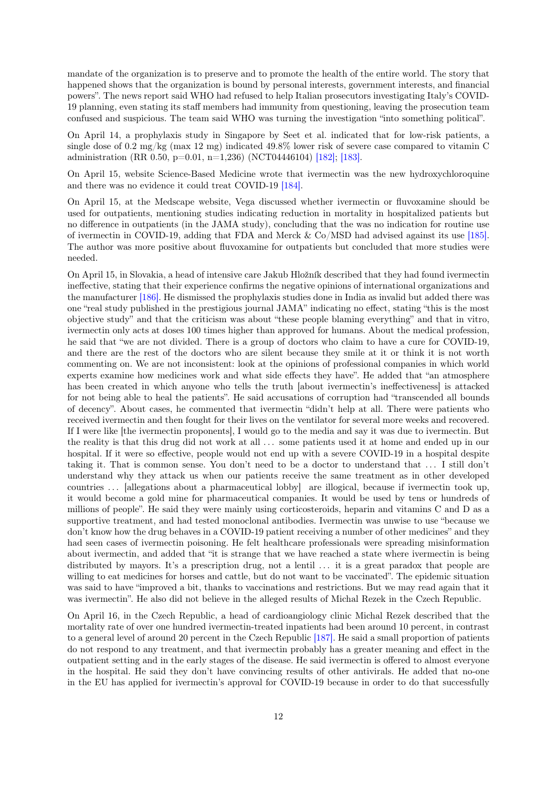mandate of the organization is to preserve and to promote the health of the entire world. The story that happened shows that the organization is bound by personal interests, government interests, and financial powers". The news report said WHO had refused to help Italian prosecutors investigating Italy's COVID-19 planning, even stating its staff members had immunity from questioning, leaving the prosecution team confused and suspicious. The team said WHO was turning the investigation "into something political".

On April 14, a prophylaxis study in Singapore by Seet et al. indicated that for low-risk patients, a single dose of 0.2 mg/kg (max 12 mg) indicated 49.8% lower risk of severe case compared to vitamin C administration (RR 0.50, p=0.01, n=1,236) (NCT04446104) [\[182\];](#page-58-7) [\[183\].](#page-58-8)

On April 15, website Science-Based Medicine wrote that ivermectin was the new hydroxychloroquine and there was no evidence it could treat COVID-19 [\[184\].](#page-58-9)

On April 15, at the Medscape website, Vega discussed whether ivermectin or fluvoxamine should be used for outpatients, mentioning studies indicating reduction in mortality in hospitalized patients but no difference in outpatients (in the JAMA study), concluding that the was no indication for routine use of ivermectin in COVID-19, adding that FDA and Merck  $\&$  Co/MSD had advised against its use [\[185\].](#page-58-10) The author was more positive about fluvoxamine for outpatients but concluded that more studies were needed.

On April 15, in Slovakia, a head of intensive care Jakub Hložník described that they had found ivermectin ineffective, stating that their experience confirms the negative opinions of international organizations and the manufacturer [\[186\].](#page-58-11) He dismissed the prophylaxis studies done in India as invalid but added there was one "real study published in the prestigious journal JAMA" indicating no effect, stating "this is the most objective study" and that the criticism was about "these people blaming everything" and that in vitro, ivermectin only acts at doses 100 times higher than approved for humans. About the medical profession, he said that "we are not divided. There is a group of doctors who claim to have a cure for COVID-19, and there are the rest of the doctors who are silent because they smile at it or think it is not worth commenting on. We are not inconsistent: look at the opinions of professional companies in which world experts examine how medicines work and what side effects they have". He added that "an atmosphere has been created in which anyone who tells the truth [about ivermectin's ineffectiveness] is attacked for not being able to heal the patients". He said accusations of corruption had "transcended all bounds of decency". About cases, he commented that ivermectin "didn't help at all. There were patients who received ivermectin and then fought for their lives on the ventilator for several more weeks and recovered. If I were like [the ivermectin proponents], I would go to the media and say it was due to ivermectin. But the reality is that this drug did not work at all . . . some patients used it at home and ended up in our hospital. If it were so effective, people would not end up with a severe COVID-19 in a hospital despite taking it. That is common sense. You don't need to be a doctor to understand that . . . I still don't understand why they attack us when our patients receive the same treatment as in other developed countries ... [allegations about a pharmaceutical lobby] are illogical, because if ivermectin took up, it would become a gold mine for pharmaceutical companies. It would be used by tens or hundreds of millions of people". He said they were mainly using corticosteroids, heparin and vitamins C and D as a supportive treatment, and had tested monoclonal antibodies. Ivermectin was unwise to use "because we don't know how the drug behaves in a COVID-19 patient receiving a number of other medicines" and they had seen cases of ivermectin poisoning. He felt healthcare professionals were spreading misinformation about ivermectin, and added that "it is strange that we have reached a state where ivermectin is being distributed by mayors. It's a prescription drug, not a lentil ... it is a great paradox that people are willing to eat medicines for horses and cattle, but do not want to be vaccinated". The epidemic situation was said to have "improved a bit, thanks to vaccinations and restrictions. But we may read again that it was ivermectin". He also did not believe in the alleged results of Michal Rezek in the Czech Republic.

On April 16, in the Czech Republic, a head of cardioangiology clinic Michal Rezek described that the mortality rate of over one hundred ivermectin-treated inpatients had been around 10 percent, in contrast to a general level of around 20 percent in the Czech Republic [\[187\].](#page-58-12) He said a small proportion of patients do not respond to any treatment, and that ivermectin probably has a greater meaning and effect in the outpatient setting and in the early stages of the disease. He said ivermectin is offered to almost everyone in the hospital. He said they don't have convincing results of other antivirals. He added that no-one in the EU has applied for ivermectin's approval for COVID-19 because in order to do that successfully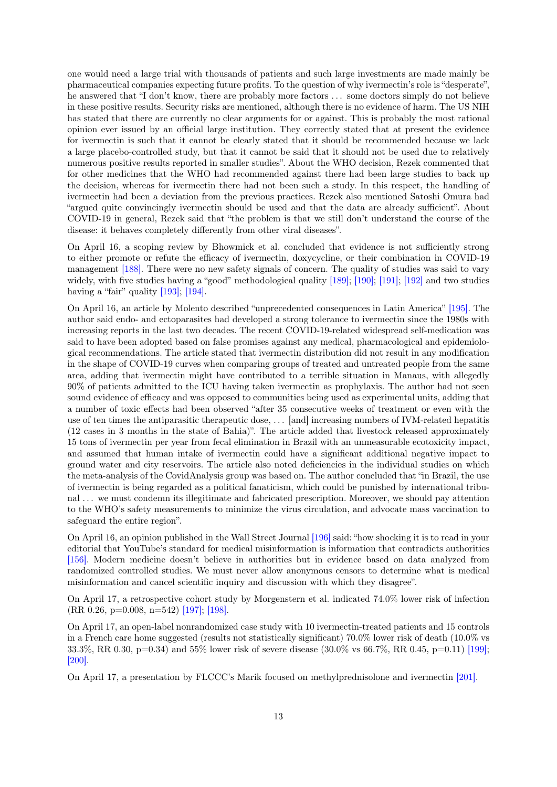one would need a large trial with thousands of patients and such large investments are made mainly be pharmaceutical companies expecting future profits. To the question of why ivermectin's role is "desperate", he answered that "I don't know, there are probably more factors . . . some doctors simply do not believe in these positive results. Security risks are mentioned, although there is no evidence of harm. The US NIH has stated that there are currently no clear arguments for or against. This is probably the most rational opinion ever issued by an official large institution. They correctly stated that at present the evidence for ivermectin is such that it cannot be clearly stated that it should be recommended because we lack a large placebo-controlled study, but that it cannot be said that it should not be used due to relatively numerous positive results reported in smaller studies". About the WHO decision, Rezek commented that for other medicines that the WHO had recommended against there had been large studies to back up the decision, whereas for ivermectin there had not been such a study. In this respect, the handling of ivermectin had been a deviation from the previous practices. Rezek also mentioned Satoshi Omura had "argued quite convincingly ivermectin should be used and that the data are already sufficient". About COVID-19 in general, Rezek said that "the problem is that we still don't understand the course of the disease: it behaves completely differently from other viral diseases".

On April 16, a scoping review by Bhowmick et al. concluded that evidence is not sufficiently strong to either promote or refute the efficacy of ivermectin, doxycycline, or their combination in COVID-19 management [\[188\].](#page-58-13) There were no new safety signals of concern. The quality of studies was said to vary widely, with five studies having a "good" methodological quality [\[189\];](#page-58-14) [\[190\];](#page-58-15) [\[191\];](#page-59-0) [\[192\]](#page-59-1) and two studies having a "fair" quality [\[193\];](#page-59-2) [\[194\].](#page-59-3)

On April 16, an article by Molento described "unprecedented consequences in Latin America" [\[195\].](#page-59-4) The author said endo- and ectoparasites had developed a strong tolerance to ivermectin since the 1980s with increasing reports in the last two decades. The recent COVID-19-related widespread self-medication was said to have been adopted based on false promises against any medical, pharmacological and epidemiological recommendations. The article stated that ivermectin distribution did not result in any modification in the shape of COVID-19 curves when comparing groups of treated and untreated people from the same area, adding that ivermectin might have contributed to a terrible situation in Manaus, with allegedly 90% of patients admitted to the ICU having taken ivermectin as prophylaxis. The author had not seen sound evidence of efficacy and was opposed to communities being used as experimental units, adding that a number of toxic effects had been observed "after 35 consecutive weeks of treatment or even with the use of ten times the antiparasitic therapeutic dose, . . . [and] increasing numbers of IVM-related hepatitis (12 cases in 3 months in the state of Bahia)". The article added that livestock released approximately 15 tons of ivermectin per year from fecal elimination in Brazil with an unmeasurable ecotoxicity impact, and assumed that human intake of ivermectin could have a significant additional negative impact to ground water and city reservoirs. The article also noted deficiencies in the individual studies on which the meta-analysis of the CovidAnalysis group was based on. The author concluded that "in Brazil, the use of ivermectin is being regarded as a political fanaticism, which could be punished by international tribunal . . . we must condemn its illegitimate and fabricated prescription. Moreover, we should pay attention to the WHO's safety measurements to minimize the virus circulation, and advocate mass vaccination to safeguard the entire region".

On April 16, an opinion published in the Wall Street Journal [\[196\]](#page-59-5) said: "how shocking it is to read in your editorial that YouTube's standard for medical misinformation is information that contradicts authorities [\[156\].](#page-56-12) Modern medicine doesn't believe in authorities but in evidence based on data analyzed from randomized controlled studies. We must never allow anonymous censors to determine what is medical misinformation and cancel scientific inquiry and discussion with which they disagree".

On April 17, a retrospective cohort study by Morgenstern et al. indicated 74.0% lower risk of infection (RR 0.26, p=0.008, n=542) [\[197\];](#page-59-6) [\[198\].](#page-59-7)

On April 17, an open-label nonrandomized case study with 10 ivermectin-treated patients and 15 controls in a French care home suggested (results not statistically significant) 70.0% lower risk of death (10.0% vs 33.3%, RR 0.30, p=0.34) and 55% lower risk of severe disease (30.0% vs 66.7%, RR 0.45, p=0.11) [\[199\];](#page-59-8) [\[200\].](#page-59-9)

On April 17, a presentation by FLCCC's Marik focused on methylprednisolone and ivermectin [\[201\].](#page-59-10)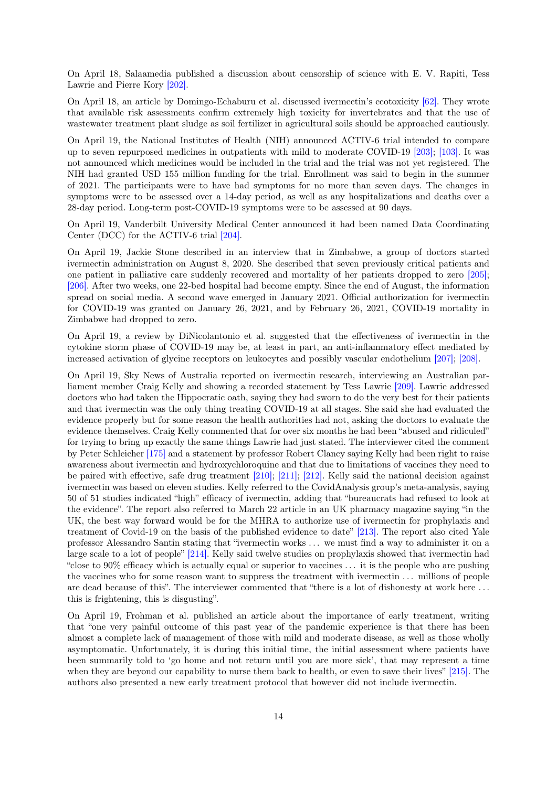On April 18, Salaamedia published a discussion about censorship of science with E. V. Rapiti, Tess Lawrie and Pierre Kory [\[202\].](#page-59-11)

On April 18, an article by Domingo-Echaburu et al. discussed ivermectin's ecotoxicity [\[62\].](#page-50-14) They wrote that available risk assessments confirm extremely high toxicity for invertebrates and that the use of wastewater treatment plant sludge as soil fertilizer in agricultural soils should be approached cautiously.

On April 19, the National Institutes of Health (NIH) announced ACTIV-6 trial intended to compare up to seven repurposed medicines in outpatients with mild to moderate COVID-19 [\[203\];](#page-59-12) [\[103\].](#page-53-7) It was not announced which medicines would be included in the trial and the trial was not yet registered. The NIH had granted USD 155 million funding for the trial. Enrollment was said to begin in the summer of 2021. The participants were to have had symptoms for no more than seven days. The changes in symptoms were to be assessed over a 14-day period, as well as any hospitalizations and deaths over a 28-day period. Long-term post-COVID-19 symptoms were to be assessed at 90 days.

On April 19, Vanderbilt University Medical Center announced it had been named Data Coordinating Center (DCC) for the ACTIV-6 trial [\[204\].](#page-59-13)

On April 19, Jackie Stone described in an interview that in Zimbabwe, a group of doctors started ivermectin administration on August 8, 2020. She described that seven previously critical patients and one patient in palliative care suddenly recovered and mortality of her patients dropped to zero [\[205\];](#page-59-14) [\[206\].](#page-59-15) After two weeks, one 22-bed hospital had become empty. Since the end of August, the information spread on social media. A second wave emerged in January 2021. Official authorization for ivermectin for COVID-19 was granted on January 26, 2021, and by February 26, 2021, COVID-19 mortality in Zimbabwe had dropped to zero.

On April 19, a review by DiNicolantonio et al. suggested that the effectiveness of ivermectin in the cytokine storm phase of COVID-19 may be, at least in part, an anti-inflammatory effect mediated by increased activation of glycine receptors on leukocytes and possibly vascular endothelium [\[207\];](#page-60-0) [\[208\].](#page-60-1)

On April 19, Sky News of Australia reported on ivermectin research, interviewing an Australian parliament member Craig Kelly and showing a recorded statement by Tess Lawrie [\[209\].](#page-60-2) Lawrie addressed doctors who had taken the Hippocratic oath, saying they had sworn to do the very best for their patients and that ivermectin was the only thing treating COVID-19 at all stages. She said she had evaluated the evidence properly but for some reason the health authorities had not, asking the doctors to evaluate the evidence themselves. Craig Kelly commented that for over six months he had been "abused and ridiculed" for trying to bring up exactly the same things Lawrie had just stated. The interviewer cited the comment by Peter Schleicher [\[175\]](#page-58-0) and a statement by professor Robert Clancy saying Kelly had been right to raise awareness about ivermectin and hydroxychloroquine and that due to limitations of vaccines they need to be paired with effective, safe drug treatment [\[210\];](#page-60-3) [\[211\];](#page-60-4) [\[212\].](#page-60-5) Kelly said the national decision against ivermectin was based on eleven studies. Kelly referred to the CovidAnalysis group's meta-analysis, saying 50 of 51 studies indicated "high" efficacy of ivermectin, adding that "bureaucrats had refused to look at the evidence". The report also referred to March 22 article in an UK pharmacy magazine saying "in the UK, the best way forward would be for the MHRA to authorize use of ivermectin for prophylaxis and treatment of Covid-19 on the basis of the published evidence to date" [\[213\].](#page-60-6) The report also cited Yale professor Alessandro Santin stating that "ivermectin works . . . we must find a way to administer it on a large scale to a lot of people" [\[214\].](#page-60-7) Kelly said twelve studies on prophylaxis showed that ivermectin had "close to 90% efficacy which is actually equal or superior to vaccines . . . it is the people who are pushing the vaccines who for some reason want to suppress the treatment with ivermectin . . . millions of people are dead because of this". The interviewer commented that "there is a lot of dishonesty at work here . . . this is frightening, this is disgusting".

On April 19, Frohman et al. published an article about the importance of early treatment, writing that "one very painful outcome of this past year of the pandemic experience is that there has been almost a complete lack of management of those with mild and moderate disease, as well as those wholly asymptomatic. Unfortunately, it is during this initial time, the initial assessment where patients have been summarily told to 'go home and not return until you are more sick', that may represent a time when they are beyond our capability to nurse them back to health, or even to save their lives" [\[215\].](#page-60-8) The authors also presented a new early treatment protocol that however did not include ivermectin.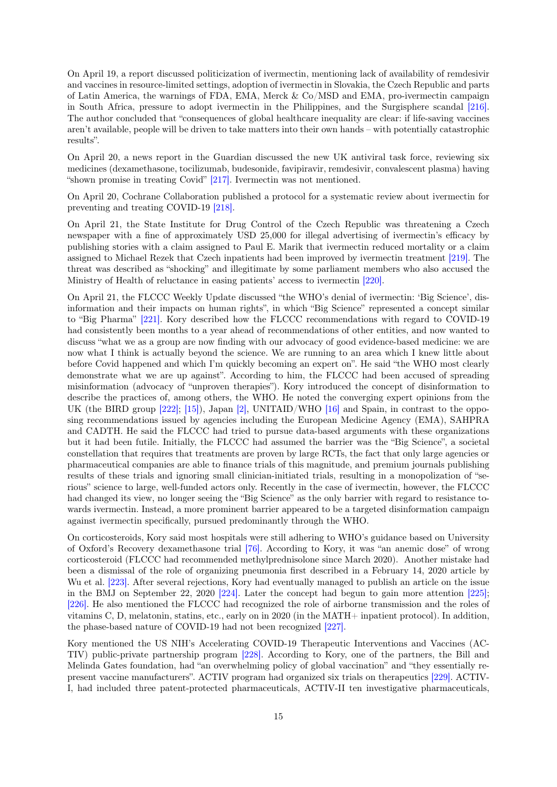On April 19, a report discussed politicization of ivermectin, mentioning lack of availability of remdesivir and vaccines in resource-limited settings, adoption of ivermectin in Slovakia, the Czech Republic and parts of Latin America, the warnings of FDA, EMA, Merck & Co/MSD and EMA, pro-ivermectin campaign in South Africa, pressure to adopt ivermectin in the Philippines, and the Surgisphere scandal [\[216\].](#page-60-9) The author concluded that "consequences of global healthcare inequality are clear: if life-saving vaccines aren't available, people will be driven to take matters into their own hands – with potentially catastrophic results".

On April 20, a news report in the Guardian discussed the new UK antiviral task force, reviewing six medicines (dexamethasone, tocilizumab, budesonide, favipiravir, remdesivir, convalescent plasma) having "shown promise in treating Covid" [\[217\].](#page-60-10) Ivermectin was not mentioned.

On April 20, Cochrane Collaboration published a protocol for a systematic review about ivermectin for preventing and treating COVID-19 [\[218\].](#page-60-11)

On April 21, the State Institute for Drug Control of the Czech Republic was threatening a Czech newspaper with a fine of approximately USD 25,000 for illegal advertising of ivermectin's efficacy by publishing stories with a claim assigned to Paul E. Marik that ivermectin reduced mortality or a claim assigned to Michael Rezek that Czech inpatients had been improved by ivermectin treatment [\[219\].](#page-60-12) The threat was described as "shocking" and illegitimate by some parliament members who also accused the Ministry of Health of reluctance in easing patients' access to ivermectin [\[220\].](#page-60-13)

On April 21, the FLCCC Weekly Update discussed "the WHO's denial of ivermectin: 'Big Science', disinformation and their impacts on human rights", in which "Big Science" represented a concept similar to "Big Pharma" [\[221\].](#page-60-14) Kory described how the FLCCC recommendations with regard to COVID-19 had consistently been months to a year ahead of recommendations of other entities, and now wanted to discuss "what we as a group are now finding with our advocacy of good evidence-based medicine: we are now what I think is actually beyond the science. We are running to an area which I knew little about before Covid happened and which I'm quickly becoming an expert on". He said "the WHO most clearly demonstrate what we are up against". According to him, the FLCCC had been accused of spreading misinformation (advocacy of "unproven therapies"). Kory introduced the concept of disinformation to describe the practices of, among others, the WHO. He noted the converging expert opinions from the UK (the BIRD group [\[222\];](#page-61-0) [\[15\]\)](#page-47-14), Japan [\[2\],](#page-47-1) UNITAID/WHO [\[16\]](#page-47-15) and Spain, in contrast to the opposing recommendations issued by agencies including the European Medicine Agency (EMA), SAHPRA and CADTH. He said the FLCCC had tried to pursue data-based arguments with these organizations but it had been futile. Initially, the FLCCC had assumed the barrier was the "Big Science", a societal constellation that requires that treatments are proven by large RCTs, the fact that only large agencies or pharmaceutical companies are able to finance trials of this magnitude, and premium journals publishing results of these trials and ignoring small clinician-initiated trials, resulting in a monopolization of "serious" science to large, well-funded actors only. Recently in the case of ivermectin, however, the FLCCC had changed its view, no longer seeing the "Big Science" as the only barrier with regard to resistance towards ivermectin. Instead, a more prominent barrier appeared to be a targeted disinformation campaign against ivermectin specifically, pursued predominantly through the WHO.

On corticosteroids, Kory said most hospitals were still adhering to WHO's guidance based on University of Oxford's Recovery dexamethasone trial [\[76\].](#page-51-12) According to Kory, it was "an anemic dose" of wrong corticosteroid (FLCCC had recommended methylprednisolone since March 2020). Another mistake had been a dismissal of the role of organizing pneumonia first described in a February 14, 2020 article by Wu et al. [\[223\].](#page-61-1) After several rejections, Kory had eventually managed to publish an article on the issue in the BMJ on September 22, 2020 [\[224\].](#page-61-2) Later the concept had begun to gain more attention [\[225\];](#page-61-3) [\[226\].](#page-61-4) He also mentioned the FLCCC had recognized the role of airborne transmission and the roles of vitamins C, D, melatonin, statins, etc., early on in 2020 (in the MATH+ inpatient protocol). In addition, the phase-based nature of COVID-19 had not been recognized [\[227\].](#page-61-5)

Kory mentioned the US NIH's Accelerating COVID-19 Therapeutic Interventions and Vaccines (AC-TIV) public-private partnership program [\[228\].](#page-61-6) According to Kory, one of the partners, the Bill and Melinda Gates foundation, had "an overwhelming policy of global vaccination" and "they essentially represent vaccine manufacturers". ACTIV program had organized six trials on therapeutics [\[229\].](#page-61-7) ACTIV-I, had included three patent-protected pharmaceuticals, ACTIV-II ten investigative pharmaceuticals,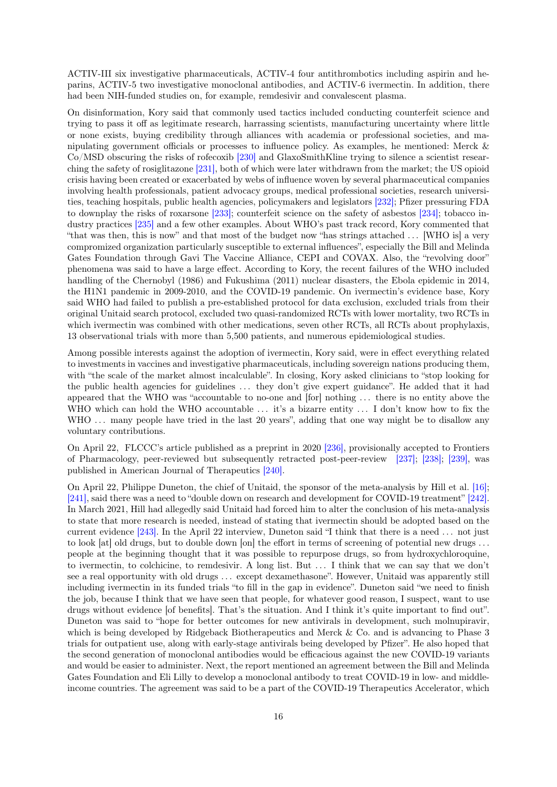ACTIV-III six investigative pharmaceuticals, ACTIV-4 four antithrombotics including aspirin and heparins, ACTIV-5 two investigative monoclonal antibodies, and ACTIV-6 ivermectin. In addition, there had been NIH-funded studies on, for example, remdesivir and convalescent plasma.

On disinformation, Kory said that commonly used tactics included conducting counterfeit science and trying to pass it off as legitimate research, harrassing scientists, manufacturing uncertainty where little or none exists, buying credibility through alliances with academia or professional societies, and manipulating government officials or processes to influence policy. As examples, he mentioned: Merck & Co/MSD obscuring the risks of rofecoxib [\[230\]](#page-61-8) and GlaxoSmithKline trying to silence a scientist researching the safety of rosiglitazone [\[231\],](#page-61-9) both of which were later withdrawn from the market; the US opioid crisis having been created or exacerbated by webs of influence woven by several pharmaceutical companies involving health professionals, patient advocacy groups, medical professional societies, research universities, teaching hospitals, public health agencies, policymakers and legislators [\[232\];](#page-61-10) Pfizer pressuring FDA to downplay the risks of roxarsone [\[233\];](#page-61-11) counterfeit science on the safety of asbestos [\[234\];](#page-61-12) tobacco industry practices [\[235\]](#page-61-13) and a few other examples. About WHO's past track record, Kory commented that "that was then, this is now" and that most of the budget now "has strings attached . . . [WHO is] a very compromized organization particularly susceptible to external influences", especially the Bill and Melinda Gates Foundation through Gavi The Vaccine Alliance, CEPI and COVAX. Also, the "revolving door" phenomena was said to have a large effect. According to Kory, the recent failures of the WHO included handling of the Chernobyl (1986) and Fukushima (2011) nuclear disasters, the Ebola epidemic in 2014, the H1N1 pandemic in 2009-2010, and the COVID-19 pandemic. On ivermectin's evidence base, Kory said WHO had failed to publish a pre-established protocol for data exclusion, excluded trials from their original Unitaid search protocol, excluded two quasi-randomized RCTs with lower mortality, two RCTs in which ivermectin was combined with other medications, seven other RCTs, all RCTs about prophylaxis, 13 observational trials with more than 5,500 patients, and numerous epidemiological studies.

Among possible interests against the adoption of ivermectin, Kory said, were in effect everything related to investments in vaccines and investigative pharmaceuticals, including sovereign nations producing them, with "the scale of the market almost incalculable". In closing, Kory asked clinicians to "stop looking for the public health agencies for guidelines . . . they don't give expert guidance". He added that it had appeared that the WHO was "accountable to no-one and [for] nothing . . . there is no entity above the WHO which can hold the WHO accountable ... it's a bizarre entity ... I don't know how to fix the WHO ... many people have tried in the last 20 years", adding that one way might be to disallow any voluntary contributions.

On April 22, FLCCC's article published as a preprint in 2020 [\[236\],](#page-62-0) provisionally accepted to Frontiers of Pharmacology, peer-reviewed but subsequently retracted post-peer-review [\[237\];](#page-62-1) [\[238\];](#page-62-2) [\[239\],](#page-62-3) was published in American Journal of Therapeutics [\[240\].](#page-62-4)

On April 22, Philippe Duneton, the chief of Unitaid, the sponsor of the meta-analysis by Hill et al. [\[16\];](#page-47-15) [\[241\],](#page-62-5) said there was a need to "double down on research and development for COVID-19 treatment" [\[242\].](#page-62-6) In March 2021, Hill had allegedly said Unitaid had forced him to alter the conclusion of his meta-analysis to state that more research is needed, instead of stating that ivermectin should be adopted based on the current evidence [\[243\].](#page-62-7) In the April 22 interview, Duneton said "I think that there is a need . . . not just to look [at] old drugs, but to double down [on] the effort in terms of screening of potential new drugs . . . people at the beginning thought that it was possible to repurpose drugs, so from hydroxychloroquine, to ivermectin, to colchicine, to remdesivir. A long list. But . . . I think that we can say that we don't see a real opportunity with old drugs ... except dexamethasone". However, Unitaid was apparently still including ivermectin in its funded trials "to fill in the gap in evidence". Duneton said "we need to finish the job, because I think that we have seen that people, for whatever good reason, I suspect, want to use drugs without evidence [of benefits]. That's the situation. And I think it's quite important to find out". Duneton was said to "hope for better outcomes for new antivirals in development, such molnupiravir, which is being developed by Ridgeback Biotherapeutics and Merck & Co. and is advancing to Phase 3 trials for outpatient use, along with early-stage antivirals being developed by Pfizer". He also hoped that the second generation of monoclonal antibodies would be efficacious against the new COVID-19 variants and would be easier to administer. Next, the report mentioned an agreement between the Bill and Melinda Gates Foundation and Eli Lilly to develop a monoclonal antibody to treat COVID-19 in low- and middleincome countries. The agreement was said to be a part of the COVID-19 Therapeutics Accelerator, which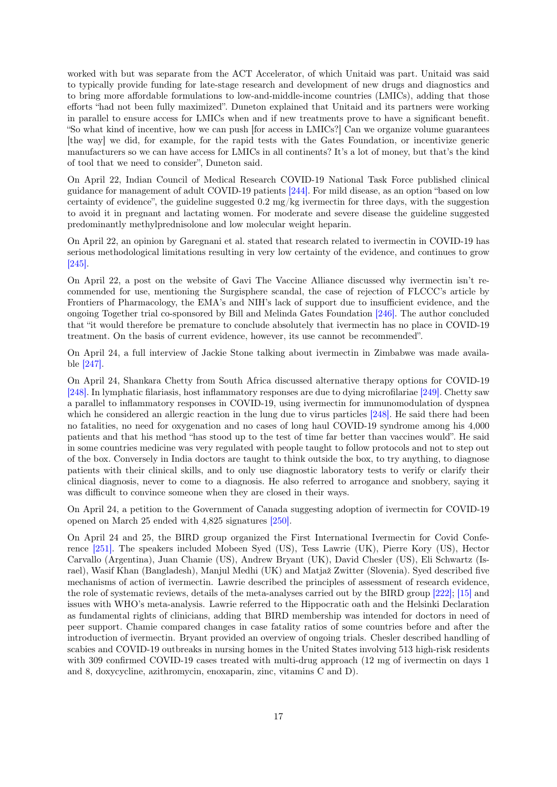worked with but was separate from the ACT Accelerator, of which Unitaid was part. Unitaid was said to typically provide funding for late-stage research and development of new drugs and diagnostics and to bring more affordable formulations to low-and-middle-income countries (LMICs), adding that those efforts "had not been fully maximized". Duneton explained that Unitaid and its partners were working in parallel to ensure access for LMICs when and if new treatments prove to have a significant benefit. "So what kind of incentive, how we can push [for access in LMICs?] Can we organize volume guarantees [the way] we did, for example, for the rapid tests with the Gates Foundation, or incentivize generic manufacturers so we can have access for LMICs in all continents? It's a lot of money, but that's the kind of tool that we need to consider", Duneton said.

On April 22, Indian Council of Medical Research COVID-19 National Task Force published clinical guidance for management of adult COVID-19 patients [\[244\].](#page-62-8) For mild disease, as an option "based on low certainty of evidence", the guideline suggested  $0.2 \text{ mg/kg}$  ivermectin for three days, with the suggestion to avoid it in pregnant and lactating women. For moderate and severe disease the guideline suggested predominantly methylprednisolone and low molecular weight heparin.

On April 22, an opinion by Garegnani et al. stated that research related to ivermectin in COVID-19 has serious methodological limitations resulting in very low certainty of the evidence, and continues to grow [\[245\].](#page-62-9)

On April 22, a post on the website of Gavi The Vaccine Alliance discussed why ivermectin isn't recommended for use, mentioning the Surgisphere scandal, the case of rejection of FLCCC's article by Frontiers of Pharmacology, the EMA's and NIH's lack of support due to insufficient evidence, and the ongoing Together trial co-sponsored by Bill and Melinda Gates Foundation [\[246\].](#page-62-10) The author concluded that "it would therefore be premature to conclude absolutely that ivermectin has no place in COVID-19 treatment. On the basis of current evidence, however, its use cannot be recommended".

On April 24, a full interview of Jackie Stone talking about ivermectin in Zimbabwe was made available [\[247\].](#page-62-11)

On April 24, Shankara Chetty from South Africa discussed alternative therapy options for COVID-19 [\[248\].](#page-62-12) In lymphatic filariasis, host inflammatory responses are due to dying microfilariae [\[249\].](#page-62-13) Chetty saw a parallel to inflammatory responses in COVID-19, using ivermectin for immunomodulation of dyspnea which he considered an allergic reaction in the lung due to virus particles [\[248\].](#page-62-12) He said there had been no fatalities, no need for oxygenation and no cases of long haul COVID-19 syndrome among his 4,000 patients and that his method "has stood up to the test of time far better than vaccines would". He said in some countries medicine was very regulated with people taught to follow protocols and not to step out of the box. Conversely in India doctors are taught to think outside the box, to try anything, to diagnose patients with their clinical skills, and to only use diagnostic laboratory tests to verify or clarify their clinical diagnosis, never to come to a diagnosis. He also referred to arrogance and snobbery, saying it was difficult to convince someone when they are closed in their ways.

On April 24, a petition to the Government of Canada suggesting adoption of ivermectin for COVID-19 opened on March 25 ended with 4,825 signatures [\[250\].](#page-62-14)

On April 24 and 25, the BIRD group organized the First International Ivermectin for Covid Conference [\[251\].](#page-62-15) The speakers included Mobeen Syed (US), Tess Lawrie (UK), Pierre Kory (US), Hector Carvallo (Argentina), Juan Chamie (US), Andrew Bryant (UK), David Chesler (US), Eli Schwartz (Israel), Wasif Khan (Bangladesh), Manjul Medhi (UK) and Matjaž Zwitter (Slovenia). Syed described five mechanisms of action of ivermectin. Lawrie described the principles of assessment of research evidence, the role of systematic reviews, details of the meta-analyses carried out by the BIRD group [\[222\];](#page-61-0) [\[15\]](#page-47-14) and issues with WHO's meta-analysis. Lawrie referred to the Hippocratic oath and the Helsinki Declaration as fundamental rights of clinicians, adding that BIRD membership was intended for doctors in need of peer support. Chamie compared changes in case fatality ratios of some countries before and after the introduction of ivermectin. Bryant provided an overview of ongoing trials. Chesler described handling of scabies and COVID-19 outbreaks in nursing homes in the United States involving 513 high-risk residents with 309 confirmed COVID-19 cases treated with multi-drug approach (12 mg of ivermectin on days 1) and 8, doxycycline, azithromycin, enoxaparin, zinc, vitamins C and D).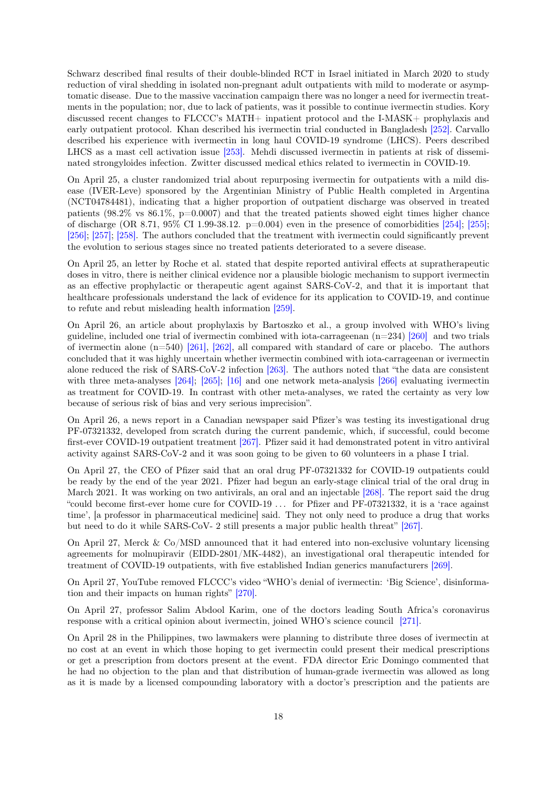Schwarz described final results of their double-blinded RCT in Israel initiated in March 2020 to study reduction of viral shedding in isolated non-pregnant adult outpatients with mild to moderate or asymptomatic disease. Due to the massive vaccination campaign there was no longer a need for ivermectin treatments in the population; nor, due to lack of patients, was it possible to continue ivermectin studies. Kory discussed recent changes to FLCCC's MATH+ inpatient protocol and the I-MASK+ prophylaxis and early outpatient protocol. Khan described his ivermectin trial conducted in Bangladesh [\[252\].](#page-63-0) Carvallo described his experience with ivermectin in long haul COVID-19 syndrome (LHCS). Peers described LHCS as a mast cell activation issue [\[253\].](#page-63-1) Mehdi discussed ivermectin in patients at risk of disseminated strongyloides infection. Zwitter discussed medical ethics related to ivermectin in COVID-19.

On April 25, a cluster randomized trial about repurposing ivermectin for outpatients with a mild disease (IVER-Leve) sponsored by the Argentinian Ministry of Public Health completed in Argentina (NCT04784481), indicating that a higher proportion of outpatient discharge was observed in treated patients (98.2% vs 86.1%, p=0.0007) and that the treated patients showed eight times higher chance of discharge (OR 8.71,  $95\%$  CI 1.99-38.12. p=0.004) even in the presence of comorbidities [\[254\];](#page-63-2) [\[255\];](#page-63-3) [\[256\];](#page-63-4) [\[257\];](#page-63-5) [\[258\].](#page-63-6) The authors concluded that the treatment with ivermectin could significantly prevent the evolution to serious stages since no treated patients deteriorated to a severe disease.

On April 25, an letter by Roche et al. stated that despite reported antiviral effects at supratherapeutic doses in vitro, there is neither clinical evidence nor a plausible biologic mechanism to support ivermectin as an effective prophylactic or therapeutic agent against SARS-CoV-2, and that it is important that healthcare professionals understand the lack of evidence for its application to COVID-19, and continue to refute and rebut misleading health information [\[259\].](#page-63-7)

On April 26, an article about prophylaxis by Bartoszko et al., a group involved with WHO's living guideline, included one trial of ivermectin combined with iota-carrageenan  $(n=234)$  [\[260\]](#page-63-8) and two trials of ivermectin alone  $(n=540)$  [\[261\],](#page-63-9) [\[262\],](#page-63-10) all compared with standard of care or placebo. The authors concluded that it was highly uncertain whether ivermectin combined with iota-carrageenan or ivermectin alone reduced the risk of SARS-CoV-2 infection [\[263\].](#page-63-11) The authors noted that "the data are consistent with three meta-analyses [\[264\];](#page-63-12) [\[265\];](#page-63-13) [\[16\]](#page-47-15) and one network meta-analysis [\[266\]](#page-63-14) evaluating ivermectin as treatment for COVID-19. In contrast with other meta-analyses, we rated the certainty as very low because of serious risk of bias and very serious imprecision".

On April 26, a news report in a Canadian newspaper said Pfizer's was testing its investigational drug PF-07321332, developed from scratch during the current pandemic, which, if successful, could become first-ever COVID-19 outpatient treatment [\[267\].](#page-64-0) Pfizer said it had demonstrated potent in vitro antiviral activity against SARS-CoV-2 and it was soon going to be given to 60 volunteers in a phase I trial.

On April 27, the CEO of Pfizer said that an oral drug PF-07321332 for COVID-19 outpatients could be ready by the end of the year 2021. Pfizer had begun an early-stage clinical trial of the oral drug in March 2021. It was working on two antivirals, an oral and an injectable [\[268\].](#page-64-1) The report said the drug "could become first-ever home cure for COVID-19 . . . for Pfizer and PF-07321332, it is a 'race against time', [a professor in pharmaceutical medicine] said. They not only need to produce a drug that works but need to do it while SARS-CoV- 2 still presents a major public health threat" [\[267\].](#page-64-0)

On April 27, Merck & Co/MSD announced that it had entered into non-exclusive voluntary licensing agreements for molnupiravir (EIDD-2801/MK-4482), an investigational oral therapeutic intended for treatment of COVID-19 outpatients, with five established Indian generics manufacturers [\[269\].](#page-64-2)

On April 27, YouTube removed FLCCC's video "WHO's denial of ivermectin: 'Big Science', disinformation and their impacts on human rights" [\[270\].](#page-64-3)

On April 27, professor Salim Abdool Karim, one of the doctors leading South Africa's coronavirus response with a critical opinion about ivermectin, joined WHO's science council [\[271\].](#page-64-4)

On April 28 in the Philippines, two lawmakers were planning to distribute three doses of ivermectin at no cost at an event in which those hoping to get ivermectin could present their medical prescriptions or get a prescription from doctors present at the event. FDA director Eric Domingo commented that he had no objection to the plan and that distribution of human-grade ivermectin was allowed as long as it is made by a licensed compounding laboratory with a doctor's prescription and the patients are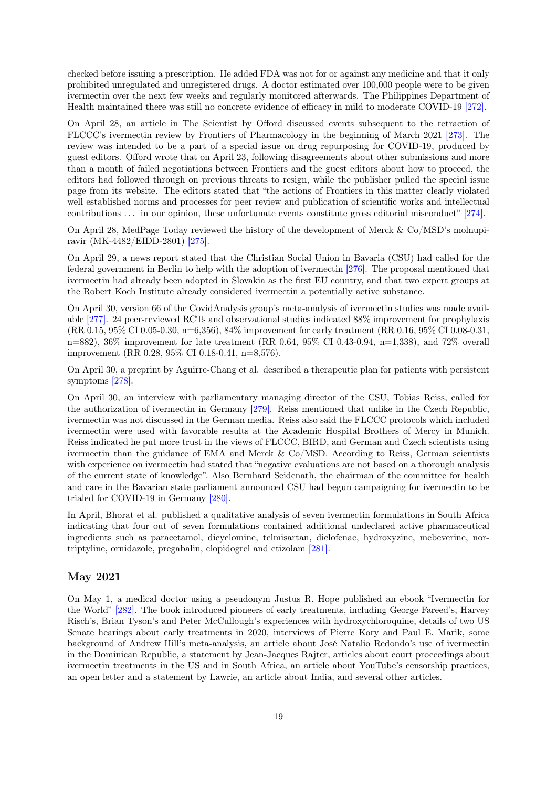checked before issuing a prescription. He added FDA was not for or against any medicine and that it only prohibited unregulated and unregistered drugs. A doctor estimated over 100,000 people were to be given ivermectin over the next few weeks and regularly monitored afterwards. The Philippines Department of Health maintained there was still no concrete evidence of efficacy in mild to moderate COVID-19 [\[272\].](#page-64-5)

On April 28, an article in The Scientist by Offord discussed events subsequent to the retraction of FLCCC's ivermectin review by Frontiers of Pharmacology in the beginning of March 2021 [\[273\].](#page-64-6) The review was intended to be a part of a special issue on drug repurposing for COVID-19, produced by guest editors. Offord wrote that on April 23, following disagreements about other submissions and more than a month of failed negotiations between Frontiers and the guest editors about how to proceed, the editors had followed through on previous threats to resign, while the publisher pulled the special issue page from its website. The editors stated that "the actions of Frontiers in this matter clearly violated well established norms and processes for peer review and publication of scientific works and intellectual contributions ... in our opinion, these unfortunate events constitute gross editorial misconduct" [\[274\].](#page-64-7)

On April 28, MedPage Today reviewed the history of the development of Merck & Co/MSD's molnupiravir (MK-4482/EIDD-2801) [\[275\].](#page-64-8)

On April 29, a news report stated that the Christian Social Union in Bavaria (CSU) had called for the federal government in Berlin to help with the adoption of ivermectin [\[276\].](#page-64-9) The proposal mentioned that ivermectin had already been adopted in Slovakia as the first EU country, and that two expert groups at the Robert Koch Institute already considered ivermectin a potentially active substance.

On April 30, version 66 of the CovidAnalysis group's meta-analysis of ivermectin studies was made available [\[277\].](#page-64-10) 24 peer-reviewed RCTs and observational studies indicated 88% improvement for prophylaxis (RR 0.15, 95% CI 0.05-0.30, n=6,356), 84% improvement for early treatment (RR 0.16, 95% CI 0.08-0.31,  $n=882$ , 36% improvement for late treatment (RR 0.64, 95% CI 0.43-0.94,  $n=1,338$ ), and 72% overall improvement (RR 0.28, 95% CI 0.18-0.41, n=8,576).

On April 30, a preprint by Aguirre-Chang et al. described a therapeutic plan for patients with persistent symptoms [\[278\].](#page-64-11)

On April 30, an interview with parliamentary managing director of the CSU, Tobias Reiss, called for the authorization of ivermectin in Germany [\[279\].](#page-64-12) Reiss mentioned that unlike in the Czech Republic, ivermectin was not discussed in the German media. Reiss also said the FLCCC protocols which included ivermectin were used with favorable results at the Academic Hospital Brothers of Mercy in Munich. Reiss indicated he put more trust in the views of FLCCC, BIRD, and German and Czech scientists using ivermectin than the guidance of EMA and Merck  $& Co/MSD$ . According to Reiss, German scientists with experience on ivermectin had stated that "negative evaluations are not based on a thorough analysis of the current state of knowledge". Also Bernhard Seidenath, the chairman of the committee for health and care in the Bavarian state parliament announced CSU had begun campaigning for ivermectin to be trialed for COVID-19 in Germany [\[280\].](#page-64-13)

In April, Bhorat et al. published a qualitative analysis of seven ivermectin formulations in South Africa indicating that four out of seven formulations contained additional undeclared active pharmaceutical ingredients such as paracetamol, dicyclomine, telmisartan, diclofenac, hydroxyzine, mebeverine, nortriptyline, ornidazole, pregabalin, clopidogrel and etizolam [\[281\].](#page-65-0)

#### May 2021

On May 1, a medical doctor using a pseudonym Justus R. Hope published an ebook "Ivermectin for the World" [\[282\].](#page-65-1) The book introduced pioneers of early treatments, including George Fareed's, Harvey Risch's, Brian Tyson's and Peter McCullough's experiences with hydroxychloroquine, details of two US Senate hearings about early treatments in 2020, interviews of Pierre Kory and Paul E. Marik, some background of Andrew Hill's meta-analysis, an article about José Natalio Redondo's use of ivermectin in the Dominican Republic, a statement by Jean-Jacques Rajter, articles about court proceedings about ivermectin treatments in the US and in South Africa, an article about YouTube's censorship practices, an open letter and a statement by Lawrie, an article about India, and several other articles.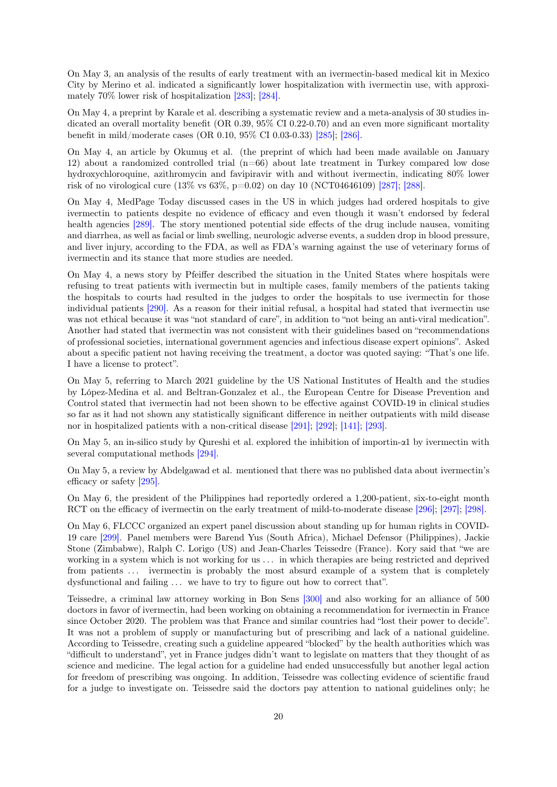On May 3, an analysis of the results of early treatment with an ivermectin-based medical kit in Mexico City by Merino et al. indicated a significantly lower hospitalization with ivermectin use, with approximately 70% lower risk of hospitalization [\[283\];](#page-65-2) [\[284\].](#page-65-3)

On May 4, a preprint by Karale et al. describing a systematic review and a meta-analysis of 30 studies indicated an overall mortality benefit (OR 0.39, 95% CI 0.22-0.70) and an even more significant mortality benefit in mild/moderate cases (OR 0.10, 95% CI 0.03-0.33) [\[285\];](#page-65-4) [\[286\].](#page-65-5)

On May 4, an article by Okumuş et al. (the preprint of which had been made available on January 12) about a randomized controlled trial (n=66) about late treatment in Turkey compared low dose hydroxychloroquine, azithromycin and favipiravir with and without ivermectin, indicating 80% lower risk of no virological cure  $(13\% \text{ vs } 63\%, \text{p=0.02})$  on day 10 (NCT04646109) [\[287\];](#page-65-6) [\[288\].](#page-65-7)

On May 4, MedPage Today discussed cases in the US in which judges had ordered hospitals to give ivermectin to patients despite no evidence of efficacy and even though it wasn't endorsed by federal health agencies [\[289\].](#page-65-8) The story mentioned potential side effects of the drug include nausea, vomiting and diarrhea, as well as facial or limb swelling, neurologic adverse events, a sudden drop in blood pressure, and liver injury, according to the FDA, as well as FDA's warning against the use of veterinary forms of ivermectin and its stance that more studies are needed.

On May 4, a news story by Pfeiffer described the situation in the United States where hospitals were refusing to treat patients with ivermectin but in multiple cases, family members of the patients taking the hospitals to courts had resulted in the judges to order the hospitals to use ivermectin for those individual patients [\[290\].](#page-65-9) As a reason for their initial refusal, a hospital had stated that ivermectin use was not ethical because it was "not standard of care", in addition to "not being an anti-viral medication". Another had stated that ivermectin was not consistent with their guidelines based on "recommendations of professional societies, international government agencies and infectious disease expert opinions". Asked about a specific patient not having receiving the treatment, a doctor was quoted saying: "That's one life. I have a license to protect".

On May 5, referring to March 2021 guideline by the US National Institutes of Health and the studies by López-Medina et al. and Beltran-Gonzalez et al., the European Centre for Disease Prevention and Control stated that ivermectin had not been shown to be effective against COVID-19 in clinical studies so far as it had not shown any statistically significant difference in neither outpatients with mild disease nor in hospitalized patients with a non-critical disease [\[291\];](#page-65-10) [\[292\];](#page-65-11) [\[141\];](#page-55-14) [\[293\].](#page-65-12)

On May 5, an in-silico study by Qureshi et al. explored the inhibition of importin-α1 by ivermectin with several computational methods [\[294\].](#page-65-13)

On May 5, a review by Abdelgawad et al. mentioned that there was no published data about ivermectin's efficacy or safety [\[295\].](#page-65-14)

On May 6, the president of the Philippines had reportedly ordered a 1,200-patient, six-to-eight month RCT on the efficacy of ivermectin on the early treatment of mild-to-moderate disease [\[296\];](#page-66-0) [\[297\];](#page-66-1) [\[298\].](#page-66-2)

On May 6, FLCCC organized an expert panel discussion about standing up for human rights in COVID-19 care [\[299\].](#page-66-3) Panel members were Barend Yus (South Africa), Michael Defensor (Philippines), Jackie Stone (Zimbabwe), Ralph C. Lorigo (US) and Jean-Charles Teissedre (France). Kory said that "we are working in a system which is not working for us . . . in which therapies are being restricted and deprived from patients ... ivermectin is probably the most absurd example of a system that is completely dysfunctional and failing  $\dots$  we have to try to figure out how to correct that".

Teissedre, a criminal law attorney working in Bon Sens [\[300\]](#page-66-4) and also working for an alliance of 500 doctors in favor of ivermectin, had been working on obtaining a recommendation for ivermectin in France since October 2020. The problem was that France and similar countries had "lost their power to decide". It was not a problem of supply or manufacturing but of prescribing and lack of a national guideline. According to Teissedre, creating such a guideline appeared "blocked" by the health authorities which was "difficult to understand", yet in France judges didn't want to legislate on matters that they thought of as science and medicine. The legal action for a guideline had ended unsuccessfully but another legal action for freedom of prescribing was ongoing. In addition, Teissedre was collecting evidence of scientific fraud for a judge to investigate on. Teissedre said the doctors pay attention to national guidelines only; he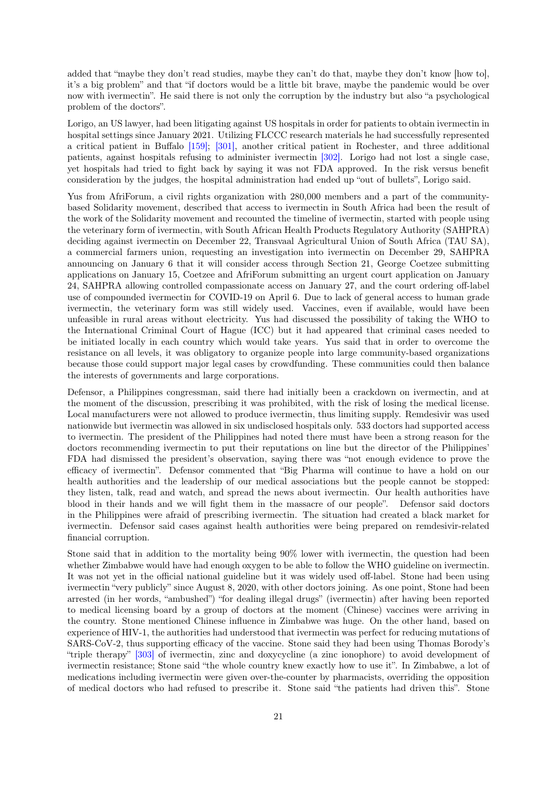added that "maybe they don't read studies, maybe they can't do that, maybe they don't know [how to], it's a big problem" and that "if doctors would be a little bit brave, maybe the pandemic would be over now with ivermectin". He said there is not only the corruption by the industry but also "a psychological problem of the doctors".

Lorigo, an US lawyer, had been litigating against US hospitals in order for patients to obtain ivermectin in hospital settings since January 2021. Utilizing FLCCC research materials he had successfully represented a critical patient in Buffalo [\[159\];](#page-56-15) [\[301\],](#page-66-5) another critical patient in Rochester, and three additional patients, against hospitals refusing to administer ivermectin [\[302\].](#page-66-6) Lorigo had not lost a single case, yet hospitals had tried to fight back by saying it was not FDA approved. In the risk versus benefit consideration by the judges, the hospital administration had ended up "out of bullets", Lorigo said.

Yus from AfriForum, a civil rights organization with 280,000 members and a part of the communitybased Solidarity movement, described that access to ivermectin in South Africa had been the result of the work of the Solidarity movement and recounted the timeline of ivermectin, started with people using the veterinary form of ivermectin, with South African Health Products Regulatory Authority (SAHPRA) deciding against ivermectin on December 22, Transvaal Agricultural Union of South Africa (TAU SA), a commercial farmers union, requesting an investigation into ivermectin on December 29, SAHPRA announcing on January 6 that it will consider access through Section 21, George Coetzee submitting applications on January 15, Coetzee and AfriForum submitting an urgent court application on January 24, SAHPRA allowing controlled compassionate access on January 27, and the court ordering off-label use of compounded ivermectin for COVID-19 on April 6. Due to lack of general access to human grade ivermectin, the veterinary form was still widely used. Vaccines, even if available, would have been unfeasible in rural areas without electricity. Yus had discussed the possibility of taking the WHO to the International Criminal Court of Hague (ICC) but it had appeared that criminal cases needed to be initiated locally in each country which would take years. Yus said that in order to overcome the resistance on all levels, it was obligatory to organize people into large community-based organizations because those could support major legal cases by crowdfunding. These communities could then balance the interests of governments and large corporations.

Defensor, a Philippines congressman, said there had initially been a crackdown on ivermectin, and at the moment of the discussion, prescribing it was prohibited, with the risk of losing the medical license. Local manufacturers were not allowed to produce ivermectin, thus limiting supply. Remdesivir was used nationwide but ivermectin was allowed in six undisclosed hospitals only. 533 doctors had supported access to ivermectin. The president of the Philippines had noted there must have been a strong reason for the doctors recommending ivermectin to put their reputations on line but the director of the Philippines' FDA had dismissed the president's observation, saying there was "not enough evidence to prove the efficacy of ivermectin". Defensor commented that "Big Pharma will continue to have a hold on our health authorities and the leadership of our medical associations but the people cannot be stopped: they listen, talk, read and watch, and spread the news about ivermectin. Our health authorities have blood in their hands and we will fight them in the massacre of our people". Defensor said doctors in the Philippines were afraid of prescribing ivermectin. The situation had created a black market for ivermectin. Defensor said cases against health authorities were being prepared on remdesivir-related financial corruption.

Stone said that in addition to the mortality being 90% lower with ivermectin, the question had been whether Zimbabwe would have had enough oxygen to be able to follow the WHO guideline on ivermectin. It was not yet in the official national guideline but it was widely used off-label. Stone had been using ivermectin "very publicly" since August 8, 2020, with other doctors joining. As one point, Stone had been arrested (in her words, "ambushed") "for dealing illegal drugs" (ivermectin) after having been reported to medical licensing board by a group of doctors at the moment (Chinese) vaccines were arriving in the country. Stone mentioned Chinese influence in Zimbabwe was huge. On the other hand, based on experience of HIV-1, the authorities had understood that ivermectin was perfect for reducing mutations of SARS-CoV-2, thus supporting efficacy of the vaccine. Stone said they had been using Thomas Borody's "triple therapy" [\[303\]](#page-66-7) of ivermectin, zinc and doxycycline (a zinc ionophore) to avoid development of ivermectin resistance; Stone said "the whole country knew exactly how to use it". In Zimbabwe, a lot of medications including ivermectin were given over-the-counter by pharmacists, overriding the opposition of medical doctors who had refused to prescribe it. Stone said "the patients had driven this". Stone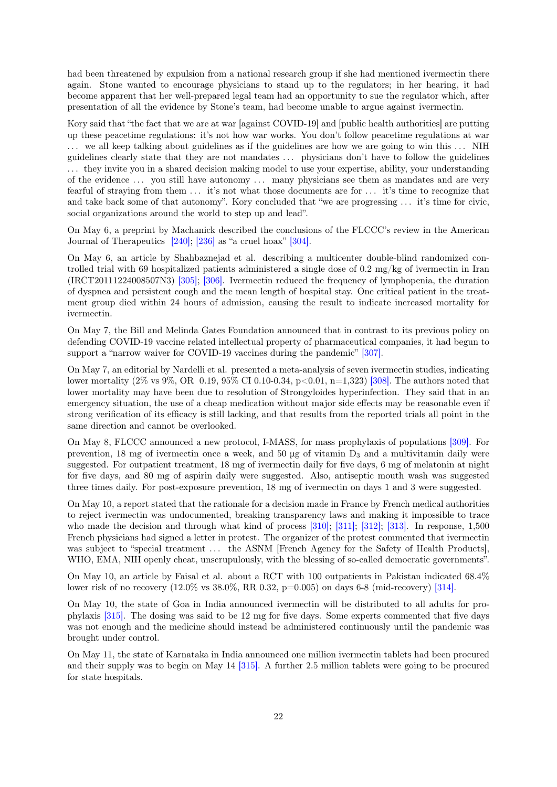had been threatened by expulsion from a national research group if she had mentioned ivermectin there again. Stone wanted to encourage physicians to stand up to the regulators; in her hearing, it had become apparent that her well-prepared legal team had an opportunity to sue the regulator which, after presentation of all the evidence by Stone's team, had become unable to argue against ivermectin.

Kory said that "the fact that we are at war [against COVID-19] and [public health authorities] are putting up these peacetime regulations: it's not how war works. You don't follow peacetime regulations at war ... we all keep talking about guidelines as if the guidelines are how we are going to win this ... NIH guidelines clearly state that they are not mandates . . . physicians don't have to follow the guidelines . . . they invite you in a shared decision making model to use your expertise, ability, your understanding of the evidence . . . you still have autonomy . . . many physicians see them as mandates and are very fearful of straying from them . . . it's not what those documents are for . . . it's time to recognize that and take back some of that autonomy". Kory concluded that "we are progressing . . . it's time for civic, social organizations around the world to step up and lead".

On May 6, a preprint by Machanick described the conclusions of the FLCCC's review in the American Journal of Therapeutics [\[240\];](#page-62-4) [\[236\]](#page-62-0) as "a cruel hoax" [\[304\].](#page-66-8)

On May 6, an article by Shahbaznejad et al. describing a multicenter double-blind randomized controlled trial with 69 hospitalized patients administered a single dose of 0.2 mg/kg of ivermectin in Iran (IRCT20111224008507N3) [\[305\];](#page-66-9) [\[306\].](#page-66-10) Ivermectin reduced the frequency of lymphopenia, the duration of dyspnea and persistent cough and the mean length of hospital stay. One critical patient in the treatment group died within 24 hours of admission, causing the result to indicate increased mortality for ivermectin.

On May 7, the Bill and Melinda Gates Foundation announced that in contrast to its previous policy on defending COVID-19 vaccine related intellectual property of pharmaceutical companies, it had begun to support a "narrow waiver for COVID-19 vaccines during the pandemic" [\[307\].](#page-66-11)

On May 7, an editorial by Nardelli et al. presented a meta-analysis of seven ivermectin studies, indicating lower mortality (2% vs 9%, OR 0.19, 95% CI 0.10-0.34, p<0.01, n=1,323) [\[308\].](#page-66-12) The authors noted that lower mortality may have been due to resolution of Strongyloides hyperinfection. They said that in an emergency situation, the use of a cheap medication without major side effects may be reasonable even if strong verification of its efficacy is still lacking, and that results from the reported trials all point in the same direction and cannot be overlooked.

On May 8, FLCCC announced a new protocol, I-MASS, for mass prophylaxis of populations [\[309\].](#page-66-13) For prevention, 18 mg of ivermectin once a week, and 50  $\mu$ g of vitamin D<sub>3</sub> and a multivitamin daily were suggested. For outpatient treatment, 18 mg of ivermectin daily for five days, 6 mg of melatonin at night for five days, and 80 mg of aspirin daily were suggested. Also, antiseptic mouth wash was suggested three times daily. For post-exposure prevention, 18 mg of ivermectin on days 1 and 3 were suggested.

On May 10, a report stated that the rationale for a decision made in France by French medical authorities to reject ivermectin was undocumented, breaking transparency laws and making it impossible to trace who made the decision and through what kind of process [\[310\];](#page-66-14) [\[311\];](#page-66-15) [\[312\];](#page-67-0) [\[313\].](#page-67-1) In response, 1,500 French physicians had signed a letter in protest. The organizer of the protest commented that ivermectin was subject to "special treatment ... the ASNM [French Agency for the Safety of Health Products], WHO, EMA, NIH openly cheat, unscrupulously, with the blessing of so-called democratic governments".

On May 10, an article by Faisal et al. about a RCT with 100 outpatients in Pakistan indicated 68.4% lower risk of no recovery (12.0% vs 38.0%, RR 0.32, p=0.005) on days 6-8 (mid-recovery) [\[314\].](#page-67-2)

On May 10, the state of Goa in India announced ivermectin will be distributed to all adults for prophylaxis [\[315\].](#page-67-3) The dosing was said to be 12 mg for five days. Some experts commented that five days was not enough and the medicine should instead be administered continuously until the pandemic was brought under control.

On May 11, the state of Karnataka in India announced one million ivermectin tablets had been procured and their supply was to begin on May 14 [\[315\].](#page-67-3) A further 2.5 million tablets were going to be procured for state hospitals.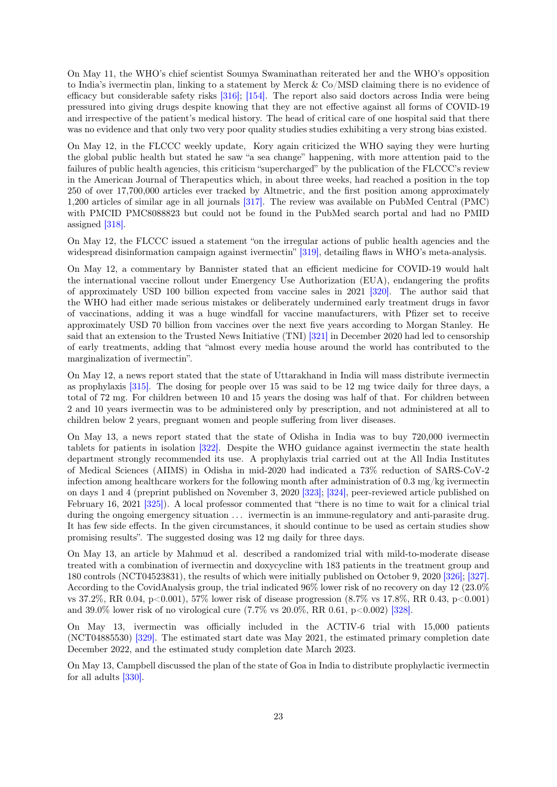On May 11, the WHO's chief scientist Soumya Swaminathan reiterated her and the WHO's opposition to India's ivermectin plan, linking to a statement by Merck & Co/MSD claiming there is no evidence of efficacy but considerable safety risks [\[316\];](#page-67-4) [\[154\].](#page-56-10) The report also said doctors across India were being pressured into giving drugs despite knowing that they are not effective against all forms of COVID-19 and irrespective of the patient's medical history. The head of critical care of one hospital said that there was no evidence and that only two very poor quality studies studies exhibiting a very strong bias existed.

On May 12, in the FLCCC weekly update, Kory again criticized the WHO saying they were hurting the global public health but stated he saw "a sea change" happening, with more attention paid to the failures of public health agencies, this criticism "supercharged" by the publication of the FLCCC's review in the American Journal of Therapeutics which, in about three weeks, had reached a position in the top 250 of over 17,700,000 articles ever tracked by Altmetric, and the first position among approximately 1,200 articles of similar age in all journals [\[317\].](#page-67-5) The review was available on PubMed Central (PMC) with PMCID PMC8088823 but could not be found in the PubMed search portal and had no PMID assigned [\[318\].](#page-67-6)

On May 12, the FLCCC issued a statement "on the irregular actions of public health agencies and the widespread disinformation campaign against ivermectin" [\[319\],](#page-67-7) detailing flaws in WHO's meta-analysis.

On May 12, a commentary by Bannister stated that an efficient medicine for COVID-19 would halt the international vaccine rollout under Emergency Use Authorization (EUA), endangering the profits of approximately USD 100 billion expected from vaccine sales in 2021 [\[320\].](#page-67-8) The author said that the WHO had either made serious mistakes or deliberately undermined early treatment drugs in favor of vaccinations, adding it was a huge windfall for vaccine manufacturers, with Pfizer set to receive approximately USD 70 billion from vaccines over the next five years according to Morgan Stanley. He said that an extension to the Trusted News Initiative (TNI) [\[321\]](#page-67-9) in December 2020 had led to censorship of early treatments, adding that "almost every media house around the world has contributed to the marginalization of ivermectin".

On May 12, a news report stated that the state of Uttarakhand in India will mass distribute ivermectin as prophylaxis [\[315\].](#page-67-3) The dosing for people over 15 was said to be 12 mg twice daily for three days, a total of 72 mg. For children between 10 and 15 years the dosing was half of that. For children between 2 and 10 years ivermectin was to be administered only by prescription, and not administered at all to children below 2 years, pregnant women and people suffering from liver diseases.

On May 13, a news report stated that the state of Odisha in India was to buy 720,000 ivermectin tablets for patients in isolation [\[322\].](#page-67-10) Despite the WHO guidance against ivermectin the state health department strongly recommended its use. A prophylaxis trial carried out at the All India Institutes of Medical Sciences (AIIMS) in Odisha in mid-2020 had indicated a 73% reduction of SARS-CoV-2 infection among healthcare workers for the following month after administration of  $0.3 \text{ mg/kg}$  ivermectin on days 1 and 4 (preprint published on November 3, 2020 [\[323\];](#page-67-11) [\[324\],](#page-67-12) peer-reviewed article published on February 16, 2021 [\[325\]\)](#page-67-13). A local professor commented that "there is no time to wait for a clinical trial during the ongoing emergency situation ... ivermectin is an immune-regulatory and anti-parasite drug. It has few side effects. In the given circumstances, it should continue to be used as certain studies show promising results". The suggested dosing was 12 mg daily for three days.

On May 13, an article by Mahmud et al. described a randomized trial with mild-to-moderate disease treated with a combination of ivermectin and doxycycline with 183 patients in the treatment group and 180 controls (NCT04523831), the results of which were initially published on October 9, 2020 [\[326\];](#page-68-0) [\[327\].](#page-68-1) According to the CovidAnalysis group, the trial indicated 96% lower risk of no recovery on day 12 (23.0% vs 37.2%, RR 0.04, p<0.001), 57% lower risk of disease progression (8.7% vs 17.8%, RR 0.43, p<0.001) and  $39.0\%$  lower risk of no virological cure (7.7% vs  $20.0\%$ , RR  $0.61$ , p $<0.002$ ) [\[328\].](#page-68-2)

On May 13, ivermectin was officially included in the ACTIV-6 trial with 15,000 patients (NCT04885530) [\[329\].](#page-68-3) The estimated start date was May 2021, the estimated primary completion date December 2022, and the estimated study completion date March 2023.

On May 13, Campbell discussed the plan of the state of Goa in India to distribute prophylactic ivermectin for all adults [\[330\].](#page-68-4)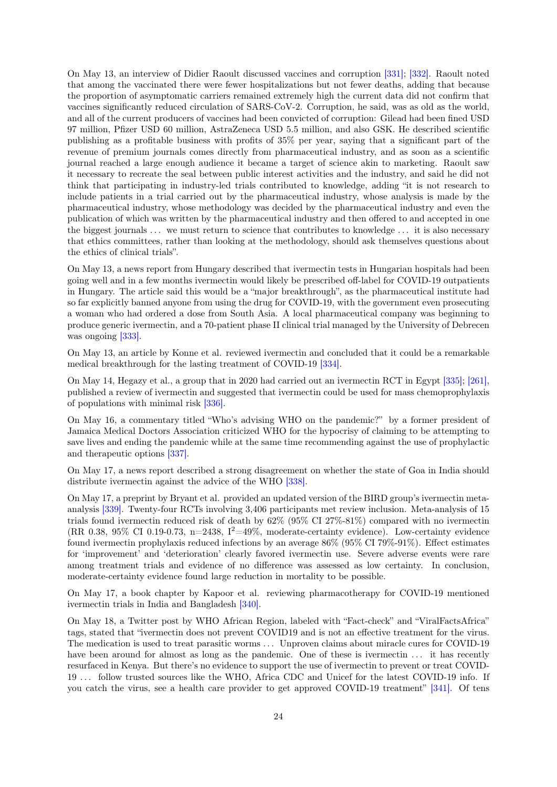On May 13, an interview of Didier Raoult discussed vaccines and corruption [\[331\];](#page-68-5) [\[332\].](#page-68-6) Raoult noted that among the vaccinated there were fewer hospitalizations but not fewer deaths, adding that because the proportion of asymptomatic carriers remained extremely high the current data did not confirm that vaccines significantly reduced circulation of SARS-CoV-2. Corruption, he said, was as old as the world, and all of the current producers of vaccines had been convicted of corruption: Gilead had been fined USD 97 million, Pfizer USD 60 million, AstraZeneca USD 5.5 million, and also GSK. He described scientific publishing as a profitable business with profits of 35% per year, saying that a significant part of the revenue of premium journals comes directly from pharmaceutical industry, and as soon as a scientific journal reached a large enough audience it became a target of science akin to marketing. Raoult saw it necessary to recreate the seal between public interest activities and the industry, and said he did not think that participating in industry-led trials contributed to knowledge, adding "it is not research to include patients in a trial carried out by the pharmaceutical industry, whose analysis is made by the pharmaceutical industry, whose methodology was decided by the pharmaceutical industry and even the publication of which was written by the pharmaceutical industry and then offered to and accepted in one the biggest journals . . . we must return to science that contributes to knowledge . . . it is also necessary that ethics committees, rather than looking at the methodology, should ask themselves questions about the ethics of clinical trials".

On May 13, a news report from Hungary described that ivermectin tests in Hungarian hospitals had been going well and in a few months ivermectin would likely be prescribed off-label for COVID-19 outpatients in Hungary. The article said this would be a "major breakthrough", as the pharmaceutical institute had so far explicitly banned anyone from using the drug for COVID-19, with the government even prosecuting a woman who had ordered a dose from South Asia. A local pharmaceutical company was beginning to produce generic ivermectin, and a 70-patient phase II clinical trial managed by the University of Debrecen was ongoing [\[333\].](#page-68-7)

On May 13, an article by Konne et al. reviewed ivermectin and concluded that it could be a remarkable medical breakthrough for the lasting treatment of COVID-19 [\[334\].](#page-68-8)

On May 14, Hegazy et al., a group that in 2020 had carried out an ivermectin RCT in Egypt [\[335\];](#page-68-9) [\[261\],](#page-63-9) published a review of ivermectin and suggested that ivermectin could be used for mass chemoprophylaxis of populations with minimal risk [\[336\].](#page-68-10)

On May 16, a commentary titled "Who's advising WHO on the pandemic?" by a former president of Jamaica Medical Doctors Association criticized WHO for the hypocrisy of claiming to be attempting to save lives and ending the pandemic while at the same time recommending against the use of prophylactic and therapeutic options [\[337\].](#page-68-11)

On May 17, a news report described a strong disagreement on whether the state of Goa in India should distribute ivermectin against the advice of the WHO [\[338\].](#page-68-12)

On May 17, a preprint by Bryant et al. provided an updated version of the BIRD group's ivermectin metaanalysis [\[339\].](#page-68-13) Twenty-four RCTs involving 3,406 participants met review inclusion. Meta-analysis of 15 trials found ivermectin reduced risk of death by 62% (95% CI 27%-81%) compared with no ivermectin  $(RR\ 0.38, 95\% \text{ CI } 0.19\text{-}0.73, \text{n=2438}, I^2=49\%$ , moderate-certainty evidence). Low-certainty evidence found ivermectin prophylaxis reduced infections by an average 86% (95% CI 79%-91%). Effect estimates for 'improvement' and 'deterioration' clearly favored ivermectin use. Severe adverse events were rare among treatment trials and evidence of no difference was assessed as low certainty. In conclusion, moderate-certainty evidence found large reduction in mortality to be possible.

On May 17, a book chapter by Kapoor et al. reviewing pharmacotherapy for COVID-19 mentioned ivermectin trials in India and Bangladesh [\[340\].](#page-68-14)

On May 18, a Twitter post by WHO African Region, labeled with "Fact-check" and "ViralFactsAfrica" tags, stated that "ivermectin does not prevent COVID19 and is not an effective treatment for the virus. The medication is used to treat parasitic worms ... Unproven claims about miracle cures for COVID-19 have been around for almost as long as the pandemic. One of these is ivermectin ... it has recently resurfaced in Kenya. But there's no evidence to support the use of ivermectin to prevent or treat COVID-19 . . . follow trusted sources like the WHO, Africa CDC and Unicef for the latest COVID-19 info. If you catch the virus, see a health care provider to get approved COVID-19 treatment" [\[341\].](#page-68-15) Of tens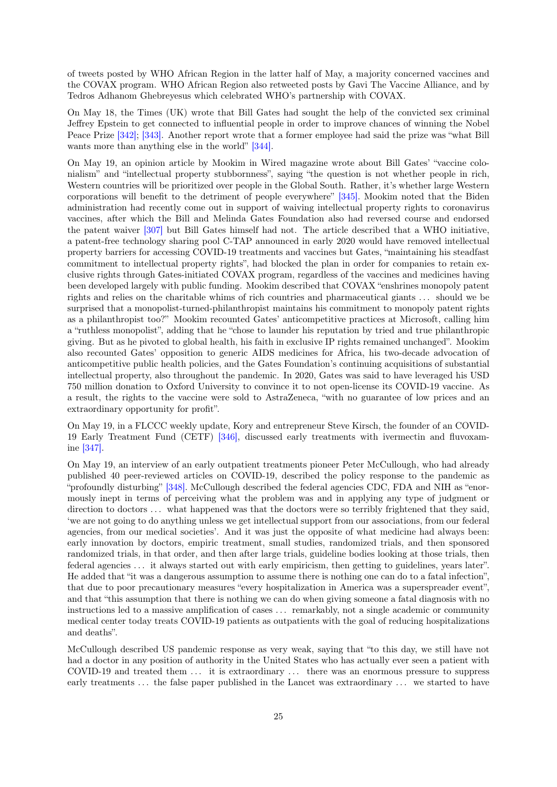of tweets posted by WHO African Region in the latter half of May, a majority concerned vaccines and the COVAX program. WHO African Region also retweeted posts by Gavi The Vaccine Alliance, and by Tedros Adhanom Ghebreyesus which celebrated WHO's partnership with COVAX.

On May 18, the Times (UK) wrote that Bill Gates had sought the help of the convicted sex criminal Jeffrey Epstein to get connected to influential people in order to improve chances of winning the Nobel Peace Prize [\[342\];](#page-68-16) [\[343\].](#page-69-0) Another report wrote that a former employee had said the prize was "what Bill wants more than anything else in the world" [\[344\].](#page-69-1)

On May 19, an opinion article by Mookim in Wired magazine wrote about Bill Gates' "vaccine colonialism" and "intellectual property stubbornness", saying "the question is not whether people in rich, Western countries will be prioritized over people in the Global South. Rather, it's whether large Western corporations will benefit to the detriment of people everywhere" [\[345\].](#page-69-2) Mookim noted that the Biden administration had recently come out in support of waiving intellectual property rights to coronavirus vaccines, after which the Bill and Melinda Gates Foundation also had reversed course and endorsed the patent waiver [\[307\]](#page-66-11) but Bill Gates himself had not. The article described that a WHO initiative, a patent-free technology sharing pool C-TAP announced in early 2020 would have removed intellectual property barriers for accessing COVID-19 treatments and vaccines but Gates, "maintaining his steadfast commitment to intellectual property rights", had blocked the plan in order for companies to retain exclusive rights through Gates-initiated COVAX program, regardless of the vaccines and medicines having been developed largely with public funding. Mookim described that COVAX "enshrines monopoly patent rights and relies on the charitable whims of rich countries and pharmaceutical giants . . . should we be surprised that a monopolist-turned-philanthropist maintains his commitment to monopoly patent rights as a philanthropist too?" Mookim recounted Gates' anticompetitive practices at Microsoft, calling him a "ruthless monopolist", adding that he "chose to launder his reputation by tried and true philanthropic giving. But as he pivoted to global health, his faith in exclusive IP rights remained unchanged". Mookim also recounted Gates' opposition to generic AIDS medicines for Africa, his two-decade advocation of anticompetitive public health policies, and the Gates Foundation's continuing acquisitions of substantial intellectual property, also throughout the pandemic. In 2020, Gates was said to have leveraged his USD 750 million donation to Oxford University to convince it to not open-license its COVID-19 vaccine. As a result, the rights to the vaccine were sold to AstraZeneca, "with no guarantee of low prices and an extraordinary opportunity for profit".

On May 19, in a FLCCC weekly update, Kory and entrepreneur Steve Kirsch, the founder of an COVID-19 Early Treatment Fund (CETF) [\[346\],](#page-69-3) discussed early treatments with ivermectin and fluvoxamine [\[347\].](#page-69-4)

On May 19, an interview of an early outpatient treatments pioneer Peter McCullough, who had already published 40 peer-reviewed articles on COVID-19, described the policy response to the pandemic as "profoundly disturbing" [\[348\].](#page-69-5) McCullough described the federal agencies CDC, FDA and NIH as "enormously inept in terms of perceiving what the problem was and in applying any type of judgment or direction to doctors ... what happened was that the doctors were so terribly frightened that they said, 'we are not going to do anything unless we get intellectual support from our associations, from our federal agencies, from our medical societies'. And it was just the opposite of what medicine had always been: early innovation by doctors, empiric treatment, small studies, randomized trials, and then sponsored randomized trials, in that order, and then after large trials, guideline bodies looking at those trials, then federal agencies . . . it always started out with early empiricism, then getting to guidelines, years later". He added that "it was a dangerous assumption to assume there is nothing one can do to a fatal infection", that due to poor precautionary measures "every hospitalization in America was a superspreader event", and that "this assumption that there is nothing we can do when giving someone a fatal diagnosis with no instructions led to a massive amplification of cases . . . remarkably, not a single academic or community medical center today treats COVID-19 patients as outpatients with the goal of reducing hospitalizations and deaths".

McCullough described US pandemic response as very weak, saying that "to this day, we still have not had a doctor in any position of authority in the United States who has actually ever seen a patient with COVID-19 and treated them ... it is extraordinary ... there was an enormous pressure to suppress early treatments ... the false paper published in the Lancet was extraordinary ... we started to have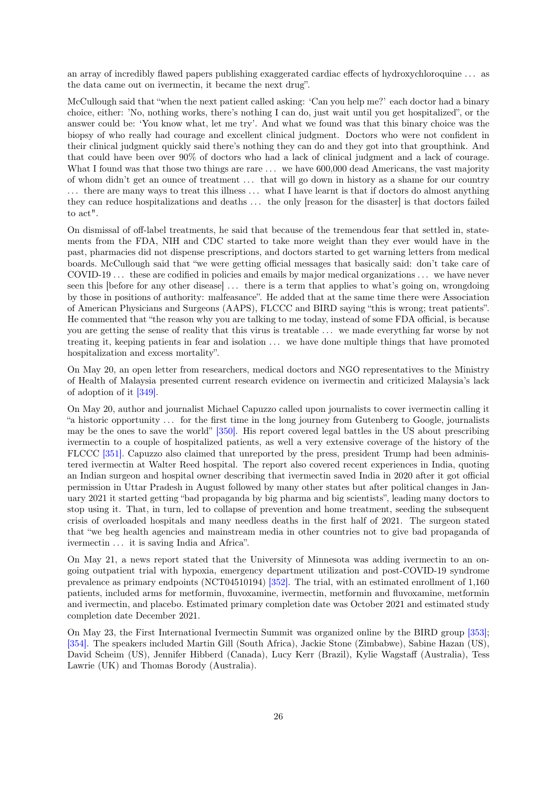an array of incredibly flawed papers publishing exaggerated cardiac effects of hydroxychloroquine . . . as the data came out on ivermectin, it became the next drug".

McCullough said that "when the next patient called asking: 'Can you help me?' each doctor had a binary choice, either: 'No, nothing works, there's nothing I can do, just wait until you get hospitalized", or the answer could be: 'You know what, let me try'. And what we found was that this binary choice was the biopsy of who really had courage and excellent clinical judgment. Doctors who were not confident in their clinical judgment quickly said there's nothing they can do and they got into that groupthink. And that could have been over 90% of doctors who had a lack of clinical judgment and a lack of courage. What I found was that those two things are rare  $\dots$  we have 600,000 dead Americans, the vast majority of whom didn't get an ounce of treatment . . . that will go down in history as a shame for our country . . . there are many ways to treat this illness . . . what I have learnt is that if doctors do almost anything they can reduce hospitalizations and deaths . . . the only [reason for the disaster] is that doctors failed to act".

On dismissal of off-label treatments, he said that because of the tremendous fear that settled in, statements from the FDA, NIH and CDC started to take more weight than they ever would have in the past, pharmacies did not dispense prescriptions, and doctors started to get warning letters from medical boards. McCullough said that "we were getting official messages that basically said: don't take care of COVID-19 ... these are codified in policies and emails by major medical organizations ... we have never seen this [before for any other disease] . . . there is a term that applies to what's going on, wrongdoing by those in positions of authority: malfeasance". He added that at the same time there were Association of American Physicians and Surgeons (AAPS), FLCCC and BIRD saying "this is wrong; treat patients". He commented that "the reason why you are talking to me today, instead of some FDA official, is because you are getting the sense of reality that this virus is treatable . . . we made everything far worse by not treating it, keeping patients in fear and isolation ... we have done multiple things that have promoted hospitalization and excess mortality".

On May 20, an open letter from researchers, medical doctors and NGO representatives to the Ministry of Health of Malaysia presented current research evidence on ivermectin and criticized Malaysia's lack of adoption of it [\[349\].](#page-69-6)

On May 20, author and journalist Michael Capuzzo called upon journalists to cover ivermectin calling it "a historic opportunity . . . for the first time in the long journey from Gutenberg to Google, journalists may be the ones to save the world" [\[350\].](#page-69-7) His report covered legal battles in the US about prescribing ivermectin to a couple of hospitalized patients, as well a very extensive coverage of the history of the FLCCC [\[351\].](#page-69-8) Capuzzo also claimed that unreported by the press, president Trump had been administered ivermectin at Walter Reed hospital. The report also covered recent experiences in India, quoting an Indian surgeon and hospital owner describing that ivermectin saved India in 2020 after it got official permission in Uttar Pradesh in August followed by many other states but after political changes in January 2021 it started getting "bad propaganda by big pharma and big scientists", leading many doctors to stop using it. That, in turn, led to collapse of prevention and home treatment, seeding the subsequent crisis of overloaded hospitals and many needless deaths in the first half of 2021. The surgeon stated that "we beg health agencies and mainstream media in other countries not to give bad propaganda of ivermectin . . . it is saving India and Africa".

On May 21, a news report stated that the University of Minnesota was adding ivermectin to an ongoing outpatient trial with hypoxia, emergency department utilization and post-COVID-19 syndrome prevalence as primary endpoints (NCT04510194) [\[352\].](#page-69-9) The trial, with an estimated enrollment of 1,160 patients, included arms for metformin, fluvoxamine, ivermectin, metformin and fluvoxamine, metformin and ivermectin, and placebo. Estimated primary completion date was October 2021 and estimated study completion date December 2021.

On May 23, the First International Ivermectin Summit was organized online by the BIRD group [\[353\];](#page-69-10) [\[354\].](#page-69-11) The speakers included Martin Gill (South Africa), Jackie Stone (Zimbabwe), Sabine Hazan (US), David Scheim (US), Jennifer Hibberd (Canada), Lucy Kerr (Brazil), Kylie Wagstaff (Australia), Tess Lawrie (UK) and Thomas Borody (Australia).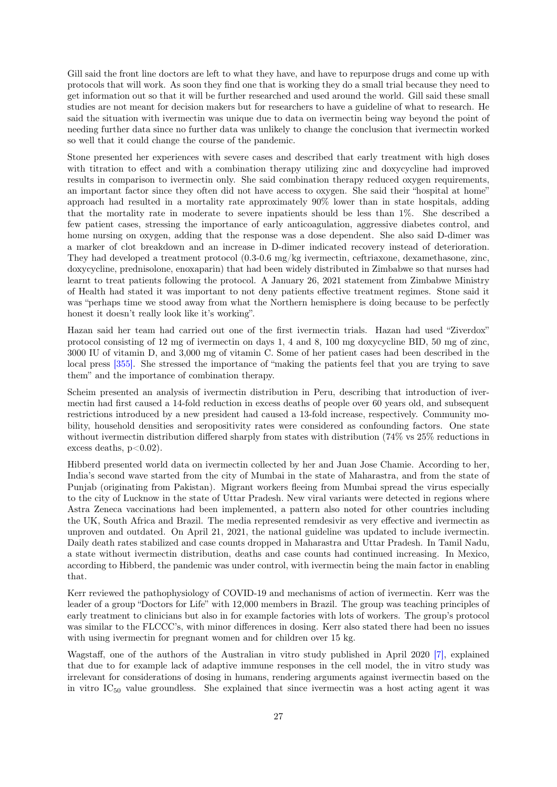Gill said the front line doctors are left to what they have, and have to repurpose drugs and come up with protocols that will work. As soon they find one that is working they do a small trial because they need to get information out so that it will be further researched and used around the world. Gill said these small studies are not meant for decision makers but for researchers to have a guideline of what to research. He said the situation with ivermectin was unique due to data on ivermectin being way beyond the point of needing further data since no further data was unlikely to change the conclusion that ivermectin worked so well that it could change the course of the pandemic.

Stone presented her experiences with severe cases and described that early treatment with high doses with titration to effect and with a combination therapy utilizing zinc and doxycycline had improved results in comparison to ivermectin only. She said combination therapy reduced oxygen requirements, an important factor since they often did not have access to oxygen. She said their "hospital at home" approach had resulted in a mortality rate approximately 90% lower than in state hospitals, adding that the mortality rate in moderate to severe inpatients should be less than 1%. She described a few patient cases, stressing the importance of early anticoagulation, aggressive diabetes control, and home nursing on oxygen, adding that the response was a dose dependent. She also said D-dimer was a marker of clot breakdown and an increase in D-dimer indicated recovery instead of deterioration. They had developed a treatment protocol (0.3-0.6 mg/kg ivermectin, ceftriaxone, dexamethasone, zinc, doxycycline, prednisolone, enoxaparin) that had been widely distributed in Zimbabwe so that nurses had learnt to treat patients following the protocol. A January 26, 2021 statement from Zimbabwe Ministry of Health had stated it was important to not deny patients effective treatment regimes. Stone said it was "perhaps time we stood away from what the Northern hemisphere is doing because to be perfectly honest it doesn't really look like it's working".

Hazan said her team had carried out one of the first ivermectin trials. Hazan had used "Ziverdox" protocol consisting of 12 mg of ivermectin on days 1, 4 and 8, 100 mg doxycycline BID, 50 mg of zinc, 3000 IU of vitamin D, and 3,000 mg of vitamin C. Some of her patient cases had been described in the local press [\[355\].](#page-69-12) She stressed the importance of "making the patients feel that you are trying to save them" and the importance of combination therapy.

Scheim presented an analysis of ivermectin distribution in Peru, describing that introduction of ivermectin had first caused a 14-fold reduction in excess deaths of people over 60 years old, and subsequent restrictions introduced by a new president had caused a 13-fold increase, respectively. Community mobility, household densities and seropositivity rates were considered as confounding factors. One state without ivermectin distribution differed sharply from states with distribution (74% vs 25% reductions in excess deaths,  $p<0.02$ ).

Hibberd presented world data on ivermectin collected by her and Juan Jose Chamie. According to her, India's second wave started from the city of Mumbai in the state of Maharastra, and from the state of Punjab (originating from Pakistan). Migrant workers fleeing from Mumbai spread the virus especially to the city of Lucknow in the state of Uttar Pradesh. New viral variants were detected in regions where Astra Zeneca vaccinations had been implemented, a pattern also noted for other countries including the UK, South Africa and Brazil. The media represented remdesivir as very effective and ivermectin as unproven and outdated. On April 21, 2021, the national guideline was updated to include ivermectin. Daily death rates stabilized and case counts dropped in Maharastra and Uttar Pradesh. In Tamil Nadu, a state without ivermectin distribution, deaths and case counts had continued increasing. In Mexico, according to Hibberd, the pandemic was under control, with ivermectin being the main factor in enabling that.

Kerr reviewed the pathophysiology of COVID-19 and mechanisms of action of ivermectin. Kerr was the leader of a group "Doctors for Life" with 12,000 members in Brazil. The group was teaching principles of early treatment to clinicians but also in for example factories with lots of workers. The group's protocol was similar to the FLCCC's, with minor differences in dosing. Kerr also stated there had been no issues with using ivermectin for pregnant women and for children over 15 kg.

Wagstaff, one of the authors of the Australian in vitro study published in April 2020 [\[7\],](#page-47-6) explained that due to for example lack of adaptive immune responses in the cell model, the in vitro study was irrelevant for considerations of dosing in humans, rendering arguments against ivermectin based on the in vitro  $IC_{50}$  value groundless. She explained that since ivermectin was a host acting agent it was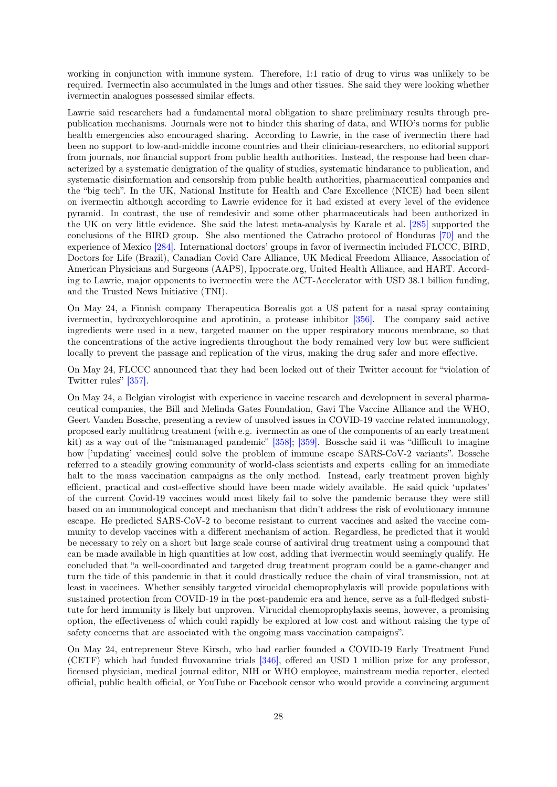working in conjunction with immune system. Therefore, 1:1 ratio of drug to virus was unlikely to be required. Ivermectin also accumulated in the lungs and other tissues. She said they were looking whether ivermectin analogues possessed similar effects.

Lawrie said researchers had a fundamental moral obligation to share preliminary results through prepublication mechanisms. Journals were not to hinder this sharing of data, and WHO's norms for public health emergencies also encouraged sharing. According to Lawrie, in the case of ivermectin there had been no support to low-and-middle income countries and their clinician-researchers, no editorial support from journals, nor financial support from public health authorities. Instead, the response had been characterized by a systematic denigration of the quality of studies, systematic hindarance to publication, and systematic disinformation and censorship from public health authorities, pharmaceutical companies and the "big tech". In the UK, National Institute for Health and Care Excellence (NICE) had been silent on ivermectin although according to Lawrie evidence for it had existed at every level of the evidence pyramid. In contrast, the use of remdesivir and some other pharmaceuticals had been authorized in the UK on very little evidence. She said the latest meta-analysis by Karale et al. [\[285\]](#page-65-4) supported the conclusions of the BIRD group. She also mentioned the Catracho protocol of Honduras [\[70\]](#page-51-6) and the experience of Mexico [\[284\].](#page-65-3) International doctors' groups in favor of ivermectin included FLCCC, BIRD, Doctors for Life (Brazil), Canadian Covid Care Alliance, UK Medical Freedom Alliance, Association of American Physicians and Surgeons (AAPS), Ippocrate.org, United Health Alliance, and HART. According to Lawrie, major opponents to ivermectin were the ACT-Accelerator with USD 38.1 billion funding, and the Trusted News Initiative (TNI).

On May 24, a Finnish company Therapeutica Borealis got a US patent for a nasal spray containing ivermectin, hydroxychloroquine and aprotinin, a protease inhibitor [\[356\].](#page-69-13) The company said active ingredients were used in a new, targeted manner on the upper respiratory mucous membrane, so that the concentrations of the active ingredients throughout the body remained very low but were sufficient locally to prevent the passage and replication of the virus, making the drug safer and more effective.

On May 24, FLCCC announced that they had been locked out of their Twitter account for "violation of Twitter rules" [\[357\].](#page-69-14)

On May 24, a Belgian virologist with experience in vaccine research and development in several pharmaceutical companies, the Bill and Melinda Gates Foundation, Gavi The Vaccine Alliance and the WHO, Geert Vanden Bossche, presenting a review of unsolved issues in COVID-19 vaccine related immunology, proposed early multidrug treatment (with e.g. ivermectin as one of the components of an early treatment kit) as a way out of the "mismanaged pandemic" [\[358\];](#page-69-15) [\[359\].](#page-70-0) Bossche said it was "difficult to imagine how ['updating' vaccines] could solve the problem of immune escape SARS-CoV-2 variants". Bossche referred to a steadily growing community of world-class scientists and experts calling for an immediate halt to the mass vaccination campaigns as the only method. Instead, early treatment proven highly efficient, practical and cost-effective should have been made widely available. He said quick 'updates' of the current Covid-19 vaccines would most likely fail to solve the pandemic because they were still based on an immunological concept and mechanism that didn't address the risk of evolutionary immune escape. He predicted SARS-CoV-2 to become resistant to current vaccines and asked the vaccine community to develop vaccines with a different mechanism of action. Regardless, he predicted that it would be necessary to rely on a short but large scale course of antiviral drug treatment using a compound that can be made available in high quantities at low cost, adding that ivermectin would seemingly qualify. He concluded that "a well-coordinated and targeted drug treatment program could be a game-changer and turn the tide of this pandemic in that it could drastically reduce the chain of viral transmission, not at least in vaccinees. Whether sensibly targeted virucidal chemoprophylaxis will provide populations with sustained protection from COVID-19 in the post-pandemic era and hence, serve as a full-fledged substitute for herd immunity is likely but unproven. Virucidal chemoprophylaxis seems, however, a promising option, the effectiveness of which could rapidly be explored at low cost and without raising the type of safety concerns that are associated with the ongoing mass vaccination campaigns".

On May 24, entrepreneur Steve Kirsch, who had earlier founded a COVID-19 Early Treatment Fund (CETF) which had funded fluvoxamine trials [\[346\],](#page-69-3) offered an USD 1 million prize for any professor, licensed physician, medical journal editor, NIH or WHO employee, mainstream media reporter, elected official, public health official, or YouTube or Facebook censor who would provide a convincing argument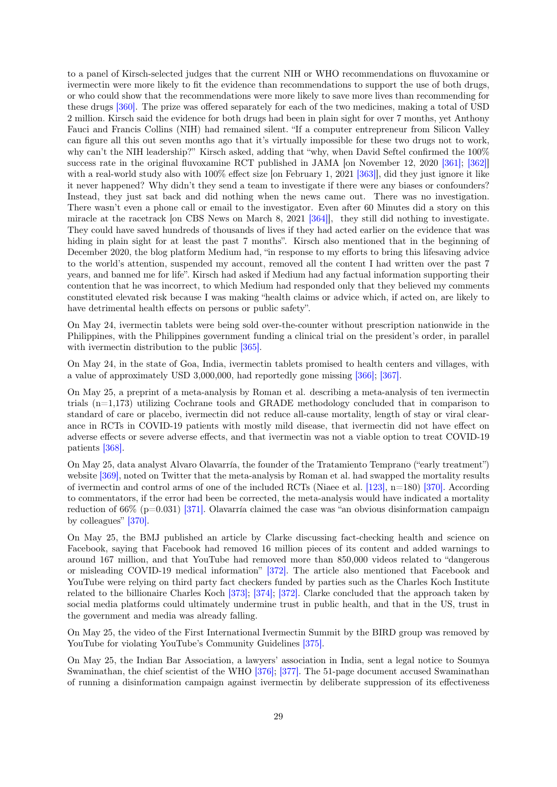to a panel of Kirsch-selected judges that the current NIH or WHO recommendations on fluvoxamine or ivermectin were more likely to fit the evidence than recommendations to support the use of both drugs, or who could show that the recommendations were more likely to save more lives than recommending for these drugs [\[360\].](#page-70-1) The prize was offered separately for each of the two medicines, making a total of USD 2 million. Kirsch said the evidence for both drugs had been in plain sight for over 7 months, yet Anthony Fauci and Francis Collins (NIH) had remained silent. "If a computer entrepreneur from Silicon Valley can figure all this out seven months ago that it's virtually impossible for these two drugs not to work, why can't the NIH leadership?" Kirsch asked, adding that "why, when David Seftel confirmed the 100% success rate in the original fluvoxamine RCT published in JAMA [on November 12, 2020 [\[361\];](#page-70-2) [\[362\]\]](#page-70-3) with a real-world study also with  $100\%$  effect size [on February 1, 2021 [\[363\]\]](#page-70-4), did they just ignore it like it never happened? Why didn't they send a team to investigate if there were any biases or confounders? Instead, they just sat back and did nothing when the news came out. There was no investigation. There wasn't even a phone call or email to the investigator. Even after 60 Minutes did a story on this miracle at the racetrack [on CBS News on March 8, 2021 [\[364\]\]](#page-70-5), they still did nothing to investigate. They could have saved hundreds of thousands of lives if they had acted earlier on the evidence that was hiding in plain sight for at least the past 7 months". Kirsch also mentioned that in the beginning of December 2020, the blog platform Medium had, "in response to my efforts to bring this lifesaving advice to the world's attention, suspended my account, removed all the content I had written over the past 7 years, and banned me for life". Kirsch had asked if Medium had any factual information supporting their contention that he was incorrect, to which Medium had responded only that they believed my comments constituted elevated risk because I was making "health claims or advice which, if acted on, are likely to have detrimental health effects on persons or public safety".

On May 24, ivermectin tablets were being sold over-the-counter without prescription nationwide in the Philippines, with the Philippines government funding a clinical trial on the president's order, in parallel with ivermectin distribution to the public  $[365]$ .

On May 24, in the state of Goa, India, ivermectin tablets promised to health centers and villages, with a value of approximately USD 3,000,000, had reportedly gone missing [\[366\];](#page-70-7) [\[367\].](#page-70-8)

On May 25, a preprint of a meta-analysis by Roman et al. describing a meta-analysis of ten ivermectin trials (n=1,173) utilizing Cochrane tools and GRADE methodology concluded that in comparison to standard of care or placebo, ivermectin did not reduce all-cause mortality, length of stay or viral clearance in RCTs in COVID-19 patients with mostly mild disease, that ivermectin did not have effect on adverse effects or severe adverse effects, and that ivermectin was not a viable option to treat COVID-19 patients [\[368\].](#page-70-9)

On May 25, data analyst Alvaro Olavarría, the founder of the Tratamiento Temprano ("early treatment") website [\[369\],](#page-70-10) noted on Twitter that the meta-analysis by Roman et al. had swapped the mortality results of ivermectin and control arms of one of the included RCTs (Niaee et al.  $[123]$ , n=180) [\[370\].](#page-70-11) According to commentators, if the error had been be corrected, the meta-analysis would have indicated a mortality reduction of  $66\%$  (p=0.031) [\[371\].](#page-70-12) Olavarría claimed the case was "an obvious disinformation campaign by colleagues" [\[370\].](#page-70-11)

On May 25, the BMJ published an article by Clarke discussing fact-checking health and science on Facebook, saying that Facebook had removed 16 million pieces of its content and added warnings to around 167 million, and that YouTube had removed more than 850,000 videos related to "dangerous or misleading COVID-19 medical information" [\[372\].](#page-70-13) The article also mentioned that Facebook and YouTube were relying on third party fact checkers funded by parties such as the Charles Koch Institute related to the billionaire Charles Koch [\[373\];](#page-70-14) [\[374\];](#page-71-0) [\[372\].](#page-70-13) Clarke concluded that the approach taken by social media platforms could ultimately undermine trust in public health, and that in the US, trust in the government and media was already falling.

On May 25, the video of the First International Ivermectin Summit by the BIRD group was removed by YouTube for violating YouTube's Community Guidelines [\[375\].](#page-71-1)

On May 25, the Indian Bar Association, a lawyers' association in India, sent a legal notice to Soumya Swaminathan, the chief scientist of the WHO [\[376\];](#page-71-2) [\[377\].](#page-71-3) The 51-page document accused Swaminathan of running a disinformation campaign against ivermectin by deliberate suppression of its effectiveness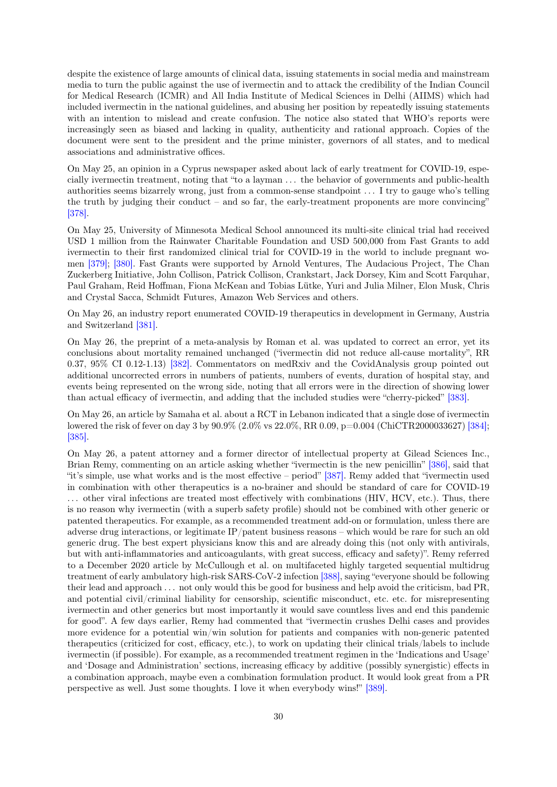despite the existence of large amounts of clinical data, issuing statements in social media and mainstream media to turn the public against the use of ivermectin and to attack the credibility of the Indian Council for Medical Research (ICMR) and All India Institute of Medical Sciences in Delhi (AIIMS) which had included ivermectin in the national guidelines, and abusing her position by repeatedly issuing statements with an intention to mislead and create confusion. The notice also stated that WHO's reports were increasingly seen as biased and lacking in quality, authenticity and rational approach. Copies of the document were sent to the president and the prime minister, governors of all states, and to medical associations and administrative offices.

On May 25, an opinion in a Cyprus newspaper asked about lack of early treatment for COVID-19, especially ivermectin treatment, noting that "to a layman . . . the behavior of governments and public-health authorities seems bizarrely wrong, just from a common-sense standpoint . . . I try to gauge who's telling the truth by judging their conduct – and so far, the early-treatment proponents are more convincing" [\[378\].](#page-71-4)

On May 25, University of Minnesota Medical School announced its multi-site clinical trial had received USD 1 million from the Rainwater Charitable Foundation and USD 500,000 from Fast Grants to add ivermectin to their first randomized clinical trial for COVID-19 in the world to include pregnant women [\[379\];](#page-71-5) [\[380\].](#page-71-6) Fast Grants were supported by Arnold Ventures, The Audacious Project, The Chan Zuckerberg Initiative, John Collison, Patrick Collison, Crankstart, Jack Dorsey, Kim and Scott Farquhar, Paul Graham, Reid Hoffman, Fiona McKean and Tobias Lütke, Yuri and Julia Milner, Elon Musk, Chris and Crystal Sacca, Schmidt Futures, Amazon Web Services and others.

On May 26, an industry report enumerated COVID-19 therapeutics in development in Germany, Austria and Switzerland [\[381\].](#page-71-7)

On May 26, the preprint of a meta-analysis by Roman et al. was updated to correct an error, yet its conclusions about mortality remained unchanged ("ivermectin did not reduce all-cause mortality", RR 0.37, 95% CI 0.12-1.13) [\[382\].](#page-71-8) Commentators on medRxiv and the CovidAnalysis group pointed out additional uncorrected errors in numbers of patients, numbers of events, duration of hospital stay, and events being represented on the wrong side, noting that all errors were in the direction of showing lower than actual efficacy of ivermectin, and adding that the included studies were "cherry-picked" [\[383\].](#page-71-9)

On May 26, an article by Samaha et al. about a RCT in Lebanon indicated that a single dose of ivermectin lowered the risk of fever on day 3 by 90.9% (2.0% vs 22.0%, RR 0.09, p=0.004 (ChiCTR2000033627) [\[384\];](#page-71-10) [\[385\].](#page-71-11)

On May 26, a patent attorney and a former director of intellectual property at Gilead Sciences Inc., Brian Remy, commenting on an article asking whether "ivermectin is the new penicillin" [\[386\],](#page-71-12) said that "it's simple, use what works and is the most effective – period" [\[387\].](#page-71-13) Remy added that "ivermectin used in combination with other therapeutics is a no-brainer and should be standard of care for COVID-19 . . . other viral infections are treated most effectively with combinations (HIV, HCV, etc.). Thus, there is no reason why ivermectin (with a superb safety profile) should not be combined with other generic or patented therapeutics. For example, as a recommended treatment add-on or formulation, unless there are adverse drug interactions, or legitimate IP/patent business reasons – which would be rare for such an old generic drug. The best expert physicians know this and are already doing this (not only with antivirals, but with anti-inflammatories and anticoagulants, with great success, efficacy and safety)". Remy referred to a December 2020 article by McCullough et al. on multifaceted highly targeted sequential multidrug treatment of early ambulatory high-risk SARS-CoV-2 infection [\[388\],](#page-72-0) saying "everyone should be following their lead and approach . . . not only would this be good for business and help avoid the criticism, bad PR, and potential civil/criminal liability for censorship, scientific misconduct, etc. etc. for misrepresenting ivermectin and other generics but most importantly it would save countless lives and end this pandemic for good". A few days earlier, Remy had commented that "ivermectin crushes Delhi cases and provides more evidence for a potential win/win solution for patients and companies with non-generic patented therapeutics (criticized for cost, efficacy, etc.), to work on updating their clinical trials/labels to include ivermectin (if possible). For example, as a recommended treatment regimen in the 'Indications and Usage' and 'Dosage and Administration' sections, increasing efficacy by additive (possibly synergistic) effects in a combination approach, maybe even a combination formulation product. It would look great from a PR perspective as well. Just some thoughts. I love it when everybody wins!" [\[389\].](#page-72-1)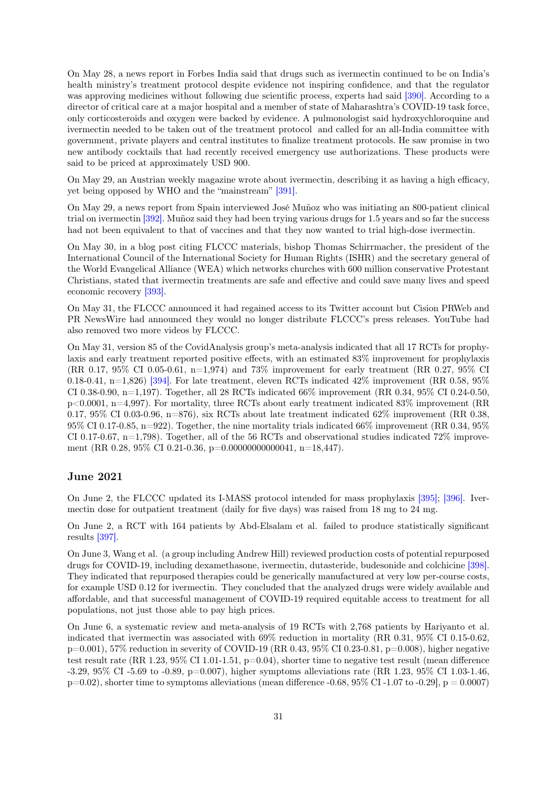On May 28, a news report in Forbes India said that drugs such as ivermectin continued to be on India's health ministry's treatment protocol despite evidence not inspiring confidence, and that the regulator was approving medicines without following due scientific process, experts had said [\[390\].](#page-72-2) According to a director of critical care at a major hospital and a member of state of Maharashtra's COVID-19 task force, only corticosteroids and oxygen were backed by evidence. A pulmonologist said hydroxychloroquine and ivermectin needed to be taken out of the treatment protocol and called for an all-India committee with government, private players and central institutes to finalize treatment protocols. He saw promise in two new antibody cocktails that had recently received emergency use authorizations. These products were said to be priced at approximately USD 900.

On May 29, an Austrian weekly magazine wrote about ivermectin, describing it as having a high efficacy, yet being opposed by WHO and the "mainstream" [\[391\].](#page-72-3)

On May 29, a news report from Spain interviewed José Muñoz who was initiating an 800-patient clinical trial on ivermectin [\[392\].](#page-72-4) Muñoz said they had been trying various drugs for 1.5 years and so far the success had not been equivalent to that of vaccines and that they now wanted to trial high-dose ivermectin.

On May 30, in a blog post citing FLCCC materials, bishop Thomas Schirrmacher, the president of the International Council of the International Society for Human Rights (ISHR) and the secretary general of the World Evangelical Alliance (WEA) which networks churches with 600 million conservative Protestant Christians, stated that ivermectin treatments are safe and effective and could save many lives and speed economic recovery [\[393\].](#page-72-5)

On May 31, the FLCCC announced it had regained access to its Twitter account but Cision PRWeb and PR NewsWire had announced they would no longer distribute FLCCC's press releases. YouTube had also removed two more videos by FLCCC.

On May 31, version 85 of the CovidAnalysis group's meta-analysis indicated that all 17 RCTs for prophylaxis and early treatment reported positive effects, with an estimated 83% improvement for prophylaxis (RR 0.17, 95% CI 0.05-0.61, n=1,974) and 73% improvement for early treatment (RR 0.27, 95% CI 0.18-0.41, n=1,826) [\[394\].](#page-72-6) For late treatment, eleven RCTs indicated  $42\%$  improvement (RR 0.58, 95%) CI 0.38-0.90, n=1,197). Together, all 28 RCTs indicated 66% improvement (RR 0.34, 95% CI 0.24-0.50, p<0.0001, n=4,997). For mortality, three RCTs about early treatment indicated 83% improvement (RR 0.17, 95% CI 0.03-0.96, n=876), six RCTs about late treatment indicated  $62\%$  improvement (RR 0.38, 95% CI 0.17-0.85, n=922). Together, the nine mortality trials indicated 66% improvement (RR 0.34, 95% CI 0.17-0.67,  $n=1,798$ ). Together, all of the 56 RCTs and observational studies indicated 72% improvement (RR 0.28, 95% CI 0.21-0.36, p=0.00000000000041, n=18,447).

# June 2021

On June 2, the FLCCC updated its I-MASS protocol intended for mass prophylaxis [\[395\];](#page-72-7) [\[396\].](#page-72-8) Ivermectin dose for outpatient treatment (daily for five days) was raised from 18 mg to 24 mg.

On June 2, a RCT with 164 patients by Abd-Elsalam et al. failed to produce statistically significant results [\[397\].](#page-72-9)

On June 3, Wang et al. (a group including Andrew Hill) reviewed production costs of potential repurposed drugs for COVID-19, including dexamethasone, ivermectin, dutasteride, budesonide and colchicine [\[398\].](#page-72-10) They indicated that repurposed therapies could be generically manufactured at very low per-course costs, for example USD 0.12 for ivermectin. They concluded that the analyzed drugs were widely available and affordable, and that successful management of COVID-19 required equitable access to treatment for all populations, not just those able to pay high prices.

On June 6, a systematic review and meta-analysis of 19 RCTs with 2,768 patients by Hariyanto et al. indicated that ivermectin was associated with 69% reduction in mortality (RR 0.31, 95% CI 0.15-0.62,  $p=0.001$ , 57% reduction in severity of COVID-19 (RR 0.43, 95% CI 0.23-0.81,  $p=0.008$ ), higher negative test result rate (RR 1.23, 95% CI 1.01-1.51, p=0.04), shorter time to negative test result (mean difference  $-3.29, 95\% \text{ CI } -5.69 \text{ to } -0.89, \text{ p=0.007}$ , higher symptoms alleviations rate (RR 1.23, 95% CI 1.03-1.46,  $p=0.02$ ), shorter time to symptoms alleviations (mean difference -0.68, 95% CI -1.07 to -0.29],  $p = 0.0007$ )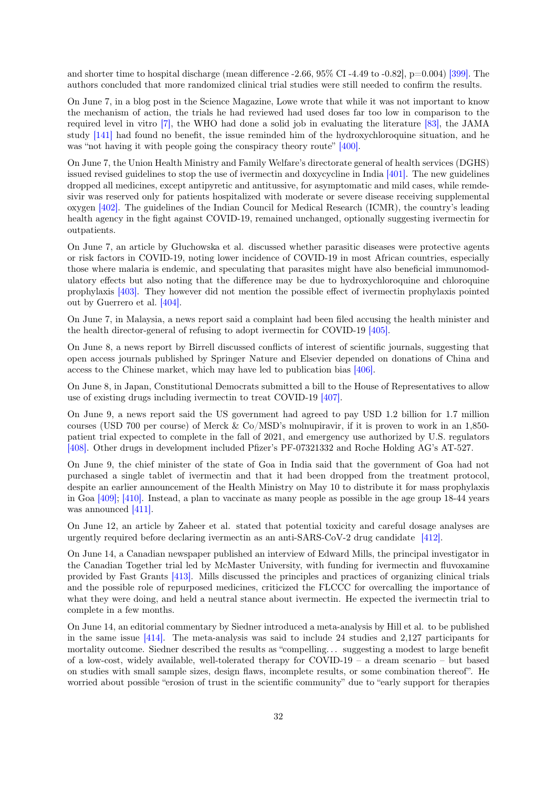and shorter time to hospital discharge (mean difference  $-2.66$ ,  $95\%$  CI  $-4.49$  to  $-0.82$ ),  $p=0.004$  [\[399\].](#page-72-11) The authors concluded that more randomized clinical trial studies were still needed to confirm the results.

On June 7, in a blog post in the Science Magazine, Lowe wrote that while it was not important to know the mechanism of action, the trials he had reviewed had used doses far too low in comparison to the required level in vitro [\[7\],](#page-47-6) the WHO had done a solid job in evaluating the literature [\[83\],](#page-52-3) the JAMA study [\[141\]](#page-55-14) had found no benefit, the issue reminded him of the hydroxychloroquine situation, and he was "not having it with people going the conspiracy theory route" [\[400\].](#page-72-12)

On June 7, the Union Health Ministry and Family Welfare's directorate general of health services (DGHS) issued revised guidelines to stop the use of ivermectin and doxycycline in India [\[401\].](#page-72-13) The new guidelines dropped all medicines, except antipyretic and antitussive, for asymptomatic and mild cases, while remdesivir was reserved only for patients hospitalized with moderate or severe disease receiving supplemental oxygen [\[402\].](#page-72-14) The guidelines of the Indian Council for Medical Research (ICMR), the country's leading health agency in the fight against COVID-19, remained unchanged, optionally suggesting ivermectin for outpatients.

On June 7, an article by Głuchowska et al. discussed whether parasitic diseases were protective agents or risk factors in COVID-19, noting lower incidence of COVID-19 in most African countries, especially those where malaria is endemic, and speculating that parasites might have also beneficial immunomodulatory effects but also noting that the difference may be due to hydroxychloroquine and chloroquine prophylaxis [\[403\].](#page-73-0) They however did not mention the possible effect of ivermectin prophylaxis pointed out by Guerrero et al. [\[404\].](#page-73-1)

On June 7, in Malaysia, a news report said a complaint had been filed accusing the health minister and the health director-general of refusing to adopt ivermectin for COVID-19 [\[405\].](#page-73-2)

On June 8, a news report by Birrell discussed conflicts of interest of scientific journals, suggesting that open access journals published by Springer Nature and Elsevier depended on donations of China and access to the Chinese market, which may have led to publication bias [\[406\].](#page-73-3)

On June 8, in Japan, Constitutional Democrats submitted a bill to the House of Representatives to allow use of existing drugs including ivermectin to treat COVID-19 [\[407\].](#page-73-4)

On June 9, a news report said the US government had agreed to pay USD 1.2 billion for 1.7 million courses (USD 700 per course) of Merck & Co/MSD's molnupiravir, if it is proven to work in an 1,850 patient trial expected to complete in the fall of 2021, and emergency use authorized by U.S. regulators [\[408\].](#page-73-5) Other drugs in development included Pfizer's PF-07321332 and Roche Holding AG's AT-527.

On June 9, the chief minister of the state of Goa in India said that the government of Goa had not purchased a single tablet of ivermectin and that it had been dropped from the treatment protocol, despite an earlier announcement of the Health Ministry on May 10 to distribute it for mass prophylaxis in Goa [\[409\];](#page-73-6) [\[410\].](#page-73-7) Instead, a plan to vaccinate as many people as possible in the age group 18-44 years was announced [\[411\].](#page-73-8)

On June 12, an article by Zaheer et al. stated that potential toxicity and careful dosage analyses are urgently required before declaring ivermectin as an anti-SARS-CoV-2 drug candidate [\[412\].](#page-73-9)

On June 14, a Canadian newspaper published an interview of Edward Mills, the principal investigator in the Canadian Together trial led by McMaster University, with funding for ivermectin and fluvoxamine provided by Fast Grants [\[413\].](#page-73-10) Mills discussed the principles and practices of organizing clinical trials and the possible role of repurposed medicines, criticized the FLCCC for overcalling the importance of what they were doing, and held a neutral stance about ivermectin. He expected the ivermectin trial to complete in a few months.

On June 14, an editorial commentary by Siedner introduced a meta-analysis by Hill et al. to be published in the same issue [\[414\].](#page-73-11) The meta-analysis was said to include 24 studies and 2,127 participants for mortality outcome. Siedner described the results as "compelling. . . suggesting a modest to large benefit of a low-cost, widely available, well-tolerated therapy for COVID-19 – a dream scenario – but based on studies with small sample sizes, design flaws, incomplete results, or some combination thereof". He worried about possible "erosion of trust in the scientific community" due to "early support for therapies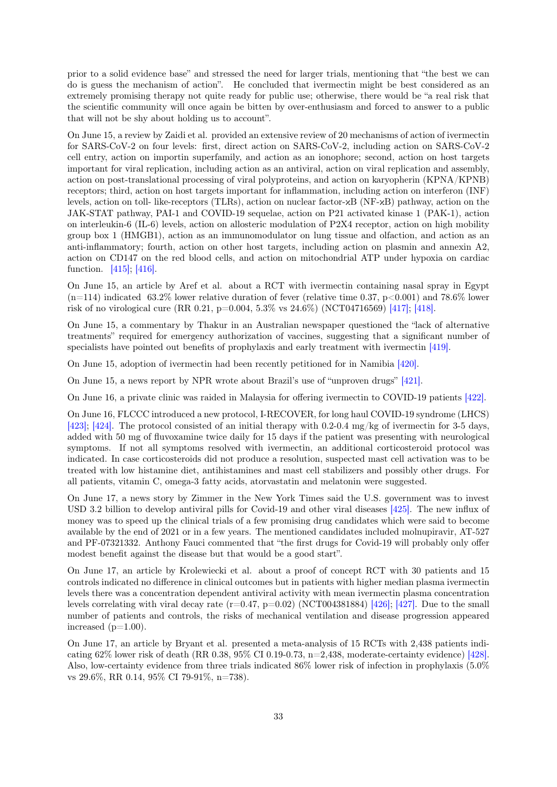prior to a solid evidence base" and stressed the need for larger trials, mentioning that "the best we can do is guess the mechanism of action". He concluded that ivermectin might be best considered as an extremely promising therapy not quite ready for public use; otherwise, there would be "a real risk that the scientific community will once again be bitten by over-enthusiasm and forced to answer to a public that will not be shy about holding us to account".

On June 15, a review by Zaidi et al. provided an extensive review of 20 mechanisms of action of ivermectin for SARS-CoV-2 on four levels: first, direct action on SARS-CoV-2, including action on SARS-CoV-2 cell entry, action on importin superfamily, and action as an ionophore; second, action on host targets important for viral replication, including action as an antiviral, action on viral replication and assembly, action on post-translational processing of viral polyproteins, and action on karyopherin (KPNA/KPNB) receptors; third, action on host targets important for inflammation, including action on interferon (INF) levels, action on toll- like-receptors (TLRs), action on nuclear factor-κB (NF-κB) pathway, action on the JAK-STAT pathway, PAI-1 and COVID-19 sequelae, action on P21 activated kinase 1 (PAK-1), action on interleukin-6 (IL-6) levels, action on allosteric modulation of P2X4 receptor, action on high mobility group box 1 (HMGB1), action as an immunomodulator on lung tissue and olfaction, and action as an anti-inflammatory; fourth, action on other host targets, including action on plasmin and annexin A2, action on CD147 on the red blood cells, and action on mitochondrial ATP under hypoxia on cardiac function. [\[415\];](#page-73-12) [\[416\].](#page-73-13)

On June 15, an article by Aref et al. about a RCT with ivermectin containing nasal spray in Egypt  $(n=114)$  indicated 63.2% lower relative duration of fever (relative time 0.37, p<0.001) and 78.6% lower risk of no virological cure (RR 0.21, p=0.004, 5.3% vs 24.6%) (NCT04716569) [\[417\];](#page-73-14) [\[418\].](#page-74-0)

On June 15, a commentary by Thakur in an Australian newspaper questioned the "lack of alternative treatments" required for emergency authorization of vaccines, suggesting that a significant number of specialists have pointed out benefits of prophylaxis and early treatment with ivermectin [\[419\].](#page-74-1)

On June 15, adoption of ivermectin had been recently petitioned for in Namibia [\[420\].](#page-74-2)

On June 15, a news report by NPR wrote about Brazil's use of "unproven drugs" [\[421\].](#page-74-3)

On June 16, a private clinic was raided in Malaysia for offering ivermectin to COVID-19 patients [\[422\].](#page-74-4)

On June 16, FLCCC introduced a new protocol, I-RECOVER, for long haul COVID-19 syndrome (LHCS) [\[423\];](#page-74-5) [\[424\].](#page-74-6) The protocol consisted of an initial therapy with 0.2-0.4 mg/kg of ivermectin for 3-5 days, added with 50 mg of fluvoxamine twice daily for 15 days if the patient was presenting with neurological symptoms. If not all symptoms resolved with ivermectin, an additional corticosteroid protocol was indicated. In case corticosteroids did not produce a resolution, suspected mast cell activation was to be treated with low histamine diet, antihistamines and mast cell stabilizers and possibly other drugs. For all patients, vitamin C, omega-3 fatty acids, atorvastatin and melatonin were suggested.

On June 17, a news story by Zimmer in the New York Times said the U.S. government was to invest USD 3.2 billion to develop antiviral pills for Covid-19 and other viral diseases [\[425\].](#page-74-7) The new influx of money was to speed up the clinical trials of a few promising drug candidates which were said to become available by the end of 2021 or in a few years. The mentioned candidates included molnupiravir, AT-527 and PF-07321332. Anthony Fauci commented that "the first drugs for Covid-19 will probably only offer modest benefit against the disease but that would be a good start".

On June 17, an article by Krolewiecki et al. about a proof of concept RCT with 30 patients and 15 controls indicated no difference in clinical outcomes but in patients with higher median plasma ivermectin levels there was a concentration dependent antiviral activity with mean ivermectin plasma concentration levels correlating with viral decay rate  $(r=0.47, p=0.02)$  (NCT004381884) [\[426\];](#page-74-8) [\[427\].](#page-74-9) Due to the small number of patients and controls, the risks of mechanical ventilation and disease progression appeared increased  $(p=1.00)$ .

On June 17, an article by Bryant et al. presented a meta-analysis of 15 RCTs with 2,438 patients indicating  $62\%$  lower risk of death (RR 0.38, 95% CI 0.19-0.73, n=2,438, moderate-certainty evidence) [\[428\].](#page-74-10) Also, low-certainty evidence from three trials indicated 86% lower risk of infection in prophylaxis (5.0% vs 29.6%, RR 0.14, 95% CI 79-91%, n=738).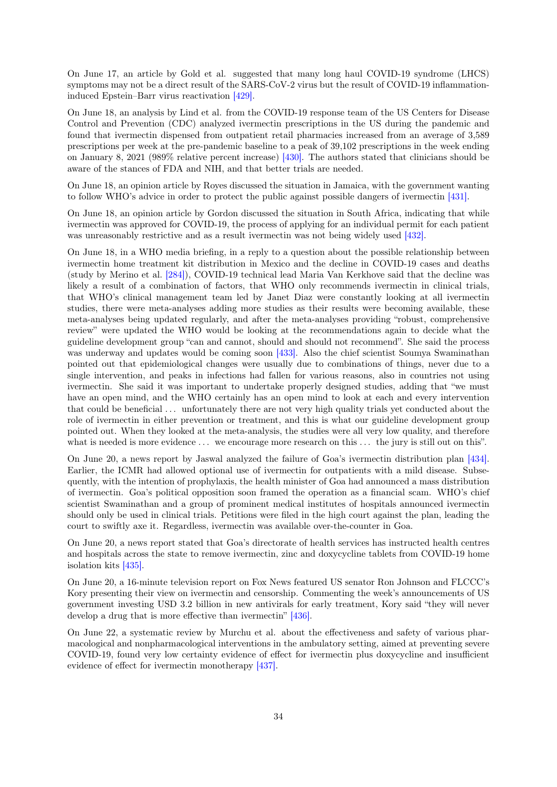On June 17, an article by Gold et al. suggested that many long haul COVID-19 syndrome (LHCS) symptoms may not be a direct result of the SARS-CoV-2 virus but the result of COVID-19 inflammationinduced Epstein–Barr virus reactivation [\[429\].](#page-74-11)

On June 18, an analysis by Lind et al. from the COVID-19 response team of the US Centers for Disease Control and Prevention (CDC) analyzed ivermectin prescriptions in the US during the pandemic and found that ivermectin dispensed from outpatient retail pharmacies increased from an average of 3,589 prescriptions per week at the pre-pandemic baseline to a peak of 39,102 prescriptions in the week ending on January 8, 2021 (989% relative percent increase) [\[430\].](#page-74-12) The authors stated that clinicians should be aware of the stances of FDA and NIH, and that better trials are needed.

On June 18, an opinion article by Royes discussed the situation in Jamaica, with the government wanting to follow WHO's advice in order to protect the public against possible dangers of ivermectin [\[431\].](#page-74-13)

On June 18, an opinion article by Gordon discussed the situation in South Africa, indicating that while ivermectin was approved for COVID-19, the process of applying for an individual permit for each patient was unreasonably restrictive and as a result ivermectin was not being widely used [\[432\].](#page-74-14)

On June 18, in a WHO media briefing, in a reply to a question about the possible relationship between ivermectin home treatment kit distribution in Mexico and the decline in COVID-19 cases and deaths (study by Merino et al. [\[284\]\)](#page-65-3), COVID-19 technical lead Maria Van Kerkhove said that the decline was likely a result of a combination of factors, that WHO only recommends ivermectin in clinical trials, that WHO's clinical management team led by Janet Diaz were constantly looking at all ivermectin studies, there were meta-analyses adding more studies as their results were becoming available, these meta-analyses being updated regularly, and after the meta-analyses providing "robust, comprehensive review" were updated the WHO would be looking at the recommendations again to decide what the guideline development group "can and cannot, should and should not recommend". She said the process was underway and updates would be coming soon [\[433\].](#page-75-0) Also the chief scientist Soumya Swaminathan pointed out that epidemiological changes were usually due to combinations of things, never due to a single intervention, and peaks in infections had fallen for various reasons, also in countries not using ivermectin. She said it was important to undertake properly designed studies, adding that "we must have an open mind, and the WHO certainly has an open mind to look at each and every intervention that could be beneficial . . . unfortunately there are not very high quality trials yet conducted about the role of ivermectin in either prevention or treatment, and this is what our guideline development group pointed out. When they looked at the meta-analysis, the studies were all very low quality, and therefore what is needed is more evidence  $\dots$  we encourage more research on this  $\dots$  the jury is still out on this".

On June 20, a news report by Jaswal analyzed the failure of Goa's ivermectin distribution plan [\[434\].](#page-75-1) Earlier, the ICMR had allowed optional use of ivermectin for outpatients with a mild disease. Subsequently, with the intention of prophylaxis, the health minister of Goa had announced a mass distribution of ivermectin. Goa's political opposition soon framed the operation as a financial scam. WHO's chief scientist Swaminathan and a group of prominent medical institutes of hospitals announced ivermectin should only be used in clinical trials. Petitions were filed in the high court against the plan, leading the court to swiftly axe it. Regardless, ivermectin was available over-the-counter in Goa.

On June 20, a news report stated that Goa's directorate of health services has instructed health centres and hospitals across the state to remove ivermectin, zinc and doxycycline tablets from COVID-19 home isolation kits [\[435\].](#page-75-2)

On June 20, a 16-minute television report on Fox News featured US senator Ron Johnson and FLCCC's Kory presenting their view on ivermectin and censorship. Commenting the week's announcements of US government investing USD 3.2 billion in new antivirals for early treatment, Kory said "they will never develop a drug that is more effective than ivermectin" [\[436\].](#page-75-3)

On June 22, a systematic review by Murchu et al. about the effectiveness and safety of various pharmacological and nonpharmacological interventions in the ambulatory setting, aimed at preventing severe COVID-19, found very low certainty evidence of effect for ivermectin plus doxycycline and insufficient evidence of effect for ivermectin monotherapy [\[437\].](#page-75-4)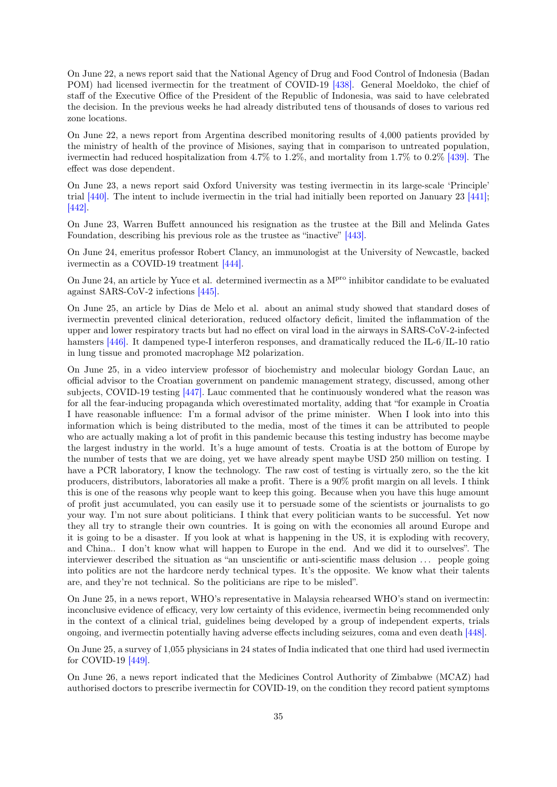On June 22, a news report said that the National Agency of Drug and Food Control of Indonesia (Badan POM) had licensed ivermectin for the treatment of COVID-19 [\[438\].](#page-75-5) General Moeldoko, the chief of staff of the Executive Office of the President of the Republic of Indonesia, was said to have celebrated the decision. In the previous weeks he had already distributed tens of thousands of doses to various red zone locations.

On June 22, a news report from Argentina described monitoring results of 4,000 patients provided by the ministry of health of the province of Misiones, saying that in comparison to untreated population, ivermectin had reduced hospitalization from 4.7% to 1.2%, and mortality from 1.7% to 0.2% [\[439\].](#page-75-6) The effect was dose dependent.

On June 23, a news report said Oxford University was testing ivermectin in its large-scale 'Principle' trial [\[440\].](#page-75-7) The intent to include ivermectin in the trial had initially been reported on January 23 [\[441\];](#page-75-8) [\[442\].](#page-75-9)

On June 23, Warren Buffett announced his resignation as the trustee at the Bill and Melinda Gates Foundation, describing his previous role as the trustee as "inactive" [\[443\].](#page-75-10)

On June 24, emeritus professor Robert Clancy, an immunologist at the University of Newcastle, backed ivermectin as a COVID-19 treatment [\[444\].](#page-75-11)

On June 24, an article by Yuce et al. determined ivermectin as a M<sup>pro</sup> inhibitor candidate to be evaluated against SARS-CoV-2 infections [\[445\].](#page-75-12)

On June 25, an article by Dias de Melo et al. about an animal study showed that standard doses of ivermectin prevented clinical deterioration, reduced olfactory deficit, limited the inflammation of the upper and lower respiratory tracts but had no effect on viral load in the airways in SARS-CoV-2-infected hamsters [\[446\].](#page-75-13) It dampened type-I interferon responses, and dramatically reduced the IL-6/IL-10 ratio in lung tissue and promoted macrophage M2 polarization.

On June 25, in a video interview professor of biochemistry and molecular biology Gordan Lauc, an official advisor to the Croatian government on pandemic management strategy, discussed, among other subjects, COVID-19 testing [\[447\].](#page-75-14) Lauc commented that he continuously wondered what the reason was for all the fear-inducing propaganda which overestimated mortality, adding that "for example in Croatia I have reasonable influence: I'm a formal advisor of the prime minister. When I look into into this information which is being distributed to the media, most of the times it can be attributed to people who are actually making a lot of profit in this pandemic because this testing industry has become maybe the largest industry in the world. It's a huge amount of tests. Croatia is at the bottom of Europe by the number of tests that we are doing, yet we have already spent maybe USD 250 million on testing. I have a PCR laboratory, I know the technology. The raw cost of testing is virtually zero, so the the kit producers, distributors, laboratories all make a profit. There is a 90% profit margin on all levels. I think this is one of the reasons why people want to keep this going. Because when you have this huge amount of profit just accumulated, you can easily use it to persuade some of the scientists or journalists to go your way. I'm not sure about politicians. I think that every politician wants to be successful. Yet now they all try to strangle their own countries. It is going on with the economies all around Europe and it is going to be a disaster. If you look at what is happening in the US, it is exploding with recovery, and China.. I don't know what will happen to Europe in the end. And we did it to ourselves". The interviewer described the situation as "an unscientific or anti-scientific mass delusion . . . people going into politics are not the hardcore nerdy technical types. It's the opposite. We know what their talents are, and they're not technical. So the politicians are ripe to be misled".

On June 25, in a news report, WHO's representative in Malaysia rehearsed WHO's stand on ivermectin: inconclusive evidence of efficacy, very low certainty of this evidence, ivermectin being recommended only in the context of a clinical trial, guidelines being developed by a group of independent experts, trials ongoing, and ivermectin potentially having adverse effects including seizures, coma and even death [\[448\].](#page-76-0)

On June 25, a survey of 1,055 physicians in 24 states of India indicated that one third had used ivermectin for COVID-19 [\[449\].](#page-76-1)

On June 26, a news report indicated that the Medicines Control Authority of Zimbabwe (MCAZ) had authorised doctors to prescribe ivermectin for COVID-19, on the condition they record patient symptoms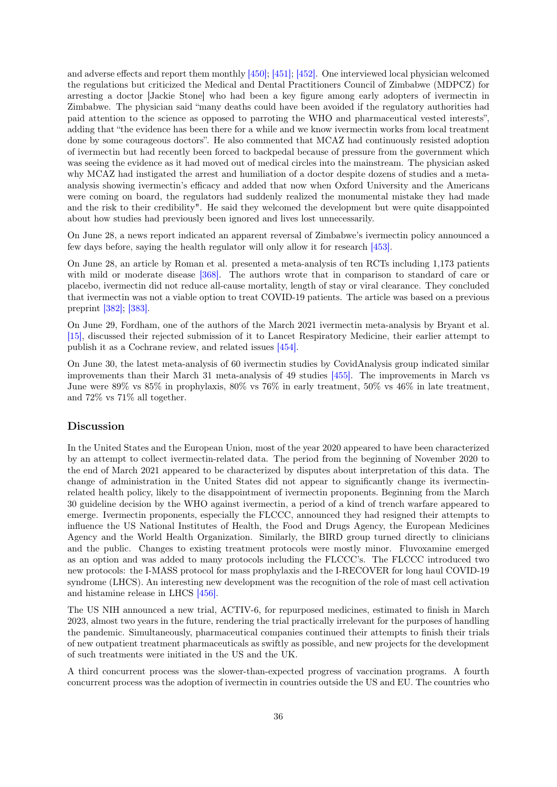and adverse effects and report them monthly [\[450\];](#page-76-2) [\[451\];](#page-76-3) [\[452\].](#page-76-4) One interviewed local physician welcomed the regulations but criticized the Medical and Dental Practitioners Council of Zimbabwe (MDPCZ) for arresting a doctor [Jackie Stone] who had been a key figure among early adopters of ivermectin in Zimbabwe. The physician said "many deaths could have been avoided if the regulatory authorities had paid attention to the science as opposed to parroting the WHO and pharmaceutical vested interests", adding that "the evidence has been there for a while and we know ivermectin works from local treatment done by some courageous doctors". He also commented that MCAZ had continuously resisted adoption of ivermectin but had recently been forced to backpedal because of pressure from the government which was seeing the evidence as it had moved out of medical circles into the mainstream. The physician asked why MCAZ had instigated the arrest and humiliation of a doctor despite dozens of studies and a metaanalysis showing ivermectin's efficacy and added that now when Oxford University and the Americans were coming on board, the regulators had suddenly realized the monumental mistake they had made and the risk to their credibility". He said they welcomed the development but were quite disappointed about how studies had previously been ignored and lives lost unnecessarily.

On June 28, a news report indicated an apparent reversal of Zimbabwe's ivermectin policy announced a few days before, saying the health regulator will only allow it for research [\[453\].](#page-76-5)

On June 28, an article by Roman et al. presented a meta-analysis of ten RCTs including 1,173 patients with mild or moderate disease [\[368\].](#page-70-9) The authors wrote that in comparison to standard of care or placebo, ivermectin did not reduce all-cause mortality, length of stay or viral clearance. They concluded that ivermectin was not a viable option to treat COVID-19 patients. The article was based on a previous preprint [\[382\];](#page-71-8) [\[383\].](#page-71-9)

On June 29, Fordham, one of the authors of the March 2021 ivermectin meta-analysis by Bryant et al. [\[15\],](#page-47-14) discussed their rejected submission of it to Lancet Respiratory Medicine, their earlier attempt to publish it as a Cochrane review, and related issues [\[454\].](#page-76-6)

On June 30, the latest meta-analysis of 60 ivermectin studies by CovidAnalysis group indicated similar improvements than their March 31 meta-analysis of 49 studies [\[455\].](#page-76-7) The improvements in March vs June were 89% vs 85% in prophylaxis, 80% vs 76% in early treatment, 50% vs 46% in late treatment, and 72% vs 71% all together.

## Discussion

In the United States and the European Union, most of the year 2020 appeared to have been characterized by an attempt to collect ivermectin-related data. The period from the beginning of November 2020 to the end of March 2021 appeared to be characterized by disputes about interpretation of this data. The change of administration in the United States did not appear to significantly change its ivermectinrelated health policy, likely to the disappointment of ivermectin proponents. Beginning from the March 30 guideline decision by the WHO against ivermectin, a period of a kind of trench warfare appeared to emerge. Ivermectin proponents, especially the FLCCC, announced they had resigned their attempts to influence the US National Institutes of Health, the Food and Drugs Agency, the European Medicines Agency and the World Health Organization. Similarly, the BIRD group turned directly to clinicians and the public. Changes to existing treatment protocols were mostly minor. Fluvoxamine emerged as an option and was added to many protocols including the FLCCC's. The FLCCC introduced two new protocols: the I-MASS protocol for mass prophylaxis and the I-RECOVER for long haul COVID-19 syndrome (LHCS). An interesting new development was the recognition of the role of mast cell activation and histamine release in LHCS [\[456\].](#page-76-8)

The US NIH announced a new trial, ACTIV-6, for repurposed medicines, estimated to finish in March 2023, almost two years in the future, rendering the trial practically irrelevant for the purposes of handling the pandemic. Simultaneously, pharmaceutical companies continued their attempts to finish their trials of new outpatient treatment pharmaceuticals as swiftly as possible, and new projects for the development of such treatments were initiated in the US and the UK.

A third concurrent process was the slower-than-expected progress of vaccination programs. A fourth concurrent process was the adoption of ivermectin in countries outside the US and EU. The countries who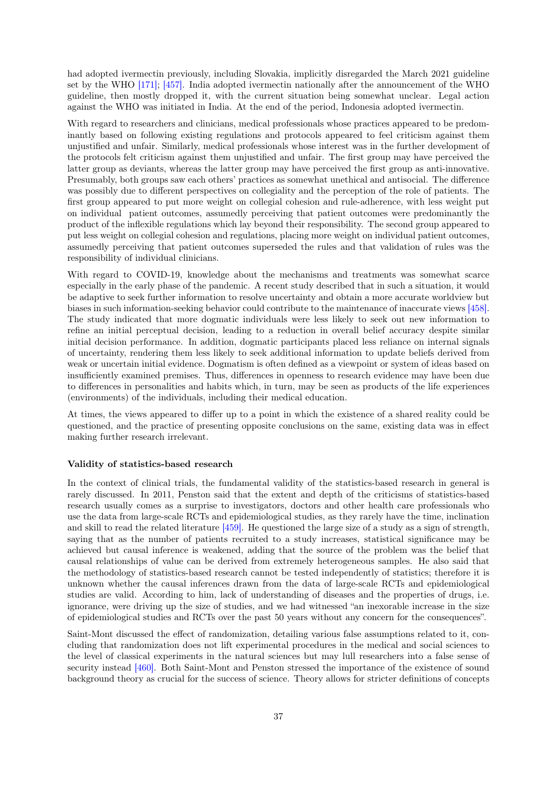had adopted ivermectin previously, including Slovakia, implicitly disregarded the March 2021 guideline set by the WHO [\[171\];](#page-57-0) [\[457\].](#page-76-0) India adopted ivermectin nationally after the announcement of the WHO guideline, then mostly dropped it, with the current situation being somewhat unclear. Legal action against the WHO was initiated in India. At the end of the period, Indonesia adopted ivermectin.

With regard to researchers and clinicians, medical professionals whose practices appeared to be predominantly based on following existing regulations and protocols appeared to feel criticism against them unjustified and unfair. Similarly, medical professionals whose interest was in the further development of the protocols felt criticism against them unjustified and unfair. The first group may have perceived the latter group as deviants, whereas the latter group may have perceived the first group as anti-innovative. Presumably, both groups saw each others' practices as somewhat unethical and antisocial. The difference was possibly due to different perspectives on collegiality and the perception of the role of patients. The first group appeared to put more weight on collegial cohesion and rule-adherence, with less weight put on individual patient outcomes, assumedly perceiving that patient outcomes were predominantly the product of the inflexible regulations which lay beyond their responsibility. The second group appeared to put less weight on collegial cohesion and regulations, placing more weight on individual patient outcomes, assumedly perceiving that patient outcomes superseded the rules and that validation of rules was the responsibility of individual clinicians.

With regard to COVID-19, knowledge about the mechanisms and treatments was somewhat scarce especially in the early phase of the pandemic. A recent study described that in such a situation, it would be adaptive to seek further information to resolve uncertainty and obtain a more accurate worldview but biases in such information-seeking behavior could contribute to the maintenance of inaccurate views [\[458\].](#page-76-1) The study indicated that more dogmatic individuals were less likely to seek out new information to refine an initial perceptual decision, leading to a reduction in overall belief accuracy despite similar initial decision performance. In addition, dogmatic participants placed less reliance on internal signals of uncertainty, rendering them less likely to seek additional information to update beliefs derived from weak or uncertain initial evidence. Dogmatism is often defined as a viewpoint or system of ideas based on insufficiently examined premises. Thus, differences in openness to research evidence may have been due to differences in personalities and habits which, in turn, may be seen as products of the life experiences (environments) of the individuals, including their medical education.

At times, the views appeared to differ up to a point in which the existence of a shared reality could be questioned, and the practice of presenting opposite conclusions on the same, existing data was in effect making further research irrelevant.

### Validity of statistics-based research

In the context of clinical trials, the fundamental validity of the statistics-based research in general is rarely discussed. In 2011, Penston said that the extent and depth of the criticisms of statistics-based research usually comes as a surprise to investigators, doctors and other health care professionals who use the data from large-scale RCTs and epidemiological studies, as they rarely have the time, inclination and skill to read the related literature [\[459\].](#page-76-2) He questioned the large size of a study as a sign of strength, saying that as the number of patients recruited to a study increases, statistical significance may be achieved but causal inference is weakened, adding that the source of the problem was the belief that causal relationships of value can be derived from extremely heterogeneous samples. He also said that the methodology of statistics-based research cannot be tested independently of statistics; therefore it is unknown whether the causal inferences drawn from the data of large-scale RCTs and epidemiological studies are valid. According to him, lack of understanding of diseases and the properties of drugs, i.e. ignorance, were driving up the size of studies, and we had witnessed "an inexorable increase in the size of epidemiological studies and RCTs over the past 50 years without any concern for the consequences".

Saint-Mont discussed the effect of randomization, detailing various false assumptions related to it, concluding that randomization does not lift experimental procedures in the medical and social sciences to the level of classical experiments in the natural sciences but may lull researchers into a false sense of security instead [\[460\].](#page-76-3) Both Saint-Mont and Penston stressed the importance of the existence of sound background theory as crucial for the success of science. Theory allows for stricter definitions of concepts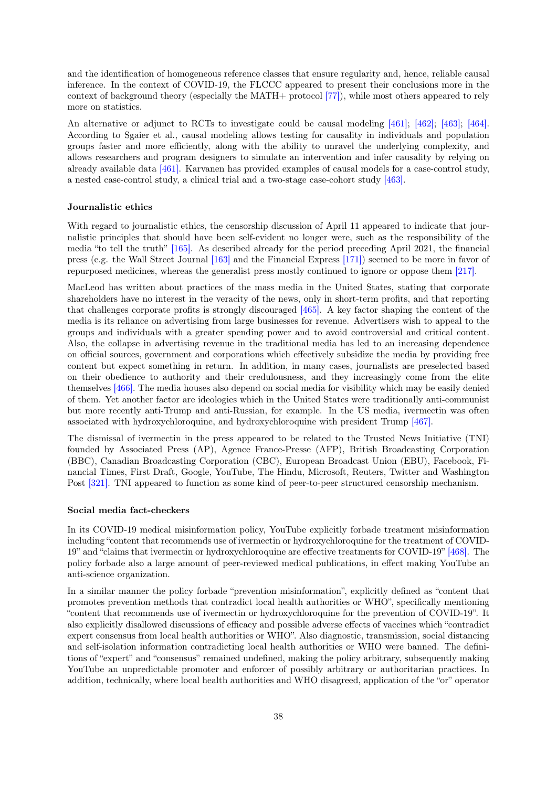and the identification of homogeneous reference classes that ensure regularity and, hence, reliable causal inference. In the context of COVID-19, the FLCCC appeared to present their conclusions more in the context of background theory (especially the MATH+ protocol [\[77\]\)](#page-51-0), while most others appeared to rely more on statistics.

An alternative or adjunct to RCTs to investigate could be causal modeling [\[461\];](#page-76-4) [\[462\];](#page-76-5) [\[463\];](#page-76-6) [\[464\].](#page-77-0) According to Sgaier et al., causal modeling allows testing for causality in individuals and population groups faster and more efficiently, along with the ability to unravel the underlying complexity, and allows researchers and program designers to simulate an intervention and infer causality by relying on already available data [\[461\].](#page-76-4) Karvanen has provided examples of causal models for a case-control study, a nested case-control study, a clinical trial and a two-stage case-cohort study [\[463\].](#page-76-6)

### Journalistic ethics

With regard to journalistic ethics, the censorship discussion of April 11 appeared to indicate that journalistic principles that should have been self-evident no longer were, such as the responsibility of the media "to tell the truth" [\[165\].](#page-57-1) As described already for the period preceding April 2021, the financial press (e.g. the Wall Street Journal [\[163\]](#page-57-2) and the Financial Express [\[171\]\)](#page-57-0) seemed to be more in favor of repurposed medicines, whereas the generalist press mostly continued to ignore or oppose them [\[217\].](#page-60-0)

MacLeod has written about practices of the mass media in the United States, stating that corporate shareholders have no interest in the veracity of the news, only in short-term profits, and that reporting that challenges corporate profits is strongly discouraged [\[465\].](#page-77-1) A key factor shaping the content of the media is its reliance on advertising from large businesses for revenue. Advertisers wish to appeal to the groups and individuals with a greater spending power and to avoid controversial and critical content. Also, the collapse in advertising revenue in the traditional media has led to an increasing dependence on official sources, government and corporations which effectively subsidize the media by providing free content but expect something in return. In addition, in many cases, journalists are preselected based on their obedience to authority and their credulousness, and they increasingly come from the elite themselves [\[466\].](#page-77-2) The media houses also depend on social media for visibility which may be easily denied of them. Yet another factor are ideologies which in the United States were traditionally anti-communist but more recently anti-Trump and anti-Russian, for example. In the US media, ivermectin was often associated with hydroxychloroquine, and hydroxychloroquine with president Trump [\[467\].](#page-77-3)

The dismissal of ivermectin in the press appeared to be related to the Trusted News Initiative (TNI) founded by Associated Press (AP), Agence France-Presse (AFP), British Broadcasting Corporation (BBC), Canadian Broadcasting Corporation (CBC), European Broadcast Union (EBU), Facebook, Financial Times, First Draft, Google, YouTube, The Hindu, Microsoft, Reuters, Twitter and Washington Post [\[321\].](#page-67-0) TNI appeared to function as some kind of peer-to-peer structured censorship mechanism.

#### Social media fact-checkers

In its COVID-19 medical misinformation policy, YouTube explicitly forbade treatment misinformation including "content that recommends use of ivermectin or hydroxychloroquine for the treatment of COVID-19" and "claims that ivermectin or hydroxychloroquine are effective treatments for COVID-19" [\[468\].](#page-77-4) The policy forbade also a large amount of peer-reviewed medical publications, in effect making YouTube an anti-science organization.

In a similar manner the policy forbade "prevention misinformation", explicitly defined as "content that promotes prevention methods that contradict local health authorities or WHO", specifically mentioning "content that recommends use of ivermectin or hydroxychloroquine for the prevention of COVID-19". It also explicitly disallowed discussions of efficacy and possible adverse effects of vaccines which "contradict expert consensus from local health authorities or WHO". Also diagnostic, transmission, social distancing and self-isolation information contradicting local health authorities or WHO were banned. The definitions of "expert" and "consensus" remained undefined, making the policy arbitrary, subsequently making YouTube an unpredictable promoter and enforcer of possibly arbitrary or authoritarian practices. In addition, technically, where local health authorities and WHO disagreed, application of the "or" operator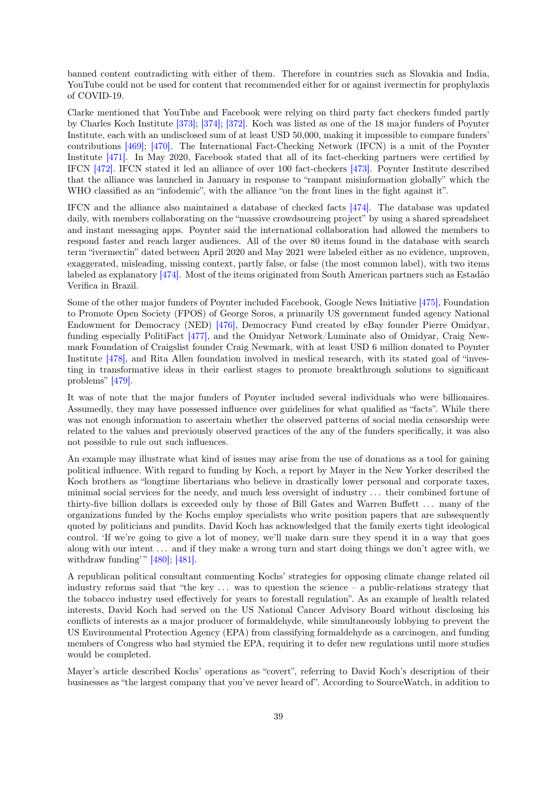banned content contradicting with either of them. Therefore in countries such as Slovakia and India, YouTube could not be used for content that recommended either for or against ivermectin for prophylaxis of COVID-19.

Clarke mentioned that YouTube and Facebook were relying on third party fact checkers funded partly by Charles Koch Institute [\[373\];](#page-70-0) [\[374\];](#page-71-0) [\[372\].](#page-70-1) Koch was listed as one of the 18 major funders of Poynter Institute, each with an undisclosed sum of at least USD 50,000, making it impossible to compare funders' contributions [\[469\];](#page-77-5) [\[470\].](#page-77-6) The International Fact-Checking Network (IFCN) is a unit of the Poynter Institute [\[471\].](#page-77-7) In May 2020, Facebook stated that all of its fact-checking partners were certified by IFCN [\[472\].](#page-77-8) IFCN stated it led an alliance of over 100 fact-checkers [\[473\].](#page-77-9) Poynter Institute described that the alliance was launched in January in response to "rampant misinformation globally" which the WHO classified as an "infodemic", with the alliance "on the front lines in the fight against it".

IFCN and the alliance also maintained a database of checked facts [\[474\].](#page-77-10) The database was updated daily, with members collaborating on the "massive crowdsourcing project" by using a shared spreadsheet and instant messaging apps. Poynter said the international collaboration had allowed the members to respond faster and reach larger audiences. All of the over 80 items found in the database with search term "ivermectin" dated between April 2020 and May 2021 were labeled either as no evidence, unproven, exaggerated, misleading, missing context, partly false, or false (the most common label), with two items labeled as explanatory [\[474\].](#page-77-10) Most of the items originated from South American partners such as Estadão Verifica in Brazil.

Some of the other major funders of Poynter included Facebook, Google News Initiative [\[475\],](#page-77-11) Foundation to Promote Open Society (FPOS) of George Soros, a primarily US government funded agency National Endowment for Democracy (NED) [\[476\],](#page-77-12) Democracy Fund created by eBay founder Pierre Omidyar, funding especially PolitiFact [\[477\],](#page-77-13) and the Omidyar Network/Luminate also of Omidyar, Craig Newmark Foundation of Craigslist founder Craig Newmark, with at least USD 6 million donated to Poynter Institute [\[478\],](#page-77-14) and Rita Allen foundation involved in medical research, with its stated goal of "investing in transformative ideas in their earliest stages to promote breakthrough solutions to significant problems" [\[479\].](#page-77-15)

It was of note that the major funders of Poynter included several individuals who were billionaires. Assumedly, they may have possessed influence over guidelines for what qualified as "facts". While there was not enough information to ascertain whether the observed patterns of social media censorship were related to the values and previously observed practices of the any of the funders specifically, it was also not possible to rule out such influences.

An example may illustrate what kind of issues may arise from the use of donations as a tool for gaining political influence. With regard to funding by Koch, a report by Mayer in the New Yorker described the Koch brothers as "longtime libertarians who believe in drastically lower personal and corporate taxes, minimal social services for the needy, and much less oversight of industry . . . their combined fortune of thirty-five billion dollars is exceeded only by those of Bill Gates and Warren Buffett . . . many of the organizations funded by the Kochs employ specialists who write position papers that are subsequently quoted by politicians and pundits. David Koch has acknowledged that the family exerts tight ideological control. 'If we're going to give a lot of money, we'll make darn sure they spend it in a way that goes along with our intent . . . and if they make a wrong turn and start doing things we don't agree with, we withdraw funding'"  $[480]$ ;  $[481]$ .

A republican political consultant commenting Kochs' strategies for opposing climate change related oil industry reforms said that "the key . . . was to question the science – a public-relations strategy that the tobacco industry used effectively for years to forestall regulation". As an example of health related interests, David Koch had served on the US National Cancer Advisory Board without disclosing his conflicts of interests as a major producer of formaldehyde, while simultaneously lobbying to prevent the US Environmental Protection Agency (EPA) from classifying formaldehyde as a carcinogen, and funding members of Congress who had stymied the EPA, requiring it to defer new regulations until more studies would be completed.

Mayer's article described Kochs' operations as "covert", referring to David Koch's description of their businesses as "the largest company that you've never heard of". According to SourceWatch, in addition to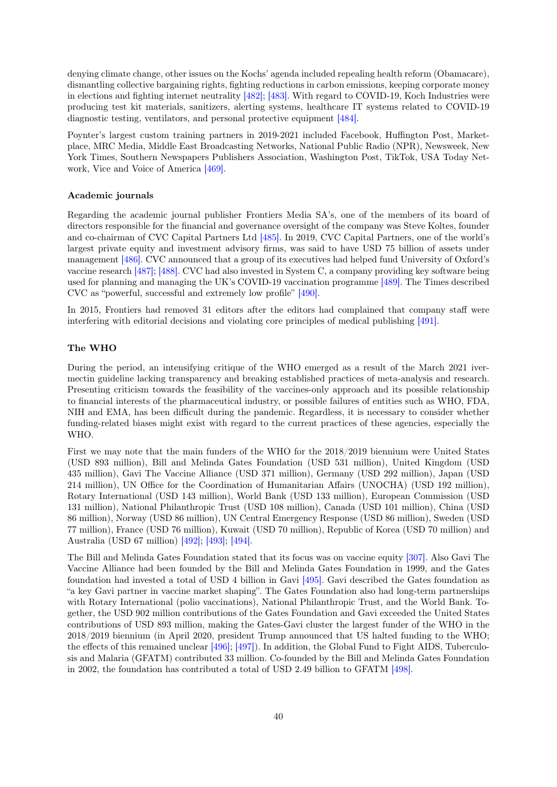denying climate change, other issues on the Kochs' agenda included repealing health reform (Obamacare), dismantling collective bargaining rights, fighting reductions in carbon emissions, keeping corporate money in elections and fighting internet neutrality [\[482\];](#page-78-1) [\[483\].](#page-78-2) With regard to COVID-19, Koch Industries were producing test kit materials, sanitizers, alerting systems, healthcare IT systems related to COVID-19 diagnostic testing, ventilators, and personal protective equipment [\[484\].](#page-78-3)

Poynter's largest custom training partners in 2019-2021 included Facebook, Huffington Post, Marketplace, MRC Media, Middle East Broadcasting Networks, National Public Radio (NPR), Newsweek, New York Times, Southern Newspapers Publishers Association, Washington Post, TikTok, USA Today Network, Vice and Voice of America [\[469\].](#page-77-5)

#### Academic journals

Regarding the academic journal publisher Frontiers Media SA's, one of the members of its board of directors responsible for the financial and governance oversight of the company was Steve Koltes, founder and co-chairman of CVC Capital Partners Ltd [\[485\].](#page-78-4) In 2019, CVC Capital Partners, one of the world's largest private equity and investment advisory firms, was said to have USD 75 billion of assets under management [\[486\].](#page-78-5) CVC announced that a group of its executives had helped fund University of Oxford's vaccine research [\[487\];](#page-78-6) [\[488\].](#page-78-7) CVC had also invested in System C, a company providing key software being used for planning and managing the UK's COVID-19 vaccination programme [\[489\].](#page-78-8) The Times described CVC as "powerful, successful and extremely low profile" [\[490\].](#page-78-9)

In 2015, Frontiers had removed 31 editors after the editors had complained that company staff were interfering with editorial decisions and violating core principles of medical publishing [\[491\].](#page-78-10)

## The WHO

During the period, an intensifying critique of the WHO emerged as a result of the March 2021 ivermectin guideline lacking transparency and breaking established practices of meta-analysis and research. Presenting criticism towards the feasibility of the vaccines-only approach and its possible relationship to financial interests of the pharmaceutical industry, or possible failures of entities such as WHO, FDA, NIH and EMA, has been difficult during the pandemic. Regardless, it is necessary to consider whether funding-related biases might exist with regard to the current practices of these agencies, especially the WHO.

First we may note that the main funders of the WHO for the 2018/2019 biennium were United States (USD 893 million), Bill and Melinda Gates Foundation (USD 531 million), United Kingdom (USD 435 million), Gavi The Vaccine Alliance (USD 371 million), Germany (USD 292 million), Japan (USD 214 million), UN Office for the Coordination of Humanitarian Affairs (UNOCHA) (USD 192 million), Rotary International (USD 143 million), World Bank (USD 133 million), European Commission (USD 131 million), National Philanthropic Trust (USD 108 million), Canada (USD 101 million), China (USD 86 million), Norway (USD 86 million), UN Central Emergency Response (USD 86 million), Sweden (USD 77 million), France (USD 76 million), Kuwait (USD 70 million), Republic of Korea (USD 70 million) and Australia (USD 67 million) [\[492\];](#page-78-11) [\[493\];](#page-78-12) [\[494\].](#page-78-13)

The Bill and Melinda Gates Foundation stated that its focus was on vaccine equity [\[307\].](#page-66-0) Also Gavi The Vaccine Alliance had been founded by the Bill and Melinda Gates Foundation in 1999, and the Gates foundation had invested a total of USD 4 billion in Gavi [\[495\].](#page-78-14) Gavi described the Gates foundation as "a key Gavi partner in vaccine market shaping". The Gates Foundation also had long-term partnerships with Rotary International (polio vaccinations), National Philanthropic Trust, and the World Bank. Together, the USD 902 million contributions of the Gates Foundation and Gavi exceeded the United States contributions of USD 893 million, making the Gates-Gavi cluster the largest funder of the WHO in the 2018/2019 biennium (in April 2020, president Trump announced that US halted funding to the WHO; the effects of this remained unclear [\[496\];](#page-78-15) [\[497\]\)](#page-78-16). In addition, the Global Fund to Fight AIDS, Tuberculosis and Malaria (GFATM) contributed 33 million. Co-founded by the Bill and Melinda Gates Foundation in 2002, the foundation has contributed a total of USD 2.49 billion to GFATM [\[498\].](#page-78-17)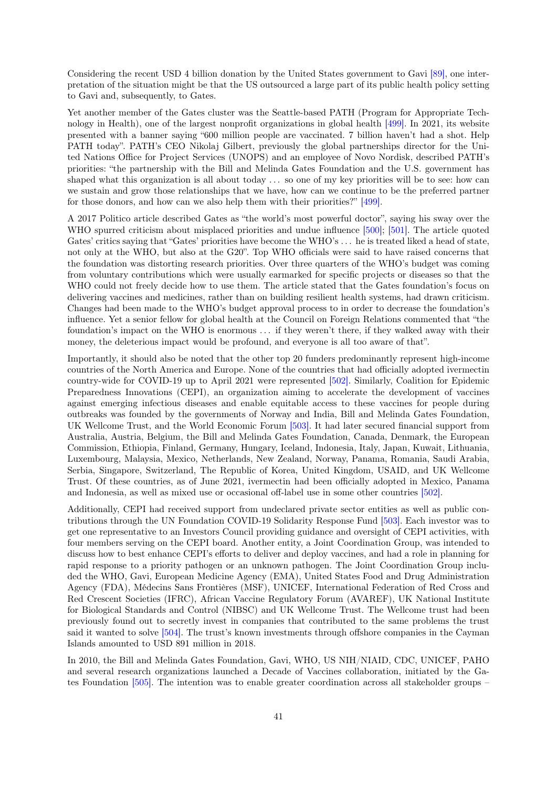Considering the recent USD 4 billion donation by the United States government to Gavi [\[89\],](#page-52-0) one interpretation of the situation might be that the US outsourced a large part of its public health policy setting to Gavi and, subsequently, to Gates.

Yet another member of the Gates cluster was the Seattle-based PATH (Program for Appropriate Technology in Health), one of the largest nonprofit organizations in global health [\[499\].](#page-79-0) In 2021, its website presented with a banner saying "600 million people are vaccinated. 7 billion haven't had a shot. Help PATH today". PATH's CEO Nikolaj Gilbert, previously the global partnerships director for the United Nations Office for Project Services (UNOPS) and an employee of Novo Nordisk, described PATH's priorities: "the partnership with the Bill and Melinda Gates Foundation and the U.S. government has shaped what this organization is all about today . . . so one of my key priorities will be to see: how can we sustain and grow those relationships that we have, how can we continue to be the preferred partner for those donors, and how can we also help them with their priorities?" [\[499\].](#page-79-0)

A 2017 Politico article described Gates as "the world's most powerful doctor", saying his sway over the WHO spurred criticism about misplaced priorities and undue influence [\[500\];](#page-79-1) [\[501\].](#page-79-2) The article quoted Gates' critics saying that "Gates' priorities have become the WHO's ... he is treated liked a head of state, not only at the WHO, but also at the G20". Top WHO officials were said to have raised concerns that the foundation was distorting research priorities. Over three quarters of the WHO's budget was coming from voluntary contributions which were usually earmarked for specific projects or diseases so that the WHO could not freely decide how to use them. The article stated that the Gates foundation's focus on delivering vaccines and medicines, rather than on building resilient health systems, had drawn criticism. Changes had been made to the WHO's budget approval process to in order to decrease the foundation's influence. Yet a senior fellow for global health at the Council on Foreign Relations commented that "the foundation's impact on the WHO is enormous . . . if they weren't there, if they walked away with their money, the deleterious impact would be profound, and everyone is all too aware of that".

Importantly, it should also be noted that the other top 20 funders predominantly represent high-income countries of the North America and Europe. None of the countries that had officially adopted ivermectin country-wide for COVID-19 up to April 2021 were represented [\[502\].](#page-79-3) Similarly, Coalition for Epidemic Preparedness Innovations (CEPI), an organization aiming to accelerate the development of vaccines against emerging infectious diseases and enable equitable access to these vaccines for people during outbreaks was founded by the governments of Norway and India, Bill and Melinda Gates Foundation, UK Wellcome Trust, and the World Economic Forum [\[503\].](#page-79-4) It had later secured financial support from Australia, Austria, Belgium, the Bill and Melinda Gates Foundation, Canada, Denmark, the European Commission, Ethiopia, Finland, Germany, Hungary, Iceland, Indonesia, Italy, Japan, Kuwait, Lithuania, Luxembourg, Malaysia, Mexico, Netherlands, New Zealand, Norway, Panama, Romania, Saudi Arabia, Serbia, Singapore, Switzerland, The Republic of Korea, United Kingdom, USAID, and UK Wellcome Trust. Of these countries, as of June 2021, ivermectin had been officially adopted in Mexico, Panama and Indonesia, as well as mixed use or occasional off-label use in some other countries [\[502\].](#page-79-3)

Additionally, CEPI had received support from undeclared private sector entities as well as public contributions through the UN Foundation COVID-19 Solidarity Response Fund [\[503\].](#page-79-4) Each investor was to get one representative to an Investors Council providing guidance and oversight of CEPI activities, with four members serving on the CEPI board. Another entity, a Joint Coordination Group, was intended to discuss how to best enhance CEPI's efforts to deliver and deploy vaccines, and had a role in planning for rapid response to a priority pathogen or an unknown pathogen. The Joint Coordination Group included the WHO, Gavi, European Medicine Agency (EMA), United States Food and Drug Administration Agency (FDA), Médecins Sans Frontières (MSF), UNICEF, International Federation of Red Cross and Red Crescent Societies (IFRC), African Vaccine Regulatory Forum (AVAREF), UK National Institute for Biological Standards and Control (NIBSC) and UK Wellcome Trust. The Wellcome trust had been previously found out to secretly invest in companies that contributed to the same problems the trust said it wanted to solve [\[504\].](#page-79-5) The trust's known investments through offshore companies in the Cayman Islands amounted to USD 891 million in 2018.

In 2010, the Bill and Melinda Gates Foundation, Gavi, WHO, US NIH/NIAID, CDC, UNICEF, PAHO and several research organizations launched a Decade of Vaccines collaboration, initiated by the Gates Foundation [\[505\].](#page-79-6) The intention was to enable greater coordination across all stakeholder groups –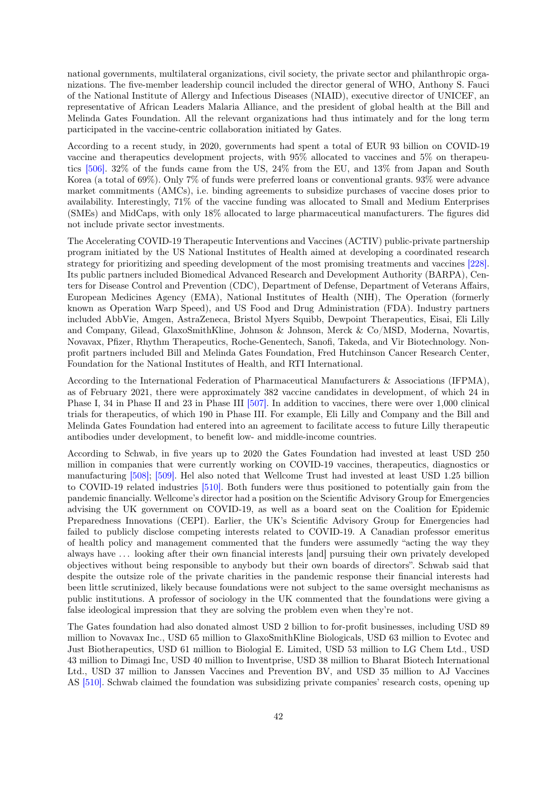national governments, multilateral organizations, civil society, the private sector and philanthropic organizations. The five-member leadership council included the director general of WHO, Anthony S. Fauci of the National Institute of Allergy and Infectious Diseases (NIAID), executive director of UNICEF, an representative of African Leaders Malaria Alliance, and the president of global health at the Bill and Melinda Gates Foundation. All the relevant organizations had thus intimately and for the long term participated in the vaccine-centric collaboration initiated by Gates.

According to a recent study, in 2020, governments had spent a total of EUR 93 billion on COVID-19 vaccine and therapeutics development projects, with 95% allocated to vaccines and 5% on therapeutics [\[506\].](#page-79-7) 32% of the funds came from the US, 24% from the EU, and 13% from Japan and South Korea (a total of 69%). Only 7% of funds were preferred loans or conventional grants. 93% were advance market commitments (AMCs), i.e. binding agreements to subsidize purchases of vaccine doses prior to availability. Interestingly, 71% of the vaccine funding was allocated to Small and Medium Enterprises (SMEs) and MidCaps, with only 18% allocated to large pharmaceutical manufacturers. The figures did not include private sector investments.

The Accelerating COVID-19 Therapeutic Interventions and Vaccines (ACTIV) public-private partnership program initiated by the US National Institutes of Health aimed at developing a coordinated research strategy for prioritizing and speeding development of the most promising treatments and vaccines [\[228\].](#page-61-0) Its public partners included Biomedical Advanced Research and Development Authority (BARPA), Centers for Disease Control and Prevention (CDC), Department of Defense, Department of Veterans Affairs, European Medicines Agency (EMA), National Institutes of Health (NIH), The Operation (formerly known as Operation Warp Speed), and US Food and Drug Administration (FDA). Industry partners included AbbVie, Amgen, AstraZeneca, Bristol Myers Squibb, Dewpoint Therapeutics, Eisai, Eli Lilly and Company, Gilead, GlaxoSmithKline, Johnson & Johnson, Merck & Co/MSD, Moderna, Novartis, Novavax, Pfizer, Rhythm Therapeutics, Roche-Genentech, Sanofi, Takeda, and Vir Biotechnology. Nonprofit partners included Bill and Melinda Gates Foundation, Fred Hutchinson Cancer Research Center, Foundation for the National Institutes of Health, and RTI International.

According to the International Federation of Pharmaceutical Manufacturers & Associations (IFPMA), as of February 2021, there were approximately 382 vaccine candidates in development, of which 24 in Phase I, 34 in Phase II and 23 in Phase III [\[507\].](#page-79-8) In addition to vaccines, there were over 1,000 clinical trials for therapeutics, of which 190 in Phase III. For example, Eli Lilly and Company and the Bill and Melinda Gates Foundation had entered into an agreement to facilitate access to future Lilly therapeutic antibodies under development, to benefit low- and middle-income countries.

According to Schwab, in five years up to 2020 the Gates Foundation had invested at least USD 250 million in companies that were currently working on COVID-19 vaccines, therapeutics, diagnostics or manufacturing [\[508\];](#page-79-9) [\[509\].](#page-79-10) Hel also noted that Wellcome Trust had invested at least USD 1.25 billion to COVID-19 related industries [\[510\].](#page-79-11) Both funders were thus positioned to potentially gain from the pandemic financially. Wellcome's director had a position on the Scientific Advisory Group for Emergencies advising the UK government on COVID-19, as well as a board seat on the Coalition for Epidemic Preparedness Innovations (CEPI). Earlier, the UK's Scientific Advisory Group for Emergencies had failed to publicly disclose competing interests related to COVID-19. A Canadian professor emeritus of health policy and management commented that the funders were assumedly "acting the way they always have . . . looking after their own financial interests [and] pursuing their own privately developed objectives without being responsible to anybody but their own boards of directors". Schwab said that despite the outsize role of the private charities in the pandemic response their financial interests had been little scrutinized, likely because foundations were not subject to the same oversight mechanisms as public institutions. A professor of sociology in the UK commented that the foundations were giving a false ideological impression that they are solving the problem even when they're not.

The Gates foundation had also donated almost USD 2 billion to for-profit businesses, including USD 89 million to Novavax Inc., USD 65 million to GlaxoSmithKline Biologicals, USD 63 million to Evotec and Just Biotherapeutics, USD 61 million to Biologial E. Limited, USD 53 million to LG Chem Ltd., USD 43 million to Dimagi Inc, USD 40 million to Inventprise, USD 38 million to Bharat Biotech International Ltd., USD 37 million to Janssen Vaccines and Prevention BV, and USD 35 million to AJ Vaccines AS [\[510\].](#page-79-11) Schwab claimed the foundation was subsidizing private companies' research costs, opening up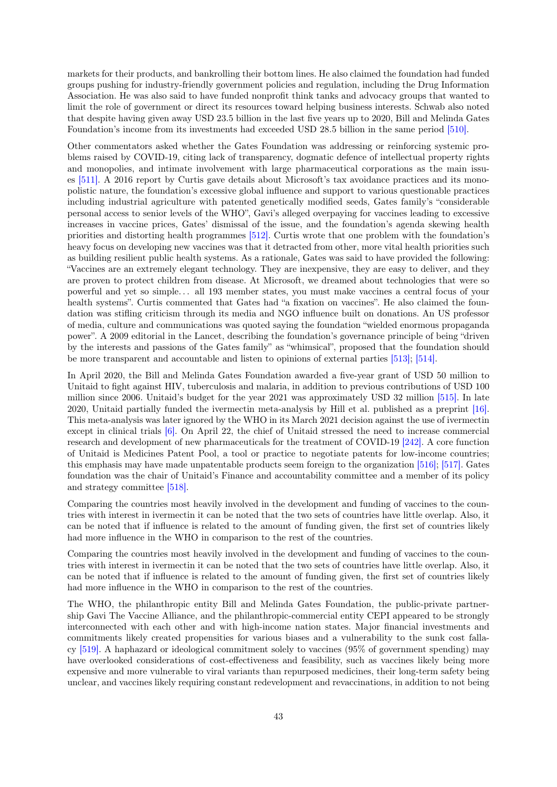markets for their products, and bankrolling their bottom lines. He also claimed the foundation had funded groups pushing for industry-friendly government policies and regulation, including the Drug Information Association. He was also said to have funded nonprofit think tanks and advocacy groups that wanted to limit the role of government or direct its resources toward helping business interests. Schwab also noted that despite having given away USD 23.5 billion in the last five years up to 2020, Bill and Melinda Gates Foundation's income from its investments had exceeded USD 28.5 billion in the same period [\[510\].](#page-79-11)

Other commentators asked whether the Gates Foundation was addressing or reinforcing systemic problems raised by COVID-19, citing lack of transparency, dogmatic defence of intellectual property rights and monopolies, and intimate involvement with large pharmaceutical corporations as the main issues [\[511\].](#page-79-12) A 2016 report by Curtis gave details about Microsoft's tax avoidance practices and its monopolistic nature, the foundation's excessive global influence and support to various questionable practices including industrial agriculture with patented genetically modified seeds, Gates family's "considerable personal access to senior levels of the WHO", Gavi's alleged overpaying for vaccines leading to excessive increases in vaccine prices, Gates' dismissal of the issue, and the foundation's agenda skewing health priorities and distorting health programmes [\[512\].](#page-79-13) Curtis wrote that one problem with the foundation's heavy focus on developing new vaccines was that it detracted from other, more vital health priorities such as building resilient public health systems. As a rationale, Gates was said to have provided the following: "Vaccines are an extremely elegant technology. They are inexpensive, they are easy to deliver, and they are proven to protect children from disease. At Microsoft, we dreamed about technologies that were so powerful and yet so simple. . . all 193 member states, you must make vaccines a central focus of your health systems". Curtis commented that Gates had "a fixation on vaccines". He also claimed the foundation was stifling criticism through its media and NGO influence built on donations. An US professor of media, culture and communications was quoted saying the foundation "wielded enormous propaganda power". A 2009 editorial in the Lancet, describing the foundation's governance principle of being "driven by the interests and passions of the Gates family" as "whimsical", proposed that the foundation should be more transparent and accountable and listen to opinions of external parties [\[513\];](#page-79-14) [\[514\].](#page-79-15)

In April 2020, the Bill and Melinda Gates Foundation awarded a five-year grant of USD 50 million to Unitaid to fight against HIV, tuberculosis and malaria, in addition to previous contributions of USD 100 million since 2006. Unitaid's budget for the year 2021 was approximately USD 32 million [\[515\].](#page-80-0) In late 2020, Unitaid partially funded the ivermectin meta-analysis by Hill et al. published as a preprint [\[16\].](#page-47-0) This meta-analysis was later ignored by the WHO in its March 2021 decision against the use of ivermectin except in clinical trials [\[6\].](#page-47-1) On April 22, the chief of Unitaid stressed the need to increase commercial research and development of new pharmaceuticals for the treatment of COVID-19 [\[242\].](#page-62-0) A core function of Unitaid is Medicines Patent Pool, a tool or practice to negotiate patents for low-income countries; this emphasis may have made unpatentable products seem foreign to the organization [\[516\];](#page-80-1) [\[517\].](#page-80-2) Gates foundation was the chair of Unitaid's Finance and accountability committee and a member of its policy and strategy committee [\[518\].](#page-80-3)

Comparing the countries most heavily involved in the development and funding of vaccines to the countries with interest in ivermectin it can be noted that the two sets of countries have little overlap. Also, it can be noted that if influence is related to the amount of funding given, the first set of countries likely had more influence in the WHO in comparison to the rest of the countries.

Comparing the countries most heavily involved in the development and funding of vaccines to the countries with interest in ivermectin it can be noted that the two sets of countries have little overlap. Also, it can be noted that if influence is related to the amount of funding given, the first set of countries likely had more influence in the WHO in comparison to the rest of the countries.

The WHO, the philanthropic entity Bill and Melinda Gates Foundation, the public-private partnership Gavi The Vaccine Alliance, and the philanthropic-commercial entity CEPI appeared to be strongly interconnected with each other and with high-income nation states. Major financial investments and commitments likely created propensities for various biases and a vulnerability to the sunk cost fallacy [\[519\].](#page-80-4) A haphazard or ideological commitment solely to vaccines (95% of government spending) may have overlooked considerations of cost-effectiveness and feasibility, such as vaccines likely being more expensive and more vulnerable to viral variants than repurposed medicines, their long-term safety being unclear, and vaccines likely requiring constant redevelopment and revaccinations, in addition to not being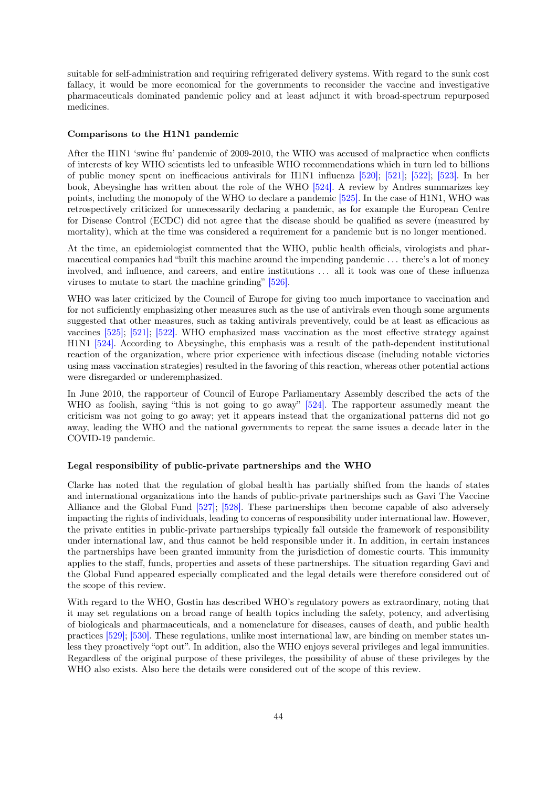suitable for self-administration and requiring refrigerated delivery systems. With regard to the sunk cost fallacy, it would be more economical for the governments to reconsider the vaccine and investigative pharmaceuticals dominated pandemic policy and at least adjunct it with broad-spectrum repurposed medicines.

### Comparisons to the H1N1 pandemic

After the H1N1 'swine flu' pandemic of 2009-2010, the WHO was accused of malpractice when conflicts of interests of key WHO scientists led to unfeasible WHO recommendations which in turn led to billions of public money spent on inefficacious antivirals for H1N1 influenza [\[520\];](#page-80-5) [\[521\];](#page-80-6) [\[522\];](#page-80-7) [\[523\].](#page-80-8) In her book, Abeysinghe has written about the role of the WHO [\[524\].](#page-80-9) A review by Andres summarizes key points, including the monopoly of the WHO to declare a pandemic [\[525\].](#page-80-10) In the case of H1N1, WHO was retrospectively criticized for unnecessarily declaring a pandemic, as for example the European Centre for Disease Control (ECDC) did not agree that the disease should be qualified as severe (measured by mortality), which at the time was considered a requirement for a pandemic but is no longer mentioned.

At the time, an epidemiologist commented that the WHO, public health officials, virologists and pharmaceutical companies had "built this machine around the impending pandemic . . . there's a lot of money involved, and influence, and careers, and entire institutions . . . all it took was one of these influenza viruses to mutate to start the machine grinding" [\[526\].](#page-80-11)

WHO was later criticized by the Council of Europe for giving too much importance to vaccination and for not sufficiently emphasizing other measures such as the use of antivirals even though some arguments suggested that other measures, such as taking antivirals preventively, could be at least as efficacious as vaccines [\[525\];](#page-80-10) [\[521\];](#page-80-6) [\[522\].](#page-80-7) WHO emphasized mass vaccination as the most effective strategy against H1N1 [\[524\].](#page-80-9) According to Abeysinghe, this emphasis was a result of the path-dependent institutional reaction of the organization, where prior experience with infectious disease (including notable victories using mass vaccination strategies) resulted in the favoring of this reaction, whereas other potential actions were disregarded or underemphasized.

In June 2010, the rapporteur of Council of Europe Parliamentary Assembly described the acts of the WHO as foolish, saying "this is not going to go away" [\[524\].](#page-80-9) The rapporteur assumedly meant the criticism was not going to go away; yet it appears instead that the organizational patterns did not go away, leading the WHO and the national governments to repeat the same issues a decade later in the COVID-19 pandemic.

### Legal responsibility of public-private partnerships and the WHO

Clarke has noted that the regulation of global health has partially shifted from the hands of states and international organizations into the hands of public-private partnerships such as Gavi The Vaccine Alliance and the Global Fund [\[527\];](#page-80-12) [\[528\].](#page-80-13) These partnerships then become capable of also adversely impacting the rights of individuals, leading to concerns of responsibility under international law. However, the private entities in public-private partnerships typically fall outside the framework of responsibility under international law, and thus cannot be held responsible under it. In addition, in certain instances the partnerships have been granted immunity from the jurisdiction of domestic courts. This immunity applies to the staff, funds, properties and assets of these partnerships. The situation regarding Gavi and the Global Fund appeared especially complicated and the legal details were therefore considered out of the scope of this review.

With regard to the WHO, Gostin has described WHO's regulatory powers as extraordinary, noting that it may set regulations on a broad range of health topics including the safety, potency, and advertising of biologicals and pharmaceuticals, and a nomenclature for diseases, causes of death, and public health practices [\[529\];](#page-80-14) [\[530\].](#page-80-15) These regulations, unlike most international law, are binding on member states unless they proactively "opt out". In addition, also the WHO enjoys several privileges and legal immunities. Regardless of the original purpose of these privileges, the possibility of abuse of these privileges by the WHO also exists. Also here the details were considered out of the scope of this review.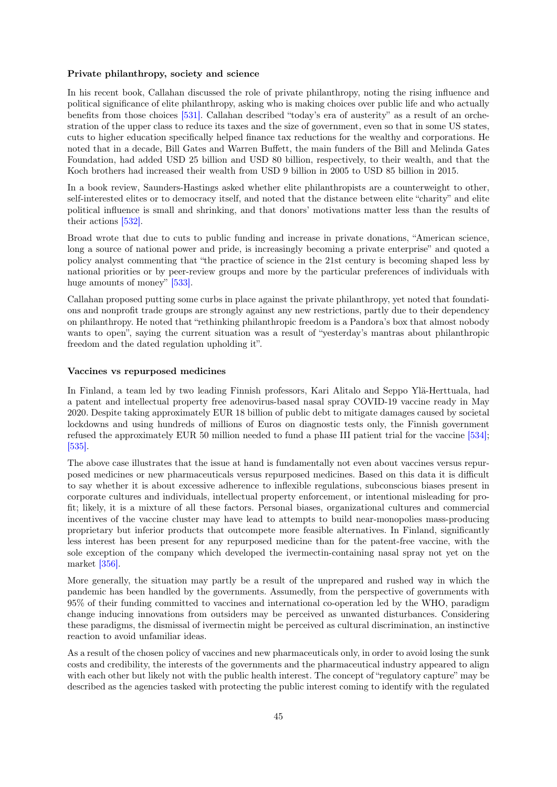### Private philanthropy, society and science

In his recent book, Callahan discussed the role of private philanthropy, noting the rising influence and political significance of elite philanthropy, asking who is making choices over public life and who actually benefits from those choices [\[531\].](#page-80-16) Callahan described "today's era of austerity" as a result of an orchestration of the upper class to reduce its taxes and the size of government, even so that in some US states, cuts to higher education specifically helped finance tax reductions for the wealthy and corporations. He noted that in a decade, Bill Gates and Warren Buffett, the main funders of the Bill and Melinda Gates Foundation, had added USD 25 billion and USD 80 billion, respectively, to their wealth, and that the Koch brothers had increased their wealth from USD 9 billion in 2005 to USD 85 billion in 2015.

In a book review, Saunders-Hastings asked whether elite philanthropists are a counterweight to other, self-interested elites or to democracy itself, and noted that the distance between elite "charity" and elite political influence is small and shrinking, and that donors' motivations matter less than the results of their actions [\[532\].](#page-80-17)

Broad wrote that due to cuts to public funding and increase in private donations, "American science, long a source of national power and pride, is increasingly becoming a private enterprise" and quoted a policy analyst commenting that "the practice of science in the 21st century is becoming shaped less by national priorities or by peer-review groups and more by the particular preferences of individuals with huge amounts of money" [\[533\].](#page-81-0)

Callahan proposed putting some curbs in place against the private philanthropy, yet noted that foundations and nonprofit trade groups are strongly against any new restrictions, partly due to their dependency on philanthropy. He noted that "rethinking philanthropic freedom is a Pandora's box that almost nobody wants to open", saying the current situation was a result of "yesterday's mantras about philanthropic freedom and the dated regulation upholding it".

#### Vaccines vs repurposed medicines

In Finland, a team led by two leading Finnish professors, Kari Alitalo and Seppo Ylä-Herttuala, had a patent and intellectual property free adenovirus-based nasal spray COVID-19 vaccine ready in May 2020. Despite taking approximately EUR 18 billion of public debt to mitigate damages caused by societal lockdowns and using hundreds of millions of Euros on diagnostic tests only, the Finnish government refused the approximately EUR 50 million needed to fund a phase III patient trial for the vaccine [\[534\];](#page-81-1) [\[535\].](#page-81-2)

The above case illustrates that the issue at hand is fundamentally not even about vaccines versus repurposed medicines or new pharmaceuticals versus repurposed medicines. Based on this data it is difficult to say whether it is about excessive adherence to inflexible regulations, subconscious biases present in corporate cultures and individuals, intellectual property enforcement, or intentional misleading for profit; likely, it is a mixture of all these factors. Personal biases, organizational cultures and commercial incentives of the vaccine cluster may have lead to attempts to build near-monopolies mass-producing proprietary but inferior products that outcompete more feasible alternatives. In Finland, significantly less interest has been present for any repurposed medicine than for the patent-free vaccine, with the sole exception of the company which developed the ivermectin-containing nasal spray not yet on the market [\[356\].](#page-69-0)

More generally, the situation may partly be a result of the unprepared and rushed way in which the pandemic has been handled by the governments. Assumedly, from the perspective of governments with 95% of their funding committed to vaccines and international co-operation led by the WHO, paradigm change inducing innovations from outsiders may be perceived as unwanted disturbances. Considering these paradigms, the dismissal of ivermectin might be perceived as cultural discrimination, an instinctive reaction to avoid unfamiliar ideas.

As a result of the chosen policy of vaccines and new pharmaceuticals only, in order to avoid losing the sunk costs and credibility, the interests of the governments and the pharmaceutical industry appeared to align with each other but likely not with the public health interest. The concept of "regulatory capture" may be described as the agencies tasked with protecting the public interest coming to identify with the regulated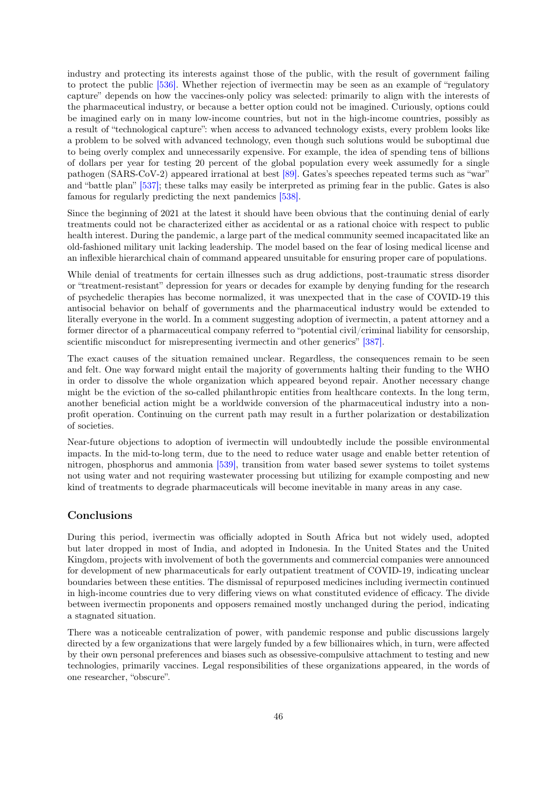industry and protecting its interests against those of the public, with the result of government failing to protect the public [\[536\].](#page-81-3) Whether rejection of ivermectin may be seen as an example of "regulatory capture" depends on how the vaccines-only policy was selected: primarily to align with the interests of the pharmaceutical industry, or because a better option could not be imagined. Curiously, options could be imagined early on in many low-income countries, but not in the high-income countries, possibly as a result of "technological capture": when access to advanced technology exists, every problem looks like a problem to be solved with advanced technology, even though such solutions would be suboptimal due to being overly complex and unnecessarily expensive. For example, the idea of spending tens of billions of dollars per year for testing 20 percent of the global population every week assumedly for a single pathogen (SARS-CoV-2) appeared irrational at best [\[89\].](#page-52-0) Gates's speeches repeated terms such as "war" and "battle plan" [\[537\];](#page-81-4) these talks may easily be interpreted as priming fear in the public. Gates is also famous for regularly predicting the next pandemics [\[538\].](#page-81-5)

Since the beginning of 2021 at the latest it should have been obvious that the continuing denial of early treatments could not be characterized either as accidental or as a rational choice with respect to public health interest. During the pandemic, a large part of the medical community seemed incapacitated like an old-fashioned military unit lacking leadership. The model based on the fear of losing medical license and an inflexible hierarchical chain of command appeared unsuitable for ensuring proper care of populations.

While denial of treatments for certain illnesses such as drug addictions, post-traumatic stress disorder or "treatment-resistant" depression for years or decades for example by denying funding for the research of psychedelic therapies has become normalized, it was unexpected that in the case of COVID-19 this antisocial behavior on behalf of governments and the pharmaceutical industry would be extended to literally everyone in the world. In a comment suggesting adoption of ivermectin, a patent attorney and a former director of a pharmaceutical company referred to "potential civil/criminal liability for censorship, scientific misconduct for misrepresenting ivermectin and other generics" [\[387\].](#page-71-1)

The exact causes of the situation remained unclear. Regardless, the consequences remain to be seen and felt. One way forward might entail the majority of governments halting their funding to the WHO in order to dissolve the whole organization which appeared beyond repair. Another necessary change might be the eviction of the so-called philanthropic entities from healthcare contexts. In the long term, another beneficial action might be a worldwide conversion of the pharmaceutical industry into a nonprofit operation. Continuing on the current path may result in a further polarization or destabilization of societies.

Near-future objections to adoption of ivermectin will undoubtedly include the possible environmental impacts. In the mid-to-long term, due to the need to reduce water usage and enable better retention of nitrogen, phosphorus and ammonia [\[539\],](#page-81-6) transition from water based sewer systems to toilet systems not using water and not requiring wastewater processing but utilizing for example composting and new kind of treatments to degrade pharmaceuticals will become inevitable in many areas in any case.

# Conclusions

During this period, ivermectin was officially adopted in South Africa but not widely used, adopted but later dropped in most of India, and adopted in Indonesia. In the United States and the United Kingdom, projects with involvement of both the governments and commercial companies were announced for development of new pharmaceuticals for early outpatient treatment of COVID-19, indicating unclear boundaries between these entities. The dismissal of repurposed medicines including ivermectin continued in high-income countries due to very differing views on what constituted evidence of efficacy. The divide between ivermectin proponents and opposers remained mostly unchanged during the period, indicating a stagnated situation.

There was a noticeable centralization of power, with pandemic response and public discussions largely directed by a few organizations that were largely funded by a few billionaires which, in turn, were affected by their own personal preferences and biases such as obsessive-compulsive attachment to testing and new technologies, primarily vaccines. Legal responsibilities of these organizations appeared, in the words of one researcher, "obscure".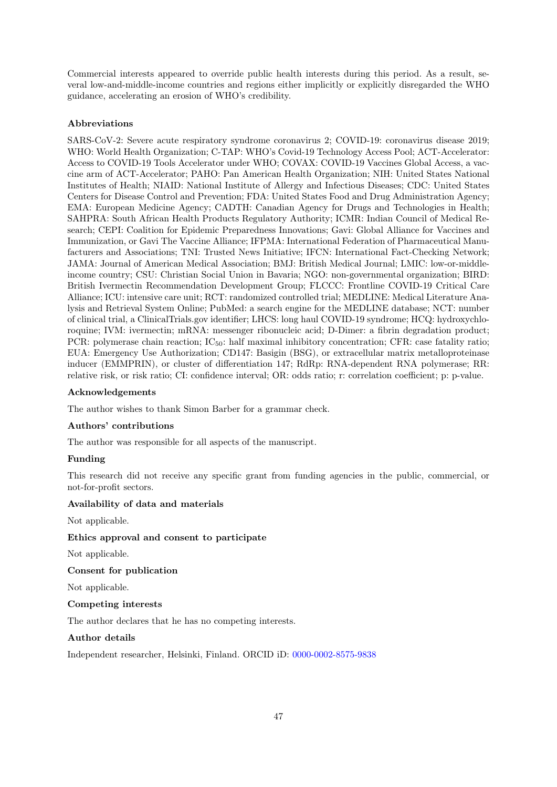Commercial interests appeared to override public health interests during this period. As a result, several low-and-middle-income countries and regions either implicitly or explicitly disregarded the WHO guidance, accelerating an erosion of WHO's credibility.

## Abbreviations

SARS-CoV-2: Severe acute respiratory syndrome coronavirus 2; COVID-19: coronavirus disease 2019; WHO: World Health Organization; C-TAP: WHO's Covid-19 Technology Access Pool; ACT-Accelerator: Access to COVID-19 Tools Accelerator under WHO; COVAX: COVID-19 Vaccines Global Access, a vaccine arm of ACT-Accelerator; PAHO: Pan American Health Organization; NIH: United States National Institutes of Health; NIAID: National Institute of Allergy and Infectious Diseases; CDC: United States Centers for Disease Control and Prevention; FDA: United States Food and Drug Administration Agency; EMA: European Medicine Agency; CADTH: Canadian Agency for Drugs and Technologies in Health; SAHPRA: South African Health Products Regulatory Authority; ICMR: Indian Council of Medical Research; CEPI: Coalition for Epidemic Preparedness Innovations; Gavi: Global Alliance for Vaccines and Immunization, or Gavi The Vaccine Alliance; IFPMA: International Federation of Pharmaceutical Manufacturers and Associations; TNI: Trusted News Initiative; IFCN: International Fact-Checking Network; JAMA: Journal of American Medical Association; BMJ: British Medical Journal; LMIC: low-or-middleincome country; CSU: Christian Social Union in Bavaria; NGO: non-governmental organization; BIRD: British Ivermectin Recommendation Development Group; FLCCC: Frontline COVID-19 Critical Care Alliance; ICU: intensive care unit; RCT: randomized controlled trial; MEDLINE: Medical Literature Analysis and Retrieval System Online; PubMed: a search engine for the MEDLINE database; NCT: number of clinical trial, a ClinicalTrials.gov identifier; LHCS: long haul COVID-19 syndrome; HCQ: hydroxychloroquine; IVM: ivermectin; mRNA: messenger ribonucleic acid; D-Dimer: a fibrin degradation product; PCR: polymerase chain reaction; IC<sub>50</sub>: half maximal inhibitory concentration; CFR: case fatality ratio; EUA: Emergency Use Authorization; CD147: Basigin (BSG), or extracellular matrix metalloproteinase inducer (EMMPRIN), or cluster of differentiation 147; RdRp: RNA-dependent RNA polymerase; RR: relative risk, or risk ratio; CI: confidence interval; OR: odds ratio; r: correlation coefficient; p: p-value.

## Acknowledgements

The author wishes to thank Simon Barber for a grammar check.

### Authors' contributions

The author was responsible for all aspects of the manuscript.

### Funding

This research did not receive any specific grant from funding agencies in the public, commercial, or not-for-profit sectors.

### Availability of data and materials

Not applicable.

### Ethics approval and consent to participate

Not applicable.

## Consent for publication

Not applicable.

### Competing interests

The author declares that he has no competing interests.

# Author details

Independent researcher, Helsinki, Finland. ORCID iD: [0000-0002-8575-9838](https://orcid.org/0000-0002-8575-9838)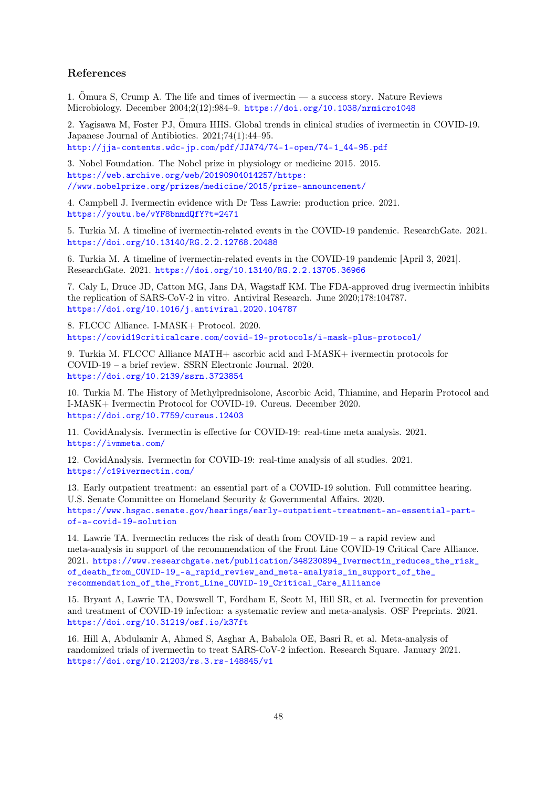# References

1. Õmura S, Crump A. The life and times of ivermectin — a success story. Nature Reviews Microbiology. December 2004;2(12):984–9. <https://doi.org/10.1038/nrmicro1048>

2. Yagisawa M, Foster PJ, Omura HHS. Global trends in clinical studies of ivermectin in COVID-19. Japanese Journal of Antibiotics. 2021;74(1):44–95. [http://jja-contents.wdc-jp.com/pdf/JJA74/74-1-open/74-1\\_44-95.pdf](http://jja-contents.wdc-jp.com/pdf/JJA74/74-1-open/74-1_44-95.pdf)

3. Nobel Foundation. The Nobel prize in physiology or medicine 2015. 2015. [https://web.archive.org/web/20190904014257/https:](https://web.archive.org/web/20190904014257/https://www.nobelprize.org/prizes/medicine/2015/prize-announcement/) [//www.nobelprize.org/prizes/medicine/2015/prize-announcement/](https://web.archive.org/web/20190904014257/https://www.nobelprize.org/prizes/medicine/2015/prize-announcement/)

4. Campbell J. Ivermectin evidence with Dr Tess Lawrie: production price. 2021. <https://youtu.be/vYF8bnmdQfY?t=2471>

5. Turkia M. A timeline of ivermectin-related events in the COVID-19 pandemic. ResearchGate. 2021. <https://doi.org/10.13140/RG.2.2.12768.20488>

<span id="page-47-1"></span>6. Turkia M. A timeline of ivermectin-related events in the COVID-19 pandemic [April 3, 2021]. ResearchGate. 2021. <https://doi.org/10.13140/RG.2.2.13705.36966>

7. Caly L, Druce JD, Catton MG, Jans DA, Wagstaff KM. The FDA-approved drug ivermectin inhibits the replication of SARS-CoV-2 in vitro. Antiviral Research. June 2020;178:104787. <https://doi.org/10.1016/j.antiviral.2020.104787>

8. FLCCC Alliance. I-MASK+ Protocol. 2020. <https://covid19criticalcare.com/covid-19-protocols/i-mask-plus-protocol/>

9. Turkia M. FLCCC Alliance MATH+ ascorbic acid and I-MASK+ ivermectin protocols for COVID-19 – a brief review. SSRN Electronic Journal. 2020. <https://doi.org/10.2139/ssrn.3723854>

10. Turkia M. The History of Methylprednisolone, Ascorbic Acid, Thiamine, and Heparin Protocol and I-MASK+ Ivermectin Protocol for COVID-19. Cureus. December 2020. <https://doi.org/10.7759/cureus.12403>

11. CovidAnalysis. Ivermectin is effective for COVID-19: real-time meta analysis. 2021. <https://ivmmeta.com/>

12. CovidAnalysis. Ivermectin for COVID-19: real-time analysis of all studies. 2021. <https://c19ivermectin.com/>

13. Early outpatient treatment: an essential part of a COVID-19 solution. Full committee hearing. U.S. Senate Committee on Homeland Security & Governmental Affairs. 2020. [https://www.hsgac.senate.gov/hearings/early-outpatient-treatment-an-essential-part](https://www.hsgac.senate.gov/hearings/early-outpatient-treatment-an-essential-part-of-a-covid-19-solution)[of-a-covid-19-solution](https://www.hsgac.senate.gov/hearings/early-outpatient-treatment-an-essential-part-of-a-covid-19-solution)

14. Lawrie TA. Ivermectin reduces the risk of death from COVID-19 – a rapid review and meta-analysis in support of the recommendation of the Front Line COVID-19 Critical Care Alliance. 2021. [https://www.researchgate.net/publication/348230894\\_Ivermectin\\_reduces\\_the\\_risk\\_](https://www.researchgate.net/publication/348230894_Ivermectin_reduces_the_risk_of_death_from_COVID-19_-a_rapid_review_and_meta-analysis_in_support_of_the_recommendation_of_the_Front_Line_COVID-19_Critical_Care_Alliance) [of\\_death\\_from\\_COVID-19\\_-a\\_rapid\\_review\\_and\\_meta-analysis\\_in\\_support\\_of\\_the\\_](https://www.researchgate.net/publication/348230894_Ivermectin_reduces_the_risk_of_death_from_COVID-19_-a_rapid_review_and_meta-analysis_in_support_of_the_recommendation_of_the_Front_Line_COVID-19_Critical_Care_Alliance) [recommendation\\_of\\_the\\_Front\\_Line\\_COVID-19\\_Critical\\_Care\\_Alliance](https://www.researchgate.net/publication/348230894_Ivermectin_reduces_the_risk_of_death_from_COVID-19_-a_rapid_review_and_meta-analysis_in_support_of_the_recommendation_of_the_Front_Line_COVID-19_Critical_Care_Alliance)

15. Bryant A, Lawrie TA, Dowswell T, Fordham E, Scott M, Hill SR, et al. Ivermectin for prevention and treatment of COVID-19 infection: a systematic review and meta-analysis. OSF Preprints. 2021. <https://doi.org/10.31219/osf.io/k37ft>

<span id="page-47-0"></span>16. Hill A, Abdulamir A, Ahmed S, Asghar A, Babalola OE, Basri R, et al. Meta-analysis of randomized trials of ivermectin to treat SARS-CoV-2 infection. Research Square. January 2021. <https://doi.org/10.21203/rs.3.rs-148845/v1>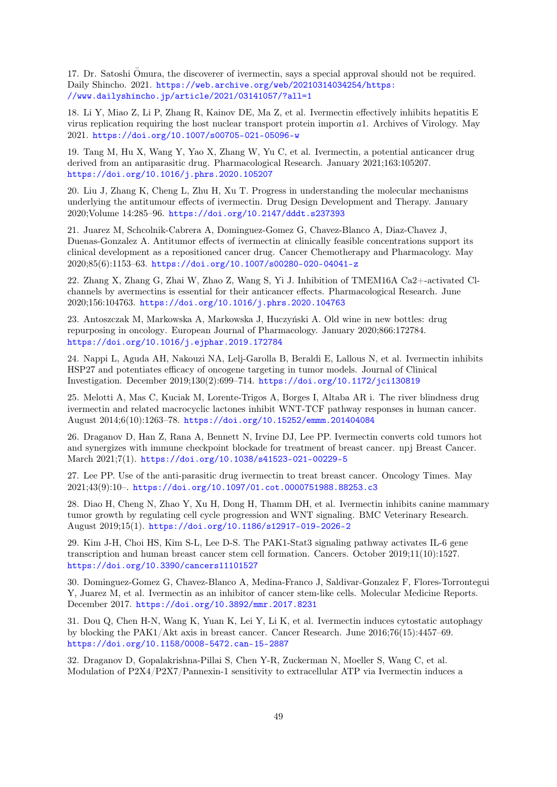17. Dr. Satoshi Omura, the discoverer of ivermectin, says a special approval should not be required. ¯ Daily Shincho. 2021. [https://web.archive.org/web/20210314034254/https:](https://web.archive.org/web/20210314034254/https://www.dailyshincho.jp/article/2021/03141057/?all=1) [//www.dailyshincho.jp/article/2021/03141057/?all=1](https://web.archive.org/web/20210314034254/https://www.dailyshincho.jp/article/2021/03141057/?all=1)

18. Li Y, Miao Z, Li P, Zhang R, Kainov DE, Ma Z, et al. Ivermectin effectively inhibits hepatitis E virus replication requiring the host nuclear transport protein importin a1. Archives of Virology. May 2021. <https://doi.org/10.1007/s00705-021-05096-w>

19. Tang M, Hu X, Wang Y, Yao X, Zhang W, Yu C, et al. Ivermectin, a potential anticancer drug derived from an antiparasitic drug. Pharmacological Research. January 2021;163:105207. <https://doi.org/10.1016/j.phrs.2020.105207>

20. Liu J, Zhang K, Cheng L, Zhu H, Xu T. Progress in understanding the molecular mechanisms underlying the antitumour effects of ivermectin. Drug Design Development and Therapy. January 2020;Volume 14:285–96. <https://doi.org/10.2147/dddt.s237393>

21. Juarez M, Schcolnik-Cabrera A, Dominguez-Gomez G, Chavez-Blanco A, Diaz-Chavez J, Duenas-Gonzalez A. Antitumor effects of ivermectin at clinically feasible concentrations support its clinical development as a repositioned cancer drug. Cancer Chemotherapy and Pharmacology. May 2020;85(6):1153–63. <https://doi.org/10.1007/s00280-020-04041-z>

22. Zhang X, Zhang G, Zhai W, Zhao Z, Wang S, Yi J. Inhibition of TMEM16A Ca2+-activated Clchannels by avermectins is essential for their anticancer effects. Pharmacological Research. June 2020;156:104763. <https://doi.org/10.1016/j.phrs.2020.104763>

23. Antoszczak M, Markowska A, Markowska J, Huczyński A. Old wine in new bottles: drug repurposing in oncology. European Journal of Pharmacology. January 2020;866:172784. <https://doi.org/10.1016/j.ejphar.2019.172784>

24. Nappi L, Aguda AH, Nakouzi NA, Lelj-Garolla B, Beraldi E, Lallous N, et al. Ivermectin inhibits HSP27 and potentiates efficacy of oncogene targeting in tumor models. Journal of Clinical Investigation. December 2019;130(2):699–714. <https://doi.org/10.1172/jci130819>

25. Melotti A, Mas C, Kuciak M, Lorente-Trigos A, Borges I, Altaba AR i. The river blindness drug ivermectin and related macrocyclic lactones inhibit WNT-TCF pathway responses in human cancer. August 2014;6(10):1263–78. <https://doi.org/10.15252/emmm.201404084>

26. Draganov D, Han Z, Rana A, Bennett N, Irvine DJ, Lee PP. Ivermectin converts cold tumors hot and synergizes with immune checkpoint blockade for treatment of breast cancer. npj Breast Cancer. March 2021;7(1). <https://doi.org/10.1038/s41523-021-00229-5>

27. Lee PP. Use of the anti-parasitic drug ivermectin to treat breast cancer. Oncology Times. May 2021;43(9):10–. <https://doi.org/10.1097/01.cot.0000751988.88253.c3>

28. Diao H, Cheng N, Zhao Y, Xu H, Dong H, Thamm DH, et al. Ivermectin inhibits canine mammary tumor growth by regulating cell cycle progression and WNT signaling. BMC Veterinary Research. August 2019;15(1). <https://doi.org/10.1186/s12917-019-2026-2>

29. Kim J-H, Choi HS, Kim S-L, Lee D-S. The PAK1-Stat3 signaling pathway activates IL-6 gene transcription and human breast cancer stem cell formation. Cancers. October 2019;11(10):1527. <https://doi.org/10.3390/cancers11101527>

30. Dominguez-Gomez G, Chavez-Blanco A, Medina-Franco J, Saldivar-Gonzalez F, Flores-Torrontegui Y, Juarez M, et al. Ivermectin as an inhibitor of cancer stem-like cells. Molecular Medicine Reports. December 2017. <https://doi.org/10.3892/mmr.2017.8231>

31. Dou Q, Chen H-N, Wang K, Yuan K, Lei Y, Li K, et al. Ivermectin induces cytostatic autophagy by blocking the PAK1/Akt axis in breast cancer. Cancer Research. June 2016;76(15):4457–69. <https://doi.org/10.1158/0008-5472.can-15-2887>

32. Draganov D, Gopalakrishna-Pillai S, Chen Y-R, Zuckerman N, Moeller S, Wang C, et al. Modulation of P2X4/P2X7/Pannexin-1 sensitivity to extracellular ATP via Ivermectin induces a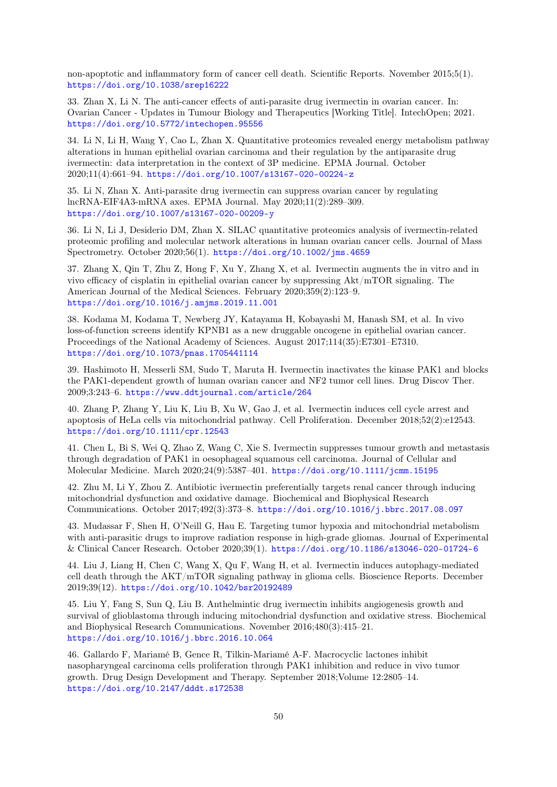non-apoptotic and inflammatory form of cancer cell death. Scientific Reports. November 2015;5(1). <https://doi.org/10.1038/srep16222>

33. Zhan X, Li N. The anti-cancer effects of anti-parasite drug ivermectin in ovarian cancer. In: Ovarian Cancer - Updates in Tumour Biology and Therapeutics [Working Title]. IntechOpen; 2021. <https://doi.org/10.5772/intechopen.95556>

34. Li N, Li H, Wang Y, Cao L, Zhan X. Quantitative proteomics revealed energy metabolism pathway alterations in human epithelial ovarian carcinoma and their regulation by the antiparasite drug ivermectin: data interpretation in the context of 3P medicine. EPMA Journal. October 2020;11(4):661–94. <https://doi.org/10.1007/s13167-020-00224-z>

35. Li N, Zhan X. Anti-parasite drug ivermectin can suppress ovarian cancer by regulating lncRNA-EIF4A3-mRNA axes. EPMA Journal. May 2020;11(2):289–309. <https://doi.org/10.1007/s13167-020-00209-y>

36. Li N, Li J, Desiderio DM, Zhan X. SILAC quantitative proteomics analysis of ivermectin-related proteomic profiling and molecular network alterations in human ovarian cancer cells. Journal of Mass Spectrometry. October 2020;56(1). <https://doi.org/10.1002/jms.4659>

37. Zhang X, Qin T, Zhu Z, Hong F, Xu Y, Zhang X, et al. Ivermectin augments the in vitro and in vivo efficacy of cisplatin in epithelial ovarian cancer by suppressing Akt/mTOR signaling. The American Journal of the Medical Sciences. February 2020;359(2):123–9. <https://doi.org/10.1016/j.amjms.2019.11.001>

38. Kodama M, Kodama T, Newberg JY, Katayama H, Kobayashi M, Hanash SM, et al. In vivo loss-of-function screens identify KPNB1 as a new druggable oncogene in epithelial ovarian cancer. Proceedings of the National Academy of Sciences. August 2017;114(35):E7301–E7310. <https://doi.org/10.1073/pnas.1705441114>

39. Hashimoto H, Messerli SM, Sudo T, Maruta H. Ivermectin inactivates the kinase PAK1 and blocks the PAK1-dependent growth of human ovarian cancer and NF2 tumor cell lines. Drug Discov Ther. 2009;3:243–6. <https://www.ddtjournal.com/article/264>

40. Zhang P, Zhang Y, Liu K, Liu B, Xu W, Gao J, et al. Ivermectin induces cell cycle arrest and apoptosis of HeLa cells via mitochondrial pathway. Cell Proliferation. December 2018;52(2):e12543. <https://doi.org/10.1111/cpr.12543>

41. Chen L, Bi S, Wei Q, Zhao Z, Wang C, Xie S. Ivermectin suppresses tumour growth and metastasis through degradation of PAK1 in oesophageal squamous cell carcinoma. Journal of Cellular and Molecular Medicine. March 2020;24(9):5387–401. <https://doi.org/10.1111/jcmm.15195>

42. Zhu M, Li Y, Zhou Z. Antibiotic ivermectin preferentially targets renal cancer through inducing mitochondrial dysfunction and oxidative damage. Biochemical and Biophysical Research Communications. October 2017;492(3):373–8. <https://doi.org/10.1016/j.bbrc.2017.08.097>

43. Mudassar F, Shen H, O'Neill G, Hau E. Targeting tumor hypoxia and mitochondrial metabolism with anti-parasitic drugs to improve radiation response in high-grade gliomas. Journal of Experimental & Clinical Cancer Research. October 2020;39(1). <https://doi.org/10.1186/s13046-020-01724-6>

44. Liu J, Liang H, Chen C, Wang X, Qu F, Wang H, et al. Ivermectin induces autophagy-mediated cell death through the AKT/mTOR signaling pathway in glioma cells. Bioscience Reports. December 2019;39(12). <https://doi.org/10.1042/bsr20192489>

45. Liu Y, Fang S, Sun Q, Liu B. Anthelmintic drug ivermectin inhibits angiogenesis growth and survival of glioblastoma through inducing mitochondrial dysfunction and oxidative stress. Biochemical and Biophysical Research Communications. November 2016;480(3):415–21. <https://doi.org/10.1016/j.bbrc.2016.10.064>

46. Gallardo F, Mariamé B, Gence R, Tilkin-Mariamé A-F. Macrocyclic lactones inhibit nasopharyngeal carcinoma cells proliferation through PAK1 inhibition and reduce in vivo tumor growth. Drug Design Development and Therapy. September 2018;Volume 12:2805–14. <https://doi.org/10.2147/dddt.s172538>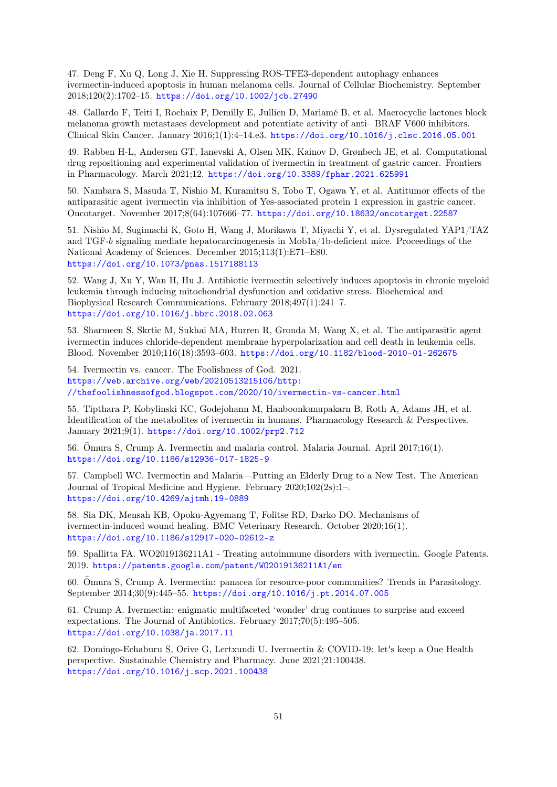47. Deng F, Xu Q, Long J, Xie H. Suppressing ROS-TFE3-dependent autophagy enhances ivermectin-induced apoptosis in human melanoma cells. Journal of Cellular Biochemistry. September 2018;120(2):1702–15. <https://doi.org/10.1002/jcb.27490>

48. Gallardo F, Teiti I, Rochaix P, Demilly E, Jullien D, Mariamé B, et al. Macrocyclic lactones block melanoma growth metastases development and potentiate activity of anti– BRAF V600 inhibitors. Clinical Skin Cancer. January 2016;1(1):4–14.e3. <https://doi.org/10.1016/j.clsc.2016.05.001>

49. Rabben H-L, Andersen GT, Ianevski A, Olsen MK, Kainov D, Grønbech JE, et al. Computational drug repositioning and experimental validation of ivermectin in treatment of gastric cancer. Frontiers in Pharmacology. March 2021;12. <https://doi.org/10.3389/fphar.2021.625991>

50. Nambara S, Masuda T, Nishio M, Kuramitsu S, Tobo T, Ogawa Y, et al. Antitumor effects of the antiparasitic agent ivermectin via inhibition of Yes-associated protein 1 expression in gastric cancer. Oncotarget. November 2017;8(64):107666–77. <https://doi.org/10.18632/oncotarget.22587>

51. Nishio M, Sugimachi K, Goto H, Wang J, Morikawa T, Miyachi Y, et al. Dysregulated YAP1/TAZ and TGF-b signaling mediate hepatocarcinogenesis in Mob1a/1b-deficient mice. Proceedings of the National Academy of Sciences. December 2015;113(1):E71–E80. <https://doi.org/10.1073/pnas.1517188113>

52. Wang J, Xu Y, Wan H, Hu J. Antibiotic ivermectin selectively induces apoptosis in chronic myeloid leukemia through inducing mitochondrial dysfunction and oxidative stress. Biochemical and Biophysical Research Communications. February 2018;497(1):241–7. <https://doi.org/10.1016/j.bbrc.2018.02.063>

53. Sharmeen S, Skrtic M, Sukhai MA, Hurren R, Gronda M, Wang X, et al. The antiparasitic agent ivermectin induces chloride-dependent membrane hyperpolarization and cell death in leukemia cells. Blood. November 2010;116(18):3593–603. <https://doi.org/10.1182/blood-2010-01-262675>

54. Ivermectin vs. cancer. The Foolishness of God. 2021. [https://web.archive.org/web/20210513215106/http:](https://web.archive.org/web/20210513215106/http://thefoolishnessofgod.blogspot.com/2020/10/ivermectin-vs-cancer.html) [//thefoolishnessofgod.blogspot.com/2020/10/ivermectin-vs-cancer.html](https://web.archive.org/web/20210513215106/http://thefoolishnessofgod.blogspot.com/2020/10/ivermectin-vs-cancer.html)

55. Tipthara P, Kobylinski KC, Godejohann M, Hanboonkunupakarn B, Roth A, Adams JH, et al. Identification of the metabolites of ivermectin in humans. Pharmacology Research & Perspectives. January 2021;9(1). <https://doi.org/10.1002/prp2.712>

56. Omura S, Crump A. Ivermectin and malaria control. Malaria Journal. April 2017;16(1). <https://doi.org/10.1186/s12936-017-1825-9>

57. Campbell WC. Ivermectin and Malaria—Putting an Elderly Drug to a New Test. The American Journal of Tropical Medicine and Hygiene. February 2020;102(2s):1–. <https://doi.org/10.4269/ajtmh.19-0889>

58. Sia DK, Mensah KB, Opoku-Agyemang T, Folitse RD, Darko DO. Mechanisms of ivermectin-induced wound healing. BMC Veterinary Research. October 2020;16(1). <https://doi.org/10.1186/s12917-020-02612-z>

59. Spallitta FA. WO2019136211A1 - Treating autoimmune disorders with ivermectin. Google Patents. 2019. <https://patents.google.com/patent/WO2019136211A1/en>

60. Omura S, Crump A. Ivermectin: panacea for resource-poor communities? Trends in Parasitology. September 2014;30(9):445–55. <https://doi.org/10.1016/j.pt.2014.07.005>

61. Crump A. Ivermectin: enigmatic multifaceted 'wonder' drug continues to surprise and exceed expectations. The Journal of Antibiotics. February 2017;70(5):495–505. <https://doi.org/10.1038/ja.2017.11>

62. Domingo-Echaburu S, Orive G, Lertxundi U. Ivermectin & COVID-19: let's keep a One Health perspective. Sustainable Chemistry and Pharmacy. June 2021;21:100438. <https://doi.org/10.1016/j.scp.2021.100438>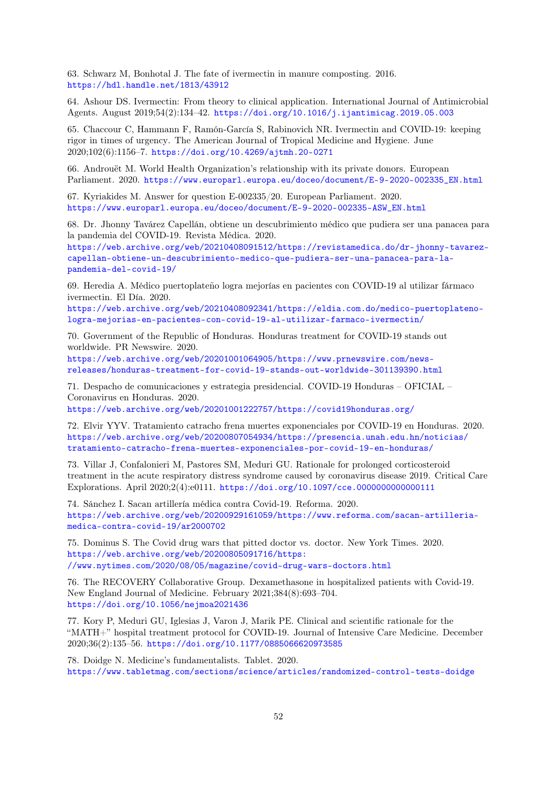63. Schwarz M, Bonhotal J. The fate of ivermectin in manure composting. 2016. <https://hdl.handle.net/1813/43912>

64. Ashour DS. Ivermectin: From theory to clinical application. International Journal of Antimicrobial Agents. August 2019;54(2):134–42. <https://doi.org/10.1016/j.ijantimicag.2019.05.003>

65. Chaccour C, Hammann F, Ramón-García S, Rabinovich NR. Ivermectin and COVID-19: keeping rigor in times of urgency. The American Journal of Tropical Medicine and Hygiene. June 2020;102(6):1156–7. <https://doi.org/10.4269/ajtmh.20-0271>

66. Androuët M. World Health Organization's relationship with its private donors. European Parliament. 2020. [https://www.europarl.europa.eu/doceo/document/E-9-2020-002335\\_EN.html](https://www.europarl.europa.eu/doceo/document/E-9-2020-002335_EN.html)

67. Kyriakides M. Answer for question E-002335/20. European Parliament. 2020. [https://www.europarl.europa.eu/doceo/document/E-9-2020-002335-ASW\\_EN.html](https://www.europarl.europa.eu/doceo/document/E-9-2020-002335-ASW_EN.html)

68. Dr. Jhonny Tavárez Capellán, obtiene un descubrimiento médico que pudiera ser una panacea para la pandemia del COVID-19. Revista Médica. 2020.

[https://web.archive.org/web/20210408091512/https://revistamedica.do/dr-jhonny-tavarez](https://web.archive.org/web/20210408091512/https://revistamedica.do/dr-jhonny-tavarez-capellan-obtiene-un-descubrimiento-medico-que-pudiera-ser-una-panacea-para-la-pandemia-del-covid-19/)[capellan-obtiene-un-descubrimiento-medico-que-pudiera-ser-una-panacea-para-la](https://web.archive.org/web/20210408091512/https://revistamedica.do/dr-jhonny-tavarez-capellan-obtiene-un-descubrimiento-medico-que-pudiera-ser-una-panacea-para-la-pandemia-del-covid-19/)[pandemia-del-covid-19/](https://web.archive.org/web/20210408091512/https://revistamedica.do/dr-jhonny-tavarez-capellan-obtiene-un-descubrimiento-medico-que-pudiera-ser-una-panacea-para-la-pandemia-del-covid-19/)

69. Heredia A. Médico puertoplateño logra mejorías en pacientes con COVID-19 al utilizar fármaco ivermectin. El Día. 2020.

[https://web.archive.org/web/20210408092341/https://eldia.com.do/medico-puertoplateno](https://web.archive.org/web/20210408092341/https://eldia.com.do/medico-puertoplateno-logra-mejorias-en-pacientes-con-covid-19-al-utilizar-farmaco-ivermectin/)[logra-mejorias-en-pacientes-con-covid-19-al-utilizar-farmaco-ivermectin/](https://web.archive.org/web/20210408092341/https://eldia.com.do/medico-puertoplateno-logra-mejorias-en-pacientes-con-covid-19-al-utilizar-farmaco-ivermectin/)

70. Government of the Republic of Honduras. Honduras treatment for COVID-19 stands out worldwide. PR Newswire. 2020.

[https://web.archive.org/web/20201001064905/https://www.prnewswire.com/news](https://web.archive.org/web/20201001064905/https://www.prnewswire.com/news-releases/honduras-treatment-for-covid-19-stands-out-worldwide-301139390.html)[releases/honduras-treatment-for-covid-19-stands-out-worldwide-301139390.html](https://web.archive.org/web/20201001064905/https://www.prnewswire.com/news-releases/honduras-treatment-for-covid-19-stands-out-worldwide-301139390.html)

71. Despacho de comunicaciones y estrategia presidencial. COVID-19 Honduras – OFICIAL – Coronavirus en Honduras. 2020.

<https://web.archive.org/web/20201001222757/https://covid19honduras.org/>

72. Elvir YYV. Tratamiento catracho frena muertes exponenciales por COVID-19 en Honduras. 2020. [https://web.archive.org/web/20200807054934/https://presencia.unah.edu.hn/noticias/](https://web.archive.org/web/20200807054934/https://presencia.unah.edu.hn/noticias/tratamiento-catracho-frena-muertes-exponenciales-por-covid-19-en-honduras/) [tratamiento-catracho-frena-muertes-exponenciales-por-covid-19-en-honduras/](https://web.archive.org/web/20200807054934/https://presencia.unah.edu.hn/noticias/tratamiento-catracho-frena-muertes-exponenciales-por-covid-19-en-honduras/)

73. Villar J, Confalonieri M, Pastores SM, Meduri GU. Rationale for prolonged corticosteroid treatment in the acute respiratory distress syndrome caused by coronavirus disease 2019. Critical Care Explorations. April 2020;2(4):e0111. <https://doi.org/10.1097/cce.0000000000000111>

74. Sánchez I. Sacan artillería médica contra Covid-19. Reforma. 2020. [https://web.archive.org/web/20200929161059/https://www.reforma.com/sacan-artilleria](https://web.archive.org/web/20200929161059/https://www.reforma.com/sacan-artilleria-medica-contra-covid-19/ar2000702)[medica-contra-covid-19/ar2000702](https://web.archive.org/web/20200929161059/https://www.reforma.com/sacan-artilleria-medica-contra-covid-19/ar2000702)

75. Dominus S. The Covid drug wars that pitted doctor vs. doctor. New York Times. 2020. [https://web.archive.org/web/20200805091716/https:](https://web.archive.org/web/20200805091716/https://www.nytimes.com/2020/08/05/magazine/covid-drug-wars-doctors.html) [//www.nytimes.com/2020/08/05/magazine/covid-drug-wars-doctors.html](https://web.archive.org/web/20200805091716/https://www.nytimes.com/2020/08/05/magazine/covid-drug-wars-doctors.html)

76. The RECOVERY Collaborative Group. Dexamethasone in hospitalized patients with Covid-19. New England Journal of Medicine. February 2021;384(8):693–704. <https://doi.org/10.1056/nejmoa2021436>

<span id="page-51-0"></span>77. Kory P, Meduri GU, Iglesias J, Varon J, Marik PE. Clinical and scientific rationale for the "MATH+" hospital treatment protocol for COVID-19. Journal of Intensive Care Medicine. December 2020;36(2):135–56. <https://doi.org/10.1177/0885066620973585>

78. Doidge N. Medicine's fundamentalists. Tablet. 2020. <https://www.tabletmag.com/sections/science/articles/randomized-control-tests-doidge>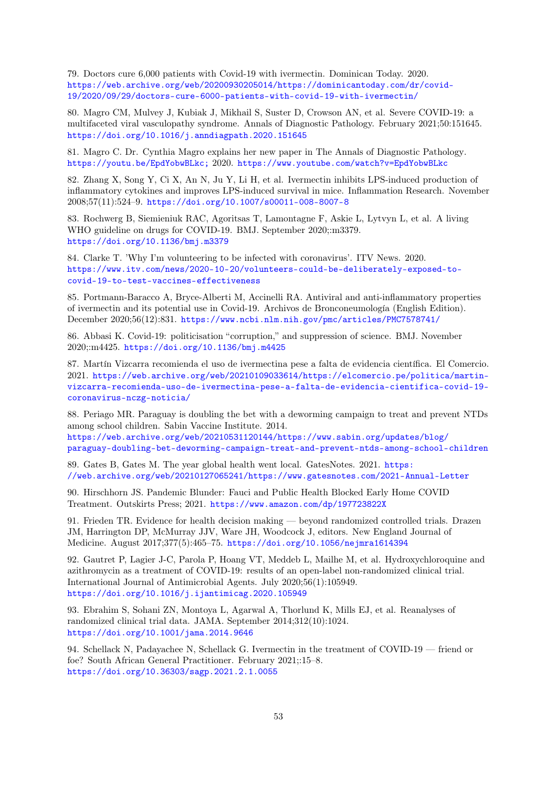79. Doctors cure 6,000 patients with Covid-19 with ivermectin. Dominican Today. 2020. [https://web.archive.org/web/20200930205014/https://dominicantoday.com/dr/covid-](https://web.archive.org/web/20200930205014/https://dominicantoday.com/dr/covid-19/2020/09/29/doctors-cure-6000-patients-with-covid-19-with-ivermectin/)[19/2020/09/29/doctors-cure-6000-patients-with-covid-19-with-ivermectin/](https://web.archive.org/web/20200930205014/https://dominicantoday.com/dr/covid-19/2020/09/29/doctors-cure-6000-patients-with-covid-19-with-ivermectin/)

80. Magro CM, Mulvey J, Kubiak J, Mikhail S, Suster D, Crowson AN, et al. Severe COVID-19: a multifaceted viral vasculopathy syndrome. Annals of Diagnostic Pathology. February 2021;50:151645. <https://doi.org/10.1016/j.anndiagpath.2020.151645>

81. Magro C. Dr. Cynthia Magro explains her new paper in The Annals of Diagnostic Pathology. <https://youtu.be/EpdYobwBLkc;> 2020. <https://www.youtube.com/watch?v=EpdYobwBLkc>

82. Zhang X, Song Y, Ci X, An N, Ju Y, Li H, et al. Ivermectin inhibits LPS-induced production of inflammatory cytokines and improves LPS-induced survival in mice. Inflammation Research. November 2008;57(11):524–9. <https://doi.org/10.1007/s00011-008-8007-8>

83. Rochwerg B, Siemieniuk RAC, Agoritsas T, Lamontagne F, Askie L, Lytvyn L, et al. A living WHO guideline on drugs for COVID-19. BMJ. September 2020;:m3379. <https://doi.org/10.1136/bmj.m3379>

84. Clarke T. 'Why I'm volunteering to be infected with coronavirus'. ITV News. 2020. [https://www.itv.com/news/2020-10-20/volunteers-could-be-deliberately-exposed-to](https://www.itv.com/news/2020-10-20/volunteers-could-be-deliberately-exposed-to-covid-19-to-test-vaccines-effectiveness)[covid-19-to-test-vaccines-effectiveness](https://www.itv.com/news/2020-10-20/volunteers-could-be-deliberately-exposed-to-covid-19-to-test-vaccines-effectiveness)

85. Portmann-Baracco A, Bryce-Alberti M, Accinelli RA. Antiviral and anti-inflammatory properties of ivermectin and its potential use in Covid-19. Archivos de Bronconeumología (English Edition). December 2020;56(12):831. <https://www.ncbi.nlm.nih.gov/pmc/articles/PMC7578741/>

86. Abbasi K. Covid-19: politicisation "corruption," and suppression of science. BMJ. November 2020;:m4425. <https://doi.org/10.1136/bmj.m4425>

87. Martín Vizcarra recomienda el uso de ivermectina pese a falta de evidencia científica. El Comercio. 2021. [https://web.archive.org/web/20210109033614/https://elcomercio.pe/politica/martin](https://web.archive.org/web/20210109033614/https://elcomercio.pe/politica/martin-vizcarra-recomienda-uso-de-ivermectina-pese-a-falta-de-evidencia-cientifica-covid-19-coronavirus-nczg-noticia/)[vizcarra-recomienda-uso-de-ivermectina-pese-a-falta-de-evidencia-cientifica-covid-19](https://web.archive.org/web/20210109033614/https://elcomercio.pe/politica/martin-vizcarra-recomienda-uso-de-ivermectina-pese-a-falta-de-evidencia-cientifica-covid-19-coronavirus-nczg-noticia/) [coronavirus-nczg-noticia/](https://web.archive.org/web/20210109033614/https://elcomercio.pe/politica/martin-vizcarra-recomienda-uso-de-ivermectina-pese-a-falta-de-evidencia-cientifica-covid-19-coronavirus-nczg-noticia/)

88. Periago MR. Paraguay is doubling the bet with a deworming campaign to treat and prevent NTDs among school children. Sabin Vaccine Institute. 2014.

[https://web.archive.org/web/20210531120144/https://www.sabin.org/updates/blog/](https://web.archive.org/web/20210531120144/https://www.sabin.org/updates/blog/paraguay-doubling-bet-deworming-campaign-treat-and-prevent-ntds-among-school-children) [paraguay-doubling-bet-deworming-campaign-treat-and-prevent-ntds-among-school-children](https://web.archive.org/web/20210531120144/https://www.sabin.org/updates/blog/paraguay-doubling-bet-deworming-campaign-treat-and-prevent-ntds-among-school-children)

<span id="page-52-0"></span>89. Gates B, Gates M. The year global health went local. GatesNotes. 2021. [https:](https://web.archive.org/web/20210127065241/https://www.gatesnotes.com/2021-Annual-Letter) [//web.archive.org/web/20210127065241/https://www.gatesnotes.com/2021-Annual-Letter](https://web.archive.org/web/20210127065241/https://www.gatesnotes.com/2021-Annual-Letter)

90. Hirschhorn JS. Pandemic Blunder: Fauci and Public Health Blocked Early Home COVID Treatment. Outskirts Press; 2021. <https://www.amazon.com/dp/197723822X>

91. Frieden TR. Evidence for health decision making — beyond randomized controlled trials. Drazen JM, Harrington DP, McMurray JJV, Ware JH, Woodcock J, editors. New England Journal of Medicine. August 2017;377(5):465–75. <https://doi.org/10.1056/nejmra1614394>

92. Gautret P, Lagier J-C, Parola P, Hoang VT, Meddeb L, Mailhe M, et al. Hydroxychloroquine and azithromycin as a treatment of COVID-19: results of an open-label non-randomized clinical trial. International Journal of Antimicrobial Agents. July 2020;56(1):105949. <https://doi.org/10.1016/j.ijantimicag.2020.105949>

93. Ebrahim S, Sohani ZN, Montoya L, Agarwal A, Thorlund K, Mills EJ, et al. Reanalyses of randomized clinical trial data. JAMA. September 2014;312(10):1024. <https://doi.org/10.1001/jama.2014.9646>

94. Schellack N, Padayachee N, Schellack G. Ivermectin in the treatment of COVID-19 — friend or foe? South African General Practitioner. February 2021;:15–8. <https://doi.org/10.36303/sagp.2021.2.1.0055>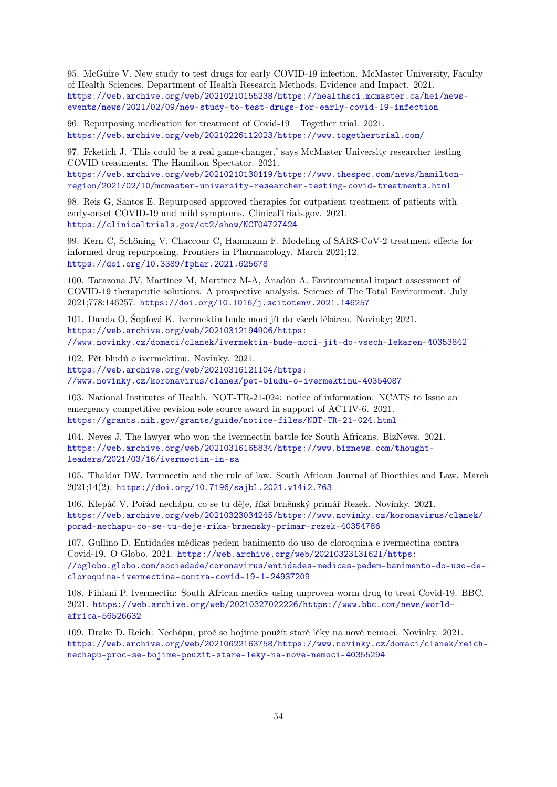95. McGuire V. New study to test drugs for early COVID-19 infection. McMaster University, Faculty of Health Sciences, Department of Health Research Methods, Evidence and Impact. 2021. [https://web.archive.org/web/20210210155238/https://healthsci.mcmaster.ca/hei/news](https://web.archive.org/web/20210210155238/https://healthsci.mcmaster.ca/hei/news-events/news/2021/02/09/new-study-to-test-drugs-for-early-covid-19-infection)[events/news/2021/02/09/new-study-to-test-drugs-for-early-covid-19-infection](https://web.archive.org/web/20210210155238/https://healthsci.mcmaster.ca/hei/news-events/news/2021/02/09/new-study-to-test-drugs-for-early-covid-19-infection)

96. Repurposing medication for treatment of Covid-19 – Together trial. 2021. <https://web.archive.org/web/20210226112023/https://www.togethertrial.com/>

97. Frketich J. 'This could be a real game-changer,' says McMaster University researcher testing COVID treatments. The Hamilton Spectator. 2021. [https://web.archive.org/web/20210210130119/https://www.thespec.com/news/hamilton-](https://web.archive.org/web/20210210130119/https://www.thespec.com/news/hamilton-region/2021/02/10/mcmaster-university-researcher-testing-covid-treatments.html)

[region/2021/02/10/mcmaster-university-researcher-testing-covid-treatments.html](https://web.archive.org/web/20210210130119/https://www.thespec.com/news/hamilton-region/2021/02/10/mcmaster-university-researcher-testing-covid-treatments.html)

98. Reis G, Santos E. Repurposed approved therapies for outpatient treatment of patients with early-onset COVID-19 and mild symptoms. ClinicalTrials.gov. 2021. <https://clinicaltrials.gov/ct2/show/NCT04727424>

99. Kern C, Schöning V, Chaccour C, Hammann F. Modeling of SARS-CoV-2 treatment effects for informed drug repurposing. Frontiers in Pharmacology. March 2021;12. <https://doi.org/10.3389/fphar.2021.625678>

100. Tarazona JV, Martínez M, Martínez M-A, Anadón A. Environmental impact assessment of COVID-19 therapeutic solutions. A prospective analysis. Science of The Total Environment. July 2021;778:146257. <https://doi.org/10.1016/j.scitotenv.2021.146257>

101. Danda O, Šopfová K. Ivermektin bude moci jít do všech lékáren. Novinky; 2021. [https://web.archive.org/web/20210312194906/https:](https://web.archive.org/web/20210312194906/https://www.novinky.cz/domaci/clanek/ivermektin-bude-moci-jit-do-vsech-lekaren-40353842) [//www.novinky.cz/domaci/clanek/ivermektin-bude-moci-jit-do-vsech-lekaren-40353842](https://web.archive.org/web/20210312194906/https://www.novinky.cz/domaci/clanek/ivermektin-bude-moci-jit-do-vsech-lekaren-40353842)

102. Pět bludů o ivermektinu. Novinky. 2021. [https://web.archive.org/web/20210316121104/https:](https://web.archive.org/web/20210316121104/https://www.novinky.cz/koronavirus/clanek/pet-bludu-o-ivermektinu-40354087) [//www.novinky.cz/koronavirus/clanek/pet-bludu-o-ivermektinu-40354087](https://web.archive.org/web/20210316121104/https://www.novinky.cz/koronavirus/clanek/pet-bludu-o-ivermektinu-40354087)

103. National Institutes of Health. NOT-TR-21-024: notice of information: NCATS to Issue an emergency competitive revision sole source award in support of ACTIV-6. 2021. <https://grants.nih.gov/grants/guide/notice-files/NOT-TR-21-024.html>

104. Neves J. The lawyer who won the ivermectin battle for South Africans. BizNews. 2021. [https://web.archive.org/web/20210316165834/https://www.biznews.com/thought](https://web.archive.org/web/20210316165834/https://www.biznews.com/thought-leaders/2021/03/16/ivermectin-in-sa)[leaders/2021/03/16/ivermectin-in-sa](https://web.archive.org/web/20210316165834/https://www.biznews.com/thought-leaders/2021/03/16/ivermectin-in-sa)

105. Thaldar DW. Ivermectin and the rule of law. South African Journal of Bioethics and Law. March 2021;14(2). <https://doi.org/10.7196/sajbl.2021.v14i2.763>

106. Klepáč V. Pořád nechápu, co se tu děje, říká brněnský primář Rezek. Novinky. 2021. [https://web.archive.org/web/20210323034245/https://www.novinky.cz/koronavirus/clanek/](https://web.archive.org/web/20210323034245/https://www.novinky.cz/koronavirus/clanek/porad-nechapu-co-se-tu-deje-rika-brnensky-primar-rezek-40354786) [porad-nechapu-co-se-tu-deje-rika-brnensky-primar-rezek-40354786](https://web.archive.org/web/20210323034245/https://www.novinky.cz/koronavirus/clanek/porad-nechapu-co-se-tu-deje-rika-brnensky-primar-rezek-40354786)

107. Gullino D. Entidades médicas pedem banimento do uso de cloroquina e ivermectina contra Covid-19. O Globo. 2021. [https://web.archive.org/web/20210323131621/https:](https://web.archive.org/web/20210323131621/https://oglobo.globo.com/sociedade/coronavirus/entidades-medicas-pedem-banimento-do-uso-de-cloroquina-ivermectina-contra-covid-19-1-24937209) [//oglobo.globo.com/sociedade/coronavirus/entidades-medicas-pedem-banimento-do-uso-de](https://web.archive.org/web/20210323131621/https://oglobo.globo.com/sociedade/coronavirus/entidades-medicas-pedem-banimento-do-uso-de-cloroquina-ivermectina-contra-covid-19-1-24937209)[cloroquina-ivermectina-contra-covid-19-1-24937209](https://web.archive.org/web/20210323131621/https://oglobo.globo.com/sociedade/coronavirus/entidades-medicas-pedem-banimento-do-uso-de-cloroquina-ivermectina-contra-covid-19-1-24937209)

108. Fihlani P. Ivermectin: South African medics using unproven worm drug to treat Covid-19. BBC. 2021. [https://web.archive.org/web/20210327022226/https://www.bbc.com/news/world](https://web.archive.org/web/20210327022226/https://www.bbc.com/news/world-africa-56526632)[africa-56526632](https://web.archive.org/web/20210327022226/https://www.bbc.com/news/world-africa-56526632)

109. Drake D. Reich: Nechápu, proč se bojíme použít staré léky na nové nemoci. Novinky. 2021. [https://web.archive.org/web/20210622163758/https://www.novinky.cz/domaci/clanek/reich](https://web.archive.org/web/20210622163758/https://www.novinky.cz/domaci/clanek/reich-nechapu-proc-se-bojime-pouzit-stare-leky-na-nove-nemoci-40355294)[nechapu-proc-se-bojime-pouzit-stare-leky-na-nove-nemoci-40355294](https://web.archive.org/web/20210622163758/https://www.novinky.cz/domaci/clanek/reich-nechapu-proc-se-bojime-pouzit-stare-leky-na-nove-nemoci-40355294)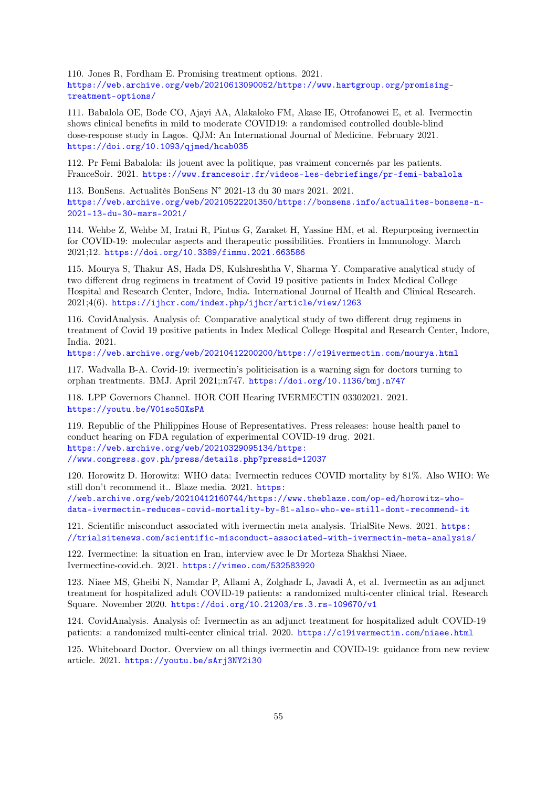110. Jones R, Fordham E. Promising treatment options. 2021. [https://web.archive.org/web/20210613090052/https://www.hartgroup.org/promising](https://web.archive.org/web/20210613090052/https://www.hartgroup.org/promising-treatment-options/)[treatment-options/](https://web.archive.org/web/20210613090052/https://www.hartgroup.org/promising-treatment-options/)

111. Babalola OE, Bode CO, Ajayi AA, Alakaloko FM, Akase IE, Otrofanowei E, et al. Ivermectin shows clinical benefits in mild to moderate COVID19: a randomised controlled double-blind dose-response study in Lagos. QJM: An International Journal of Medicine. February 2021. <https://doi.org/10.1093/qjmed/hcab035>

112. Pr Femi Babalola: ils jouent avec la politique, pas vraiment concernés par les patients. FranceSoir. 2021. <https://www.francesoir.fr/videos-les-debriefings/pr-femi-babalola>

113. BonSens. Actualités BonSens N° 2021-13 du 30 mars 2021. 2021. [https://web.archive.org/web/20210522201350/https://bonsens.info/actualites-bonsens-n-](https://web.archive.org/web/20210522201350/https://bonsens.info/actualites-bonsens-n-2021-13-du-30-mars-2021/)[2021-13-du-30-mars-2021/](https://web.archive.org/web/20210522201350/https://bonsens.info/actualites-bonsens-n-2021-13-du-30-mars-2021/)

114. Wehbe Z, Wehbe M, Iratni R, Pintus G, Zaraket H, Yassine HM, et al. Repurposing ivermectin for COVID-19: molecular aspects and therapeutic possibilities. Frontiers in Immunology. March 2021;12. <https://doi.org/10.3389/fimmu.2021.663586>

115. Mourya S, Thakur AS, Hada DS, Kulshreshtha V, Sharma Y. Comparative analytical study of two different drug regimens in treatment of Covid 19 positive patients in Index Medical College Hospital and Research Center, Indore, India. International Journal of Health and Clinical Research. 2021;4(6). <https://ijhcr.com/index.php/ijhcr/article/view/1263>

116. CovidAnalysis. Analysis of: Comparative analytical study of two different drug regimens in treatment of Covid 19 positive patients in Index Medical College Hospital and Research Center, Indore, India. 2021.

<https://web.archive.org/web/20210412200200/https://c19ivermectin.com/mourya.html>

117. Wadvalla B-A. Covid-19: ivermectin's politicisation is a warning sign for doctors turning to orphan treatments. BMJ. April 2021;:n747. <https://doi.org/10.1136/bmj.n747>

118. LPP Governors Channel. HOR COH Hearing IVERMECTIN 03302021. 2021. <https://youtu.be/V01so5OXsPA>

119. Republic of the Philippines House of Representatives. Press releases: house health panel to conduct hearing on FDA regulation of experimental COVID-19 drug. 2021. [https://web.archive.org/web/20210329095134/https:](https://web.archive.org/web/20210329095134/https://www.congress.gov.ph/press/details.php?pressid=12037) [//www.congress.gov.ph/press/details.php?pressid=12037](https://web.archive.org/web/20210329095134/https://www.congress.gov.ph/press/details.php?pressid=12037)

120. Horowitz D. Horowitz: WHO data: Ivermectin reduces COVID mortality by 81%. Also WHO: We still don't recommend it.. Blaze media. 2021. [https:](https://web.archive.org/web/20210412160744/https://www.theblaze.com/op-ed/horowitz-who-data-ivermectin-reduces-covid-mortality-by-81-also-who-we-still-dont-recommend-it)

[//web.archive.org/web/20210412160744/https://www.theblaze.com/op-ed/horowitz-who](https://web.archive.org/web/20210412160744/https://www.theblaze.com/op-ed/horowitz-who-data-ivermectin-reduces-covid-mortality-by-81-also-who-we-still-dont-recommend-it)[data-ivermectin-reduces-covid-mortality-by-81-also-who-we-still-dont-recommend-it](https://web.archive.org/web/20210412160744/https://www.theblaze.com/op-ed/horowitz-who-data-ivermectin-reduces-covid-mortality-by-81-also-who-we-still-dont-recommend-it)

121. Scientific misconduct associated with ivermectin meta analysis. TrialSite News. 2021. [https:](https://trialsitenews.com/scientific-misconduct-associated-with-ivermectin-meta-analysis/) [//trialsitenews.com/scientific-misconduct-associated-with-ivermectin-meta-analysis/](https://trialsitenews.com/scientific-misconduct-associated-with-ivermectin-meta-analysis/)

122. Ivermectine: la situation en Iran, interview avec le Dr Morteza Shakhsi Niaee. Ivermectine-covid.ch. 2021. <https://vimeo.com/532583920>

123. Niaee MS, Gheibi N, Namdar P, Allami A, Zolghadr L, Javadi A, et al. Ivermectin as an adjunct treatment for hospitalized adult COVID-19 patients: a randomized multi-center clinical trial. Research Square. November 2020. <https://doi.org/10.21203/rs.3.rs-109670/v1>

124. CovidAnalysis. Analysis of: Ivermectin as an adjunct treatment for hospitalized adult COVID-19 patients: a randomized multi-center clinical trial. 2020. <https://c19ivermectin.com/niaee.html>

125. Whiteboard Doctor. Overview on all things ivermectin and COVID-19: guidance from new review article. 2021. <https://youtu.be/sArj3NY2i30>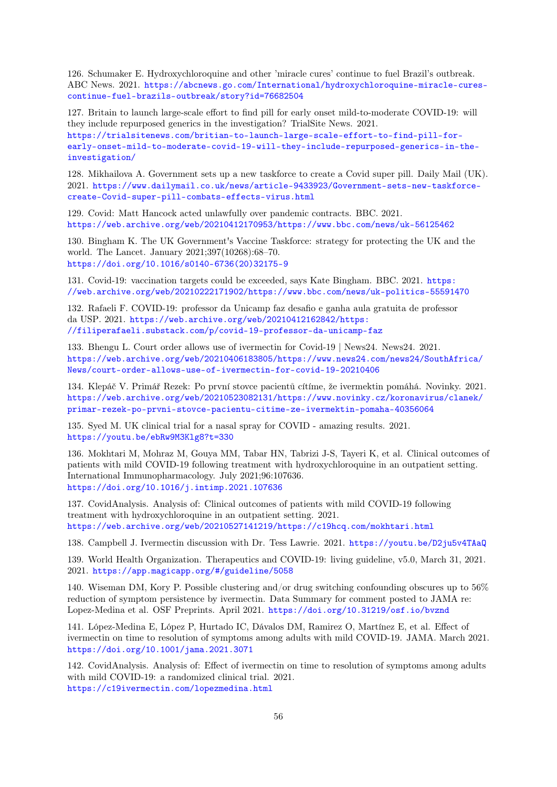126. Schumaker E. Hydroxychloroquine and other 'miracle cures' continue to fuel Brazil's outbreak. ABC News. 2021. [https://abcnews.go.com/International/hydroxychloroquine-miracle-cures](https://abcnews.go.com/International/hydroxychloroquine-miracle-cures-continue-fuel-brazils-outbreak/story?id=76682504)[continue-fuel-brazils-outbreak/story?id=76682504](https://abcnews.go.com/International/hydroxychloroquine-miracle-cures-continue-fuel-brazils-outbreak/story?id=76682504)

127. Britain to launch large-scale effort to find pill for early onset mild-to-moderate COVID-19: will they include repurposed generics in the investigation? TrialSite News. 2021. [https://trialsitenews.com/britian-to-launch-large-scale-effort-to-find-pill-for](https://trialsitenews.com/britian-to-launch-large-scale-effort-to-find-pill-for-early-onset-mild-to-moderate-covid-19-will-they-include-repurposed-generics-in-the-investigation/)[early-onset-mild-to-moderate-covid-19-will-they-include-repurposed-generics-in-the](https://trialsitenews.com/britian-to-launch-large-scale-effort-to-find-pill-for-early-onset-mild-to-moderate-covid-19-will-they-include-repurposed-generics-in-the-investigation/)[investigation/](https://trialsitenews.com/britian-to-launch-large-scale-effort-to-find-pill-for-early-onset-mild-to-moderate-covid-19-will-they-include-repurposed-generics-in-the-investigation/)

128. Mikhailova A. Government sets up a new taskforce to create a Covid super pill. Daily Mail (UK). 2021. [https://www.dailymail.co.uk/news/article-9433923/Government-sets-new-taskforce](https://www.dailymail.co.uk/news/article-9433923/Government-sets-new-taskforce-create-Covid-super-pill-combats-effects-virus.html)[create-Covid-super-pill-combats-effects-virus.html](https://www.dailymail.co.uk/news/article-9433923/Government-sets-new-taskforce-create-Covid-super-pill-combats-effects-virus.html)

129. Covid: Matt Hancock acted unlawfully over pandemic contracts. BBC. 2021. <https://web.archive.org/web/20210412170953/https://www.bbc.com/news/uk-56125462>

130. Bingham K. The UK Government's Vaccine Taskforce: strategy for protecting the UK and the world. The Lancet. January 2021;397(10268):68–70. [https://doi.org/10.1016/s0140-6736\(20\)32175-9](https://doi.org/10.1016/s0140-6736(20)32175-9)

131. Covid-19: vaccination targets could be exceeded, says Kate Bingham. BBC. 2021. [https:](https://web.archive.org/web/20210222171902/https://www.bbc.com/news/uk-politics-55591470) [//web.archive.org/web/20210222171902/https://www.bbc.com/news/uk-politics-55591470](https://web.archive.org/web/20210222171902/https://www.bbc.com/news/uk-politics-55591470)

132. Rafaeli F. COVID-19: professor da Unicamp faz desafio e ganha aula gratuita de professor da USP. 2021. [https://web.archive.org/web/20210412162842/https:](https://web.archive.org/web/20210412162842/https://filiperafaeli.substack.com/p/covid-19-professor-da-unicamp-faz) [//filiperafaeli.substack.com/p/covid-19-professor-da-unicamp-faz](https://web.archive.org/web/20210412162842/https://filiperafaeli.substack.com/p/covid-19-professor-da-unicamp-faz)

133. Bhengu L. Court order allows use of ivermectin for Covid-19 | News24. News24. 2021. [https://web.archive.org/web/20210406183805/https://www.news24.com/news24/SouthAfrica/](https://web.archive.org/web/20210406183805/https://www.news24.com/news24/SouthAfrica/News/court-order-allows-use-of-ivermectin-for-covid-19-20210406) [News/court-order-allows-use-of-ivermectin-for-covid-19-20210406](https://web.archive.org/web/20210406183805/https://www.news24.com/news24/SouthAfrica/News/court-order-allows-use-of-ivermectin-for-covid-19-20210406)

134. Klepáč V. Primář Rezek: Po první stovce pacientů cítíme, že ivermektin pomáhá. Novinky. 2021. [https://web.archive.org/web/20210523082131/https://www.novinky.cz/koronavirus/clanek/](https://web.archive.org/web/20210523082131/https://www.novinky.cz/koronavirus/clanek/primar-rezek-po-prvni-stovce-pacientu-citime-ze-ivermektin-pomaha-40356064) [primar-rezek-po-prvni-stovce-pacientu-citime-ze-ivermektin-pomaha-40356064](https://web.archive.org/web/20210523082131/https://www.novinky.cz/koronavirus/clanek/primar-rezek-po-prvni-stovce-pacientu-citime-ze-ivermektin-pomaha-40356064)

135. Syed M. UK clinical trial for a nasal spray for COVID - amazing results. 2021. <https://youtu.be/ebRw9M3Klg8?t=330>

136. Mokhtari M, Mohraz M, Gouya MM, Tabar HN, Tabrizi J-S, Tayeri K, et al. Clinical outcomes of patients with mild COVID-19 following treatment with hydroxychloroquine in an outpatient setting. International Immunopharmacology. July 2021;96:107636. <https://doi.org/10.1016/j.intimp.2021.107636>

137. CovidAnalysis. Analysis of: Clinical outcomes of patients with mild COVID-19 following treatment with hydroxychloroquine in an outpatient setting. 2021. <https://web.archive.org/web/20210527141219/https://c19hcq.com/mokhtari.html>

138. Campbell J. Ivermectin discussion with Dr. Tess Lawrie. 2021. <https://youtu.be/D2ju5v4TAaQ>

139. World Health Organization. Therapeutics and COVID-19: living guideline, v5.0, March 31, 2021. 2021. <https://app.magicapp.org/#/guideline/5058>

140. Wiseman DM, Kory P. Possible clustering and/or drug switching confounding obscures up to 56% reduction of symptom persistence by ivermectin. Data Summary for comment posted to JAMA re: Lopez-Medina et al. OSF Preprints. April 2021. <https://doi.org/10.31219/osf.io/bvznd>

141. López-Medina E, López P, Hurtado IC, Dávalos DM, Ramirez O, Martínez E, et al. Effect of ivermectin on time to resolution of symptoms among adults with mild COVID-19. JAMA. March 2021. <https://doi.org/10.1001/jama.2021.3071>

142. CovidAnalysis. Analysis of: Effect of ivermectin on time to resolution of symptoms among adults with mild COVID-19: a randomized clinical trial. 2021. <https://c19ivermectin.com/lopezmedina.html>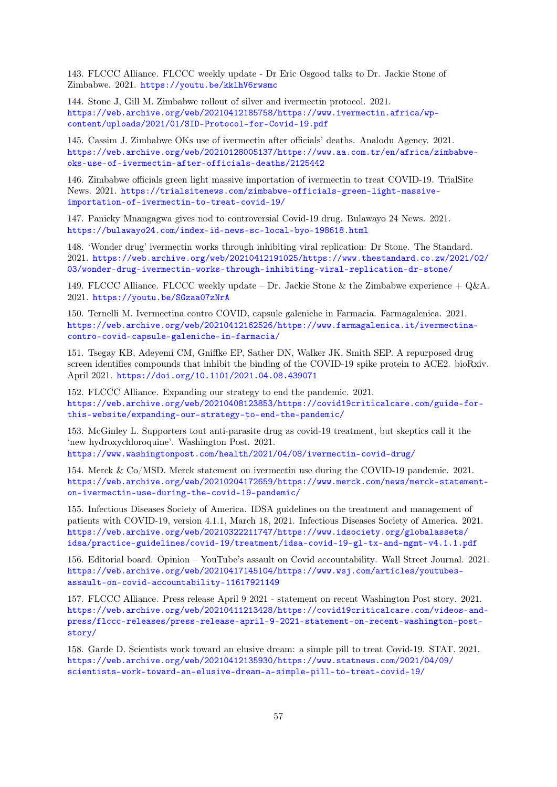143. FLCCC Alliance. FLCCC weekly update - Dr Eric Osgood talks to Dr. Jackie Stone of Zimbabwe. 2021. <https://youtu.be/kklhV6rwsmc>

144. Stone J, Gill M. Zimbabwe rollout of silver and ivermectin protocol. 2021. [https://web.archive.org/web/20210412185758/https://www.ivermectin.africa/wp](https://web.archive.org/web/20210412185758/https://www.ivermectin.africa/wp-content/uploads/2021/01/SID-Protocol-for-Covid-19.pdf)[content/uploads/2021/01/SID-Protocol-for-Covid-19.pdf](https://web.archive.org/web/20210412185758/https://www.ivermectin.africa/wp-content/uploads/2021/01/SID-Protocol-for-Covid-19.pdf)

145. Cassim J. Zimbabwe OKs use of ivermectin after officials' deaths. Analodu Agency. 2021. [https://web.archive.org/web/20210128005137/https://www.aa.com.tr/en/africa/zimbabwe](https://web.archive.org/web/20210128005137/https://www.aa.com.tr/en/africa/zimbabwe-oks-use-of-ivermectin-after-officials-deaths/2125442)[oks-use-of-ivermectin-after-officials-deaths/2125442](https://web.archive.org/web/20210128005137/https://www.aa.com.tr/en/africa/zimbabwe-oks-use-of-ivermectin-after-officials-deaths/2125442)

146. Zimbabwe officials green light massive importation of ivermectin to treat COVID-19. TrialSite News. 2021. [https://trialsitenews.com/zimbabwe-officials-green-light-massive](https://trialsitenews.com/zimbabwe-officials-green-light-massive-importation-of-ivermectin-to-treat-covid-19/)[importation-of-ivermectin-to-treat-covid-19/](https://trialsitenews.com/zimbabwe-officials-green-light-massive-importation-of-ivermectin-to-treat-covid-19/)

147. Panicky Mnangagwa gives nod to controversial Covid-19 drug. Bulawayo 24 News. 2021. <https://bulawayo24.com/index-id-news-sc-local-byo-198618.html>

148. 'Wonder drug' ivermectin works through inhibiting viral replication: Dr Stone. The Standard. 2021. [https://web.archive.org/web/20210412191025/https://www.thestandard.co.zw/2021/02/](https://web.archive.org/web/20210412191025/https://www.thestandard.co.zw/2021/02/03/wonder-drug-ivermectin-works-through-inhibiting-viral-replication-dr-stone/) [03/wonder-drug-ivermectin-works-through-inhibiting-viral-replication-dr-stone/](https://web.archive.org/web/20210412191025/https://www.thestandard.co.zw/2021/02/03/wonder-drug-ivermectin-works-through-inhibiting-viral-replication-dr-stone/)

149. FLCCC Alliance. FLCCC weekly update – Dr. Jackie Stone & the Zimbabwe experience  $+ Q\&A$ . 2021. <https://youtu.be/SGzaa07zNrA>

150. Ternelli M. Ivermectina contro COVID, capsule galeniche in Farmacia. Farmagalenica. 2021. [https://web.archive.org/web/20210412162526/https://www.farmagalenica.it/ivermectina](https://web.archive.org/web/20210412162526/https://www.farmagalenica.it/ivermectina-contro-covid-capsule-galeniche-in-farmacia/)[contro-covid-capsule-galeniche-in-farmacia/](https://web.archive.org/web/20210412162526/https://www.farmagalenica.it/ivermectina-contro-covid-capsule-galeniche-in-farmacia/)

151. Tsegay KB, Adeyemi CM, Gniffke EP, Sather DN, Walker JK, Smith SEP. A repurposed drug screen identifies compounds that inhibit the binding of the COVID-19 spike protein to ACE2. bioRxiv. April 2021. <https://doi.org/10.1101/2021.04.08.439071>

152. FLCCC Alliance. Expanding our strategy to end the pandemic. 2021. [https://web.archive.org/web/20210408123853/https://covid19criticalcare.com/guide-for](https://web.archive.org/web/20210408123853/https://covid19criticalcare.com/guide-for-this-website/expanding-our-strategy-to-end-the-pandemic/)[this-website/expanding-our-strategy-to-end-the-pandemic/](https://web.archive.org/web/20210408123853/https://covid19criticalcare.com/guide-for-this-website/expanding-our-strategy-to-end-the-pandemic/)

153. McGinley L. Supporters tout anti-parasite drug as covid-19 treatment, but skeptics call it the 'new hydroxychloroquine'. Washington Post. 2021.

<https://www.washingtonpost.com/health/2021/04/08/ivermectin-covid-drug/>

154. Merck & Co/MSD. Merck statement on ivermectin use during the COVID-19 pandemic. 2021. [https://web.archive.org/web/20210204172659/https://www.merck.com/news/merck-statement](https://web.archive.org/web/20210204172659/https://www.merck.com/news/merck-statement-on-ivermectin-use-during-the-covid-19-pandemic/)[on-ivermectin-use-during-the-covid-19-pandemic/](https://web.archive.org/web/20210204172659/https://www.merck.com/news/merck-statement-on-ivermectin-use-during-the-covid-19-pandemic/)

155. Infectious Diseases Society of America. IDSA guidelines on the treatment and management of patients with COVID-19, version 4.1.1, March 18, 2021. Infectious Diseases Society of America. 2021. [https://web.archive.org/web/20210322211747/https://www.idsociety.org/globalassets/](https://web.archive.org/web/20210322211747/https://www.idsociety.org/globalassets/idsa/practice-guidelines/covid-19/treatment/idsa-covid-19-gl-tx-and-mgmt-v4.1.1.pdf) [idsa/practice-guidelines/covid-19/treatment/idsa-covid-19-gl-tx-and-mgmt-v4.1.1.pdf](https://web.archive.org/web/20210322211747/https://www.idsociety.org/globalassets/idsa/practice-guidelines/covid-19/treatment/idsa-covid-19-gl-tx-and-mgmt-v4.1.1.pdf)

156. Editorial board. Opinion – YouTube's assault on Covid accountability. Wall Street Journal. 2021. [https://web.archive.org/web/20210417145104/https://www.wsj.com/articles/youtubes](https://web.archive.org/web/20210417145104/https://www.wsj.com/articles/youtubes-assault-on-covid-accountability-11617921149)[assault-on-covid-accountability-11617921149](https://web.archive.org/web/20210417145104/https://www.wsj.com/articles/youtubes-assault-on-covid-accountability-11617921149)

157. FLCCC Alliance. Press release April 9 2021 - statement on recent Washington Post story. 2021. [https://web.archive.org/web/20210411213428/https://covid19criticalcare.com/videos-and](https://web.archive.org/web/20210411213428/https://covid19criticalcare.com/videos-and-press/flccc-releases/press-release-april-9-2021-statement-on-recent-washington-post-story/)[press/flccc-releases/press-release-april-9-2021-statement-on-recent-washington-post](https://web.archive.org/web/20210411213428/https://covid19criticalcare.com/videos-and-press/flccc-releases/press-release-april-9-2021-statement-on-recent-washington-post-story/)[story/](https://web.archive.org/web/20210411213428/https://covid19criticalcare.com/videos-and-press/flccc-releases/press-release-april-9-2021-statement-on-recent-washington-post-story/)

158. Garde D. Scientists work toward an elusive dream: a simple pill to treat Covid-19. STAT. 2021. [https://web.archive.org/web/20210412135930/https://www.statnews.com/2021/04/09/](https://web.archive.org/web/20210412135930/https://www.statnews.com/2021/04/09/scientists-work-toward-an-elusive-dream-a-simple-pill-to-treat-covid-19/) [scientists-work-toward-an-elusive-dream-a-simple-pill-to-treat-covid-19/](https://web.archive.org/web/20210412135930/https://www.statnews.com/2021/04/09/scientists-work-toward-an-elusive-dream-a-simple-pill-to-treat-covid-19/)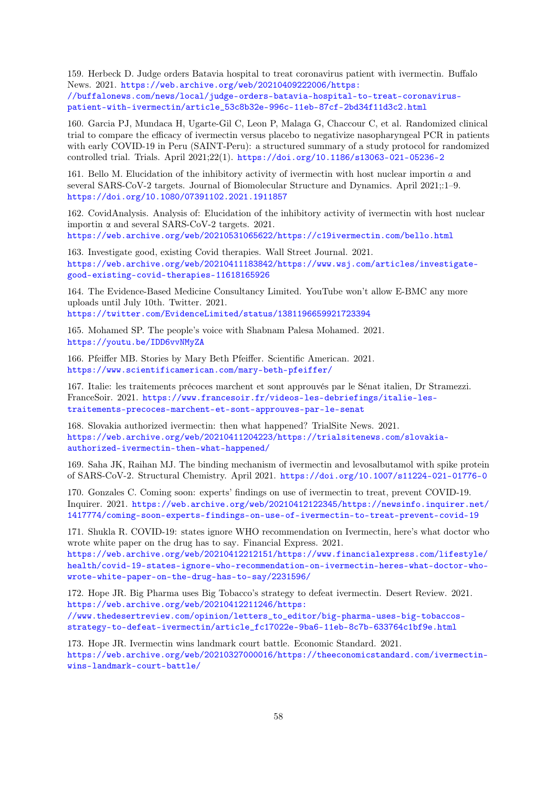159. Herbeck D. Judge orders Batavia hospital to treat coronavirus patient with ivermectin. Buffalo News. 2021. [https://web.archive.org/web/20210409222006/https:](https://web.archive.org/web/20210409222006/https://buffalonews.com/news/local/judge-orders-batavia-hospital-to-treat-coronavirus-patient-with-ivermectin/article_53c8b32e-996c-11eb-87cf-2bd34f11d3c2.html)

[//buffalonews.com/news/local/judge-orders-batavia-hospital-to-treat-coronavirus](https://web.archive.org/web/20210409222006/https://buffalonews.com/news/local/judge-orders-batavia-hospital-to-treat-coronavirus-patient-with-ivermectin/article_53c8b32e-996c-11eb-87cf-2bd34f11d3c2.html)[patient-with-ivermectin/article\\_53c8b32e-996c-11eb-87cf-2bd34f11d3c2.html](https://web.archive.org/web/20210409222006/https://buffalonews.com/news/local/judge-orders-batavia-hospital-to-treat-coronavirus-patient-with-ivermectin/article_53c8b32e-996c-11eb-87cf-2bd34f11d3c2.html)

160. Garcia PJ, Mundaca H, Ugarte-Gil C, Leon P, Malaga G, Chaccour C, et al. Randomized clinical trial to compare the efficacy of ivermectin versus placebo to negativize nasopharyngeal PCR in patients with early COVID-19 in Peru (SAINT-Peru): a structured summary of a study protocol for randomized controlled trial. Trials. April 2021;22(1). <https://doi.org/10.1186/s13063-021-05236-2>

161. Bello M. Elucidation of the inhibitory activity of ivermectin with host nuclear importin a and several SARS-CoV-2 targets. Journal of Biomolecular Structure and Dynamics. April 2021;:1–9. <https://doi.org/10.1080/07391102.2021.1911857>

162. CovidAnalysis. Analysis of: Elucidation of the inhibitory activity of ivermectin with host nuclear importin  $\alpha$  and several SARS-CoV-2 targets. 2021.

<https://web.archive.org/web/20210531065622/https://c19ivermectin.com/bello.html>

<span id="page-57-2"></span>163. Investigate good, existing Covid therapies. Wall Street Journal. 2021. [https://web.archive.org/web/20210411183842/https://www.wsj.com/articles/investigate](https://web.archive.org/web/20210411183842/https://www.wsj.com/articles/investigate-good-existing-covid-therapies-11618165926)[good-existing-covid-therapies-11618165926](https://web.archive.org/web/20210411183842/https://www.wsj.com/articles/investigate-good-existing-covid-therapies-11618165926)

164. The Evidence-Based Medicine Consultancy Limited. YouTube won't allow E-BMC any more uploads until July 10th. Twitter. 2021.

<https://twitter.com/EvidenceLimited/status/1381196659921723394>

<span id="page-57-1"></span>165. Mohamed SP. The people's voice with Shabnam Palesa Mohamed. 2021. <https://youtu.be/IDD6vvNMyZA>

166. Pfeiffer MB. Stories by Mary Beth Pfeiffer. Scientific American. 2021. <https://www.scientificamerican.com/mary-beth-pfeiffer/>

167. Italie: les traitements précoces marchent et sont approuvés par le Sénat italien, Dr Stramezzi. FranceSoir. 2021. [https://www.francesoir.fr/videos-les-debriefings/italie-les](https://www.francesoir.fr/videos-les-debriefings/italie-les-traitements-precoces-marchent-et-sont-approuves-par-le-senat)[traitements-precoces-marchent-et-sont-approuves-par-le-senat](https://www.francesoir.fr/videos-les-debriefings/italie-les-traitements-precoces-marchent-et-sont-approuves-par-le-senat)

168. Slovakia authorized ivermectin: then what happened? TrialSite News. 2021. [https://web.archive.org/web/20210411204223/https://trialsitenews.com/slovakia](https://web.archive.org/web/20210411204223/https://trialsitenews.com/slovakia-authorized-ivermectin-then-what-happened/)[authorized-ivermectin-then-what-happened/](https://web.archive.org/web/20210411204223/https://trialsitenews.com/slovakia-authorized-ivermectin-then-what-happened/)

169. Saha JK, Raihan MJ. The binding mechanism of ivermectin and levosalbutamol with spike protein of SARS-CoV-2. Structural Chemistry. April 2021. <https://doi.org/10.1007/s11224-021-01776-0>

170. Gonzales C. Coming soon: experts' findings on use of ivermectin to treat, prevent COVID-19. Inquirer. 2021. [https://web.archive.org/web/20210412122345/https://newsinfo.inquirer.net/](https://web.archive.org/web/20210412122345/https://newsinfo.inquirer.net/1417774/coming-soon-experts-findings-on-use-of-ivermectin-to-treat-prevent-covid-19) [1417774/coming-soon-experts-findings-on-use-of-ivermectin-to-treat-prevent-covid-19](https://web.archive.org/web/20210412122345/https://newsinfo.inquirer.net/1417774/coming-soon-experts-findings-on-use-of-ivermectin-to-treat-prevent-covid-19)

<span id="page-57-0"></span>171. Shukla R. COVID-19: states ignore WHO recommendation on Ivermectin, here's what doctor who wrote white paper on the drug has to say. Financial Express. 2021.

[https://web.archive.org/web/20210412212151/https://www.financialexpress.com/lifestyle/](https://web.archive.org/web/20210412212151/https://www.financialexpress.com/lifestyle/health/covid-19-states-ignore-who-recommendation-on-ivermectin-heres-what-doctor-who-wrote-white-paper-on-the-drug-has-to-say/2231596/) [health/covid-19-states-ignore-who-recommendation-on-ivermectin-heres-what-doctor-who](https://web.archive.org/web/20210412212151/https://www.financialexpress.com/lifestyle/health/covid-19-states-ignore-who-recommendation-on-ivermectin-heres-what-doctor-who-wrote-white-paper-on-the-drug-has-to-say/2231596/)[wrote-white-paper-on-the-drug-has-to-say/2231596/](https://web.archive.org/web/20210412212151/https://www.financialexpress.com/lifestyle/health/covid-19-states-ignore-who-recommendation-on-ivermectin-heres-what-doctor-who-wrote-white-paper-on-the-drug-has-to-say/2231596/)

172. Hope JR. Big Pharma uses Big Tobacco's strategy to defeat ivermectin. Desert Review. 2021. [https://web.archive.org/web/20210412211246/https:](https://web.archive.org/web/20210412211246/https://www.thedesertreview.com/opinion/letters_to_editor/big-pharma-uses-big-tobaccos-strategy-to-defeat-ivermectin/article_fc17022e-9ba6-11eb-8c7b-633764c1bf9e.html)

[//www.thedesertreview.com/opinion/letters\\_to\\_editor/big-pharma-uses-big-tobaccos](https://web.archive.org/web/20210412211246/https://www.thedesertreview.com/opinion/letters_to_editor/big-pharma-uses-big-tobaccos-strategy-to-defeat-ivermectin/article_fc17022e-9ba6-11eb-8c7b-633764c1bf9e.html)[strategy-to-defeat-ivermectin/article\\_fc17022e-9ba6-11eb-8c7b-633764c1bf9e.html](https://web.archive.org/web/20210412211246/https://www.thedesertreview.com/opinion/letters_to_editor/big-pharma-uses-big-tobaccos-strategy-to-defeat-ivermectin/article_fc17022e-9ba6-11eb-8c7b-633764c1bf9e.html)

173. Hope JR. Ivermectin wins landmark court battle. Economic Standard. 2021. [https://web.archive.org/web/20210327000016/https://theeconomicstandard.com/ivermectin](https://web.archive.org/web/20210327000016/https://theeconomicstandard.com/ivermectin-wins-landmark-court-battle/)[wins-landmark-court-battle/](https://web.archive.org/web/20210327000016/https://theeconomicstandard.com/ivermectin-wins-landmark-court-battle/)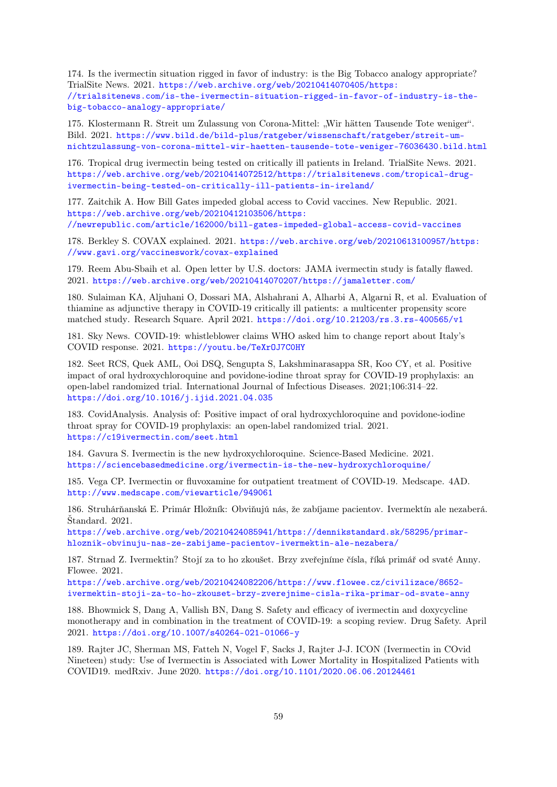174. Is the ivermectin situation rigged in favor of industry: is the Big Tobacco analogy appropriate? TrialSite News. 2021. [https://web.archive.org/web/20210414070405/https:](https://web.archive.org/web/20210414070405/https://trialsitenews.com/is-the-ivermectin-situation-rigged-in-favor-of-industry-is-the-big-tobacco-analogy-appropriate/) [//trialsitenews.com/is-the-ivermectin-situation-rigged-in-favor-of-industry-is-the](https://web.archive.org/web/20210414070405/https://trialsitenews.com/is-the-ivermectin-situation-rigged-in-favor-of-industry-is-the-big-tobacco-analogy-appropriate/)[big-tobacco-analogy-appropriate/](https://web.archive.org/web/20210414070405/https://trialsitenews.com/is-the-ivermectin-situation-rigged-in-favor-of-industry-is-the-big-tobacco-analogy-appropriate/)

175. Klostermann R. Streit um Zulassung von Corona-Mittel: "Wir hätten Tausende Tote weniger". Bild. 2021. [https://www.bild.de/bild-plus/ratgeber/wissenschaft/ratgeber/streit-um](https://www.bild.de/bild-plus/ratgeber/wissenschaft/ratgeber/streit-um-nichtzulassung-von-corona-mittel-wir-haetten-tausende-tote-weniger-76036430.bild.html)[nichtzulassung-von-corona-mittel-wir-haetten-tausende-tote-weniger-76036430.bild.html](https://www.bild.de/bild-plus/ratgeber/wissenschaft/ratgeber/streit-um-nichtzulassung-von-corona-mittel-wir-haetten-tausende-tote-weniger-76036430.bild.html)

176. Tropical drug ivermectin being tested on critically ill patients in Ireland. TrialSite News. 2021. [https://web.archive.org/web/20210414072512/https://trialsitenews.com/tropical-drug](https://web.archive.org/web/20210414072512/https://trialsitenews.com/tropical-drug-ivermectin-being-tested-on-critically-ill-patients-in-ireland/)[ivermectin-being-tested-on-critically-ill-patients-in-ireland/](https://web.archive.org/web/20210414072512/https://trialsitenews.com/tropical-drug-ivermectin-being-tested-on-critically-ill-patients-in-ireland/)

177. Zaitchik A. How Bill Gates impeded global access to Covid vaccines. New Republic. 2021. [https://web.archive.org/web/20210412103506/https:](https://web.archive.org/web/20210412103506/https://newrepublic.com/article/162000/bill-gates-impeded-global-access-covid-vaccines) [//newrepublic.com/article/162000/bill-gates-impeded-global-access-covid-vaccines](https://web.archive.org/web/20210412103506/https://newrepublic.com/article/162000/bill-gates-impeded-global-access-covid-vaccines)

178. Berkley S. COVAX explained. 2021. [https://web.archive.org/web/20210613100957/https:](https://web.archive.org/web/20210613100957/https://www.gavi.org/vaccineswork/covax-explained) [//www.gavi.org/vaccineswork/covax-explained](https://web.archive.org/web/20210613100957/https://www.gavi.org/vaccineswork/covax-explained)

179. Reem Abu-Sbaih et al. Open letter by U.S. doctors: JAMA ivermectin study is fatally flawed. 2021. <https://web.archive.org/web/20210414070207/https://jamaletter.com/>

180. Sulaiman KA, Aljuhani O, Dossari MA, Alshahrani A, Alharbi A, Algarni R, et al. Evaluation of thiamine as adjunctive therapy in COVID-19 critically ill patients: a multicenter propensity score matched study. Research Square. April 2021. <https://doi.org/10.21203/rs.3.rs-400565/v1>

181. Sky News. COVID-19: whistleblower claims WHO asked him to change report about Italy's COVID response. 2021. <https://youtu.be/TeXrOJ7C0HY>

182. Seet RCS, Quek AML, Ooi DSQ, Sengupta S, Lakshminarasappa SR, Koo CY, et al. Positive impact of oral hydroxychloroquine and povidone-iodine throat spray for COVID-19 prophylaxis: an open-label randomized trial. International Journal of Infectious Diseases. 2021;106:314–22. <https://doi.org/10.1016/j.ijid.2021.04.035>

183. CovidAnalysis. Analysis of: Positive impact of oral hydroxychloroquine and povidone-iodine throat spray for COVID-19 prophylaxis: an open-label randomized trial. 2021. <https://c19ivermectin.com/seet.html>

184. Gavura S. Ivermectin is the new hydroxychloroquine. Science-Based Medicine. 2021. <https://sciencebasedmedicine.org/ivermectin-is-the-new-hydroxychloroquine/>

185. Vega CP. Ivermectin or fluvoxamine for outpatient treatment of COVID-19. Medscape. 4AD. <http://www.medscape.com/viewarticle/949061>

186. Struhárňanská E. Primár Hložník: Obviňujú nás, že zabíjame pacientov. Ivermektín ale nezaberá. Štandard. 2021.

[https://web.archive.org/web/20210424085941/https://dennikstandard.sk/58295/primar](https://web.archive.org/web/20210424085941/https://dennikstandard.sk/58295/primar-hloznik-obvinuju-nas-ze-zabijame-pacientov-ivermektin-ale-nezabera/)[hloznik-obvinuju-nas-ze-zabijame-pacientov-ivermektin-ale-nezabera/](https://web.archive.org/web/20210424085941/https://dennikstandard.sk/58295/primar-hloznik-obvinuju-nas-ze-zabijame-pacientov-ivermektin-ale-nezabera/)

187. Strnad Z. Ivermektin? Stojí za to ho zkoušet. Brzy zveřejníme čísla, říká primář od svaté Anny. Flowee. 2021.

[https://web.archive.org/web/20210424082206/https://www.flowee.cz/civilizace/8652](https://web.archive.org/web/20210424082206/https://www.flowee.cz/civilizace/8652-ivermektin-stoji-za-to-ho-zkouset-brzy-zverejnime-cisla-rika-primar-od-svate-anny) [ivermektin-stoji-za-to-ho-zkouset-brzy-zverejnime-cisla-rika-primar-od-svate-anny](https://web.archive.org/web/20210424082206/https://www.flowee.cz/civilizace/8652-ivermektin-stoji-za-to-ho-zkouset-brzy-zverejnime-cisla-rika-primar-od-svate-anny)

188. Bhowmick S, Dang A, Vallish BN, Dang S. Safety and efficacy of ivermectin and doxycycline monotherapy and in combination in the treatment of COVID-19: a scoping review. Drug Safety. April 2021. <https://doi.org/10.1007/s40264-021-01066-y>

189. Rajter JC, Sherman MS, Fatteh N, Vogel F, Sacks J, Rajter J-J. ICON (Ivermectin in COvid Nineteen) study: Use of Ivermectin is Associated with Lower Mortality in Hospitalized Patients with COVID19. medRxiv. June 2020. <https://doi.org/10.1101/2020.06.06.20124461>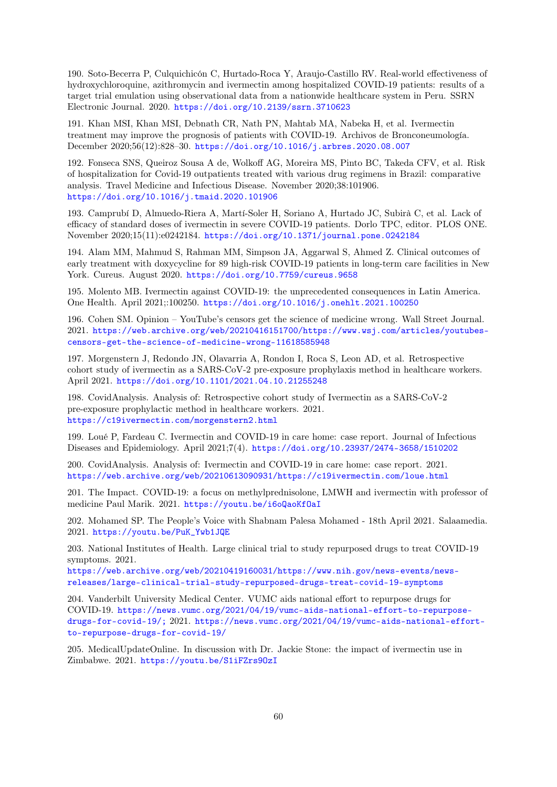190. Soto-Becerra P, Culquichicón C, Hurtado-Roca Y, Araujo-Castillo RV. Real-world effectiveness of hydroxychloroquine, azithromycin and ivermectin among hospitalized COVID-19 patients: results of a target trial emulation using observational data from a nationwide healthcare system in Peru. SSRN Electronic Journal. 2020. <https://doi.org/10.2139/ssrn.3710623>

191. Khan MSI, Khan MSI, Debnath CR, Nath PN, Mahtab MA, Nabeka H, et al. Ivermectin treatment may improve the prognosis of patients with COVID-19. Archivos de Bronconeumología. December 2020;56(12):828–30. <https://doi.org/10.1016/j.arbres.2020.08.007>

192. Fonseca SNS, Queiroz Sousa A de, Wolkoff AG, Moreira MS, Pinto BC, Takeda CFV, et al. Risk of hospitalization for Covid-19 outpatients treated with various drug regimens in Brazil: comparative analysis. Travel Medicine and Infectious Disease. November 2020;38:101906. <https://doi.org/10.1016/j.tmaid.2020.101906>

193. Camprubí D, Almuedo-Riera A, Martí-Soler H, Soriano A, Hurtado JC, Subirà C, et al. Lack of efficacy of standard doses of ivermectin in severe COVID-19 patients. Dorlo TPC, editor. PLOS ONE. November 2020;15(11):e0242184. <https://doi.org/10.1371/journal.pone.0242184>

194. Alam MM, Mahmud S, Rahman MM, Simpson JA, Aggarwal S, Ahmed Z. Clinical outcomes of early treatment with doxycycline for 89 high-risk COVID-19 patients in long-term care facilities in New York. Cureus. August 2020. <https://doi.org/10.7759/cureus.9658>

195. Molento MB. Ivermectin against COVID-19: the unprecedented consequences in Latin America. One Health. April 2021;:100250. <https://doi.org/10.1016/j.onehlt.2021.100250>

196. Cohen SM. Opinion – YouTube's censors get the science of medicine wrong. Wall Street Journal. 2021. [https://web.archive.org/web/20210416151700/https://www.wsj.com/articles/youtubes](https://web.archive.org/web/20210416151700/https://www.wsj.com/articles/youtubes-censors-get-the-science-of-medicine-wrong-11618585948)[censors-get-the-science-of-medicine-wrong-11618585948](https://web.archive.org/web/20210416151700/https://www.wsj.com/articles/youtubes-censors-get-the-science-of-medicine-wrong-11618585948)

197. Morgenstern J, Redondo JN, Olavarria A, Rondon I, Roca S, Leon AD, et al. Retrospective cohort study of ivermectin as a SARS-CoV-2 pre-exposure prophylaxis method in healthcare workers. April 2021. <https://doi.org/10.1101/2021.04.10.21255248>

198. CovidAnalysis. Analysis of: Retrospective cohort study of Ivermectin as a SARS-CoV-2 pre-exposure prophylactic method in healthcare workers. 2021. <https://c19ivermectin.com/morgenstern2.html>

199. Loué P, Fardeau C. Ivermectin and COVID-19 in care home: case report. Journal of Infectious Diseases and Epidemiology. April 2021;7(4). <https://doi.org/10.23937/2474-3658/1510202>

200. CovidAnalysis. Analysis of: Ivermectin and COVID-19 in care home: case report. 2021. <https://web.archive.org/web/20210613090931/https://c19ivermectin.com/loue.html>

201. The Impact. COVID-19: a focus on methylprednisolone, LMWH and ivermectin with professor of medicine Paul Marik. 2021. <https://youtu.be/i6oQaoKfOaI>

202. Mohamed SP. The People's Voice with Shabnam Palesa Mohamed - 18th April 2021. Salaamedia. 2021. [https://youtu.be/PuK\\_Ywb1JQE](https://youtu.be/PuK_Ywb1JQE)

203. National Institutes of Health. Large clinical trial to study repurposed drugs to treat COVID-19 symptoms. 2021.

[https://web.archive.org/web/20210419160031/https://www.nih.gov/news-events/news](https://web.archive.org/web/20210419160031/https://www.nih.gov/news-events/news-releases/large-clinical-trial-study-repurposed-drugs-treat-covid-19-symptoms)[releases/large-clinical-trial-study-repurposed-drugs-treat-covid-19-symptoms](https://web.archive.org/web/20210419160031/https://www.nih.gov/news-events/news-releases/large-clinical-trial-study-repurposed-drugs-treat-covid-19-symptoms)

204. Vanderbilt University Medical Center. VUMC aids national effort to repurpose drugs for COVID-19. [https://news.vumc.org/2021/04/19/vumc-aids-national-effort-to-repurpose](https://news.vumc.org/2021/04/19/vumc-aids-national-effort-to-repurpose-drugs-for-covid-19/;)[drugs-for-covid-19/;](https://news.vumc.org/2021/04/19/vumc-aids-national-effort-to-repurpose-drugs-for-covid-19/;) 2021. [https://news.vumc.org/2021/04/19/vumc-aids-national-effort](https://news.vumc.org/2021/04/19/vumc-aids-national-effort-to-repurpose-drugs-for-covid-19/)[to-repurpose-drugs-for-covid-19/](https://news.vumc.org/2021/04/19/vumc-aids-national-effort-to-repurpose-drugs-for-covid-19/)

205. MedicalUpdateOnline. In discussion with Dr. Jackie Stone: the impact of ivermectin use in Zimbabwe. 2021. <https://youtu.be/S1iFZrs9OzI>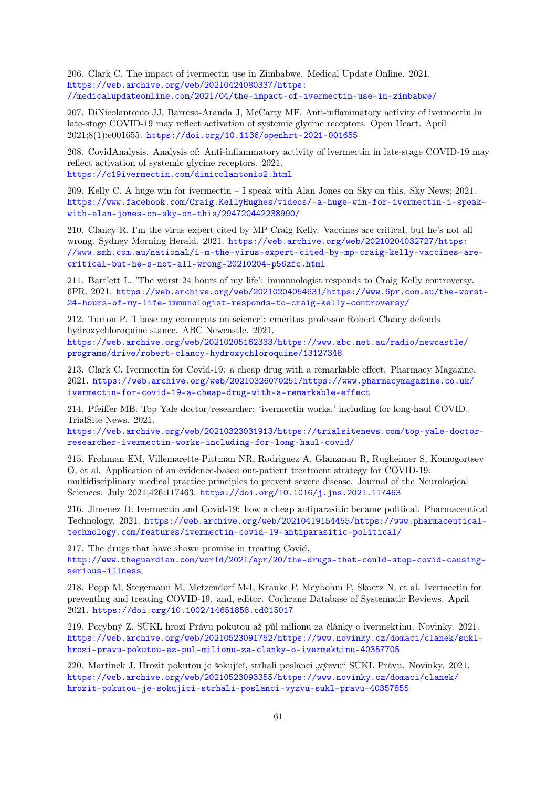206. Clark C. The impact of ivermectin use in Zimbabwe. Medical Update Online. 2021. [https://web.archive.org/web/20210424080337/https:](https://web.archive.org/web/20210424080337/https://medicalupdateonline.com/2021/04/the-impact-of-ivermectin-use-in-zimbabwe/) [//medicalupdateonline.com/2021/04/the-impact-of-ivermectin-use-in-zimbabwe/](https://web.archive.org/web/20210424080337/https://medicalupdateonline.com/2021/04/the-impact-of-ivermectin-use-in-zimbabwe/)

207. DiNicolantonio JJ, Barroso-Aranda J, McCarty MF. Anti-inflammatory activity of ivermectin in late-stage COVID-19 may reflect activation of systemic glycine receptors. Open Heart. April 2021;8(1):e001655. <https://doi.org/10.1136/openhrt-2021-001655>

208. CovidAnalysis. Analysis of: Anti-inflammatory activity of ivermectin in late-stage COVID-19 may reflect activation of systemic glycine receptors. 2021. <https://c19ivermectin.com/dinicolantonio2.html>

209. Kelly C. A huge win for ivermectin – I speak with Alan Jones on Sky on this. Sky News; 2021. [https://www.facebook.com/Craig.KellyHughes/videos/-a-huge-win-for-ivermectin-i-speak](https://www.facebook.com/Craig.KellyHughes/videos/-a-huge-win-for-ivermectin-i-speak-with-alan-jones-on-sky-on-this/294720442238990/)[with-alan-jones-on-sky-on-this/294720442238990/](https://www.facebook.com/Craig.KellyHughes/videos/-a-huge-win-for-ivermectin-i-speak-with-alan-jones-on-sky-on-this/294720442238990/)

210. Clancy R. I'm the virus expert cited by MP Craig Kelly. Vaccines are critical, but he's not all wrong. Sydney Morning Herald. 2021. [https://web.archive.org/web/20210204032727/https:](https://web.archive.org/web/20210204032727/https://www.smh.com.au/national/i-m-the-virus-expert-cited-by-mp-craig-kelly-vaccines-are-critical-but-he-s-not-all-wrong-20210204-p56zfc.html) [//www.smh.com.au/national/i-m-the-virus-expert-cited-by-mp-craig-kelly-vaccines-are](https://web.archive.org/web/20210204032727/https://www.smh.com.au/national/i-m-the-virus-expert-cited-by-mp-craig-kelly-vaccines-are-critical-but-he-s-not-all-wrong-20210204-p56zfc.html)[critical-but-he-s-not-all-wrong-20210204-p56zfc.html](https://web.archive.org/web/20210204032727/https://www.smh.com.au/national/i-m-the-virus-expert-cited-by-mp-craig-kelly-vaccines-are-critical-but-he-s-not-all-wrong-20210204-p56zfc.html)

211. Bartlett L. 'The worst 24 hours of my life': immunologist responds to Craig Kelly controversy. 6PR. 2021. [https://web.archive.org/web/20210204054631/https://www.6pr.com.au/the-worst-](https://web.archive.org/web/20210204054631/https://www.6pr.com.au/the-worst-24-hours-of-my-life-immunologist-responds-to-craig-kelly-controversy/)[24-hours-of-my-life-immunologist-responds-to-craig-kelly-controversy/](https://web.archive.org/web/20210204054631/https://www.6pr.com.au/the-worst-24-hours-of-my-life-immunologist-responds-to-craig-kelly-controversy/)

212. Turton P. 'I base my comments on science': emeritus professor Robert Clancy defends hydroxychloroquine stance. ABC Newcastle. 2021.

[https://web.archive.org/web/20210205162333/https://www.abc.net.au/radio/newcastle/](https://web.archive.org/web/20210205162333/https://www.abc.net.au/radio/newcastle/programs/drive/robert-clancy-hydroxychloroquine/13127348) [programs/drive/robert-clancy-hydroxychloroquine/13127348](https://web.archive.org/web/20210205162333/https://www.abc.net.au/radio/newcastle/programs/drive/robert-clancy-hydroxychloroquine/13127348)

213. Clark C. Ivermectin for Covid-19: a cheap drug with a remarkable effect. Pharmacy Magazine. 2021. [https://web.archive.org/web/20210326070251/https://www.pharmacymagazine.co.uk/](https://web.archive.org/web/20210326070251/https://www.pharmacymagazine.co.uk/ivermectin-for-covid-19-a-cheap-drug-with-a-remarkable-effect) [ivermectin-for-covid-19-a-cheap-drug-with-a-remarkable-effect](https://web.archive.org/web/20210326070251/https://www.pharmacymagazine.co.uk/ivermectin-for-covid-19-a-cheap-drug-with-a-remarkable-effect)

214. Pfeiffer MB. Top Yale doctor/researcher: 'ivermectin works,' including for long-haul COVID. TrialSite News. 2021.

[https://web.archive.org/web/20210323031913/https://trialsitenews.com/top-yale-doctor](https://web.archive.org/web/20210323031913/https://trialsitenews.com/top-yale-doctor-researcher-ivermectin-works-including-for-long-haul-covid/)[researcher-ivermectin-works-including-for-long-haul-covid/](https://web.archive.org/web/20210323031913/https://trialsitenews.com/top-yale-doctor-researcher-ivermectin-works-including-for-long-haul-covid/)

215. Frohman EM, Villemarette-Pittman NR, Rodriguez A, Glanzman R, Rugheimer S, Komogortsev O, et al. Application of an evidence-based out-patient treatment strategy for COVID-19: multidisciplinary medical practice principles to prevent severe disease. Journal of the Neurological Sciences. July 2021;426:117463. <https://doi.org/10.1016/j.jns.2021.117463>

216. Jimenez D. Ivermectin and Covid-19: how a cheap antiparasitic became political. Pharmaceutical Technology. 2021. [https://web.archive.org/web/20210419154455/https://www.pharmaceutical](https://web.archive.org/web/20210419154455/https://www.pharmaceutical-technology.com/features/ivermectin-covid-19-antiparasitic-political/)[technology.com/features/ivermectin-covid-19-antiparasitic-political/](https://web.archive.org/web/20210419154455/https://www.pharmaceutical-technology.com/features/ivermectin-covid-19-antiparasitic-political/)

<span id="page-60-0"></span>217. The drugs that have shown promise in treating Covid. [http://www.theguardian.com/world/2021/apr/20/the-drugs-that-could-stop-covid-causing](http://www.theguardian.com/world/2021/apr/20/the-drugs-that-could-stop-covid-causing-serious-illness)[serious-illness](http://www.theguardian.com/world/2021/apr/20/the-drugs-that-could-stop-covid-causing-serious-illness)

218. Popp M, Stegemann M, Metzendorf M-I, Kranke P, Meybohm P, Skoetz N, et al. Ivermectin for preventing and treating COVID-19. and, editor. Cochrane Database of Systematic Reviews. April 2021. <https://doi.org/10.1002/14651858.cd015017>

219. Porybný Z. SÚKL hrozí Právu pokutou až půl milionu za články o ivermektinu. Novinky. 2021. [https://web.archive.org/web/20210523091752/https://www.novinky.cz/domaci/clanek/sukl](https://web.archive.org/web/20210523091752/https://www.novinky.cz/domaci/clanek/sukl-hrozi-pravu-pokutou-az-pul-milionu-za-clanky-o-ivermektinu-40357705)[hrozi-pravu-pokutou-az-pul-milionu-za-clanky-o-ivermektinu-40357705](https://web.archive.org/web/20210523091752/https://www.novinky.cz/domaci/clanek/sukl-hrozi-pravu-pokutou-az-pul-milionu-za-clanky-o-ivermektinu-40357705)

220. Martinek J. Hrozit pokutou je šokující, strhali poslanci "výzvu" SÚKL Právu. Novinky. 2021. [https://web.archive.org/web/20210523093355/https://www.novinky.cz/domaci/clanek/](https://web.archive.org/web/20210523093355/https://www.novinky.cz/domaci/clanek/hrozit-pokutou-je-sokujici-strhali-poslanci-vyzvu-sukl-pravu-40357855) [hrozit-pokutou-je-sokujici-strhali-poslanci-vyzvu-sukl-pravu-40357855](https://web.archive.org/web/20210523093355/https://www.novinky.cz/domaci/clanek/hrozit-pokutou-je-sokujici-strhali-poslanci-vyzvu-sukl-pravu-40357855)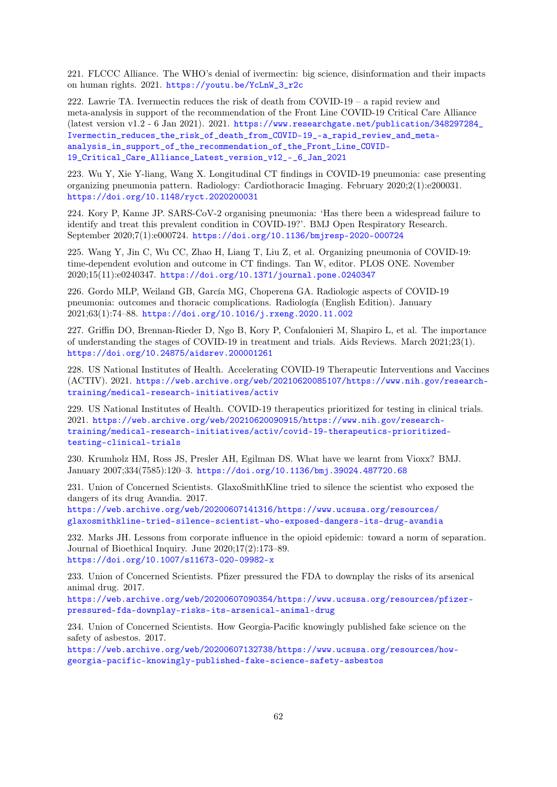221. FLCCC Alliance. The WHO's denial of ivermectin: big science, disinformation and their impacts on human rights. 2021. [https://youtu.be/YcLnW\\_3\\_r2c](https://youtu.be/YcLnW_3_r2c)

222. Lawrie TA. Ivermectin reduces the risk of death from COVID-19 – a rapid review and meta-analysis in support of the recommendation of the Front Line COVID-19 Critical Care Alliance (latest version v1.2 - 6 Jan 2021). 2021. [https://www.researchgate.net/publication/348297284\\_](https://www.researchgate.net/publication/348297284_Ivermectin_reduces_the_risk_of_death_from_COVID-19_-a_rapid_review_and_meta-analysis_in_support_of_the_recommendation_of_the_Front_Line_COVID-19_Critical_Care_Alliance_Latest_version_v12_-_6_Jan_2021) [Ivermectin\\_reduces\\_the\\_risk\\_of\\_death\\_from\\_COVID-19\\_-a\\_rapid\\_review\\_and\\_meta](https://www.researchgate.net/publication/348297284_Ivermectin_reduces_the_risk_of_death_from_COVID-19_-a_rapid_review_and_meta-analysis_in_support_of_the_recommendation_of_the_Front_Line_COVID-19_Critical_Care_Alliance_Latest_version_v12_-_6_Jan_2021)[analysis\\_in\\_support\\_of\\_the\\_recommendation\\_of\\_the\\_Front\\_Line\\_COVID-](https://www.researchgate.net/publication/348297284_Ivermectin_reduces_the_risk_of_death_from_COVID-19_-a_rapid_review_and_meta-analysis_in_support_of_the_recommendation_of_the_Front_Line_COVID-19_Critical_Care_Alliance_Latest_version_v12_-_6_Jan_2021)[19\\_Critical\\_Care\\_Alliance\\_Latest\\_version\\_v12\\_-\\_6\\_Jan\\_2021](https://www.researchgate.net/publication/348297284_Ivermectin_reduces_the_risk_of_death_from_COVID-19_-a_rapid_review_and_meta-analysis_in_support_of_the_recommendation_of_the_Front_Line_COVID-19_Critical_Care_Alliance_Latest_version_v12_-_6_Jan_2021)

223. Wu Y, Xie Y-liang, Wang X. Longitudinal CT findings in COVID-19 pneumonia: case presenting organizing pneumonia pattern. Radiology: Cardiothoracic Imaging. February 2020;2(1):e200031. <https://doi.org/10.1148/ryct.2020200031>

224. Kory P, Kanne JP. SARS-CoV-2 organising pneumonia: 'Has there been a widespread failure to identify and treat this prevalent condition in COVID-19?'. BMJ Open Respiratory Research. September 2020;7(1):e000724. <https://doi.org/10.1136/bmjresp-2020-000724>

225. Wang Y, Jin C, Wu CC, Zhao H, Liang T, Liu Z, et al. Organizing pneumonia of COVID-19: time-dependent evolution and outcome in CT findings. Tan W, editor. PLOS ONE. November 2020;15(11):e0240347. <https://doi.org/10.1371/journal.pone.0240347>

226. Gordo MLP, Weiland GB, García MG, Choperena GA. Radiologic aspects of COVID-19 pneumonia: outcomes and thoracic complications. Radiología (English Edition). January 2021;63(1):74–88. <https://doi.org/10.1016/j.rxeng.2020.11.002>

227. Griffin DO, Brennan-Rieder D, Ngo B, Kory P, Confalonieri M, Shapiro L, et al. The importance of understanding the stages of COVID-19 in treatment and trials. Aids Reviews. March 2021;23(1). <https://doi.org/10.24875/aidsrev.200001261>

<span id="page-61-0"></span>228. US National Institutes of Health. Accelerating COVID-19 Therapeutic Interventions and Vaccines (ACTIV). 2021. [https://web.archive.org/web/20210620085107/https://www.nih.gov/research](https://web.archive.org/web/20210620085107/https://www.nih.gov/research-training/medical-research-initiatives/activ)[training/medical-research-initiatives/activ](https://web.archive.org/web/20210620085107/https://www.nih.gov/research-training/medical-research-initiatives/activ)

229. US National Institutes of Health. COVID-19 therapeutics prioritized for testing in clinical trials. 2021. [https://web.archive.org/web/20210620090915/https://www.nih.gov/research](https://web.archive.org/web/20210620090915/https://www.nih.gov/research-training/medical-research-initiatives/activ/covid-19-therapeutics-prioritized-testing-clinical-trials)[training/medical-research-initiatives/activ/covid-19-therapeutics-prioritized](https://web.archive.org/web/20210620090915/https://www.nih.gov/research-training/medical-research-initiatives/activ/covid-19-therapeutics-prioritized-testing-clinical-trials)[testing-clinical-trials](https://web.archive.org/web/20210620090915/https://www.nih.gov/research-training/medical-research-initiatives/activ/covid-19-therapeutics-prioritized-testing-clinical-trials)

230. Krumholz HM, Ross JS, Presler AH, Egilman DS. What have we learnt from Vioxx? BMJ. January 2007;334(7585):120–3. <https://doi.org/10.1136/bmj.39024.487720.68>

231. Union of Concerned Scientists. GlaxoSmithKline tried to silence the scientist who exposed the dangers of its drug Avandia. 2017. [https://web.archive.org/web/20200607141316/https://www.ucsusa.org/resources/](https://web.archive.org/web/20200607141316/https://www.ucsusa.org/resources/glaxosmithkline-tried-silence-scientist-who-exposed-dangers-its-drug-avandia)

[glaxosmithkline-tried-silence-scientist-who-exposed-dangers-its-drug-avandia](https://web.archive.org/web/20200607141316/https://www.ucsusa.org/resources/glaxosmithkline-tried-silence-scientist-who-exposed-dangers-its-drug-avandia)

232. Marks JH. Lessons from corporate influence in the opioid epidemic: toward a norm of separation. Journal of Bioethical Inquiry. June 2020;17(2):173–89. <https://doi.org/10.1007/s11673-020-09982-x>

233. Union of Concerned Scientists. Pfizer pressured the FDA to downplay the risks of its arsenical animal drug. 2017.

[https://web.archive.org/web/20200607090354/https://www.ucsusa.org/resources/pfizer](https://web.archive.org/web/20200607090354/https://www.ucsusa.org/resources/pfizer-pressured-fda-downplay-risks-its-arsenical-animal-drug)[pressured-fda-downplay-risks-its-arsenical-animal-drug](https://web.archive.org/web/20200607090354/https://www.ucsusa.org/resources/pfizer-pressured-fda-downplay-risks-its-arsenical-animal-drug)

234. Union of Concerned Scientists. How Georgia-Pacific knowingly published fake science on the safety of asbestos. 2017.

[https://web.archive.org/web/20200607132738/https://www.ucsusa.org/resources/how](https://web.archive.org/web/20200607132738/https://www.ucsusa.org/resources/how-georgia-pacific-knowingly-published-fake-science-safety-asbestos)[georgia-pacific-knowingly-published-fake-science-safety-asbestos](https://web.archive.org/web/20200607132738/https://www.ucsusa.org/resources/how-georgia-pacific-knowingly-published-fake-science-safety-asbestos)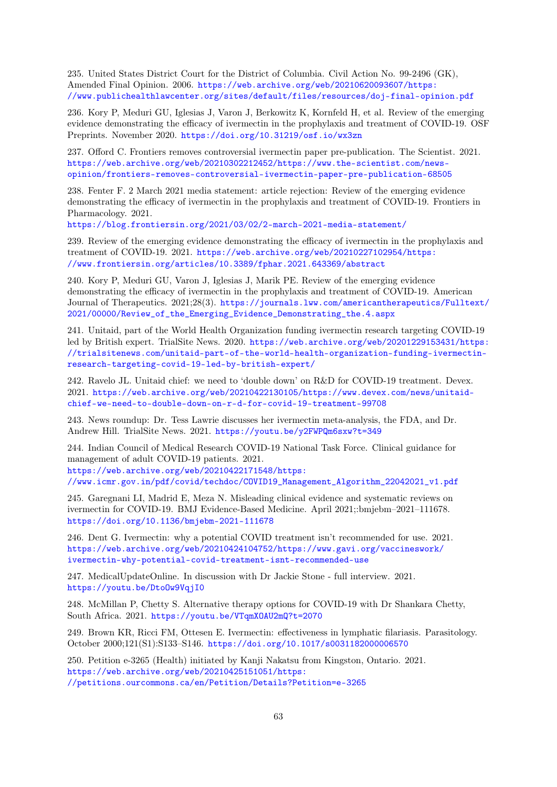235. United States District Court for the District of Columbia. Civil Action No. 99-2496 (GK), Amended Final Opinion. 2006. [https://web.archive.org/web/20210620093607/https:](https://web.archive.org/web/20210620093607/https://www.publichealthlawcenter.org/sites/default/files/resources/doj-final-opinion.pdf) [//www.publichealthlawcenter.org/sites/default/files/resources/doj-final-opinion.pdf](https://web.archive.org/web/20210620093607/https://www.publichealthlawcenter.org/sites/default/files/resources/doj-final-opinion.pdf)

236. Kory P, Meduri GU, Iglesias J, Varon J, Berkowitz K, Kornfeld H, et al. Review of the emerging evidence demonstrating the efficacy of ivermectin in the prophylaxis and treatment of COVID-19. OSF Preprints. November 2020. <https://doi.org/10.31219/osf.io/wx3zn>

237. Offord C. Frontiers removes controversial ivermectin paper pre-publication. The Scientist. 2021. [https://web.archive.org/web/20210302212452/https://www.the-scientist.com/news](https://web.archive.org/web/20210302212452/https://www.the-scientist.com/news-opinion/frontiers-removes-controversial-ivermectin-paper-pre-publication-68505)[opinion/frontiers-removes-controversial-ivermectin-paper-pre-publication-68505](https://web.archive.org/web/20210302212452/https://www.the-scientist.com/news-opinion/frontiers-removes-controversial-ivermectin-paper-pre-publication-68505)

238. Fenter F. 2 March 2021 media statement: article rejection: Review of the emerging evidence demonstrating the efficacy of ivermectin in the prophylaxis and treatment of COVID-19. Frontiers in Pharmacology. 2021.

<https://blog.frontiersin.org/2021/03/02/2-march-2021-media-statement/>

239. Review of the emerging evidence demonstrating the efficacy of ivermectin in the prophylaxis and treatment of COVID-19. 2021. [https://web.archive.org/web/20210227102954/https:](https://web.archive.org/web/20210227102954/https://www.frontiersin.org/articles/10.3389/fphar.2021.643369/abstract) [//www.frontiersin.org/articles/10.3389/fphar.2021.643369/abstract](https://web.archive.org/web/20210227102954/https://www.frontiersin.org/articles/10.3389/fphar.2021.643369/abstract)

240. Kory P, Meduri GU, Varon J, Iglesias J, Marik PE. Review of the emerging evidence demonstrating the efficacy of ivermectin in the prophylaxis and treatment of COVID-19. American Journal of Therapeutics. 2021;28(3). [https://journals.lww.com/americantherapeutics/Fulltext/](https://journals.lww.com/americantherapeutics/Fulltext/2021/00000/Review_of_the_Emerging_Evidence_Demonstrating_the.4.aspx) [2021/00000/Review\\_of\\_the\\_Emerging\\_Evidence\\_Demonstrating\\_the.4.aspx](https://journals.lww.com/americantherapeutics/Fulltext/2021/00000/Review_of_the_Emerging_Evidence_Demonstrating_the.4.aspx)

241. Unitaid, part of the World Health Organization funding ivermectin research targeting COVID-19 led by British expert. TrialSite News. 2020. [https://web.archive.org/web/20201229153431/https:](https://web.archive.org/web/20201229153431/https://trialsitenews.com/unitaid-part-of-the-world-health-organization-funding-ivermectin-research-targeting-covid-19-led-by-british-expert/) [//trialsitenews.com/unitaid-part-of-the-world-health-organization-funding-ivermectin](https://web.archive.org/web/20201229153431/https://trialsitenews.com/unitaid-part-of-the-world-health-organization-funding-ivermectin-research-targeting-covid-19-led-by-british-expert/)[research-targeting-covid-19-led-by-british-expert/](https://web.archive.org/web/20201229153431/https://trialsitenews.com/unitaid-part-of-the-world-health-organization-funding-ivermectin-research-targeting-covid-19-led-by-british-expert/)

<span id="page-62-0"></span>242. Ravelo JL. Unitaid chief: we need to 'double down' on R&D for COVID-19 treatment. Devex. 2021. [https://web.archive.org/web/20210422130105/https://www.devex.com/news/unitaid](https://web.archive.org/web/20210422130105/https://www.devex.com/news/unitaid-chief-we-need-to-double-down-on-r-d-for-covid-19-treatment-99708)[chief-we-need-to-double-down-on-r-d-for-covid-19-treatment-99708](https://web.archive.org/web/20210422130105/https://www.devex.com/news/unitaid-chief-we-need-to-double-down-on-r-d-for-covid-19-treatment-99708)

243. News roundup: Dr. Tess Lawrie discusses her ivermectin meta-analysis, the FDA, and Dr. Andrew Hill. TrialSite News. 2021. <https://youtu.be/y2FWPQm6sxw?t=349>

244. Indian Council of Medical Research COVID-19 National Task Force. Clinical guidance for management of adult COVID-19 patients. 2021.

[https://web.archive.org/web/20210422171548/https:](https://web.archive.org/web/20210422171548/https://www.icmr.gov.in/pdf/covid/techdoc/COVID19_Management_Algorithm_22042021_v1.pdf)

[//www.icmr.gov.in/pdf/covid/techdoc/COVID19\\_Management\\_Algorithm\\_22042021\\_v1.pdf](https://web.archive.org/web/20210422171548/https://www.icmr.gov.in/pdf/covid/techdoc/COVID19_Management_Algorithm_22042021_v1.pdf)

245. Garegnani LI, Madrid E, Meza N. Misleading clinical evidence and systematic reviews on ivermectin for COVID-19. BMJ Evidence-Based Medicine. April 2021;:bmjebm–2021–111678. <https://doi.org/10.1136/bmjebm-2021-111678>

246. Dent G. Ivermectin: why a potential COVID treatment isn't recommended for use. 2021. [https://web.archive.org/web/20210424104752/https://www.gavi.org/vaccineswork/](https://web.archive.org/web/20210424104752/https://www.gavi.org/vaccineswork/ivermectin-why-potential-covid-treatment-isnt-recommended-use) [ivermectin-why-potential-covid-treatment-isnt-recommended-use](https://web.archive.org/web/20210424104752/https://www.gavi.org/vaccineswork/ivermectin-why-potential-covid-treatment-isnt-recommended-use)

247. MedicalUpdateOnline. In discussion with Dr Jackie Stone - full interview. 2021. <https://youtu.be/DtoOw9VqjI0>

248. McMillan P, Chetty S. Alternative therapy options for COVID-19 with Dr Shankara Chetty, South Africa. 2021. <https://youtu.be/VTqmXOAU2mQ?t=2070>

249. Brown KR, Ricci FM, Ottesen E. Ivermectin: effectiveness in lymphatic filariasis. Parasitology. October 2000;121(S1):S133–S146. <https://doi.org/10.1017/s0031182000006570>

250. Petition e-3265 (Health) initiated by Kanji Nakatsu from Kingston, Ontario. 2021. [https://web.archive.org/web/20210425151051/https:](https://web.archive.org/web/20210425151051/https://petitions.ourcommons.ca/en/Petition/Details?Petition=e-3265) [//petitions.ourcommons.ca/en/Petition/Details?Petition=e-3265](https://web.archive.org/web/20210425151051/https://petitions.ourcommons.ca/en/Petition/Details?Petition=e-3265)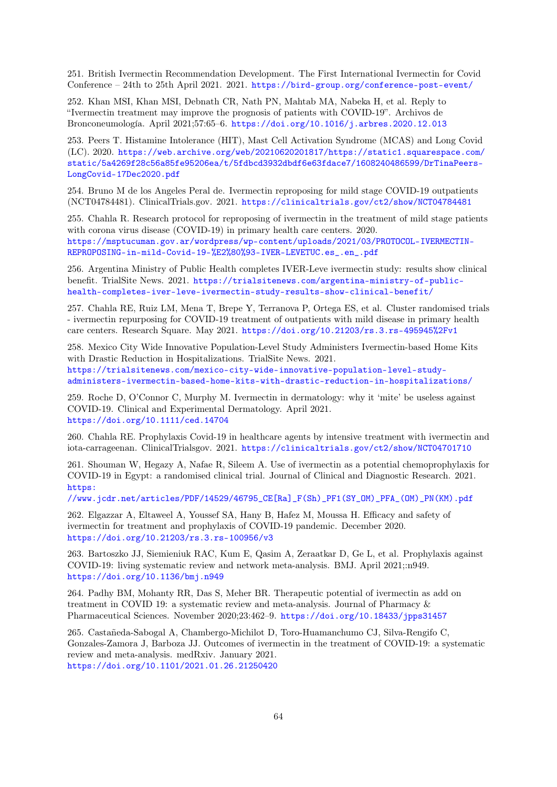251. British Ivermectin Recommendation Development. The First International Ivermectin for Covid Conference – 24th to 25th April 2021. 2021. <https://bird-group.org/conference-post-event/>

252. Khan MSI, Khan MSI, Debnath CR, Nath PN, Mahtab MA, Nabeka H, et al. Reply to "Ivermectin treatment may improve the prognosis of patients with COVID-19". Archivos de Bronconeumología. April 2021;57:65–6. <https://doi.org/10.1016/j.arbres.2020.12.013>

253. Peers T. Histamine Intolerance (HIT), Mast Cell Activation Syndrome (MCAS) and Long Covid (LC). 2020. [https://web.archive.org/web/20210620201817/https://static1.squarespace.com/](https://web.archive.org/web/20210620201817/https://static1.squarespace.com/static/5a4269f28c56a85fe95206ea/t/5fdbcd3932dbdf6e63fdace7/1608240486599/DrTinaPeers-LongCovid-17Dec2020.pdf) [static/5a4269f28c56a85fe95206ea/t/5fdbcd3932dbdf6e63fdace7/1608240486599/DrTinaPeers-](https://web.archive.org/web/20210620201817/https://static1.squarespace.com/static/5a4269f28c56a85fe95206ea/t/5fdbcd3932dbdf6e63fdace7/1608240486599/DrTinaPeers-LongCovid-17Dec2020.pdf)[LongCovid-17Dec2020.pdf](https://web.archive.org/web/20210620201817/https://static1.squarespace.com/static/5a4269f28c56a85fe95206ea/t/5fdbcd3932dbdf6e63fdace7/1608240486599/DrTinaPeers-LongCovid-17Dec2020.pdf)

254. Bruno M de los Angeles Peral de. Ivermectin reproposing for mild stage COVID-19 outpatients (NCT04784481). ClinicalTrials.gov. 2021. <https://clinicaltrials.gov/ct2/show/NCT04784481>

255. Chahla R. Research protocol for reproposing of ivermectin in the treatment of mild stage patients with corona virus disease (COVID-19) in primary health care centers. 2020. [https://msptucuman.gov.ar/wordpress/wp-content/uploads/2021/03/PROTOCOL-IVERMECTIN-](https://msptucuman.gov.ar/wordpress/wp-content/uploads/2021/03/PROTOCOL-IVERMECTIN-REPROPOSING-in-mild-Covid-19-%E2%80%93-IVER-LEVETUC.es_.en_.pdf)[REPROPOSING-in-mild-Covid-19-%E2%80%93-IVER-LEVETUC.es\\_.en\\_.pdf](https://msptucuman.gov.ar/wordpress/wp-content/uploads/2021/03/PROTOCOL-IVERMECTIN-REPROPOSING-in-mild-Covid-19-%E2%80%93-IVER-LEVETUC.es_.en_.pdf)

256. Argentina Ministry of Public Health completes IVER-Leve ivermectin study: results show clinical benefit. TrialSite News. 2021. [https://trialsitenews.com/argentina-ministry-of-public](https://trialsitenews.com/argentina-ministry-of-public-health-completes-iver-leve-ivermectin-study-results-show-clinical-benefit/)[health-completes-iver-leve-ivermectin-study-results-show-clinical-benefit/](https://trialsitenews.com/argentina-ministry-of-public-health-completes-iver-leve-ivermectin-study-results-show-clinical-benefit/)

257. Chahla RE, Ruiz LM, Mena T, Brepe Y, Terranova P, Ortega ES, et al. Cluster randomised trials - ivermectin repurposing for COVID-19 treatment of outpatients with mild disease in primary health care centers. Research Square. May 2021. <https://doi.org/10.21203/rs.3.rs-495945%2Fv1>

258. Mexico City Wide Innovative Population-Level Study Administers Ivermectin-based Home Kits with Drastic Reduction in Hospitalizations. TrialSite News. 2021. [https://trialsitenews.com/mexico-city-wide-innovative-population-level-study](https://trialsitenews.com/mexico-city-wide-innovative-population-level-study-administers-ivermectin-based-home-kits-with-drastic-reduction-in-hospitalizations/)[administers-ivermectin-based-home-kits-with-drastic-reduction-in-hospitalizations/](https://trialsitenews.com/mexico-city-wide-innovative-population-level-study-administers-ivermectin-based-home-kits-with-drastic-reduction-in-hospitalizations/)

259. Roche D, O'Connor C, Murphy M. Ivermectin in dermatology: why it 'mite' be useless against COVID-19. Clinical and Experimental Dermatology. April 2021. <https://doi.org/10.1111/ced.14704>

260. Chahla RE. Prophylaxis Covid-19 in healthcare agents by intensive treatment with ivermectin and iota-carrageenan. ClinicalTrialsgov. 2021. <https://clinicaltrials.gov/ct2/show/NCT04701710>

261. Shouman W, Hegazy A, Nafae R, Sileem A. Use of ivermectin as a potential chemoprophylaxis for COVID-19 in Egypt: a randomised clinical trial. Journal of Clinical and Diagnostic Research. 2021. [https:](https://www.jcdr.net/articles/PDF/14529/46795_CE[Ra]_F(Sh)_PF1(SY_OM)_PFA_(OM)_PN(KM).pdf)

[//www.jcdr.net/articles/PDF/14529/46795\\_CE\[Ra\]\\_F\(Sh\)\\_PF1\(SY\\_OM\)\\_PFA\\_\(OM\)\\_PN\(KM\).pdf](https://www.jcdr.net/articles/PDF/14529/46795_CE[Ra]_F(Sh)_PF1(SY_OM)_PFA_(OM)_PN(KM).pdf)

262. Elgazzar A, Eltaweel A, Youssef SA, Hany B, Hafez M, Moussa H. Efficacy and safety of ivermectin for treatment and prophylaxis of COVID-19 pandemic. December 2020. <https://doi.org/10.21203/rs.3.rs-100956/v3>

263. Bartoszko JJ, Siemieniuk RAC, Kum E, Qasim A, Zeraatkar D, Ge L, et al. Prophylaxis against COVID-19: living systematic review and network meta-analysis. BMJ. April 2021;:n949. <https://doi.org/10.1136/bmj.n949>

264. Padhy BM, Mohanty RR, Das S, Meher BR. Therapeutic potential of ivermectin as add on treatment in COVID 19: a systematic review and meta-analysis. Journal of Pharmacy & Pharmaceutical Sciences. November 2020;23:462–9. <https://doi.org/10.18433/jpps31457>

265. Castañeda-Sabogal A, Chambergo-Michilot D, Toro-Huamanchumo CJ, Silva-Rengifo C, Gonzales-Zamora J, Barboza JJ. Outcomes of ivermectin in the treatment of COVID-19: a systematic review and meta-analysis. medRxiv. January 2021. <https://doi.org/10.1101/2021.01.26.21250420>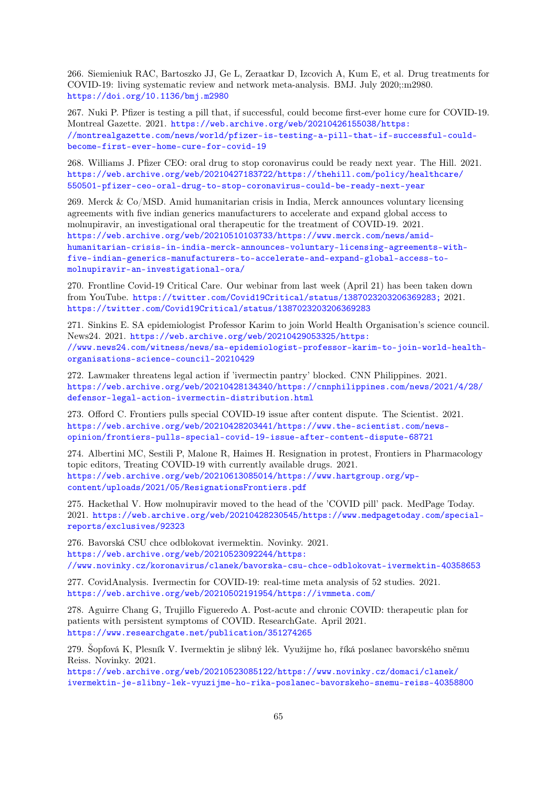266. Siemieniuk RAC, Bartoszko JJ, Ge L, Zeraatkar D, Izcovich A, Kum E, et al. Drug treatments for COVID-19: living systematic review and network meta-analysis. BMJ. July 2020;:m2980. <https://doi.org/10.1136/bmj.m2980>

267. Nuki P. Pfizer is testing a pill that, if successful, could become first-ever home cure for COVID-19. Montreal Gazette. 2021. [https://web.archive.org/web/20210426155038/https:](https://web.archive.org/web/20210426155038/https://montrealgazette.com/news/world/pfizer-is-testing-a-pill-that-if-successful-could-become-first-ever-home-cure-for-covid-19) [//montrealgazette.com/news/world/pfizer-is-testing-a-pill-that-if-successful-could](https://web.archive.org/web/20210426155038/https://montrealgazette.com/news/world/pfizer-is-testing-a-pill-that-if-successful-could-become-first-ever-home-cure-for-covid-19)[become-first-ever-home-cure-for-covid-19](https://web.archive.org/web/20210426155038/https://montrealgazette.com/news/world/pfizer-is-testing-a-pill-that-if-successful-could-become-first-ever-home-cure-for-covid-19)

268. Williams J. Pfizer CEO: oral drug to stop coronavirus could be ready next year. The Hill. 2021. [https://web.archive.org/web/20210427183722/https://thehill.com/policy/healthcare/](https://web.archive.org/web/20210427183722/https://thehill.com/policy/healthcare/550501-pfizer-ceo-oral-drug-to-stop-coronavirus-could-be-ready-next-year) [550501-pfizer-ceo-oral-drug-to-stop-coronavirus-could-be-ready-next-year](https://web.archive.org/web/20210427183722/https://thehill.com/policy/healthcare/550501-pfizer-ceo-oral-drug-to-stop-coronavirus-could-be-ready-next-year)

269. Merck & Co/MSD. Amid humanitarian crisis in India, Merck announces voluntary licensing agreements with five indian generics manufacturers to accelerate and expand global access to molnupiravir, an investigational oral therapeutic for the treatment of COVID-19. 2021. [https://web.archive.org/web/20210510103733/https://www.merck.com/news/amid](https://web.archive.org/web/20210510103733/https://www.merck.com/news/amid-humanitarian-crisis-in-india-merck-announces-voluntary-licensing-agreements-with-five-indian-generics-manufacturers-to-accelerate-and-expand-global-access-to-molnupiravir-an-investigational-ora/)[humanitarian-crisis-in-india-merck-announces-voluntary-licensing-agreements-with](https://web.archive.org/web/20210510103733/https://www.merck.com/news/amid-humanitarian-crisis-in-india-merck-announces-voluntary-licensing-agreements-with-five-indian-generics-manufacturers-to-accelerate-and-expand-global-access-to-molnupiravir-an-investigational-ora/)[five-indian-generics-manufacturers-to-accelerate-and-expand-global-access-to](https://web.archive.org/web/20210510103733/https://www.merck.com/news/amid-humanitarian-crisis-in-india-merck-announces-voluntary-licensing-agreements-with-five-indian-generics-manufacturers-to-accelerate-and-expand-global-access-to-molnupiravir-an-investigational-ora/)[molnupiravir-an-investigational-ora/](https://web.archive.org/web/20210510103733/https://www.merck.com/news/amid-humanitarian-crisis-in-india-merck-announces-voluntary-licensing-agreements-with-five-indian-generics-manufacturers-to-accelerate-and-expand-global-access-to-molnupiravir-an-investigational-ora/)

270. Frontline Covid-19 Critical Care. Our webinar from last week (April 21) has been taken down from YouTube. <https://twitter.com/Covid19Critical/status/1387023203206369283;> 2021. <https://twitter.com/Covid19Critical/status/1387023203206369283>

271. Sinkins E. SA epidemiologist Professor Karim to join World Health Organisation's science council. News24. 2021. [https://web.archive.org/web/20210429053325/https:](https://web.archive.org/web/20210429053325/https://www.news24.com/witness/news/sa-epidemiologist-professor-karim-to-join-world-health-organisations-science-council-20210429) [//www.news24.com/witness/news/sa-epidemiologist-professor-karim-to-join-world-health](https://web.archive.org/web/20210429053325/https://www.news24.com/witness/news/sa-epidemiologist-professor-karim-to-join-world-health-organisations-science-council-20210429)[organisations-science-council-20210429](https://web.archive.org/web/20210429053325/https://www.news24.com/witness/news/sa-epidemiologist-professor-karim-to-join-world-health-organisations-science-council-20210429)

272. Lawmaker threatens legal action if 'ivermectin pantry' blocked. CNN Philippines. 2021. [https://web.archive.org/web/20210428134340/https://cnnphilippines.com/news/2021/4/28/](https://web.archive.org/web/20210428134340/https://cnnphilippines.com/news/2021/4/28/defensor-legal-action-ivermectin-distribution.html) [defensor-legal-action-ivermectin-distribution.html](https://web.archive.org/web/20210428134340/https://cnnphilippines.com/news/2021/4/28/defensor-legal-action-ivermectin-distribution.html)

273. Offord C. Frontiers pulls special COVID-19 issue after content dispute. The Scientist. 2021. [https://web.archive.org/web/20210428203441/https://www.the-scientist.com/news](https://web.archive.org/web/20210428203441/https://www.the-scientist.com/news-opinion/frontiers-pulls-special-covid-19-issue-after-content-dispute-68721)[opinion/frontiers-pulls-special-covid-19-issue-after-content-dispute-68721](https://web.archive.org/web/20210428203441/https://www.the-scientist.com/news-opinion/frontiers-pulls-special-covid-19-issue-after-content-dispute-68721)

274. Albertini MC, Sestili P, Malone R, Haimes H. Resignation in protest, Frontiers in Pharmacology topic editors, Treating COVID-19 with currently available drugs. 2021. [https://web.archive.org/web/20210613085014/https://www.hartgroup.org/wp](https://web.archive.org/web/20210613085014/https://www.hartgroup.org/wp-content/uploads/2021/05/ResignationsFrontiers.pdf)[content/uploads/2021/05/ResignationsFrontiers.pdf](https://web.archive.org/web/20210613085014/https://www.hartgroup.org/wp-content/uploads/2021/05/ResignationsFrontiers.pdf)

275. Hackethal V. How molnupiravir moved to the head of the 'COVID pill' pack. MedPage Today. 2021. [https://web.archive.org/web/20210428230545/https://www.medpagetoday.com/special](https://web.archive.org/web/20210428230545/https://www.medpagetoday.com/special-reports/exclusives/92323)[reports/exclusives/92323](https://web.archive.org/web/20210428230545/https://www.medpagetoday.com/special-reports/exclusives/92323)

276. Bavorská CSU chce odblokovat ivermektin. Novinky. 2021. [https://web.archive.org/web/20210523092244/https:](https://web.archive.org/web/20210523092244/https://www.novinky.cz/koronavirus/clanek/bavorska-csu-chce-odblokovat-ivermektin-40358653) [//www.novinky.cz/koronavirus/clanek/bavorska-csu-chce-odblokovat-ivermektin-40358653](https://web.archive.org/web/20210523092244/https://www.novinky.cz/koronavirus/clanek/bavorska-csu-chce-odblokovat-ivermektin-40358653)

277. CovidAnalysis. Ivermectin for COVID-19: real-time meta analysis of 52 studies. 2021. <https://web.archive.org/web/20210502191954/https://ivmmeta.com/>

278. Aguirre Chang G, Trujillo Figueredo A. Post-acute and chronic COVID: therapeutic plan for patients with persistent symptoms of COVID. ResearchGate. April 2021. <https://www.researchgate.net/publication/351274265>

279. Šopfová K, Plesník V. Ivermektin je slibný lék. Využijme ho, říká poslanec bavorského sněmu Reiss. Novinky. 2021.

[https://web.archive.org/web/20210523085122/https://www.novinky.cz/domaci/clanek/](https://web.archive.org/web/20210523085122/https://www.novinky.cz/domaci/clanek/ivermektin-je-slibny-lek-vyuzijme-ho-rika-poslanec-bavorskeho-snemu-reiss-40358800) [ivermektin-je-slibny-lek-vyuzijme-ho-rika-poslanec-bavorskeho-snemu-reiss-40358800](https://web.archive.org/web/20210523085122/https://www.novinky.cz/domaci/clanek/ivermektin-je-slibny-lek-vyuzijme-ho-rika-poslanec-bavorskeho-snemu-reiss-40358800)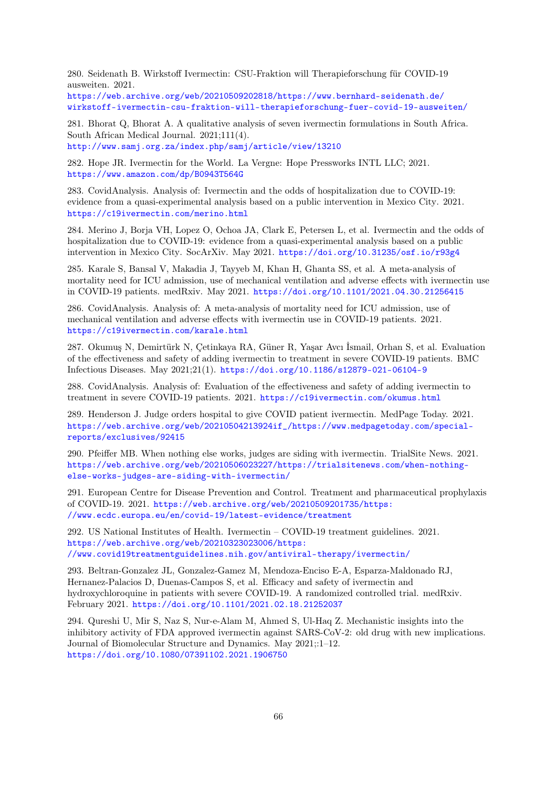280. Seidenath B. Wirkstoff Ivermectin: CSU-Fraktion will Therapieforschung für COVID-19 ausweiten. 2021.

[https://web.archive.org/web/20210509202818/https://www.bernhard-seidenath.de/](https://web.archive.org/web/20210509202818/https://www.bernhard-seidenath.de/wirkstoff-ivermectin-csu-fraktion-will-therapieforschung-fuer-covid-19-ausweiten/) [wirkstoff-ivermectin-csu-fraktion-will-therapieforschung-fuer-covid-19-ausweiten/](https://web.archive.org/web/20210509202818/https://www.bernhard-seidenath.de/wirkstoff-ivermectin-csu-fraktion-will-therapieforschung-fuer-covid-19-ausweiten/)

281. Bhorat Q, Bhorat A. A qualitative analysis of seven ivermectin formulations in South Africa. South African Medical Journal. 2021;111(4). <http://www.samj.org.za/index.php/samj/article/view/13210>

282. Hope JR. Ivermectin for the World. La Vergne: Hope Pressworks INTL LLC; 2021. <https://www.amazon.com/dp/B0943T564G>

283. CovidAnalysis. Analysis of: Ivermectin and the odds of hospitalization due to COVID-19: evidence from a quasi-experimental analysis based on a public intervention in Mexico City. 2021. <https://c19ivermectin.com/merino.html>

284. Merino J, Borja VH, Lopez O, Ochoa JA, Clark E, Petersen L, et al. Ivermectin and the odds of hospitalization due to COVID-19: evidence from a quasi-experimental analysis based on a public intervention in Mexico City. SocArXiv. May 2021. <https://doi.org/10.31235/osf.io/r93g4>

285. Karale S, Bansal V, Makadia J, Tayyeb M, Khan H, Ghanta SS, et al. A meta-analysis of mortality need for ICU admission, use of mechanical ventilation and adverse effects with ivermectin use in COVID-19 patients. medRxiv. May 2021. <https://doi.org/10.1101/2021.04.30.21256415>

286. CovidAnalysis. Analysis of: A meta-analysis of mortality need for ICU admission, use of mechanical ventilation and adverse effects with ivermectin use in COVID-19 patients. 2021. <https://c19ivermectin.com/karale.html>

287. Okumuş N, Demirtürk N, Çetinkaya RA, Güner R, Yaşar Avcı İsmail, Orhan S, et al. Evaluation of the effectiveness and safety of adding ivermectin to treatment in severe COVID-19 patients. BMC Infectious Diseases. May 2021;21(1). <https://doi.org/10.1186/s12879-021-06104-9>

288. CovidAnalysis. Analysis of: Evaluation of the effectiveness and safety of adding ivermectin to treatment in severe COVID-19 patients. 2021. <https://c19ivermectin.com/okumus.html>

289. Henderson J. Judge orders hospital to give COVID patient ivermectin. MedPage Today. 2021. [https://web.archive.org/web/20210504213924if\\_/https://www.medpagetoday.com/special](https://web.archive.org/web/20210504213924if_/https://www.medpagetoday.com/special-reports/exclusives/92415)[reports/exclusives/92415](https://web.archive.org/web/20210504213924if_/https://www.medpagetoday.com/special-reports/exclusives/92415)

290. Pfeiffer MB. When nothing else works, judges are siding with ivermectin. TrialSite News. 2021. [https://web.archive.org/web/20210506023227/https://trialsitenews.com/when-nothing](https://web.archive.org/web/20210506023227/https://trialsitenews.com/when-nothing-else-works-judges-are-siding-with-ivermectin/)[else-works-judges-are-siding-with-ivermectin/](https://web.archive.org/web/20210506023227/https://trialsitenews.com/when-nothing-else-works-judges-are-siding-with-ivermectin/)

291. European Centre for Disease Prevention and Control. Treatment and pharmaceutical prophylaxis of COVID-19. 2021. [https://web.archive.org/web/20210509201735/https:](https://web.archive.org/web/20210509201735/https://www.ecdc.europa.eu/en/covid-19/latest-evidence/treatment) [//www.ecdc.europa.eu/en/covid-19/latest-evidence/treatment](https://web.archive.org/web/20210509201735/https://www.ecdc.europa.eu/en/covid-19/latest-evidence/treatment)

292. US National Institutes of Health. Ivermectin – COVID-19 treatment guidelines. 2021. [https://web.archive.org/web/20210323023006/https:](https://web.archive.org/web/20210323023006/https://www.covid19treatmentguidelines.nih.gov/antiviral-therapy/ivermectin/) [//www.covid19treatmentguidelines.nih.gov/antiviral-therapy/ivermectin/](https://web.archive.org/web/20210323023006/https://www.covid19treatmentguidelines.nih.gov/antiviral-therapy/ivermectin/)

293. Beltran-Gonzalez JL, Gonzalez-Gamez M, Mendoza-Enciso E-A, Esparza-Maldonado RJ, Hernanez-Palacios D, Duenas-Campos S, et al. Efficacy and safety of ivermectin and hydroxychloroquine in patients with severe COVID-19. A randomized controlled trial. medRxiv. February 2021. <https://doi.org/10.1101/2021.02.18.21252037>

294. Qureshi U, Mir S, Naz S, Nur-e-Alam M, Ahmed S, Ul-Haq Z. Mechanistic insights into the inhibitory activity of FDA approved ivermectin against SARS-CoV-2: old drug with new implications. Journal of Biomolecular Structure and Dynamics. May 2021;:1–12. <https://doi.org/10.1080/07391102.2021.1906750>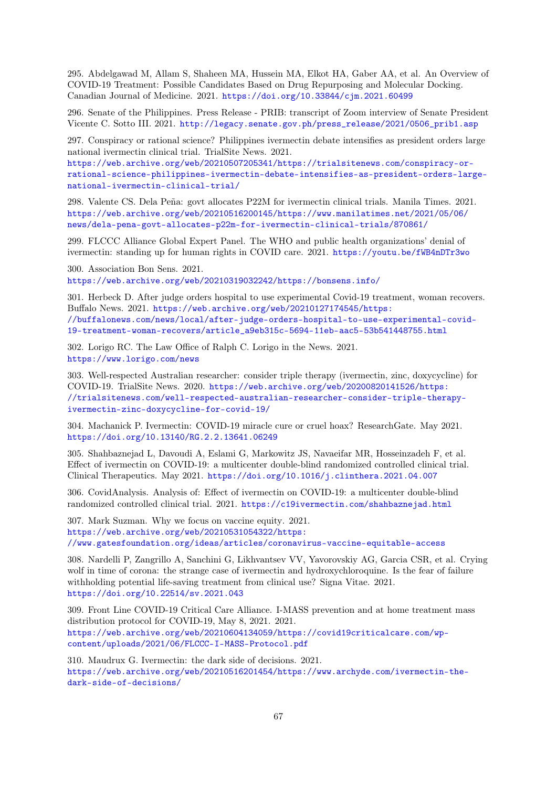295. Abdelgawad M, Allam S, Shaheen MA, Hussein MA, Elkot HA, Gaber AA, et al. An Overview of COVID-19 Treatment: Possible Candidates Based on Drug Repurposing and Molecular Docking. Canadian Journal of Medicine. 2021. <https://doi.org/10.33844/cjm.2021.60499>

296. Senate of the Philippines. Press Release - PRIB: transcript of Zoom interview of Senate President Vicente C. Sotto III. 2021. [http://legacy.senate.gov.ph/press\\_release/2021/0506\\_prib1.asp](http://legacy.senate.gov.ph/press_release/2021/0506_prib1.asp)

297. Conspiracy or rational science? Philippines ivermectin debate intensifies as president orders large national ivermectin clinical trial. TrialSite News. 2021.

[https://web.archive.org/web/20210507205341/https://trialsitenews.com/conspiracy-or](https://web.archive.org/web/20210507205341/https://trialsitenews.com/conspiracy-or-rational-science-philippines-ivermectin-debate-intensifies-as-president-orders-large-national-ivermectin-clinical-trial/)[rational-science-philippines-ivermectin-debate-intensifies-as-president-orders-large](https://web.archive.org/web/20210507205341/https://trialsitenews.com/conspiracy-or-rational-science-philippines-ivermectin-debate-intensifies-as-president-orders-large-national-ivermectin-clinical-trial/)[national-ivermectin-clinical-trial/](https://web.archive.org/web/20210507205341/https://trialsitenews.com/conspiracy-or-rational-science-philippines-ivermectin-debate-intensifies-as-president-orders-large-national-ivermectin-clinical-trial/)

298. Valente CS. Dela Peña: govt allocates P22M for ivermectin clinical trials. Manila Times. 2021. [https://web.archive.org/web/20210516200145/https://www.manilatimes.net/2021/05/06/](https://web.archive.org/web/20210516200145/https://www.manilatimes.net/2021/05/06/news/dela-pena-govt-allocates-p22m-for-ivermectin-clinical-trials/870861/) [news/dela-pena-govt-allocates-p22m-for-ivermectin-clinical-trials/870861/](https://web.archive.org/web/20210516200145/https://www.manilatimes.net/2021/05/06/news/dela-pena-govt-allocates-p22m-for-ivermectin-clinical-trials/870861/)

299. FLCCC Alliance Global Expert Panel. The WHO and public health organizations' denial of ivermectin: standing up for human rights in COVID care. 2021. <https://youtu.be/fWB4nDTr3wo>

300. Association Bon Sens. 2021. <https://web.archive.org/web/20210319032242/https://bonsens.info/>

301. Herbeck D. After judge orders hospital to use experimental Covid-19 treatment, woman recovers. Buffalo News. 2021. [https://web.archive.org/web/20210127174545/https:](https://web.archive.org/web/20210127174545/https://buffalonews.com/news/local/after-judge-orders-hospital-to-use-experimental-covid-19-treatment-woman-recovers/article_a9eb315c-5694-11eb-aac5-53b541448755.html) [//buffalonews.com/news/local/after-judge-orders-hospital-to-use-experimental-covid-](https://web.archive.org/web/20210127174545/https://buffalonews.com/news/local/after-judge-orders-hospital-to-use-experimental-covid-19-treatment-woman-recovers/article_a9eb315c-5694-11eb-aac5-53b541448755.html)[19-treatment-woman-recovers/article\\_a9eb315c-5694-11eb-aac5-53b541448755.html](https://web.archive.org/web/20210127174545/https://buffalonews.com/news/local/after-judge-orders-hospital-to-use-experimental-covid-19-treatment-woman-recovers/article_a9eb315c-5694-11eb-aac5-53b541448755.html)

302. Lorigo RC. The Law Office of Ralph C. Lorigo in the News. 2021. <https://www.lorigo.com/news>

303. Well-respected Australian researcher: consider triple therapy (ivermectin, zinc, doxycycline) for COVID-19. TrialSite News. 2020. [https://web.archive.org/web/20200820141526/https:](https://web.archive.org/web/20200820141526/https://trialsitenews.com/well-respected-australian-researcher-consider-triple-therapy-ivermectin-zinc-doxycycline-for-covid-19/) [//trialsitenews.com/well-respected-australian-researcher-consider-triple-therapy](https://web.archive.org/web/20200820141526/https://trialsitenews.com/well-respected-australian-researcher-consider-triple-therapy-ivermectin-zinc-doxycycline-for-covid-19/)[ivermectin-zinc-doxycycline-for-covid-19/](https://web.archive.org/web/20200820141526/https://trialsitenews.com/well-respected-australian-researcher-consider-triple-therapy-ivermectin-zinc-doxycycline-for-covid-19/)

304. Machanick P. Ivermectin: COVID-19 miracle cure or cruel hoax? ResearchGate. May 2021. <https://doi.org/10.13140/RG.2.2.13641.06249>

305. Shahbaznejad L, Davoudi A, Eslami G, Markowitz JS, Navaeifar MR, Hosseinzadeh F, et al. Effect of ivermectin on COVID-19: a multicenter double-blind randomized controlled clinical trial. Clinical Therapeutics. May 2021. <https://doi.org/10.1016/j.clinthera.2021.04.007>

306. CovidAnalysis. Analysis of: Effect of ivermectin on COVID-19: a multicenter double-blind randomized controlled clinical trial. 2021. <https://c19ivermectin.com/shahbaznejad.html>

<span id="page-66-0"></span>307. Mark Suzman. Why we focus on vaccine equity. 2021. [https://web.archive.org/web/20210531054322/https:](https://web.archive.org/web/20210531054322/https://www.gatesfoundation.org/ideas/articles/coronavirus-vaccine-equitable-access) [//www.gatesfoundation.org/ideas/articles/coronavirus-vaccine-equitable-access](https://web.archive.org/web/20210531054322/https://www.gatesfoundation.org/ideas/articles/coronavirus-vaccine-equitable-access)

308. Nardelli P, Zangrillo A, Sanchini G, Likhvantsev VV, Yavorovskiy AG, Garcia CSR, et al. Crying wolf in time of corona: the strange case of ivermectin and hydroxychloroquine. Is the fear of failure withholding potential life-saving treatment from clinical use? Signa Vitae. 2021. <https://doi.org/10.22514/sv.2021.043>

309. Front Line COVID-19 Critical Care Alliance. I-MASS prevention and at home treatment mass distribution protocol for COVID-19, May 8, 2021. 2021. [https://web.archive.org/web/20210604134059/https://covid19criticalcare.com/wp](https://web.archive.org/web/20210604134059/https://covid19criticalcare.com/wp-content/uploads/2021/06/FLCCC-I-MASS-Protocol.pdf)[content/uploads/2021/06/FLCCC-I-MASS-Protocol.pdf](https://web.archive.org/web/20210604134059/https://covid19criticalcare.com/wp-content/uploads/2021/06/FLCCC-I-MASS-Protocol.pdf)

310. Maudrux G. Ivermectin: the dark side of decisions. 2021. [https://web.archive.org/web/20210516201454/https://www.archyde.com/ivermectin-the](https://web.archive.org/web/20210516201454/https://www.archyde.com/ivermectin-the-dark-side-of-decisions/)[dark-side-of-decisions/](https://web.archive.org/web/20210516201454/https://www.archyde.com/ivermectin-the-dark-side-of-decisions/)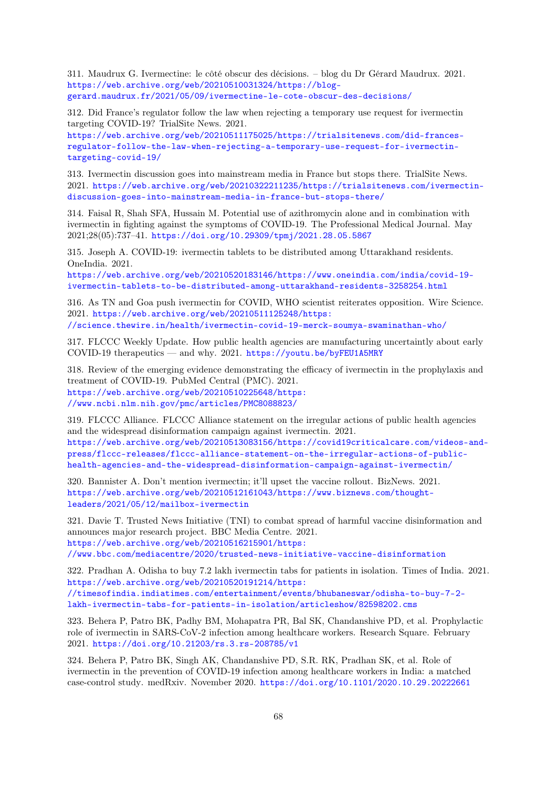311. Maudrux G. Ivermectine: le côté obscur des décisions. – blog du Dr Gérard Maudrux. 2021. [https://web.archive.org/web/20210510031324/https://blog](https://web.archive.org/web/20210510031324/https://blog-gerard.maudrux.fr/2021/05/09/ivermectine-le-cote-obscur-des-decisions/)[gerard.maudrux.fr/2021/05/09/ivermectine-le-cote-obscur-des-decisions/](https://web.archive.org/web/20210510031324/https://blog-gerard.maudrux.fr/2021/05/09/ivermectine-le-cote-obscur-des-decisions/)

312. Did France's regulator follow the law when rejecting a temporary use request for ivermectin targeting COVID-19? TrialSite News. 2021.

[https://web.archive.org/web/20210511175025/https://trialsitenews.com/did-frances](https://web.archive.org/web/20210511175025/https://trialsitenews.com/did-frances-regulator-follow-the-law-when-rejecting-a-temporary-use-request-for-ivermectin-targeting-covid-19/)[regulator-follow-the-law-when-rejecting-a-temporary-use-request-for-ivermectin](https://web.archive.org/web/20210511175025/https://trialsitenews.com/did-frances-regulator-follow-the-law-when-rejecting-a-temporary-use-request-for-ivermectin-targeting-covid-19/)[targeting-covid-19/](https://web.archive.org/web/20210511175025/https://trialsitenews.com/did-frances-regulator-follow-the-law-when-rejecting-a-temporary-use-request-for-ivermectin-targeting-covid-19/)

313. Ivermectin discussion goes into mainstream media in France but stops there. TrialSite News. 2021. [https://web.archive.org/web/20210322211235/https://trialsitenews.com/ivermectin](https://web.archive.org/web/20210322211235/https://trialsitenews.com/ivermectin-discussion-goes-into-mainstream-media-in-france-but-stops-there/)[discussion-goes-into-mainstream-media-in-france-but-stops-there/](https://web.archive.org/web/20210322211235/https://trialsitenews.com/ivermectin-discussion-goes-into-mainstream-media-in-france-but-stops-there/)

314. Faisal R, Shah SFA, Hussain M. Potential use of azithromycin alone and in combination with ivermectin in fighting against the symptoms of COVID-19. The Professional Medical Journal. May 2021;28(05):737–41. <https://doi.org/10.29309/tpmj/2021.28.05.5867>

315. Joseph A. COVID-19: ivermectin tablets to be distributed among Uttarakhand residents. OneIndia. 2021.

[https://web.archive.org/web/20210520183146/https://www.oneindia.com/india/covid-19](https://web.archive.org/web/20210520183146/https://www.oneindia.com/india/covid-19-ivermectin-tablets-to-be-distributed-among-uttarakhand-residents-3258254.html) [ivermectin-tablets-to-be-distributed-among-uttarakhand-residents-3258254.html](https://web.archive.org/web/20210520183146/https://www.oneindia.com/india/covid-19-ivermectin-tablets-to-be-distributed-among-uttarakhand-residents-3258254.html)

316. As TN and Goa push ivermectin for COVID, WHO scientist reiterates opposition. Wire Science. 2021. [https://web.archive.org/web/20210511125248/https:](https://web.archive.org/web/20210511125248/https://science.thewire.in/health/ivermectin-covid-19-merck-soumya-swaminathan-who/)

[//science.thewire.in/health/ivermectin-covid-19-merck-soumya-swaminathan-who/](https://web.archive.org/web/20210511125248/https://science.thewire.in/health/ivermectin-covid-19-merck-soumya-swaminathan-who/)

317. FLCCC Weekly Update. How public health agencies are manufacturing uncertaintly about early COVID-19 therapeutics — and why. 2021. <https://youtu.be/byFEU1A5MRY>

318. Review of the emerging evidence demonstrating the efficacy of ivermectin in the prophylaxis and treatment of COVID-19. PubMed Central (PMC). 2021. [https://web.archive.org/web/20210510225648/https:](https://web.archive.org/web/20210510225648/https://www.ncbi.nlm.nih.gov/pmc/articles/PMC8088823/) [//www.ncbi.nlm.nih.gov/pmc/articles/PMC8088823/](https://web.archive.org/web/20210510225648/https://www.ncbi.nlm.nih.gov/pmc/articles/PMC8088823/)

319. FLCCC Alliance. FLCCC Alliance statement on the irregular actions of public health agencies and the widespread disinformation campaign against ivermectin. 2021. [https://web.archive.org/web/20210513083156/https://covid19criticalcare.com/videos-and](https://web.archive.org/web/20210513083156/https://covid19criticalcare.com/videos-and-press/flccc-releases/flccc-alliance-statement-on-the-irregular-actions-of-public-health-agencies-and-the-widespread-disinformation-campaign-against-ivermectin/)[press/flccc-releases/flccc-alliance-statement-on-the-irregular-actions-of-public](https://web.archive.org/web/20210513083156/https://covid19criticalcare.com/videos-and-press/flccc-releases/flccc-alliance-statement-on-the-irregular-actions-of-public-health-agencies-and-the-widespread-disinformation-campaign-against-ivermectin/)[health-agencies-and-the-widespread-disinformation-campaign-against-ivermectin/](https://web.archive.org/web/20210513083156/https://covid19criticalcare.com/videos-and-press/flccc-releases/flccc-alliance-statement-on-the-irregular-actions-of-public-health-agencies-and-the-widespread-disinformation-campaign-against-ivermectin/)

320. Bannister A. Don't mention ivermectin; it'll upset the vaccine rollout. BizNews. 2021. [https://web.archive.org/web/20210512161043/https://www.biznews.com/thought](https://web.archive.org/web/20210512161043/https://www.biznews.com/thought-leaders/2021/05/12/mailbox-ivermectin)[leaders/2021/05/12/mailbox-ivermectin](https://web.archive.org/web/20210512161043/https://www.biznews.com/thought-leaders/2021/05/12/mailbox-ivermectin)

<span id="page-67-0"></span>321. Davie T. Trusted News Initiative (TNI) to combat spread of harmful vaccine disinformation and announces major research project. BBC Media Centre. 2021. [https://web.archive.org/web/20210516215901/https:](https://web.archive.org/web/20210516215901/https://www.bbc.com/mediacentre/2020/trusted-news-initiative-vaccine-disinformation) [//www.bbc.com/mediacentre/2020/trusted-news-initiative-vaccine-disinformation](https://web.archive.org/web/20210516215901/https://www.bbc.com/mediacentre/2020/trusted-news-initiative-vaccine-disinformation)

322. Pradhan A. Odisha to buy 7.2 lakh ivermectin tabs for patients in isolation. Times of India. 2021. [https://web.archive.org/web/20210520191214/https:](https://web.archive.org/web/20210520191214/https://timesofindia.indiatimes.com/entertainment/events/bhubaneswar/odisha-to-buy-7-2-lakh-ivermectin-tabs-for-patients-in-isolation/articleshow/82598202.cms)

[//timesofindia.indiatimes.com/entertainment/events/bhubaneswar/odisha-to-buy-7-2](https://web.archive.org/web/20210520191214/https://timesofindia.indiatimes.com/entertainment/events/bhubaneswar/odisha-to-buy-7-2-lakh-ivermectin-tabs-for-patients-in-isolation/articleshow/82598202.cms) [lakh-ivermectin-tabs-for-patients-in-isolation/articleshow/82598202.cms](https://web.archive.org/web/20210520191214/https://timesofindia.indiatimes.com/entertainment/events/bhubaneswar/odisha-to-buy-7-2-lakh-ivermectin-tabs-for-patients-in-isolation/articleshow/82598202.cms)

323. Behera P, Patro BK, Padhy BM, Mohapatra PR, Bal SK, Chandanshive PD, et al. Prophylactic role of ivermectin in SARS-CoV-2 infection among healthcare workers. Research Square. February 2021. <https://doi.org/10.21203/rs.3.rs-208785/v1>

324. Behera P, Patro BK, Singh AK, Chandanshive PD, S.R. RK, Pradhan SK, et al. Role of ivermectin in the prevention of COVID-19 infection among healthcare workers in India: a matched case-control study. medRxiv. November 2020. <https://doi.org/10.1101/2020.10.29.20222661>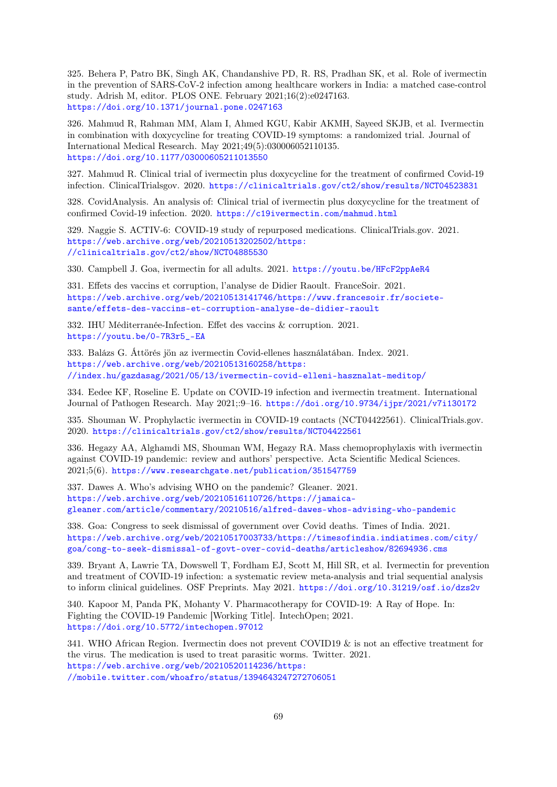325. Behera P, Patro BK, Singh AK, Chandanshive PD, R. RS, Pradhan SK, et al. Role of ivermectin in the prevention of SARS-CoV-2 infection among healthcare workers in India: a matched case-control study. Adrish M, editor. PLOS ONE. February 2021;16(2):e0247163. <https://doi.org/10.1371/journal.pone.0247163>

326. Mahmud R, Rahman MM, Alam I, Ahmed KGU, Kabir AKMH, Sayeed SKJB, et al. Ivermectin in combination with doxycycline for treating COVID-19 symptoms: a randomized trial. Journal of International Medical Research. May 2021;49(5):030006052110135. <https://doi.org/10.1177/03000605211013550>

327. Mahmud R. Clinical trial of ivermectin plus doxycycline for the treatment of confirmed Covid-19 infection. ClinicalTrialsgov. 2020. <https://clinicaltrials.gov/ct2/show/results/NCT04523831>

328. CovidAnalysis. An analysis of: Clinical trial of ivermectin plus doxycycline for the treatment of confirmed Covid-19 infection. 2020. <https://c19ivermectin.com/mahmud.html>

329. Naggie S. ACTIV-6: COVID-19 study of repurposed medications. ClinicalTrials.gov. 2021. [https://web.archive.org/web/20210513202502/https:](https://web.archive.org/web/20210513202502/https://clinicaltrials.gov/ct2/show/NCT04885530) [//clinicaltrials.gov/ct2/show/NCT04885530](https://web.archive.org/web/20210513202502/https://clinicaltrials.gov/ct2/show/NCT04885530)

330. Campbell J. Goa, ivermectin for all adults. 2021. <https://youtu.be/HFcF2ppAeR4>

331. Effets des vaccins et corruption, l'analyse de Didier Raoult. FranceSoir. 2021. [https://web.archive.org/web/20210513141746/https://www.francesoir.fr/societe](https://web.archive.org/web/20210513141746/https://www.francesoir.fr/societe-sante/effets-des-vaccins-et-corruption-analyse-de-didier-raoult)[sante/effets-des-vaccins-et-corruption-analyse-de-didier-raoult](https://web.archive.org/web/20210513141746/https://www.francesoir.fr/societe-sante/effets-des-vaccins-et-corruption-analyse-de-didier-raoult)

332. IHU Méditerranée-Infection. Effet des vaccins & corruption. 2021. [https://youtu.be/0-7R3r5\\_-EA](https://youtu.be/0-7R3r5_-EA)

333. Balázs G. Áttörés jön az ivermectin Covid-ellenes használatában. Index. 2021. [https://web.archive.org/web/20210513160258/https:](https://web.archive.org/web/20210513160258/https://index.hu/gazdasag/2021/05/13/ivermectin-covid-elleni-hasznalat-meditop/) [//index.hu/gazdasag/2021/05/13/ivermectin-covid-elleni-hasznalat-meditop/](https://web.archive.org/web/20210513160258/https://index.hu/gazdasag/2021/05/13/ivermectin-covid-elleni-hasznalat-meditop/)

334. Eedee KF, Roseline E. Update on COVID-19 infection and ivermectin treatment. International Journal of Pathogen Research. May 2021;:9–16. <https://doi.org/10.9734/ijpr/2021/v7i130172>

335. Shouman W. Prophylactic ivermectin in COVID-19 contacts (NCT04422561). ClinicalTrials.gov. 2020. <https://clinicaltrials.gov/ct2/show/results/NCT04422561>

336. Hegazy AA, Alghamdi MS, Shouman WM, Hegazy RA. Mass chemoprophylaxis with ivermectin against COVID-19 pandemic: review and authors' perspective. Acta Scientific Medical Sciences. 2021;5(6). <https://www.researchgate.net/publication/351547759>

337. Dawes A. Who's advising WHO on the pandemic? Gleaner. 2021. [https://web.archive.org/web/20210516110726/https://jamaica](https://web.archive.org/web/20210516110726/https://jamaica-gleaner.com/article/commentary/20210516/alfred-dawes-whos-advising-who-pandemic)[gleaner.com/article/commentary/20210516/alfred-dawes-whos-advising-who-pandemic](https://web.archive.org/web/20210516110726/https://jamaica-gleaner.com/article/commentary/20210516/alfred-dawes-whos-advising-who-pandemic)

338. Goa: Congress to seek dismissal of government over Covid deaths. Times of India. 2021. [https://web.archive.org/web/20210517003733/https://timesofindia.indiatimes.com/city/](https://web.archive.org/web/20210517003733/https://timesofindia.indiatimes.com/city/goa/cong-to-seek-dismissal-of-govt-over-covid-deaths/articleshow/82694936.cms) [goa/cong-to-seek-dismissal-of-govt-over-covid-deaths/articleshow/82694936.cms](https://web.archive.org/web/20210517003733/https://timesofindia.indiatimes.com/city/goa/cong-to-seek-dismissal-of-govt-over-covid-deaths/articleshow/82694936.cms)

339. Bryant A, Lawrie TA, Dowswell T, Fordham EJ, Scott M, Hill SR, et al. Ivermectin for prevention and treatment of COVID-19 infection: a systematic review meta-analysis and trial sequential analysis to inform clinical guidelines. OSF Preprints. May 2021. <https://doi.org/10.31219/osf.io/dzs2v>

340. Kapoor M, Panda PK, Mohanty V. Pharmacotherapy for COVID-19: A Ray of Hope. In: Fighting the COVID-19 Pandemic [Working Title]. IntechOpen; 2021. <https://doi.org/10.5772/intechopen.97012>

341. WHO African Region. Ivermectin does not prevent COVID19 & is not an effective treatment for the virus. The medication is used to treat parasitic worms. Twitter. 2021. [https://web.archive.org/web/20210520114236/https:](https://web.archive.org/web/20210520114236/https://mobile.twitter.com/whoafro/status/1394643247272706051) [//mobile.twitter.com/whoafro/status/1394643247272706051](https://web.archive.org/web/20210520114236/https://mobile.twitter.com/whoafro/status/1394643247272706051)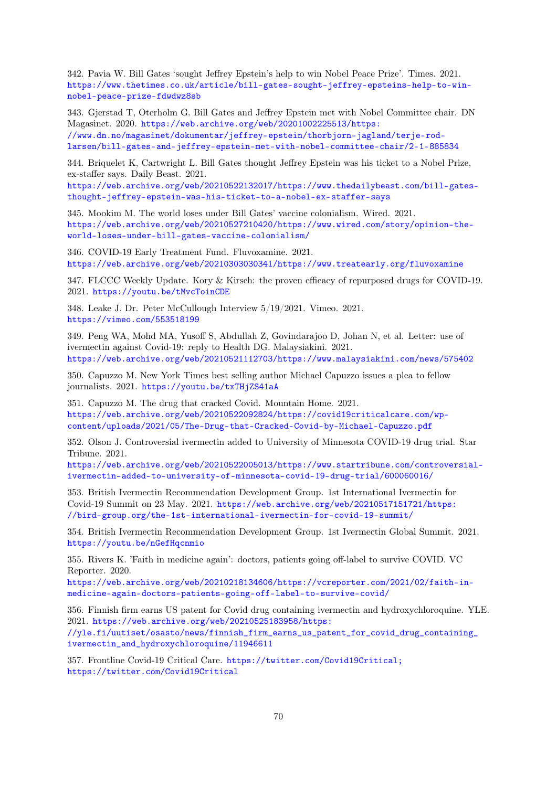342. Pavia W. Bill Gates 'sought Jeffrey Epstein's help to win Nobel Peace Prize'. Times. 2021. [https://www.thetimes.co.uk/article/bill-gates-sought-jeffrey-epsteins-help-to-win](https://www.thetimes.co.uk/article/bill-gates-sought-jeffrey-epsteins-help-to-win-nobel-peace-prize-fdwdwz8sb)[nobel-peace-prize-fdwdwz8sb](https://www.thetimes.co.uk/article/bill-gates-sought-jeffrey-epsteins-help-to-win-nobel-peace-prize-fdwdwz8sb)

343. Gjerstad T, Oterholm G. Bill Gates and Jeffrey Epstein met with Nobel Committee chair. DN Magasinet. 2020. [https://web.archive.org/web/20201002225513/https:](https://web.archive.org/web/20201002225513/https://www.dn.no/magasinet/dokumentar/jeffrey-epstein/thorbjorn-jagland/terje-rod-larsen/bill-gates-and-jeffrey-epstein-met-with-nobel-committee-chair/2-1-885834) [//www.dn.no/magasinet/dokumentar/jeffrey-epstein/thorbjorn-jagland/terje-rod](https://web.archive.org/web/20201002225513/https://www.dn.no/magasinet/dokumentar/jeffrey-epstein/thorbjorn-jagland/terje-rod-larsen/bill-gates-and-jeffrey-epstein-met-with-nobel-committee-chair/2-1-885834)[larsen/bill-gates-and-jeffrey-epstein-met-with-nobel-committee-chair/2-1-885834](https://web.archive.org/web/20201002225513/https://www.dn.no/magasinet/dokumentar/jeffrey-epstein/thorbjorn-jagland/terje-rod-larsen/bill-gates-and-jeffrey-epstein-met-with-nobel-committee-chair/2-1-885834)

344. Briquelet K, Cartwright L. Bill Gates thought Jeffrey Epstein was his ticket to a Nobel Prize, ex-staffer says. Daily Beast. 2021.

[https://web.archive.org/web/20210522132017/https://www.thedailybeast.com/bill-gates](https://web.archive.org/web/20210522132017/https://www.thedailybeast.com/bill-gates-thought-jeffrey-epstein-was-his-ticket-to-a-nobel-ex-staffer-says)[thought-jeffrey-epstein-was-his-ticket-to-a-nobel-ex-staffer-says](https://web.archive.org/web/20210522132017/https://www.thedailybeast.com/bill-gates-thought-jeffrey-epstein-was-his-ticket-to-a-nobel-ex-staffer-says)

345. Mookim M. The world loses under Bill Gates' vaccine colonialism. Wired. 2021. [https://web.archive.org/web/20210527210420/https://www.wired.com/story/opinion-the](https://web.archive.org/web/20210527210420/https://www.wired.com/story/opinion-the-world-loses-under-bill-gates-vaccine-colonialism/)[world-loses-under-bill-gates-vaccine-colonialism/](https://web.archive.org/web/20210527210420/https://www.wired.com/story/opinion-the-world-loses-under-bill-gates-vaccine-colonialism/)

346. COVID-19 Early Treatment Fund. Fluvoxamine. 2021. <https://web.archive.org/web/20210303030341/https://www.treatearly.org/fluvoxamine>

347. FLCCC Weekly Update. Kory & Kirsch: the proven efficacy of repurposed drugs for COVID-19. 2021. <https://youtu.be/tMvcToinCDE>

348. Leake J. Dr. Peter McCullough Interview 5/19/2021. Vimeo. 2021. <https://vimeo.com/553518199>

349. Peng WA, Mohd MA, Yusoff S, Abdullah Z, Govindarajoo D, Johan N, et al. Letter: use of ivermectin against Covid-19: reply to Health DG. Malaysiakini. 2021. <https://web.archive.org/web/20210521112703/https://www.malaysiakini.com/news/575402>

350. Capuzzo M. New York Times best selling author Michael Capuzzo issues a plea to fellow journalists. 2021. <https://youtu.be/txTHjZS41aA>

351. Capuzzo M. The drug that cracked Covid. Mountain Home. 2021. [https://web.archive.org/web/20210522092824/https://covid19criticalcare.com/wp](https://web.archive.org/web/20210522092824/https://covid19criticalcare.com/wp-content/uploads/2021/05/The-Drug-that-Cracked-Covid-by-Michael-Capuzzo.pdf)[content/uploads/2021/05/The-Drug-that-Cracked-Covid-by-Michael-Capuzzo.pdf](https://web.archive.org/web/20210522092824/https://covid19criticalcare.com/wp-content/uploads/2021/05/The-Drug-that-Cracked-Covid-by-Michael-Capuzzo.pdf)

352. Olson J. Controversial ivermectin added to University of Minnesota COVID-19 drug trial. Star Tribune. 2021.

[https://web.archive.org/web/20210522005013/https://www.startribune.com/controversial](https://web.archive.org/web/20210522005013/https://www.startribune.com/controversial-ivermectin-added-to-university-of-minnesota-covid-19-drug-trial/600060016/)[ivermectin-added-to-university-of-minnesota-covid-19-drug-trial/600060016/](https://web.archive.org/web/20210522005013/https://www.startribune.com/controversial-ivermectin-added-to-university-of-minnesota-covid-19-drug-trial/600060016/)

353. British Ivermectin Recommendation Development Group. 1st International Ivermectin for Covid-19 Summit on 23 May. 2021. [https://web.archive.org/web/20210517151721/https:](https://web.archive.org/web/20210517151721/https://bird-group.org/the-1st-international-ivermectin-for-covid-19-summit/) [//bird-group.org/the-1st-international-ivermectin-for-covid-19-summit/](https://web.archive.org/web/20210517151721/https://bird-group.org/the-1st-international-ivermectin-for-covid-19-summit/)

354. British Ivermectin Recommendation Development Group. 1st Ivermectin Global Summit. 2021. <https://youtu.be/nGefHqcnmio>

355. Rivers K. 'Faith in medicine again': doctors, patients going off-label to survive COVID. VC Reporter. 2020.

[https://web.archive.org/web/20210218134606/https://vcreporter.com/2021/02/faith-in](https://web.archive.org/web/20210218134606/https://vcreporter.com/2021/02/faith-in-medicine-again-doctors-patients-going-off-label-to-survive-covid/)[medicine-again-doctors-patients-going-off-label-to-survive-covid/](https://web.archive.org/web/20210218134606/https://vcreporter.com/2021/02/faith-in-medicine-again-doctors-patients-going-off-label-to-survive-covid/)

<span id="page-69-0"></span>356. Finnish firm earns US patent for Covid drug containing ivermectin and hydroxychloroquine. YLE. 2021. [https://web.archive.org/web/20210525183958/https:](https://web.archive.org/web/20210525183958/https://yle.fi/uutiset/osasto/news/finnish_firm_earns_us_patent_for_covid_drug_containing_ivermectin_and_hydroxychloroquine/11946611)

[//yle.fi/uutiset/osasto/news/finnish\\_firm\\_earns\\_us\\_patent\\_for\\_covid\\_drug\\_containing\\_](https://web.archive.org/web/20210525183958/https://yle.fi/uutiset/osasto/news/finnish_firm_earns_us_patent_for_covid_drug_containing_ivermectin_and_hydroxychloroquine/11946611) [ivermectin\\_and\\_hydroxychloroquine/11946611](https://web.archive.org/web/20210525183958/https://yle.fi/uutiset/osasto/news/finnish_firm_earns_us_patent_for_covid_drug_containing_ivermectin_and_hydroxychloroquine/11946611)

357. Frontline Covid-19 Critical Care. <https://twitter.com/Covid19Critical;> <https://twitter.com/Covid19Critical>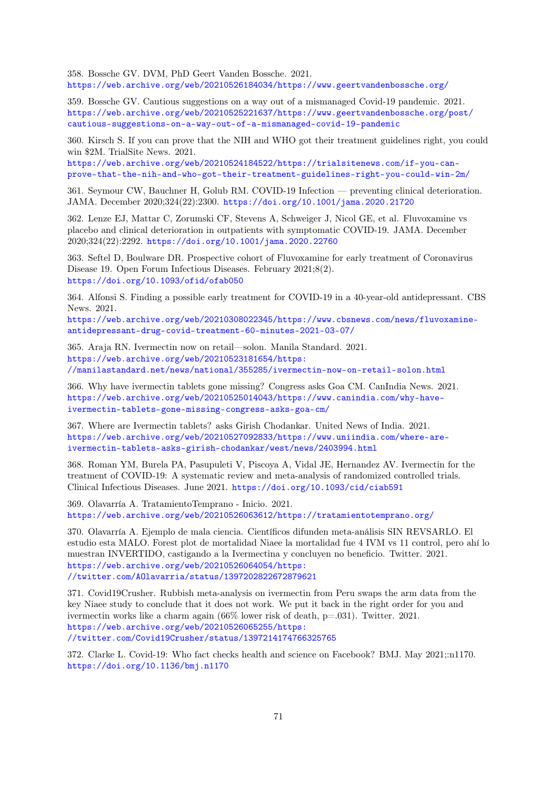358. Bossche GV. DVM, PhD Geert Vanden Bossche. 2021. <https://web.archive.org/web/20210526184034/https://www.geertvandenbossche.org/>

359. Bossche GV. Cautious suggestions on a way out of a mismanaged Covid-19 pandemic. 2021. [https://web.archive.org/web/20210525221637/https://www.geertvandenbossche.org/post/](https://web.archive.org/web/20210525221637/https://www.geertvandenbossche.org/post/cautious-suggestions-on-a-way-out-of-a-mismanaged-covid-19-pandemic) [cautious-suggestions-on-a-way-out-of-a-mismanaged-covid-19-pandemic](https://web.archive.org/web/20210525221637/https://www.geertvandenbossche.org/post/cautious-suggestions-on-a-way-out-of-a-mismanaged-covid-19-pandemic)

360. Kirsch S. If you can prove that the NIH and WHO got their treatment guidelines right, you could win \$2M. TrialSite News. 2021.

[https://web.archive.org/web/20210524184522/https://trialsitenews.com/if-you-can](https://web.archive.org/web/20210524184522/https://trialsitenews.com/if-you-can-prove-that-the-nih-and-who-got-their-treatment-guidelines-right-you-could-win-2m/)[prove-that-the-nih-and-who-got-their-treatment-guidelines-right-you-could-win-2m/](https://web.archive.org/web/20210524184522/https://trialsitenews.com/if-you-can-prove-that-the-nih-and-who-got-their-treatment-guidelines-right-you-could-win-2m/)

361. Seymour CW, Bauchner H, Golub RM. COVID-19 Infection — preventing clinical deterioration. JAMA. December 2020;324(22):2300. <https://doi.org/10.1001/jama.2020.21720>

362. Lenze EJ, Mattar C, Zorumski CF, Stevens A, Schweiger J, Nicol GE, et al. Fluvoxamine vs placebo and clinical deterioration in outpatients with symptomatic COVID-19. JAMA. December 2020;324(22):2292. <https://doi.org/10.1001/jama.2020.22760>

363. Seftel D, Boulware DR. Prospective cohort of Fluvoxamine for early treatment of Coronavirus Disease 19. Open Forum Infectious Diseases. February 2021;8(2). <https://doi.org/10.1093/ofid/ofab050>

364. Alfonsi S. Finding a possible early treatment for COVID-19 in a 40-year-old antidepressant. CBS News. 2021.

[https://web.archive.org/web/20210308022345/https://www.cbsnews.com/news/fluvoxamine](https://web.archive.org/web/20210308022345/https://www.cbsnews.com/news/fluvoxamine-antidepressant-drug-covid-treatment-60-minutes-2021-03-07/)[antidepressant-drug-covid-treatment-60-minutes-2021-03-07/](https://web.archive.org/web/20210308022345/https://www.cbsnews.com/news/fluvoxamine-antidepressant-drug-covid-treatment-60-minutes-2021-03-07/)

365. Araja RN. Ivermectin now on retail—solon. Manila Standard. 2021. [https://web.archive.org/web/20210523181654/https:](https://web.archive.org/web/20210523181654/https://manilastandard.net/news/national/355285/ivermectin-now-on-retail-solon.html) [//manilastandard.net/news/national/355285/ivermectin-now-on-retail-solon.html](https://web.archive.org/web/20210523181654/https://manilastandard.net/news/national/355285/ivermectin-now-on-retail-solon.html)

366. Why have ivermectin tablets gone missing? Congress asks Goa CM. CanIndia News. 2021. [https://web.archive.org/web/20210525014043/https://www.canindia.com/why-have](https://web.archive.org/web/20210525014043/https://www.canindia.com/why-have-ivermectin-tablets-gone-missing-congress-asks-goa-cm/)[ivermectin-tablets-gone-missing-congress-asks-goa-cm/](https://web.archive.org/web/20210525014043/https://www.canindia.com/why-have-ivermectin-tablets-gone-missing-congress-asks-goa-cm/)

367. Where are Ivermectin tablets? asks Girish Chodankar. United News of India. 2021. [https://web.archive.org/web/20210527092833/https://www.uniindia.com/where-are](https://web.archive.org/web/20210527092833/https://www.uniindia.com/where-are-ivermectin-tablets-asks-girish-chodankar/west/news/2403994.html)[ivermectin-tablets-asks-girish-chodankar/west/news/2403994.html](https://web.archive.org/web/20210527092833/https://www.uniindia.com/where-are-ivermectin-tablets-asks-girish-chodankar/west/news/2403994.html)

368. Roman YM, Burela PA, Pasupuleti V, Piscoya A, Vidal JE, Hernandez AV. Ivermectin for the treatment of COVID-19: A systematic review and meta-analysis of randomized controlled trials. Clinical Infectious Diseases. June 2021. <https://doi.org/10.1093/cid/ciab591>

369. Olavarría A. TratamientoTemprano - Inicio. 2021. <https://web.archive.org/web/20210526063612/https://tratamientotemprano.org/>

370. Olavarría A. Ejemplo de mala ciencia. Científicos difunden meta-análisis SIN REVSARLO. El estudio esta MALO. Forest plot de mortalidad Niaee la mortalidad fue 4 IVM vs 11 control, pero ahí lo muestran INVERTIDO, castigando a la Ivermectina y concluyen no beneficio. Twitter. 2021. [https://web.archive.org/web/20210526064054/https:](https://web.archive.org/web/20210526064054/https://twitter.com/AOlavarria/status/1397202822672879621) [//twitter.com/AOlavarria/status/1397202822672879621](https://web.archive.org/web/20210526064054/https://twitter.com/AOlavarria/status/1397202822672879621)

371. Covid19Crusher. Rubbish meta-analysis on ivermectin from Peru swaps the arm data from the key Niaee study to conclude that it does not work. We put it back in the right order for you and ivermectin works like a charm again (66% lower risk of death, p=.031). Twitter. 2021. [https://web.archive.org/web/20210526065255/https:](https://web.archive.org/web/20210526065255/https://twitter.com/Covid19Crusher/status/1397214174766325765) [//twitter.com/Covid19Crusher/status/1397214174766325765](https://web.archive.org/web/20210526065255/https://twitter.com/Covid19Crusher/status/1397214174766325765)

<span id="page-70-1"></span><span id="page-70-0"></span>372. Clarke L. Covid-19: Who fact checks health and science on Facebook? BMJ. May 2021;:n1170. <https://doi.org/10.1136/bmj.n1170>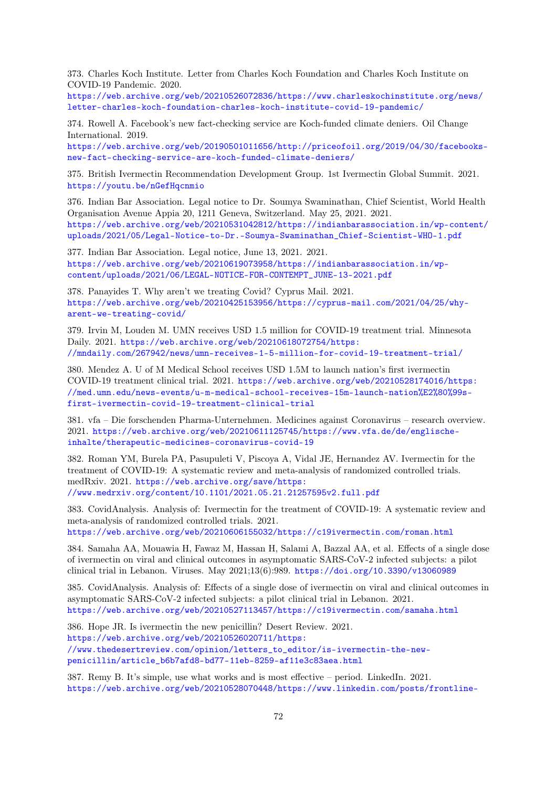373. Charles Koch Institute. Letter from Charles Koch Foundation and Charles Koch Institute on COVID-19 Pandemic. 2020.

[https://web.archive.org/web/20210526072836/https://www.charleskochinstitute.org/news/](https://web.archive.org/web/20210526072836/https://www.charleskochinstitute.org/news/letter-charles-koch-foundation-charles-koch-institute-covid-19-pandemic/) [letter-charles-koch-foundation-charles-koch-institute-covid-19-pandemic/](https://web.archive.org/web/20210526072836/https://www.charleskochinstitute.org/news/letter-charles-koch-foundation-charles-koch-institute-covid-19-pandemic/)

<span id="page-71-0"></span>374. Rowell A. Facebook's new fact-checking service are Koch-funded climate deniers. Oil Change International. 2019.

[https://web.archive.org/web/20190501011656/http://priceofoil.org/2019/04/30/facebooks](https://web.archive.org/web/20190501011656/http://priceofoil.org/2019/04/30/facebooks-new-fact-checking-service-are-koch-funded-climate-deniers/)[new-fact-checking-service-are-koch-funded-climate-deniers/](https://web.archive.org/web/20190501011656/http://priceofoil.org/2019/04/30/facebooks-new-fact-checking-service-are-koch-funded-climate-deniers/)

375. British Ivermectin Recommendation Development Group. 1st Ivermectin Global Summit. 2021. <https://youtu.be/nGefHqcnmio>

376. Indian Bar Association. Legal notice to Dr. Soumya Swaminathan, Chief Scientist, World Health Organisation Avenue Appia 20, 1211 Geneva, Switzerland. May 25, 2021. 2021. [https://web.archive.org/web/20210531042812/https://indianbarassociation.in/wp-content/](https://web.archive.org/web/20210531042812/https://indianbarassociation.in/wp-content/uploads/2021/05/Legal-Notice-to-Dr.-Soumya-Swaminathan_Chief-Scientist-WHO-1.pdf) [uploads/2021/05/Legal-Notice-to-Dr.-Soumya-Swaminathan\\_Chief-Scientist-WHO-1.pdf](https://web.archive.org/web/20210531042812/https://indianbarassociation.in/wp-content/uploads/2021/05/Legal-Notice-to-Dr.-Soumya-Swaminathan_Chief-Scientist-WHO-1.pdf)

377. Indian Bar Association. Legal notice, June 13, 2021. 2021. [https://web.archive.org/web/20210619073958/https://indianbarassociation.in/wp](https://web.archive.org/web/20210619073958/https://indianbarassociation.in/wp-content/uploads/2021/06/LEGAL-NOTICE-FOR-CONTEMPT_JUNE-13-2021.pdf)[content/uploads/2021/06/LEGAL-NOTICE-FOR-CONTEMPT\\_JUNE-13-2021.pdf](https://web.archive.org/web/20210619073958/https://indianbarassociation.in/wp-content/uploads/2021/06/LEGAL-NOTICE-FOR-CONTEMPT_JUNE-13-2021.pdf)

378. Panayides T. Why aren't we treating Covid? Cyprus Mail. 2021. [https://web.archive.org/web/20210425153956/https://cyprus-mail.com/2021/04/25/why](https://web.archive.org/web/20210425153956/https://cyprus-mail.com/2021/04/25/why-arent-we-treating-covid/)[arent-we-treating-covid/](https://web.archive.org/web/20210425153956/https://cyprus-mail.com/2021/04/25/why-arent-we-treating-covid/)

379. Irvin M, Louden M. UMN receives USD 1.5 million for COVID-19 treatment trial. Minnesota Daily. 2021. [https://web.archive.org/web/20210618072754/https:](https://web.archive.org/web/20210618072754/https://mndaily.com/267942/news/umn-receives-1-5-million-for-covid-19-treatment-trial/) [//mndaily.com/267942/news/umn-receives-1-5-million-for-covid-19-treatment-trial/](https://web.archive.org/web/20210618072754/https://mndaily.com/267942/news/umn-receives-1-5-million-for-covid-19-treatment-trial/)

380. Mendez A. U of M Medical School receives USD 1.5M to launch nation's first ivermectin COVID-19 treatment clinical trial. 2021. [https://web.archive.org/web/20210528174016/https:](https://web.archive.org/web/20210528174016/https://med.umn.edu/news-events/u-m-medical-school-receives-15m-launch-nation%E2%80%99s-first-ivermectin-covid-19-treatment-clinical-trial) [//med.umn.edu/news-events/u-m-medical-school-receives-15m-launch-nation%E2%80%99s](https://web.archive.org/web/20210528174016/https://med.umn.edu/news-events/u-m-medical-school-receives-15m-launch-nation%E2%80%99s-first-ivermectin-covid-19-treatment-clinical-trial)[first-ivermectin-covid-19-treatment-clinical-trial](https://web.archive.org/web/20210528174016/https://med.umn.edu/news-events/u-m-medical-school-receives-15m-launch-nation%E2%80%99s-first-ivermectin-covid-19-treatment-clinical-trial)

381. vfa – Die forschenden Pharma-Unternehmen. Medicines against Coronavirus – research overview. 2021. [https://web.archive.org/web/20210611125745/https://www.vfa.de/de/englische](https://web.archive.org/web/20210611125745/https://www.vfa.de/de/englische-inhalte/therapeutic-medicines-coronavirus-covid-19)[inhalte/therapeutic-medicines-coronavirus-covid-19](https://web.archive.org/web/20210611125745/https://www.vfa.de/de/englische-inhalte/therapeutic-medicines-coronavirus-covid-19)

382. Roman YM, Burela PA, Pasupuleti V, Piscoya A, Vidal JE, Hernandez AV. Ivermectin for the treatment of COVID-19: A systematic review and meta-analysis of randomized controlled trials. medRxiv. 2021. [https://web.archive.org/save/https:](https://web.archive.org/save/https://www.medrxiv.org/content/10.1101/2021.05.21.21257595v2.full.pdf) [//www.medrxiv.org/content/10.1101/2021.05.21.21257595v2.full.pdf](https://web.archive.org/save/https://www.medrxiv.org/content/10.1101/2021.05.21.21257595v2.full.pdf)

383. CovidAnalysis. Analysis of: Ivermectin for the treatment of COVID-19: A systematic review and meta-analysis of randomized controlled trials. 2021. <https://web.archive.org/web/20210606155032/https://c19ivermectin.com/roman.html>

384. Samaha AA, Mouawia H, Fawaz M, Hassan H, Salami A, Bazzal AA, et al. Effects of a single dose of ivermectin on viral and clinical outcomes in asymptomatic SARS-CoV-2 infected subjects: a pilot clinical trial in Lebanon. Viruses. May 2021;13(6):989. <https://doi.org/10.3390/v13060989>

385. CovidAnalysis. Analysis of: Effects of a single dose of ivermectin on viral and clinical outcomes in asymptomatic SARS-CoV-2 infected subjects: a pilot clinical trial in Lebanon. 2021. <https://web.archive.org/web/20210527113457/https://c19ivermectin.com/samaha.html>

386. Hope JR. Is ivermectin the new penicillin? Desert Review. 2021. [https://web.archive.org/web/20210526020711/https:](https://web.archive.org/web/20210526020711/https://www.thedesertreview.com/opinion/letters_to_editor/is-ivermectin-the-new-penicillin/article_b6b7afd8-bd77-11eb-8259-af11e3c83aea.html) [//www.thedesertreview.com/opinion/letters\\_to\\_editor/is-ivermectin-the-new](https://web.archive.org/web/20210526020711/https://www.thedesertreview.com/opinion/letters_to_editor/is-ivermectin-the-new-penicillin/article_b6b7afd8-bd77-11eb-8259-af11e3c83aea.html)[penicillin/article\\_b6b7afd8-bd77-11eb-8259-af11e3c83aea.html](https://web.archive.org/web/20210526020711/https://www.thedesertreview.com/opinion/letters_to_editor/is-ivermectin-the-new-penicillin/article_b6b7afd8-bd77-11eb-8259-af11e3c83aea.html)

<span id="page-71-1"></span>387. Remy B. It's simple, use what works and is most effective – period. LinkedIn. 2021. [https://web.archive.org/web/20210528070448/https://www.linkedin.com/posts/frontline-](https://web.archive.org/web/20210528070448/https://www.linkedin.com/posts/frontline-covid19-critical-care-alliance_is-ivermectin-the-new-penicillin-activity-6803285598481342464-CJ_r)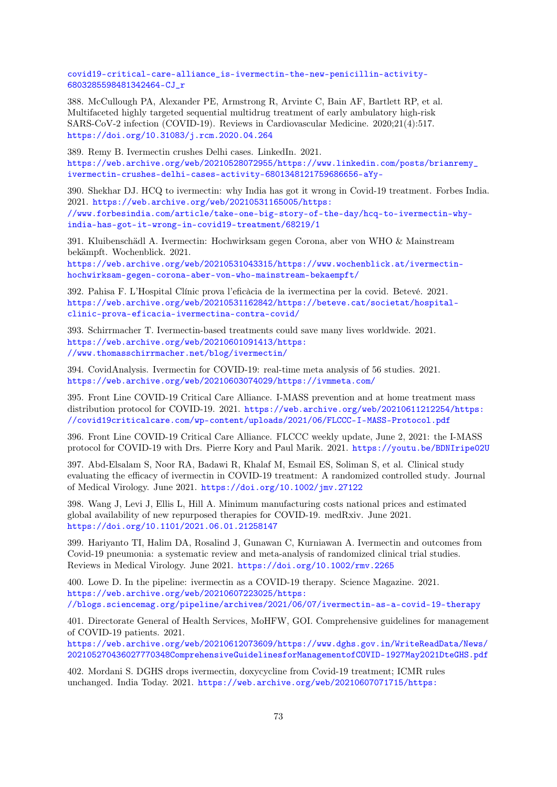[covid19-critical-care-alliance\\_is-ivermectin-the-new-penicillin-activity-](https://web.archive.org/web/20210528070448/https://www.linkedin.com/posts/frontline-covid19-critical-care-alliance_is-ivermectin-the-new-penicillin-activity-6803285598481342464-CJ_r)[6803285598481342464-CJ\\_r](https://web.archive.org/web/20210528070448/https://www.linkedin.com/posts/frontline-covid19-critical-care-alliance_is-ivermectin-the-new-penicillin-activity-6803285598481342464-CJ_r)

388. McCullough PA, Alexander PE, Armstrong R, Arvinte C, Bain AF, Bartlett RP, et al. Multifaceted highly targeted sequential multidrug treatment of early ambulatory high-risk SARS-CoV-2 infection (COVID-19). Reviews in Cardiovascular Medicine. 2020;21(4):517. <https://doi.org/10.31083/j.rcm.2020.04.264>

389. Remy B. Ivermectin crushes Delhi cases. LinkedIn. 2021. [https://web.archive.org/web/20210528072955/https://www.linkedin.com/posts/brianremy\\_](https://web.archive.org/web/20210528072955/https://www.linkedin.com/posts/brianremy_ivermectin-crushes-delhi-cases-activity-6801348121759686656-aYy-) [ivermectin-crushes-delhi-cases-activity-6801348121759686656-aYy-](https://web.archive.org/web/20210528072955/https://www.linkedin.com/posts/brianremy_ivermectin-crushes-delhi-cases-activity-6801348121759686656-aYy-)

390. Shekhar DJ. HCQ to ivermectin: why India has got it wrong in Covid-19 treatment. Forbes India. 2021. [https://web.archive.org/web/20210531165005/https:](https://web.archive.org/web/20210531165005/https://www.forbesindia.com/article/take-one-big-story-of-the-day/hcq-to-ivermectin-why-india-has-got-it-wrong-in-covid19-treatment/68219/1) [//www.forbesindia.com/article/take-one-big-story-of-the-day/hcq-to-ivermectin-why](https://web.archive.org/web/20210531165005/https://www.forbesindia.com/article/take-one-big-story-of-the-day/hcq-to-ivermectin-why-india-has-got-it-wrong-in-covid19-treatment/68219/1)[india-has-got-it-wrong-in-covid19-treatment/68219/1](https://web.archive.org/web/20210531165005/https://www.forbesindia.com/article/take-one-big-story-of-the-day/hcq-to-ivermectin-why-india-has-got-it-wrong-in-covid19-treatment/68219/1)

391. Kluibenschädl A. Ivermectin: Hochwirksam gegen Corona, aber von WHO & Mainstream bekämpft. Wochenblick. 2021. [https://web.archive.org/web/20210531043315/https://www.wochenblick.at/ivermectin](https://web.archive.org/web/20210531043315/https://www.wochenblick.at/ivermectin-hochwirksam-gegen-corona-aber-von-who-mainstream-bekaempft/)[hochwirksam-gegen-corona-aber-von-who-mainstream-bekaempft/](https://web.archive.org/web/20210531043315/https://www.wochenblick.at/ivermectin-hochwirksam-gegen-corona-aber-von-who-mainstream-bekaempft/)

392. Pahisa F. L'Hospital Clínic prova l'eficàcia de la ivermectina per la covid. Betevé. 2021. [https://web.archive.org/web/20210531162842/https://beteve.cat/societat/hospital](https://web.archive.org/web/20210531162842/https://beteve.cat/societat/hospital-clinic-prova-eficacia-ivermectina-contra-covid/)[clinic-prova-eficacia-ivermectina-contra-covid/](https://web.archive.org/web/20210531162842/https://beteve.cat/societat/hospital-clinic-prova-eficacia-ivermectina-contra-covid/)

393. Schirrmacher T. Ivermectin-based treatments could save many lives worldwide. 2021. [https://web.archive.org/web/20210601091413/https:](https://web.archive.org/web/20210601091413/https://www.thomasschirrmacher.net/blog/ivermectin/) [//www.thomasschirrmacher.net/blog/ivermectin/](https://web.archive.org/web/20210601091413/https://www.thomasschirrmacher.net/blog/ivermectin/)

394. CovidAnalysis. Ivermectin for COVID-19: real-time meta analysis of 56 studies. 2021. <https://web.archive.org/web/20210603074029/https://ivmmeta.com/>

395. Front Line COVID-19 Critical Care Alliance. I-MASS prevention and at home treatment mass distribution protocol for COVID-19. 2021. [https://web.archive.org/web/20210611212254/https:](https://web.archive.org/web/20210611212254/https://covid19criticalcare.com/wp-content/uploads/2021/06/FLCCC-I-MASS-Protocol.pdf) [//covid19criticalcare.com/wp-content/uploads/2021/06/FLCCC-I-MASS-Protocol.pdf](https://web.archive.org/web/20210611212254/https://covid19criticalcare.com/wp-content/uploads/2021/06/FLCCC-I-MASS-Protocol.pdf)

396. Front Line COVID-19 Critical Care Alliance. FLCCC weekly update, June 2, 2021: the I-MASS protocol for COVID-19 with Drs. Pierre Kory and Paul Marik. 2021. <https://youtu.be/BDNIripe02U>

397. Abd-Elsalam S, Noor RA, Badawi R, Khalaf M, Esmail ES, Soliman S, et al. Clinical study evaluating the efficacy of ivermectin in COVID-19 treatment: A randomized controlled study. Journal of Medical Virology. June 2021. <https://doi.org/10.1002/jmv.27122>

398. Wang J, Levi J, Ellis L, Hill A. Minimum manufacturing costs national prices and estimated global availability of new repurposed therapies for COVID-19. medRxiv. June 2021. <https://doi.org/10.1101/2021.06.01.21258147>

399. Hariyanto TI, Halim DA, Rosalind J, Gunawan C, Kurniawan A. Ivermectin and outcomes from Covid-19 pneumonia: a systematic review and meta-analysis of randomized clinical trial studies. Reviews in Medical Virology. June 2021. <https://doi.org/10.1002/rmv.2265>

400. Lowe D. In the pipeline: ivermectin as a COVID-19 therapy. Science Magazine. 2021. [https://web.archive.org/web/20210607223025/https:](https://web.archive.org/web/20210607223025/https://blogs.sciencemag.org/pipeline/archives/2021/06/07/ivermectin-as-a-covid-19-therapy) [//blogs.sciencemag.org/pipeline/archives/2021/06/07/ivermectin-as-a-covid-19-therapy](https://web.archive.org/web/20210607223025/https://blogs.sciencemag.org/pipeline/archives/2021/06/07/ivermectin-as-a-covid-19-therapy)

401. Directorate General of Health Services, MoHFW, GOI. Comprehensive guidelines for management of COVID-19 patients. 2021.

[https://web.archive.org/web/20210612073609/https://www.dghs.gov.in/WriteReadData/News/](https://web.archive.org/web/20210612073609/https://www.dghs.gov.in/WriteReadData/News/202105270436027770348ComprehensiveGuidelinesforManagementofCOVID-1927May2021DteGHS.pdf) [202105270436027770348ComprehensiveGuidelinesforManagementofCOVID-1927May2021DteGHS.pdf](https://web.archive.org/web/20210612073609/https://www.dghs.gov.in/WriteReadData/News/202105270436027770348ComprehensiveGuidelinesforManagementofCOVID-1927May2021DteGHS.pdf)

402. Mordani S. DGHS drops ivermectin, doxycycline from Covid-19 treatment; ICMR rules unchanged. India Today. 2021. [https://web.archive.org/web/20210607071715/https:](https://web.archive.org/web/20210607071715/https://www.indiatoday.in/coronavirus-outbreak/story/revised-health-ministry-guidelines-stop-usage-of-ivermectin-doxycycline-in-covid-treatment-1811809-2021-06-07)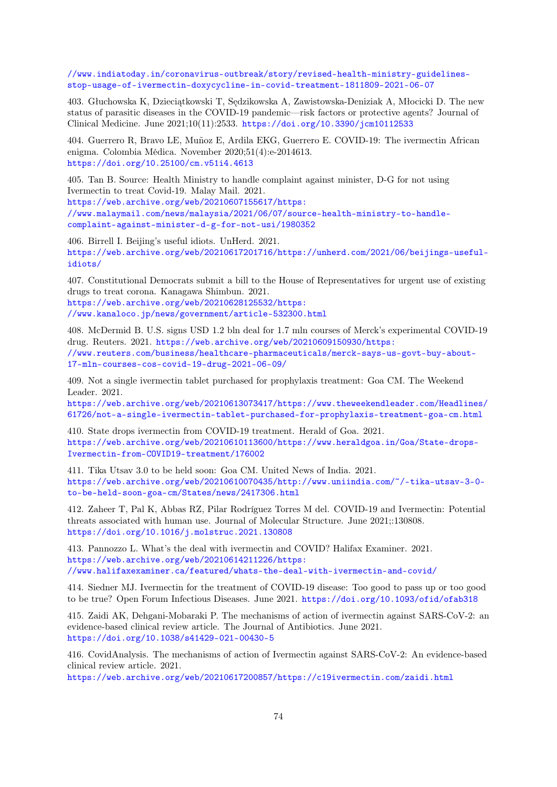[//www.indiatoday.in/coronavirus-outbreak/story/revised-health-ministry-guidelines](https://web.archive.org/web/20210607071715/https://www.indiatoday.in/coronavirus-outbreak/story/revised-health-ministry-guidelines-stop-usage-of-ivermectin-doxycycline-in-covid-treatment-1811809-2021-06-07)[stop-usage-of-ivermectin-doxycycline-in-covid-treatment-1811809-2021-06-07](https://web.archive.org/web/20210607071715/https://www.indiatoday.in/coronavirus-outbreak/story/revised-health-ministry-guidelines-stop-usage-of-ivermectin-doxycycline-in-covid-treatment-1811809-2021-06-07)

403. Głuchowska K, Dzieciątkowski T, Sędzikowska A, Zawistowska-Deniziak A, Młocicki D. The new status of parasitic diseases in the COVID-19 pandemic—risk factors or protective agents? Journal of Clinical Medicine. June 2021;10(11):2533. <https://doi.org/10.3390/jcm10112533>

404. Guerrero R, Bravo LE, Muñoz E, Ardila EKG, Guerrero E. COVID-19: The ivermectin African enigma. Colombia Médica. November 2020;51(4):e-2014613. <https://doi.org/10.25100/cm.v51i4.4613>

405. Tan B. Source: Health Ministry to handle complaint against minister, D-G for not using Ivermectin to treat Covid-19. Malay Mail. 2021. [https://web.archive.org/web/20210607155617/https:](https://web.archive.org/web/20210607155617/https://www.malaymail.com/news/malaysia/2021/06/07/source-health-ministry-to-handle-complaint-against-minister-d-g-for-not-usi/1980352) [//www.malaymail.com/news/malaysia/2021/06/07/source-health-ministry-to-handle](https://web.archive.org/web/20210607155617/https://www.malaymail.com/news/malaysia/2021/06/07/source-health-ministry-to-handle-complaint-against-minister-d-g-for-not-usi/1980352)[complaint-against-minister-d-g-for-not-usi/1980352](https://web.archive.org/web/20210607155617/https://www.malaymail.com/news/malaysia/2021/06/07/source-health-ministry-to-handle-complaint-against-minister-d-g-for-not-usi/1980352)

406. Birrell I. Beijing's useful idiots. UnHerd. 2021. [https://web.archive.org/web/20210617201716/https://unherd.com/2021/06/beijings-useful](https://web.archive.org/web/20210617201716/https://unherd.com/2021/06/beijings-useful-idiots/)[idiots/](https://web.archive.org/web/20210617201716/https://unherd.com/2021/06/beijings-useful-idiots/)

407. Constitutional Democrats submit a bill to the House of Representatives for urgent use of existing drugs to treat corona. Kanagawa Shimbun. 2021. [https://web.archive.org/web/20210628125532/https:](https://web.archive.org/web/20210628125532/https://www.kanaloco.jp/news/government/article-532300.html) [//www.kanaloco.jp/news/government/article-532300.html](https://web.archive.org/web/20210628125532/https://www.kanaloco.jp/news/government/article-532300.html)

408. McDermid B. U.S. signs USD 1.2 bln deal for 1.7 mln courses of Merck's experimental COVID-19 drug. Reuters. 2021. [https://web.archive.org/web/20210609150930/https:](https://web.archive.org/web/20210609150930/https://www.reuters.com/business/healthcare-pharmaceuticals/merck-says-us-govt-buy-about-17-mln-courses-cos-covid-19-drug-2021-06-09/) [//www.reuters.com/business/healthcare-pharmaceuticals/merck-says-us-govt-buy-about-](https://web.archive.org/web/20210609150930/https://www.reuters.com/business/healthcare-pharmaceuticals/merck-says-us-govt-buy-about-17-mln-courses-cos-covid-19-drug-2021-06-09/)[17-mln-courses-cos-covid-19-drug-2021-06-09/](https://web.archive.org/web/20210609150930/https://www.reuters.com/business/healthcare-pharmaceuticals/merck-says-us-govt-buy-about-17-mln-courses-cos-covid-19-drug-2021-06-09/)

409. Not a single ivermectin tablet purchased for prophylaxis treatment: Goa CM. The Weekend Leader. 2021.

[https://web.archive.org/web/20210613073417/https://www.theweekendleader.com/Headlines/](https://web.archive.org/web/20210613073417/https://www.theweekendleader.com/Headlines/61726/not-a-single-ivermectin-tablet-purchased-for-prophylaxis-treatment-goa-cm.html) [61726/not-a-single-ivermectin-tablet-purchased-for-prophylaxis-treatment-goa-cm.html](https://web.archive.org/web/20210613073417/https://www.theweekendleader.com/Headlines/61726/not-a-single-ivermectin-tablet-purchased-for-prophylaxis-treatment-goa-cm.html)

410. State drops ivermectin from COVID-19 treatment. Herald of Goa. 2021. [https://web.archive.org/web/20210610113600/https://www.heraldgoa.in/Goa/State-drops-](https://web.archive.org/web/20210610113600/https://www.heraldgoa.in/Goa/State-drops-Ivermectin-from-COVID19-treatment/176002)[Ivermectin-from-COVID19-treatment/176002](https://web.archive.org/web/20210610113600/https://www.heraldgoa.in/Goa/State-drops-Ivermectin-from-COVID19-treatment/176002)

411. Tika Utsav 3.0 to be held soon: Goa CM. United News of India. 2021. [https://web.archive.org/web/20210610070435/http://www.uniindia.com/~/-tika-utsav-3-0](https://web.archive.org/web/20210610070435/http://www.uniindia.com/~/-tika-utsav-3-0-to-be-held-soon-goa-cm/States/news/2417306.html) [to-be-held-soon-goa-cm/States/news/2417306.html](https://web.archive.org/web/20210610070435/http://www.uniindia.com/~/-tika-utsav-3-0-to-be-held-soon-goa-cm/States/news/2417306.html)

412. Zaheer T, Pal K, Abbas RZ, Pilar Rodríguez Torres M del. COVID-19 and Ivermectin: Potential threats associated with human use. Journal of Molecular Structure. June 2021;:130808. <https://doi.org/10.1016/j.molstruc.2021.130808>

413. Pannozzo L. What's the deal with ivermectin and COVID? Halifax Examiner. 2021. [https://web.archive.org/web/20210614211226/https:](https://web.archive.org/web/20210614211226/https://www.halifaxexaminer.ca/featured/whats-the-deal-with-ivermectin-and-covid/) [//www.halifaxexaminer.ca/featured/whats-the-deal-with-ivermectin-and-covid/](https://web.archive.org/web/20210614211226/https://www.halifaxexaminer.ca/featured/whats-the-deal-with-ivermectin-and-covid/)

414. Siedner MJ. Ivermectin for the treatment of COVID-19 disease: Too good to pass up or too good to be true? Open Forum Infectious Diseases. June 2021. <https://doi.org/10.1093/ofid/ofab318>

415. Zaidi AK, Dehgani-Mobaraki P. The mechanisms of action of ivermectin against SARS-CoV-2: an evidence-based clinical review article. The Journal of Antibiotics. June 2021. <https://doi.org/10.1038/s41429-021-00430-5>

416. CovidAnalysis. The mechanisms of action of Ivermectin against SARS-CoV-2: An evidence-based clinical review article. 2021.

<https://web.archive.org/web/20210617200857/https://c19ivermectin.com/zaidi.html>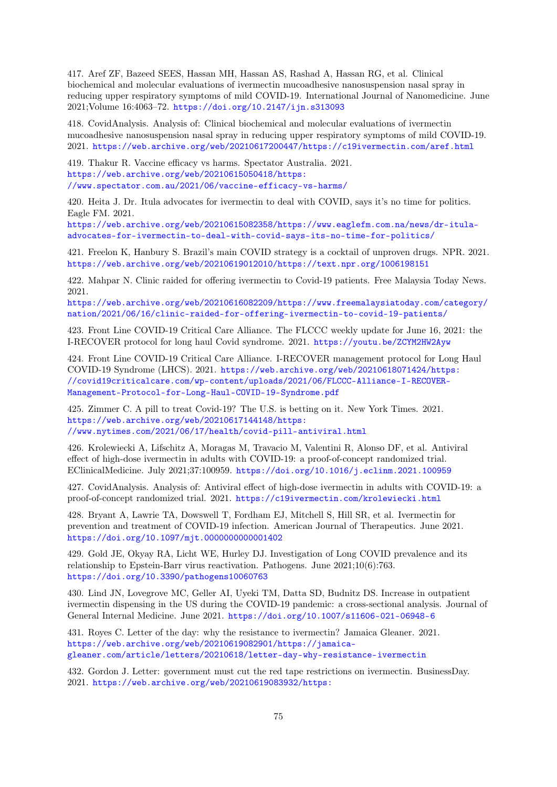417. Aref ZF, Bazeed SEES, Hassan MH, Hassan AS, Rashad A, Hassan RG, et al. Clinical biochemical and molecular evaluations of ivermectin mucoadhesive nanosuspension nasal spray in reducing upper respiratory symptoms of mild COVID-19. International Journal of Nanomedicine. June 2021;Volume 16:4063–72. <https://doi.org/10.2147/ijn.s313093>

418. CovidAnalysis. Analysis of: Clinical biochemical and molecular evaluations of ivermectin mucoadhesive nanosuspension nasal spray in reducing upper respiratory symptoms of mild COVID-19. 2021. <https://web.archive.org/web/20210617200447/https://c19ivermectin.com/aref.html>

419. Thakur R. Vaccine efficacy vs harms. Spectator Australia. 2021. [https://web.archive.org/web/20210615050418/https:](https://web.archive.org/web/20210615050418/https://www.spectator.com.au/2021/06/vaccine-efficacy-vs-harms/) [//www.spectator.com.au/2021/06/vaccine-efficacy-vs-harms/](https://web.archive.org/web/20210615050418/https://www.spectator.com.au/2021/06/vaccine-efficacy-vs-harms/)

420. Heita J. Dr. Itula advocates for ivermectin to deal with COVID, says it's no time for politics. Eagle FM. 2021.

[https://web.archive.org/web/20210615082358/https://www.eaglefm.com.na/news/dr-itula](https://web.archive.org/web/20210615082358/https://www.eaglefm.com.na/news/dr-itula-advocates-for-ivermectin-to-deal-with-covid-says-its-no-time-for-politics/)[advocates-for-ivermectin-to-deal-with-covid-says-its-no-time-for-politics/](https://web.archive.org/web/20210615082358/https://www.eaglefm.com.na/news/dr-itula-advocates-for-ivermectin-to-deal-with-covid-says-its-no-time-for-politics/)

421. Freelon K, Hanbury S. Brazil's main COVID strategy is a cocktail of unproven drugs. NPR. 2021. <https://web.archive.org/web/20210619012010/https://text.npr.org/1006198151>

422. Mahpar N. Clinic raided for offering ivermectin to Covid-19 patients. Free Malaysia Today News. 2021.

[https://web.archive.org/web/20210616082209/https://www.freemalaysiatoday.com/category/](https://web.archive.org/web/20210616082209/https://www.freemalaysiatoday.com/category/nation/2021/06/16/clinic-raided-for-offering-ivermectin-to-covid-19-patients/) [nation/2021/06/16/clinic-raided-for-offering-ivermectin-to-covid-19-patients/](https://web.archive.org/web/20210616082209/https://www.freemalaysiatoday.com/category/nation/2021/06/16/clinic-raided-for-offering-ivermectin-to-covid-19-patients/)

423. Front Line COVID-19 Critical Care Alliance. The FLCCC weekly update for June 16, 2021: the I-RECOVER protocol for long haul Covid syndrome. 2021. <https://youtu.be/ZCYM2HW2Ayw>

424. Front Line COVID-19 Critical Care Alliance. I-RECOVER management protocol for Long Haul COVID-19 Syndrome (LHCS). 2021. [https://web.archive.org/web/20210618071424/https:](https://web.archive.org/web/20210618071424/https://covid19criticalcare.com/wp-content/uploads/2021/06/FLCCC-Alliance-I-RECOVER-Management-Protocol-for-Long-Haul-COVID-19-Syndrome.pdf) [//covid19criticalcare.com/wp-content/uploads/2021/06/FLCCC-Alliance-I-RECOVER-](https://web.archive.org/web/20210618071424/https://covid19criticalcare.com/wp-content/uploads/2021/06/FLCCC-Alliance-I-RECOVER-Management-Protocol-for-Long-Haul-COVID-19-Syndrome.pdf)[Management-Protocol-for-Long-Haul-COVID-19-Syndrome.pdf](https://web.archive.org/web/20210618071424/https://covid19criticalcare.com/wp-content/uploads/2021/06/FLCCC-Alliance-I-RECOVER-Management-Protocol-for-Long-Haul-COVID-19-Syndrome.pdf)

425. Zimmer C. A pill to treat Covid-19? The U.S. is betting on it. New York Times. 2021. [https://web.archive.org/web/20210617144148/https:](https://web.archive.org/web/20210617144148/https://www.nytimes.com/2021/06/17/health/covid-pill-antiviral.html) [//www.nytimes.com/2021/06/17/health/covid-pill-antiviral.html](https://web.archive.org/web/20210617144148/https://www.nytimes.com/2021/06/17/health/covid-pill-antiviral.html)

426. Krolewiecki A, Lifschitz A, Moragas M, Travacio M, Valentini R, Alonso DF, et al. Antiviral effect of high-dose ivermectin in adults with COVID-19: a proof-of-concept randomized trial. EClinicalMedicine. July 2021;37:100959. <https://doi.org/10.1016/j.eclinm.2021.100959>

427. CovidAnalysis. Analysis of: Antiviral effect of high-dose ivermectin in adults with COVID-19: a proof-of-concept randomized trial. 2021. <https://c19ivermectin.com/krolewiecki.html>

428. Bryant A, Lawrie TA, Dowswell T, Fordham EJ, Mitchell S, Hill SR, et al. Ivermectin for prevention and treatment of COVID-19 infection. American Journal of Therapeutics. June 2021. <https://doi.org/10.1097/mjt.0000000000001402>

429. Gold JE, Okyay RA, Licht WE, Hurley DJ. Investigation of Long COVID prevalence and its relationship to Epstein-Barr virus reactivation. Pathogens. June 2021;10(6):763. <https://doi.org/10.3390/pathogens10060763>

430. Lind JN, Lovegrove MC, Geller AI, Uyeki TM, Datta SD, Budnitz DS. Increase in outpatient ivermectin dispensing in the US during the COVID-19 pandemic: a cross-sectional analysis. Journal of General Internal Medicine. June 2021. <https://doi.org/10.1007/s11606-021-06948-6>

431. Royes C. Letter of the day: why the resistance to ivermectin? Jamaica Gleaner. 2021. [https://web.archive.org/web/20210619082901/https://jamaica](https://web.archive.org/web/20210619082901/https://jamaica-gleaner.com/article/letters/20210618/letter-day-why-resistance-ivermectin)[gleaner.com/article/letters/20210618/letter-day-why-resistance-ivermectin](https://web.archive.org/web/20210619082901/https://jamaica-gleaner.com/article/letters/20210618/letter-day-why-resistance-ivermectin)

432. Gordon J. Letter: government must cut the red tape restrictions on ivermectin. BusinessDay. 2021. [https://web.archive.org/web/20210619083932/https:](https://web.archive.org/web/20210619083932/https://www.businesslive.co.za/bd/opinion/letters/2021-06-18-letter-government-must-cut-the-red-tape-restrictions-on-ivermectin/)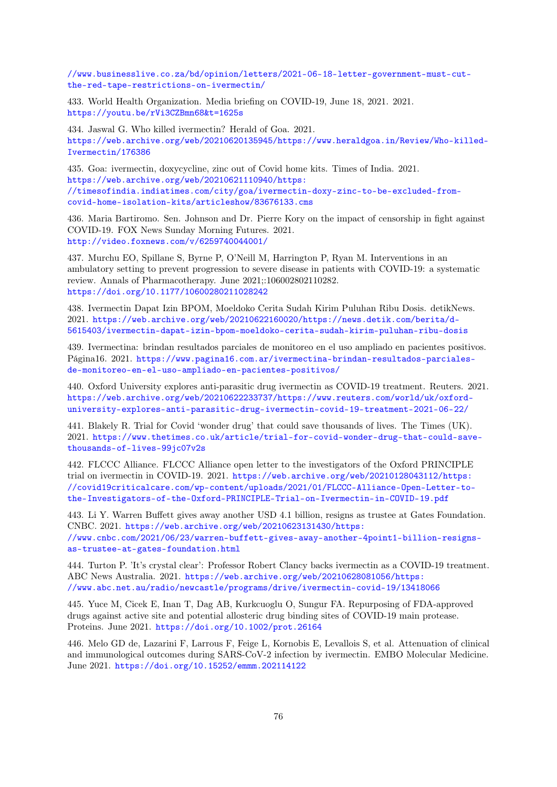[//www.businesslive.co.za/bd/opinion/letters/2021-06-18-letter-government-must-cut](https://web.archive.org/web/20210619083932/https://www.businesslive.co.za/bd/opinion/letters/2021-06-18-letter-government-must-cut-the-red-tape-restrictions-on-ivermectin/)[the-red-tape-restrictions-on-ivermectin/](https://web.archive.org/web/20210619083932/https://www.businesslive.co.za/bd/opinion/letters/2021-06-18-letter-government-must-cut-the-red-tape-restrictions-on-ivermectin/)

433. World Health Organization. Media briefing on COVID-19, June 18, 2021. 2021. <https://youtu.be/rVi3CZBmn68&t=1625s>

434. Jaswal G. Who killed ivermectin? Herald of Goa. 2021. [https://web.archive.org/web/20210620135945/https://www.heraldgoa.in/Review/Who-killed-](https://web.archive.org/web/20210620135945/https://www.heraldgoa.in/Review/Who-killed-Ivermectin/176386)[Ivermectin/176386](https://web.archive.org/web/20210620135945/https://www.heraldgoa.in/Review/Who-killed-Ivermectin/176386)

435. Goa: ivermectin, doxycycline, zinc out of Covid home kits. Times of India. 2021. [https://web.archive.org/web/20210621110940/https:](https://web.archive.org/web/20210621110940/https://timesofindia.indiatimes.com/city/goa/ivermectin-doxy-zinc-to-be-excluded-from-covid-home-isolation-kits/articleshow/83676133.cms) [//timesofindia.indiatimes.com/city/goa/ivermectin-doxy-zinc-to-be-excluded-from](https://web.archive.org/web/20210621110940/https://timesofindia.indiatimes.com/city/goa/ivermectin-doxy-zinc-to-be-excluded-from-covid-home-isolation-kits/articleshow/83676133.cms)[covid-home-isolation-kits/articleshow/83676133.cms](https://web.archive.org/web/20210621110940/https://timesofindia.indiatimes.com/city/goa/ivermectin-doxy-zinc-to-be-excluded-from-covid-home-isolation-kits/articleshow/83676133.cms)

436. Maria Bartiromo. Sen. Johnson and Dr. Pierre Kory on the impact of censorship in fight against COVID-19. FOX News Sunday Morning Futures. 2021. <http://video.foxnews.com/v/6259740044001/>

437. Murchu EO, Spillane S, Byrne P, O'Neill M, Harrington P, Ryan M. Interventions in an ambulatory setting to prevent progression to severe disease in patients with COVID-19: a systematic review. Annals of Pharmacotherapy. June 2021;:106002802110282. <https://doi.org/10.1177/10600280211028242>

438. Ivermectin Dapat Izin BPOM, Moeldoko Cerita Sudah Kirim Puluhan Ribu Dosis. detikNews. 2021. [https://web.archive.org/web/20210622160020/https://news.detik.com/berita/d-](https://web.archive.org/web/20210622160020/https://news.detik.com/berita/d-5615403/ivermectin-dapat-izin-bpom-moeldoko-cerita-sudah-kirim-puluhan-ribu-dosis)[5615403/ivermectin-dapat-izin-bpom-moeldoko-cerita-sudah-kirim-puluhan-ribu-dosis](https://web.archive.org/web/20210622160020/https://news.detik.com/berita/d-5615403/ivermectin-dapat-izin-bpom-moeldoko-cerita-sudah-kirim-puluhan-ribu-dosis)

439. Ivermectina: brindan resultados parciales de monitoreo en el uso ampliado en pacientes positivos. Página16. 2021. [https://www.pagina16.com.ar/ivermectina-brindan-resultados-parciales](https://www.pagina16.com.ar/ivermectina-brindan-resultados-parciales-de-monitoreo-en-el-uso-ampliado-en-pacientes-positivos/)[de-monitoreo-en-el-uso-ampliado-en-pacientes-positivos/](https://www.pagina16.com.ar/ivermectina-brindan-resultados-parciales-de-monitoreo-en-el-uso-ampliado-en-pacientes-positivos/)

440. Oxford University explores anti-parasitic drug ivermectin as COVID-19 treatment. Reuters. 2021. [https://web.archive.org/web/20210622233737/https://www.reuters.com/world/uk/oxford](https://web.archive.org/web/20210622233737/https://www.reuters.com/world/uk/oxford-university-explores-anti-parasitic-drug-ivermectin-covid-19-treatment-2021-06-22/)[university-explores-anti-parasitic-drug-ivermectin-covid-19-treatment-2021-06-22/](https://web.archive.org/web/20210622233737/https://www.reuters.com/world/uk/oxford-university-explores-anti-parasitic-drug-ivermectin-covid-19-treatment-2021-06-22/)

441. Blakely R. Trial for Covid 'wonder drug' that could save thousands of lives. The Times (UK). 2021. [https://www.thetimes.co.uk/article/trial-for-covid-wonder-drug-that-could-save](https://www.thetimes.co.uk/article/trial-for-covid-wonder-drug-that-could-save-thousands-of-lives-99jc07v2s)[thousands-of-lives-99jc07v2s](https://www.thetimes.co.uk/article/trial-for-covid-wonder-drug-that-could-save-thousands-of-lives-99jc07v2s)

442. FLCCC Alliance. FLCCC Alliance open letter to the investigators of the Oxford PRINCIPLE trial on ivermectin in COVID-19. 2021. [https://web.archive.org/web/20210128043112/https:](https://web.archive.org/web/20210128043112/https://covid19criticalcare.com/wp-content/uploads/2021/01/FLCCC-Alliance-Open-Letter-to-the-Investigators-of-the-Oxford-PRINCIPLE-Trial-on-Ivermectin-in-COVID-19.pdf) [//covid19criticalcare.com/wp-content/uploads/2021/01/FLCCC-Alliance-Open-Letter-to](https://web.archive.org/web/20210128043112/https://covid19criticalcare.com/wp-content/uploads/2021/01/FLCCC-Alliance-Open-Letter-to-the-Investigators-of-the-Oxford-PRINCIPLE-Trial-on-Ivermectin-in-COVID-19.pdf)[the-Investigators-of-the-Oxford-PRINCIPLE-Trial-on-Ivermectin-in-COVID-19.pdf](https://web.archive.org/web/20210128043112/https://covid19criticalcare.com/wp-content/uploads/2021/01/FLCCC-Alliance-Open-Letter-to-the-Investigators-of-the-Oxford-PRINCIPLE-Trial-on-Ivermectin-in-COVID-19.pdf)

443. Li Y. Warren Buffett gives away another USD 4.1 billion, resigns as trustee at Gates Foundation. CNBC. 2021. [https://web.archive.org/web/20210623131430/https:](https://web.archive.org/web/20210623131430/https://www.cnbc.com/2021/06/23/warren-buffett-gives-away-another-4point1-billion-resigns-as-trustee-at-gates-foundation.html) [//www.cnbc.com/2021/06/23/warren-buffett-gives-away-another-4point1-billion-resigns](https://web.archive.org/web/20210623131430/https://www.cnbc.com/2021/06/23/warren-buffett-gives-away-another-4point1-billion-resigns-as-trustee-at-gates-foundation.html)[as-trustee-at-gates-foundation.html](https://web.archive.org/web/20210623131430/https://www.cnbc.com/2021/06/23/warren-buffett-gives-away-another-4point1-billion-resigns-as-trustee-at-gates-foundation.html)

444. Turton P. 'It's crystal clear': Professor Robert Clancy backs ivermectin as a COVID-19 treatment. ABC News Australia. 2021. [https://web.archive.org/web/20210628081056/https:](https://web.archive.org/web/20210628081056/https://www.abc.net.au/radio/newcastle/programs/drive/ivermectin-covid-19/13418066) [//www.abc.net.au/radio/newcastle/programs/drive/ivermectin-covid-19/13418066](https://web.archive.org/web/20210628081056/https://www.abc.net.au/radio/newcastle/programs/drive/ivermectin-covid-19/13418066)

445. Yuce M, Cicek E, Inan T, Dag AB, Kurkcuoglu O, Sungur FA. Repurposing of FDA-approved drugs against active site and potential allosteric drug binding sites of COVID-19 main protease. Proteins. June 2021. <https://doi.org/10.1002/prot.26164>

446. Melo GD de, Lazarini F, Larrous F, Feige L, Kornobis E, Levallois S, et al. Attenuation of clinical and immunological outcomes during SARS-CoV-2 infection by ivermectin. EMBO Molecular Medicine. June 2021. <https://doi.org/10.15252/emmm.202114122>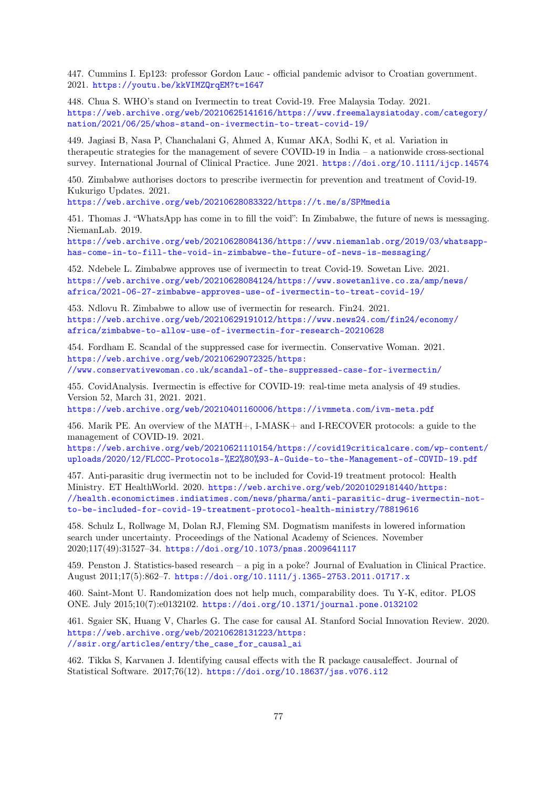447. Cummins I. Ep123: professor Gordon Lauc - official pandemic advisor to Croatian government. 2021. <https://youtu.be/kkVIMZQrqEM?t=1647>

448. Chua S. WHO's stand on Ivermectin to treat Covid-19. Free Malaysia Today. 2021. [https://web.archive.org/web/20210625141616/https://www.freemalaysiatoday.com/category/](https://web.archive.org/web/20210625141616/https://www.freemalaysiatoday.com/category/nation/2021/06/25/whos-stand-on-ivermectin-to-treat-covid-19/) [nation/2021/06/25/whos-stand-on-ivermectin-to-treat-covid-19/](https://web.archive.org/web/20210625141616/https://www.freemalaysiatoday.com/category/nation/2021/06/25/whos-stand-on-ivermectin-to-treat-covid-19/)

449. Jagiasi B, Nasa P, Chanchalani G, Ahmed A, Kumar AKA, Sodhi K, et al. Variation in therapeutic strategies for the management of severe COVID-19 in India – a nationwide cross-sectional survey. International Journal of Clinical Practice. June 2021. https://doi.org/10.1111/igp.14574

450. Zimbabwe authorises doctors to prescribe ivermectin for prevention and treatment of Covid-19. Kukurigo Updates. 2021.

<https://web.archive.org/web/20210628083322/https://t.me/s/SPMmedia>

451. Thomas J. "WhatsApp has come in to fill the void": In Zimbabwe, the future of news is messaging. NiemanLab. 2019.

[https://web.archive.org/web/20210628084136/https://www.niemanlab.org/2019/03/whatsapp](https://web.archive.org/web/20210628084136/https://www.niemanlab.org/2019/03/whatsapp-has-come-in-to-fill-the-void-in-zimbabwe-the-future-of-news-is-messaging/)[has-come-in-to-fill-the-void-in-zimbabwe-the-future-of-news-is-messaging/](https://web.archive.org/web/20210628084136/https://www.niemanlab.org/2019/03/whatsapp-has-come-in-to-fill-the-void-in-zimbabwe-the-future-of-news-is-messaging/)

452. Ndebele L. Zimbabwe approves use of ivermectin to treat Covid-19. Sowetan Live. 2021. [https://web.archive.org/web/20210628084124/https://www.sowetanlive.co.za/amp/news/](https://web.archive.org/web/20210628084124/https://www.sowetanlive.co.za/amp/news/africa/2021-06-27-zimbabwe-approves-use-of-ivermectin-to-treat-covid-19/) [africa/2021-06-27-zimbabwe-approves-use-of-ivermectin-to-treat-covid-19/](https://web.archive.org/web/20210628084124/https://www.sowetanlive.co.za/amp/news/africa/2021-06-27-zimbabwe-approves-use-of-ivermectin-to-treat-covid-19/)

453. Ndlovu R. Zimbabwe to allow use of ivermectin for research. Fin24. 2021. [https://web.archive.org/web/20210629191012/https://www.news24.com/fin24/economy/](https://web.archive.org/web/20210629191012/https://www.news24.com/fin24/economy/africa/zimbabwe-to-allow-use-of-ivermectin-for-research-20210628) [africa/zimbabwe-to-allow-use-of-ivermectin-for-research-20210628](https://web.archive.org/web/20210629191012/https://www.news24.com/fin24/economy/africa/zimbabwe-to-allow-use-of-ivermectin-for-research-20210628)

454. Fordham E. Scandal of the suppressed case for ivermectin. Conservative Woman. 2021. [https://web.archive.org/web/20210629072325/https:](https://web.archive.org/web/20210629072325/https://www.conservativewoman.co.uk/scandal-of-the-suppressed-case-for-ivermectin/) [//www.conservativewoman.co.uk/scandal-of-the-suppressed-case-for-ivermectin/](https://web.archive.org/web/20210629072325/https://www.conservativewoman.co.uk/scandal-of-the-suppressed-case-for-ivermectin/)

455. CovidAnalysis. Ivermectin is effective for COVID-19: real-time meta analysis of 49 studies. Version 52, March 31, 2021. 2021.

<https://web.archive.org/web/20210401160006/https://ivmmeta.com/ivm-meta.pdf>

456. Marik PE. An overview of the MATH+, I-MASK+ and I-RECOVER protocols: a guide to the management of COVID-19. 2021.

[https://web.archive.org/web/20210621110154/https://covid19criticalcare.com/wp-content/](https://web.archive.org/web/20210621110154/https://covid19criticalcare.com/wp-content/uploads/2020/12/FLCCC-Protocols-%E2%80%93-A-Guide-to-the-Management-of-COVID-19.pdf) [uploads/2020/12/FLCCC-Protocols-%E2%80%93-A-Guide-to-the-Management-of-COVID-19.pdf](https://web.archive.org/web/20210621110154/https://covid19criticalcare.com/wp-content/uploads/2020/12/FLCCC-Protocols-%E2%80%93-A-Guide-to-the-Management-of-COVID-19.pdf)

457. Anti-parasitic drug ivermectin not to be included for Covid-19 treatment protocol: Health Ministry. ET HealthWorld. 2020. [https://web.archive.org/web/20201029181440/https:](https://web.archive.org/web/20201029181440/https://health.economictimes.indiatimes.com/news/pharma/anti-parasitic-drug-ivermectin-not-to-be-included-for-covid-19-treatment-protocol-health-ministry/78819616) [//health.economictimes.indiatimes.com/news/pharma/anti-parasitic-drug-ivermectin-not](https://web.archive.org/web/20201029181440/https://health.economictimes.indiatimes.com/news/pharma/anti-parasitic-drug-ivermectin-not-to-be-included-for-covid-19-treatment-protocol-health-ministry/78819616)[to-be-included-for-covid-19-treatment-protocol-health-ministry/78819616](https://web.archive.org/web/20201029181440/https://health.economictimes.indiatimes.com/news/pharma/anti-parasitic-drug-ivermectin-not-to-be-included-for-covid-19-treatment-protocol-health-ministry/78819616)

458. Schulz L, Rollwage M, Dolan RJ, Fleming SM. Dogmatism manifests in lowered information search under uncertainty. Proceedings of the National Academy of Sciences. November 2020;117(49):31527–34. <https://doi.org/10.1073/pnas.2009641117>

459. Penston J. Statistics-based research – a pig in a poke? Journal of Evaluation in Clinical Practice. August 2011;17(5):862–7. <https://doi.org/10.1111/j.1365-2753.2011.01717.x>

460. Saint-Mont U. Randomization does not help much, comparability does. Tu Y-K, editor. PLOS ONE. July 2015;10(7):e0132102. <https://doi.org/10.1371/journal.pone.0132102>

461. Sgaier SK, Huang V, Charles G. The case for causal AI. Stanford Social Innovation Review. 2020. [https://web.archive.org/web/20210628131223/https:](https://web.archive.org/web/20210628131223/https://ssir.org/articles/entry/the_case_for_causal_ai) [//ssir.org/articles/entry/the\\_case\\_for\\_causal\\_ai](https://web.archive.org/web/20210628131223/https://ssir.org/articles/entry/the_case_for_causal_ai)

462. Tikka S, Karvanen J. Identifying causal effects with the R package causaleffect. Journal of Statistical Software. 2017;76(12). <https://doi.org/10.18637/jss.v076.i12>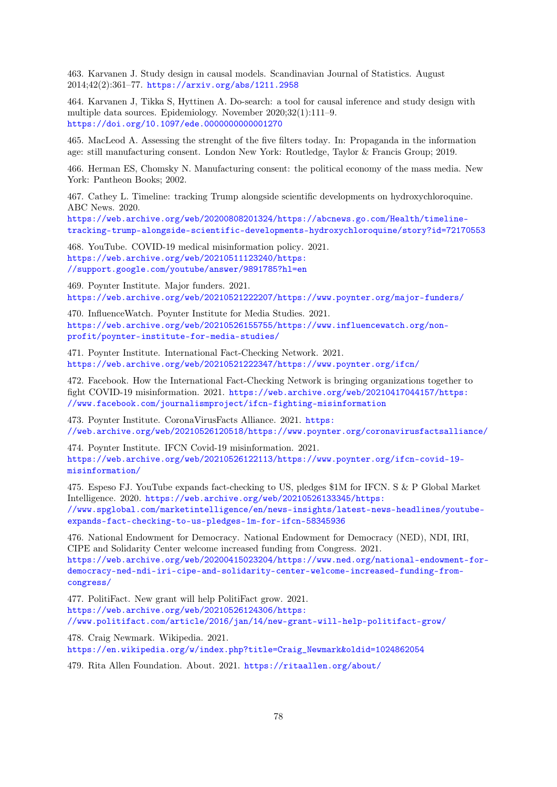463. Karvanen J. Study design in causal models. Scandinavian Journal of Statistics. August 2014;42(2):361–77. <https://arxiv.org/abs/1211.2958>

464. Karvanen J, Tikka S, Hyttinen A. Do-search: a tool for causal inference and study design with multiple data sources. Epidemiology. November 2020;32(1):111–9. <https://doi.org/10.1097/ede.0000000000001270>

465. MacLeod A. Assessing the strenght of the five filters today. In: Propaganda in the information age: still manufacturing consent. London New York: Routledge, Taylor & Francis Group; 2019.

466. Herman ES, Chomsky N. Manufacturing consent: the political economy of the mass media. New York: Pantheon Books; 2002.

467. Cathey L. Timeline: tracking Trump alongside scientific developments on hydroxychloroquine. ABC News. 2020.

[https://web.archive.org/web/20200808201324/https://abcnews.go.com/Health/timeline](https://web.archive.org/web/20200808201324/https://abcnews.go.com/Health/timeline-tracking-trump-alongside-scientific-developments-hydroxychloroquine/story?id=72170553)[tracking-trump-alongside-scientific-developments-hydroxychloroquine/story?id=72170553](https://web.archive.org/web/20200808201324/https://abcnews.go.com/Health/timeline-tracking-trump-alongside-scientific-developments-hydroxychloroquine/story?id=72170553)

468. YouTube. COVID-19 medical misinformation policy. 2021. [https://web.archive.org/web/20210511123240/https:](https://web.archive.org/web/20210511123240/https://support.google.com/youtube/answer/9891785?hl=en) [//support.google.com/youtube/answer/9891785?hl=en](https://web.archive.org/web/20210511123240/https://support.google.com/youtube/answer/9891785?hl=en)

469. Poynter Institute. Major funders. 2021. <https://web.archive.org/web/20210521222207/https://www.poynter.org/major-funders/>

470. InfluenceWatch. Poynter Institute for Media Studies. 2021. [https://web.archive.org/web/20210526155755/https://www.influencewatch.org/non](https://web.archive.org/web/20210526155755/https://www.influencewatch.org/non-profit/poynter-institute-for-media-studies/)[profit/poynter-institute-for-media-studies/](https://web.archive.org/web/20210526155755/https://www.influencewatch.org/non-profit/poynter-institute-for-media-studies/)

471. Poynter Institute. International Fact-Checking Network. 2021. <https://web.archive.org/web/20210521222347/https://www.poynter.org/ifcn/>

472. Facebook. How the International Fact-Checking Network is bringing organizations together to fight COVID-19 misinformation. 2021. [https://web.archive.org/web/20210417044157/https:](https://web.archive.org/web/20210417044157/https://www.facebook.com/journalismproject/ifcn-fighting-misinformation) [//www.facebook.com/journalismproject/ifcn-fighting-misinformation](https://web.archive.org/web/20210417044157/https://www.facebook.com/journalismproject/ifcn-fighting-misinformation)

473. Poynter Institute. CoronaVirusFacts Alliance. 2021. [https:](https://web.archive.org/web/20210526120518/https://www.poynter.org/coronavirusfactsalliance/) [//web.archive.org/web/20210526120518/https://www.poynter.org/coronavirusfactsalliance/](https://web.archive.org/web/20210526120518/https://www.poynter.org/coronavirusfactsalliance/)

474. Poynter Institute. IFCN Covid-19 misinformation. 2021. [https://web.archive.org/web/20210526122113/https://www.poynter.org/ifcn-covid-19](https://web.archive.org/web/20210526122113/https://www.poynter.org/ifcn-covid-19-misinformation/) [misinformation/](https://web.archive.org/web/20210526122113/https://www.poynter.org/ifcn-covid-19-misinformation/)

475. Espeso FJ. YouTube expands fact-checking to US, pledges \$1M for IFCN. S & P Global Market Intelligence. 2020. [https://web.archive.org/web/20210526133345/https:](https://web.archive.org/web/20210526133345/https://www.spglobal.com/marketintelligence/en/news-insights/latest-news-headlines/youtube-expands-fact-checking-to-us-pledges-1m-for-ifcn-58345936) [//www.spglobal.com/marketintelligence/en/news-insights/latest-news-headlines/youtube](https://web.archive.org/web/20210526133345/https://www.spglobal.com/marketintelligence/en/news-insights/latest-news-headlines/youtube-expands-fact-checking-to-us-pledges-1m-for-ifcn-58345936)[expands-fact-checking-to-us-pledges-1m-for-ifcn-58345936](https://web.archive.org/web/20210526133345/https://www.spglobal.com/marketintelligence/en/news-insights/latest-news-headlines/youtube-expands-fact-checking-to-us-pledges-1m-for-ifcn-58345936)

476. National Endowment for Democracy. National Endowment for Democracy (NED), NDI, IRI, CIPE and Solidarity Center welcome increased funding from Congress. 2021. [https://web.archive.org/web/20200415023204/https://www.ned.org/national-endowment-for](https://web.archive.org/web/20200415023204/https://www.ned.org/national-endowment-for-democracy-ned-ndi-iri-cipe-and-solidarity-center-welcome-increased-funding-from-congress/)[democracy-ned-ndi-iri-cipe-and-solidarity-center-welcome-increased-funding-from](https://web.archive.org/web/20200415023204/https://www.ned.org/national-endowment-for-democracy-ned-ndi-iri-cipe-and-solidarity-center-welcome-increased-funding-from-congress/)[congress/](https://web.archive.org/web/20200415023204/https://www.ned.org/national-endowment-for-democracy-ned-ndi-iri-cipe-and-solidarity-center-welcome-increased-funding-from-congress/)

477. PolitiFact. New grant will help PolitiFact grow. 2021. [https://web.archive.org/web/20210526124306/https:](https://web.archive.org/web/20210526124306/https://www.politifact.com/article/2016/jan/14/new-grant-will-help-politifact-grow/) [//www.politifact.com/article/2016/jan/14/new-grant-will-help-politifact-grow/](https://web.archive.org/web/20210526124306/https://www.politifact.com/article/2016/jan/14/new-grant-will-help-politifact-grow/)

478. Craig Newmark. Wikipedia. 2021. [https://en.wikipedia.org/w/index.php?title=Craig\\_Newmark&oldid=1024862054](https://en.wikipedia.org/w/index.php?title=Craig_Newmark&oldid=1024862054)

479. Rita Allen Foundation. About. 2021. <https://ritaallen.org/about/>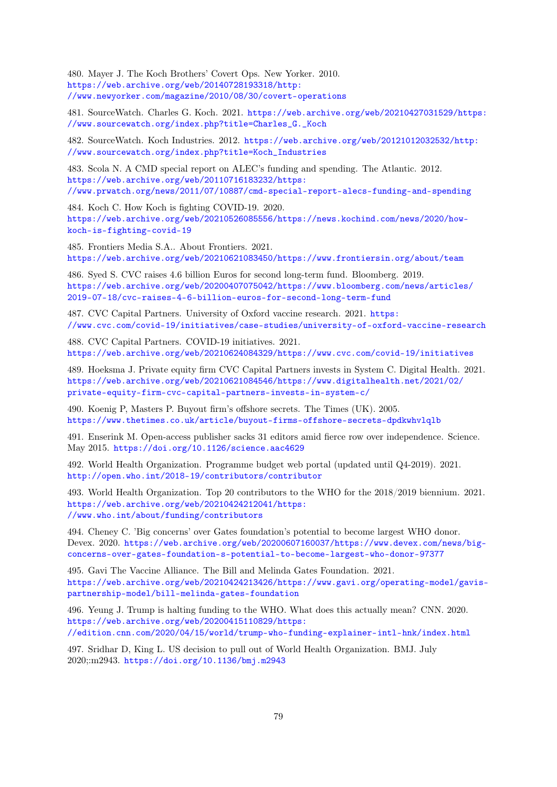480. Mayer J. The Koch Brothers' Covert Ops. New Yorker. 2010. [https://web.archive.org/web/20140728193318/http:](https://web.archive.org/web/20140728193318/http://www.newyorker.com/magazine/2010/08/30/covert-operations) [//www.newyorker.com/magazine/2010/08/30/covert-operations](https://web.archive.org/web/20140728193318/http://www.newyorker.com/magazine/2010/08/30/covert-operations)

481. SourceWatch. Charles G. Koch. 2021. [https://web.archive.org/web/20210427031529/https:](https://web.archive.org/web/20210427031529/https://www.sourcewatch.org/index.php?title=Charles_G._Koch) [//www.sourcewatch.org/index.php?title=Charles\\_G.\\_Koch](https://web.archive.org/web/20210427031529/https://www.sourcewatch.org/index.php?title=Charles_G._Koch)

482. SourceWatch. Koch Industries. 2012. [https://web.archive.org/web/20121012032532/http:](https://web.archive.org/web/20121012032532/http://www.sourcewatch.org/index.php?title=Koch_Industries) [//www.sourcewatch.org/index.php?title=Koch\\_Industries](https://web.archive.org/web/20121012032532/http://www.sourcewatch.org/index.php?title=Koch_Industries)

483. Scola N. A CMD special report on ALEC's funding and spending. The Atlantic. 2012. [https://web.archive.org/web/20110716183232/https:](https://web.archive.org/web/20110716183232/https://www.prwatch.org/news/2011/07/10887/cmd-special-report-alecs-funding-and-spending) [//www.prwatch.org/news/2011/07/10887/cmd-special-report-alecs-funding-and-spending](https://web.archive.org/web/20110716183232/https://www.prwatch.org/news/2011/07/10887/cmd-special-report-alecs-funding-and-spending)

484. Koch C. How Koch is fighting COVID-19. 2020. [https://web.archive.org/web/20210526085556/https://news.kochind.com/news/2020/how](https://web.archive.org/web/20210526085556/https://news.kochind.com/news/2020/how-koch-is-fighting-covid-19)[koch-is-fighting-covid-19](https://web.archive.org/web/20210526085556/https://news.kochind.com/news/2020/how-koch-is-fighting-covid-19)

485. Frontiers Media S.A.. About Frontiers. 2021. <https://web.archive.org/web/20210621083450/https://www.frontiersin.org/about/team>

486. Syed S. CVC raises 4.6 billion Euros for second long-term fund. Bloomberg. 2019. [https://web.archive.org/web/20200407075042/https://www.bloomberg.com/news/articles/](https://web.archive.org/web/20200407075042/https://www.bloomberg.com/news/articles/2019-07-18/cvc-raises-4-6-billion-euros-for-second-long-term-fund) [2019-07-18/cvc-raises-4-6-billion-euros-for-second-long-term-fund](https://web.archive.org/web/20200407075042/https://www.bloomberg.com/news/articles/2019-07-18/cvc-raises-4-6-billion-euros-for-second-long-term-fund)

487. CVC Capital Partners. University of Oxford vaccine research. 2021. [https:](https://www.cvc.com/covid-19/initiatives/case-studies/university-of-oxford-vaccine-research) [//www.cvc.com/covid-19/initiatives/case-studies/university-of-oxford-vaccine-research](https://www.cvc.com/covid-19/initiatives/case-studies/university-of-oxford-vaccine-research)

488. CVC Capital Partners. COVID-19 initiatives. 2021. <https://web.archive.org/web/20210624084329/https://www.cvc.com/covid-19/initiatives>

489. Hoeksma J. Private equity firm CVC Capital Partners invests in System C. Digital Health. 2021. [https://web.archive.org/web/20210621084546/https://www.digitalhealth.net/2021/02/](https://web.archive.org/web/20210621084546/https://www.digitalhealth.net/2021/02/private-equity-firm-cvc-capital-partners-invests-in-system-c/) [private-equity-firm-cvc-capital-partners-invests-in-system-c/](https://web.archive.org/web/20210621084546/https://www.digitalhealth.net/2021/02/private-equity-firm-cvc-capital-partners-invests-in-system-c/)

490. Koenig P, Masters P. Buyout firm's offshore secrets. The Times (UK). 2005. <https://www.thetimes.co.uk/article/buyout-firms-offshore-secrets-dpdkwhvlqlb>

491. Enserink M. Open-access publisher sacks 31 editors amid fierce row over independence. Science. May 2015. <https://doi.org/10.1126/science.aac4629>

492. World Health Organization. Programme budget web portal (updated until Q4-2019). 2021. <http://open.who.int/2018-19/contributors/contributor>

493. World Health Organization. Top 20 contributors to the WHO for the 2018/2019 biennium. 2021. [https://web.archive.org/web/20210424212041/https:](https://web.archive.org/web/20210424212041/https://www.who.int/about/funding/contributors) [//www.who.int/about/funding/contributors](https://web.archive.org/web/20210424212041/https://www.who.int/about/funding/contributors)

494. Cheney C. 'Big concerns' over Gates foundation's potential to become largest WHO donor. Devex. 2020. [https://web.archive.org/web/20200607160037/https://www.devex.com/news/big](https://web.archive.org/web/20200607160037/https://www.devex.com/news/big-concerns-over-gates-foundation-s-potential-to-become-largest-who-donor-97377)[concerns-over-gates-foundation-s-potential-to-become-largest-who-donor-97377](https://web.archive.org/web/20200607160037/https://www.devex.com/news/big-concerns-over-gates-foundation-s-potential-to-become-largest-who-donor-97377)

495. Gavi The Vaccine Alliance. The Bill and Melinda Gates Foundation. 2021. [https://web.archive.org/web/20210424213426/https://www.gavi.org/operating-model/gavis](https://web.archive.org/web/20210424213426/https://www.gavi.org/operating-model/gavis-partnership-model/bill-melinda-gates-foundation)[partnership-model/bill-melinda-gates-foundation](https://web.archive.org/web/20210424213426/https://www.gavi.org/operating-model/gavis-partnership-model/bill-melinda-gates-foundation)

496. Yeung J. Trump is halting funding to the WHO. What does this actually mean? CNN. 2020. [https://web.archive.org/web/20200415110829/https:](https://web.archive.org/web/20200415110829/https://edition.cnn.com/2020/04/15/world/trump-who-funding-explainer-intl-hnk/index.html) [//edition.cnn.com/2020/04/15/world/trump-who-funding-explainer-intl-hnk/index.html](https://web.archive.org/web/20200415110829/https://edition.cnn.com/2020/04/15/world/trump-who-funding-explainer-intl-hnk/index.html)

497. Sridhar D, King L. US decision to pull out of World Health Organization. BMJ. July 2020;:m2943. <https://doi.org/10.1136/bmj.m2943>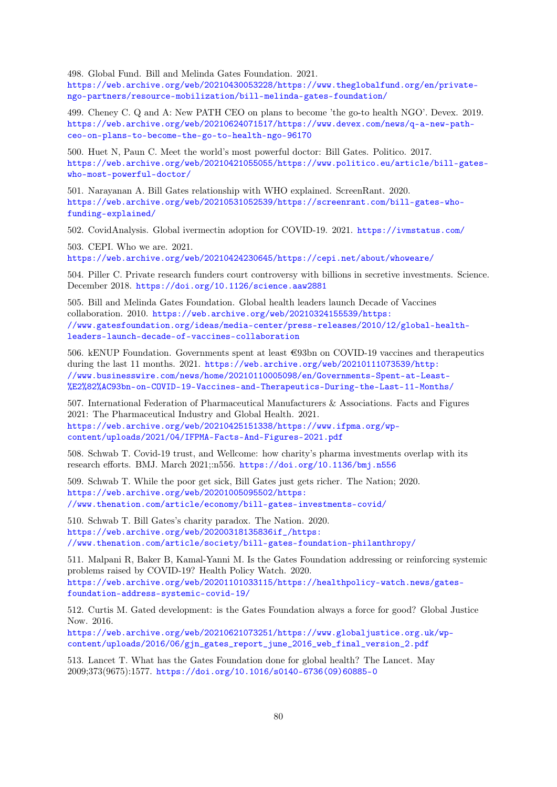498. Global Fund. Bill and Melinda Gates Foundation. 2021.

[https://web.archive.org/web/20210430053228/https://www.theglobalfund.org/en/private](https://web.archive.org/web/20210430053228/https://www.theglobalfund.org/en/private-ngo-partners/resource-mobilization/bill-melinda-gates-foundation/)[ngo-partners/resource-mobilization/bill-melinda-gates-foundation/](https://web.archive.org/web/20210430053228/https://www.theglobalfund.org/en/private-ngo-partners/resource-mobilization/bill-melinda-gates-foundation/)

499. Cheney C. Q and A: New PATH CEO on plans to become 'the go-to health NGO'. Devex. 2019. [https://web.archive.org/web/20210624071517/https://www.devex.com/news/q-a-new-path](https://web.archive.org/web/20210624071517/https://www.devex.com/news/q-a-new-path-ceo-on-plans-to-become-the-go-to-health-ngo-96170)[ceo-on-plans-to-become-the-go-to-health-ngo-96170](https://web.archive.org/web/20210624071517/https://www.devex.com/news/q-a-new-path-ceo-on-plans-to-become-the-go-to-health-ngo-96170)

500. Huet N, Paun C. Meet the world's most powerful doctor: Bill Gates. Politico. 2017. [https://web.archive.org/web/20210421055055/https://www.politico.eu/article/bill-gates](https://web.archive.org/web/20210421055055/https://www.politico.eu/article/bill-gates-who-most-powerful-doctor/)[who-most-powerful-doctor/](https://web.archive.org/web/20210421055055/https://www.politico.eu/article/bill-gates-who-most-powerful-doctor/)

501. Narayanan A. Bill Gates relationship with WHO explained. ScreenRant. 2020. [https://web.archive.org/web/20210531052539/https://screenrant.com/bill-gates-who](https://web.archive.org/web/20210531052539/https://screenrant.com/bill-gates-who-funding-explained/)[funding-explained/](https://web.archive.org/web/20210531052539/https://screenrant.com/bill-gates-who-funding-explained/)

502. CovidAnalysis. Global ivermectin adoption for COVID-19. 2021. <https://ivmstatus.com/>

503. CEPI. Who we are. 2021. <https://web.archive.org/web/20210424230645/https://cepi.net/about/whoweare/>

504. Piller C. Private research funders court controversy with billions in secretive investments. Science. December 2018. <https://doi.org/10.1126/science.aaw2881>

505. Bill and Melinda Gates Foundation. Global health leaders launch Decade of Vaccines collaboration. 2010. [https://web.archive.org/web/20210324155539/https:](https://web.archive.org/web/20210324155539/https://www.gatesfoundation.org/ideas/media-center/press-releases/2010/12/global-health-leaders-launch-decade-of-vaccines-collaboration) [//www.gatesfoundation.org/ideas/media-center/press-releases/2010/12/global-health](https://web.archive.org/web/20210324155539/https://www.gatesfoundation.org/ideas/media-center/press-releases/2010/12/global-health-leaders-launch-decade-of-vaccines-collaboration)[leaders-launch-decade-of-vaccines-collaboration](https://web.archive.org/web/20210324155539/https://www.gatesfoundation.org/ideas/media-center/press-releases/2010/12/global-health-leaders-launch-decade-of-vaccines-collaboration)

506. kENUP Foundation. Governments spent at least €93bn on COVID-19 vaccines and therapeutics during the last 11 months. 2021. [https://web.archive.org/web/20210111073539/http:](https://web.archive.org/web/20210111073539/http://www.businesswire.com/news/home/20210110005098/en/Governments-Spent-at-Least-%E2%82%AC93bn-on-COVID-19-Vaccines-and-Therapeutics-During-the-Last-11-Months/) [//www.businesswire.com/news/home/20210110005098/en/Governments-Spent-at-Least-](https://web.archive.org/web/20210111073539/http://www.businesswire.com/news/home/20210110005098/en/Governments-Spent-at-Least-%E2%82%AC93bn-on-COVID-19-Vaccines-and-Therapeutics-During-the-Last-11-Months/) [%E2%82%AC93bn-on-COVID-19-Vaccines-and-Therapeutics-During-the-Last-11-Months/](https://web.archive.org/web/20210111073539/http://www.businesswire.com/news/home/20210110005098/en/Governments-Spent-at-Least-%E2%82%AC93bn-on-COVID-19-Vaccines-and-Therapeutics-During-the-Last-11-Months/)

507. International Federation of Pharmaceutical Manufacturers & Associations. Facts and Figures 2021: The Pharmaceutical Industry and Global Health. 2021. [https://web.archive.org/web/20210425151338/https://www.ifpma.org/wp](https://web.archive.org/web/20210425151338/https://www.ifpma.org/wp-content/uploads/2021/04/IFPMA-Facts-And-Figures-2021.pdf)[content/uploads/2021/04/IFPMA-Facts-And-Figures-2021.pdf](https://web.archive.org/web/20210425151338/https://www.ifpma.org/wp-content/uploads/2021/04/IFPMA-Facts-And-Figures-2021.pdf)

508. Schwab T. Covid-19 trust, and Wellcome: how charity's pharma investments overlap with its research efforts. BMJ. March 2021;:n556. <https://doi.org/10.1136/bmj.n556>

509. Schwab T. While the poor get sick, Bill Gates just gets richer. The Nation; 2020. [https://web.archive.org/web/20201005095502/https:](https://web.archive.org/web/20201005095502/https://www.thenation.com/article/economy/bill-gates-investments-covid/) [//www.thenation.com/article/economy/bill-gates-investments-covid/](https://web.archive.org/web/20201005095502/https://www.thenation.com/article/economy/bill-gates-investments-covid/)

510. Schwab T. Bill Gates's charity paradox. The Nation. 2020. [https://web.archive.org/web/20200318135836if\\_/https:](https://web.archive.org/web/20200318135836if_/https://www.thenation.com/article/society/bill-gates-foundation-philanthropy/) [//www.thenation.com/article/society/bill-gates-foundation-philanthropy/](https://web.archive.org/web/20200318135836if_/https://www.thenation.com/article/society/bill-gates-foundation-philanthropy/)

511. Malpani R, Baker B, Kamal-Yanni M. Is the Gates Foundation addressing or reinforcing systemic problems raised by COVID-19? Health Policy Watch. 2020. [https://web.archive.org/web/20201101033115/https://healthpolicy-watch.news/gates](https://web.archive.org/web/20201101033115/https://healthpolicy-watch.news/gates-foundation-address-systemic-covid-19/)[foundation-address-systemic-covid-19/](https://web.archive.org/web/20201101033115/https://healthpolicy-watch.news/gates-foundation-address-systemic-covid-19/)

512. Curtis M. Gated development: is the Gates Foundation always a force for good? Global Justice Now. 2016.

[https://web.archive.org/web/20210621073251/https://www.globaljustice.org.uk/wp](https://web.archive.org/web/20210621073251/https://www.globaljustice.org.uk/wp-content/uploads/2016/06/gjn_gates_report_june_2016_web_final_version_2.pdf)[content/uploads/2016/06/gjn\\_gates\\_report\\_june\\_2016\\_web\\_final\\_version\\_2.pdf](https://web.archive.org/web/20210621073251/https://www.globaljustice.org.uk/wp-content/uploads/2016/06/gjn_gates_report_june_2016_web_final_version_2.pdf)

513. Lancet T. What has the Gates Foundation done for global health? The Lancet. May 2009;373(9675):1577. [https://doi.org/10.1016/s0140-6736\(09\)60885-0](https://doi.org/10.1016/s0140-6736(09)60885-0)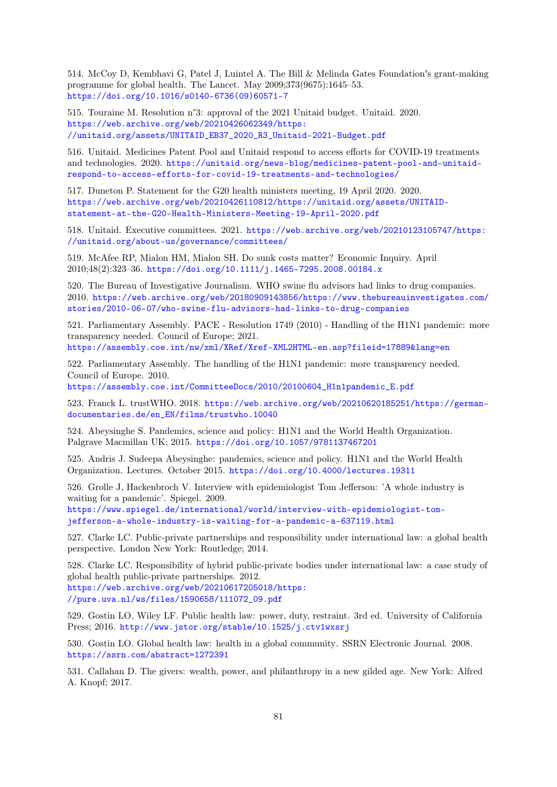514. McCoy D, Kembhavi G, Patel J, Luintel A. The Bill & Melinda Gates Foundation's grant-making programme for global health. The Lancet. May 2009;373(9675):1645–53. [https://doi.org/10.1016/s0140-6736\(09\)60571-7](https://doi.org/10.1016/s0140-6736(09)60571-7)

515. Touraine M. Resolution n°3: approval of the 2021 Unitaid budget. Unitaid. 2020. [https://web.archive.org/web/20210426062349/https:](https://web.archive.org/web/20210426062349/https://unitaid.org/assets/UNITAID_EB37_2020_R3_Unitaid-2021-Budget.pdf) [//unitaid.org/assets/UNITAID\\_EB37\\_2020\\_R3\\_Unitaid-2021-Budget.pdf](https://web.archive.org/web/20210426062349/https://unitaid.org/assets/UNITAID_EB37_2020_R3_Unitaid-2021-Budget.pdf)

516. Unitaid. Medicines Patent Pool and Unitaid respond to access efforts for COVID-19 treatments and technologies. 2020. [https://unitaid.org/news-blog/medicines-patent-pool-and-unitaid](https://unitaid.org/news-blog/medicines-patent-pool-and-unitaid-respond-to-access-efforts-for-covid-19-treatments-and-technologies/)[respond-to-access-efforts-for-covid-19-treatments-and-technologies/](https://unitaid.org/news-blog/medicines-patent-pool-and-unitaid-respond-to-access-efforts-for-covid-19-treatments-and-technologies/)

517. Duneton P. Statement for the G20 health ministers meeting, 19 April 2020. 2020. [https://web.archive.org/web/20210426110812/https://unitaid.org/assets/UNITAID](https://web.archive.org/web/20210426110812/https://unitaid.org/assets/UNITAID-statement-at-the-G20-Health-Ministers-Meeting-19-April-2020.pdf)[statement-at-the-G20-Health-Ministers-Meeting-19-April-2020.pdf](https://web.archive.org/web/20210426110812/https://unitaid.org/assets/UNITAID-statement-at-the-G20-Health-Ministers-Meeting-19-April-2020.pdf)

518. Unitaid. Executive committees. 2021. [https://web.archive.org/web/20210123105747/https:](https://web.archive.org/web/20210123105747/https://unitaid.org/about-us/governance/committees/) [//unitaid.org/about-us/governance/committees/](https://web.archive.org/web/20210123105747/https://unitaid.org/about-us/governance/committees/)

519. McAfee RP, Mialon HM, Mialon SH. Do sunk costs matter? Economic Inquiry. April 2010;48(2):323–36. <https://doi.org/10.1111/j.1465-7295.2008.00184.x>

520. The Bureau of Investigative Journalism. WHO swine flu advisors had links to drug companies. 2010. [https://web.archive.org/web/20180909143856/https://www.thebureauinvestigates.com/](https://web.archive.org/web/20180909143856/https://www.thebureauinvestigates.com/stories/2010-06-07/who-swine-flu-advisors-had-links-to-drug-companies) [stories/2010-06-07/who-swine-flu-advisors-had-links-to-drug-companies](https://web.archive.org/web/20180909143856/https://www.thebureauinvestigates.com/stories/2010-06-07/who-swine-flu-advisors-had-links-to-drug-companies)

521. Parliamentary Assembly. PACE - Resolution 1749 (2010) - Handling of the H1N1 pandemic: more transparency needed. Council of Europe; 2021. <https://assembly.coe.int/nw/xml/XRef/Xref-XML2HTML-en.asp?fileid=17889&lang=en>

522. Parliamentary Assembly. The handling of the H1N1 pandemic: more transparency needed. Council of Europe. 2010.

[https://assembly.coe.int/CommitteeDocs/2010/20100604\\_H1n1pandemic\\_E.pdf](https://assembly.coe.int/CommitteeDocs/2010/20100604_H1n1pandemic_E.pdf)

523. Franck L. trustWHO. 2018. [https://web.archive.org/web/20210620185251/https://german](https://web.archive.org/web/20210620185251/https://german-documentaries.de/en_EN/films/trustwho.10040)[documentaries.de/en\\_EN/films/trustwho.10040](https://web.archive.org/web/20210620185251/https://german-documentaries.de/en_EN/films/trustwho.10040)

524. Abeysinghe S. Pandemics, science and policy: H1N1 and the World Health Organization. Palgrave Macmillan UK; 2015. <https://doi.org/10.1057/9781137467201>

525. Andris J. Sudeepa Abeysinghe: pandemics, science and policy. H1N1 and the World Health Organization. Lectures. October 2015. <https://doi.org/10.4000/lectures.19311>

526. Grolle J, Hackenbroch V. Interview with epidemiologist Tom Jefferson: 'A whole industry is waiting for a pandemic'. Spiegel. 2009. [https://www.spiegel.de/international/world/interview-with-epidemiologist-tom](https://www.spiegel.de/international/world/interview-with-epidemiologist-tom-jefferson-a-whole-industry-is-waiting-for-a-pandemic-a-637119.html)[jefferson-a-whole-industry-is-waiting-for-a-pandemic-a-637119.html](https://www.spiegel.de/international/world/interview-with-epidemiologist-tom-jefferson-a-whole-industry-is-waiting-for-a-pandemic-a-637119.html)

527. Clarke LC. Public-private partnerships and responsibility under international law: a global health perspective. London New York: Routledge; 2014.

528. Clarke LC. Responsibility of hybrid public-private bodies under international law: a case study of global health public-private partnerships. 2012. [https://web.archive.org/web/20210617205018/https:](https://web.archive.org/web/20210617205018/https://pure.uva.nl/ws/files/1590658/111072_09.pdf) [//pure.uva.nl/ws/files/1590658/111072\\_09.pdf](https://web.archive.org/web/20210617205018/https://pure.uva.nl/ws/files/1590658/111072_09.pdf)

529. Gostin LO, Wiley LF. Public health law: power, duty, restraint. 3rd ed. University of California Press; 2016. <http://www.jstor.org/stable/10.1525/j.ctv1wxsrj>

530. Gostin LO. Global health law: health in a global community. SSRN Electronic Journal. 2008. <https://ssrn.com/abstract=1272391>

531. Callahan D. The givers: wealth, power, and philanthropy in a new gilded age. New York: Alfred A. Knopf; 2017.